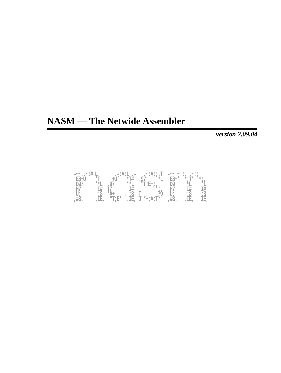# **NASM — The Netwide Assembler**

*version 2.09.04*

| $-\mathord{\sim} \mathord{\sim} \mathbin{{\scriptstyle\circ}} \mathbin{{\scriptstyle\circ}} \mathbin{{\scriptstyle\circ}} \mathbin{{\scriptstyle\circ}} \mathbin{{\scriptstyle\circ}} \mathbin{{\scriptstyle\circ}} \mathbin{{\scriptstyle\circ}} \mathbin{{\scriptstyle\circ}}$ |             |         | $\cdot$ = : # ; L, $\cdot$ = | $\cdot$ :#: ; . $T$        | $=$ $\sim$ $\sim$ $\sim$ . | $\sim$ : $\sim$      |     |
|----------------------------------------------------------------------------------------------------------------------------------------------------------------------------------------------------------------------------------------------------------------------------------|-------------|---------|------------------------------|----------------------------|----------------------------|----------------------|-----|
| $F2 + T$                                                                                                                                                                                                                                                                         | ⊹π          |         |                              |                            |                            | $* \cdot \mathbb{T}$ |     |
| 197                                                                                                                                                                                                                                                                              | <b>1 *T</b> |         |                              | "T;E+:                     |                            |                      |     |
| H7                                                                                                                                                                                                                                                                               |             |         |                              |                            | H.                         |                      |     |
| U:                                                                                                                                                                                                                                                                               | : ୪         |         | $\bullet$<br>ះថ              |                            |                            | ۰                    | ះថ  |
|                                                                                                                                                                                                                                                                                  | TF.         | $"T;E*$ | ·正,                          | <sup>*</sup> *+;#:T*"<br>U | π⊃.                        | IE,                  | īΕ, |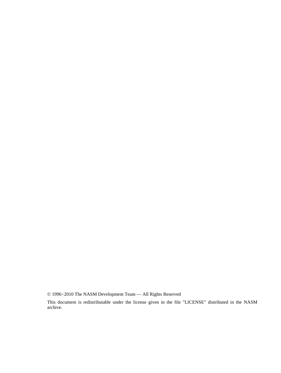© 1996−2010 The NASM Development Team — All Rights Reserved

This document is redistributable under the license given in the file "LICENSE" distributed in the NASM archive.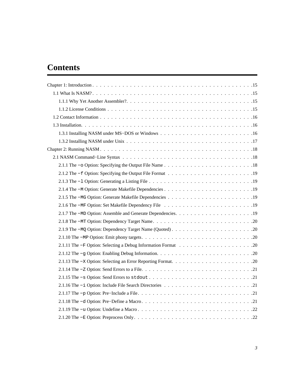# **Contents**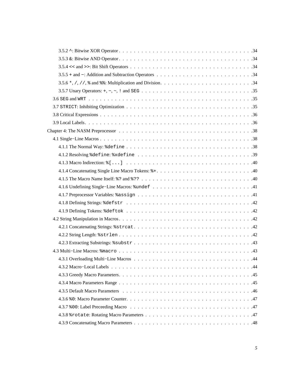| . 44<br>4.3.1 Overloading Multi-Line Macros |
|---------------------------------------------|
|                                             |
|                                             |
|                                             |
|                                             |
|                                             |
|                                             |
|                                             |
|                                             |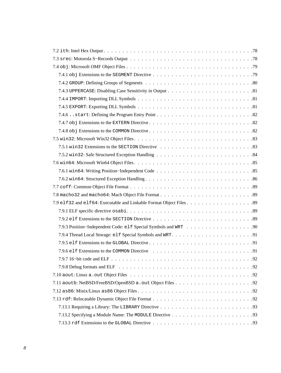| .92<br>7.9.7 16–bit code and ELF<br>and the state of the state of the state of the state of the state of the state of the state of the state of the |
|-----------------------------------------------------------------------------------------------------------------------------------------------------|
|                                                                                                                                                     |
|                                                                                                                                                     |
|                                                                                                                                                     |
|                                                                                                                                                     |
|                                                                                                                                                     |
|                                                                                                                                                     |
|                                                                                                                                                     |
|                                                                                                                                                     |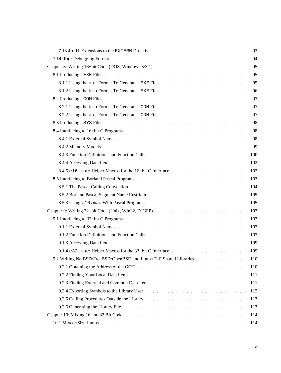| 9.2 Writing NetBSD/FreeBSD/OpenBSD and Linux/ELF Shared Libraries. 110 |
|------------------------------------------------------------------------|
|                                                                        |
|                                                                        |
|                                                                        |
|                                                                        |
|                                                                        |
|                                                                        |
|                                                                        |
|                                                                        |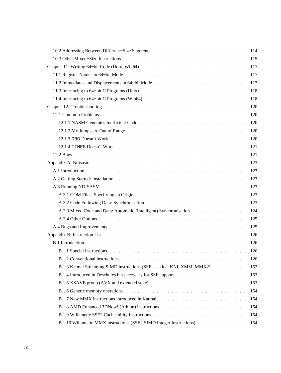| A.3.3 Mixed Code and Data: Automatic (Intelligent) Synchronisation 124     |
|----------------------------------------------------------------------------|
|                                                                            |
|                                                                            |
|                                                                            |
|                                                                            |
|                                                                            |
|                                                                            |
| B.1.3 Katmai Streaming SIMD instructions (SSE — a.k.a. KNI, XMM, MMX2) 152 |
|                                                                            |
|                                                                            |
|                                                                            |
|                                                                            |
|                                                                            |
|                                                                            |
| B.1.10 Willamette MMX instructions (SSE2 SIMD Integer Instructions) 154    |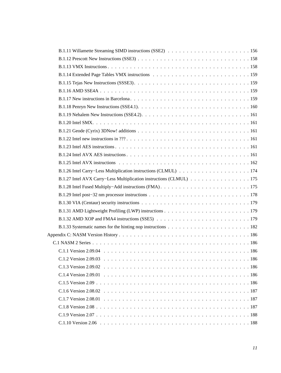| B.1.27 Intel AVX Carry–Less Multiplication instructions (CLMUL) 175 |  |
|---------------------------------------------------------------------|--|
|                                                                     |  |
|                                                                     |  |
|                                                                     |  |
|                                                                     |  |
|                                                                     |  |
|                                                                     |  |
|                                                                     |  |
|                                                                     |  |
|                                                                     |  |
| $C_1$ 2 Version 2.09.03<br>.186                                     |  |
|                                                                     |  |
|                                                                     |  |
|                                                                     |  |
|                                                                     |  |
|                                                                     |  |
|                                                                     |  |
|                                                                     |  |
|                                                                     |  |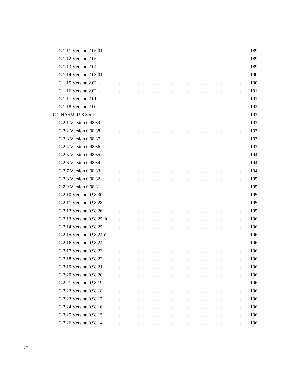| $C$ 2.18 Version 0.98.22 | .196 |
|--------------------------|------|
|                          |      |
|                          |      |
|                          |      |
|                          |      |
|                          |      |
|                          |      |
|                          |      |
|                          |      |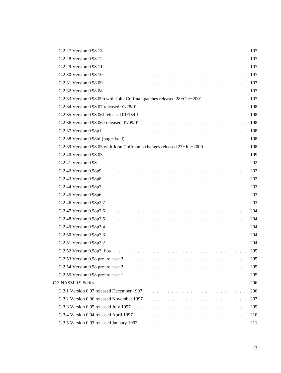| C.2.33 Version 0.98.09b with John Coffman patches released 28-Oct-2001 197  |  |
|-----------------------------------------------------------------------------|--|
|                                                                             |  |
|                                                                             |  |
|                                                                             |  |
|                                                                             |  |
|                                                                             |  |
| C.2.39 Version 0.98.03 with John Coffman's changes released 27-Jul-2000 198 |  |
|                                                                             |  |
|                                                                             |  |
|                                                                             |  |
|                                                                             |  |
|                                                                             |  |
|                                                                             |  |
|                                                                             |  |
|                                                                             |  |
|                                                                             |  |
|                                                                             |  |
|                                                                             |  |
|                                                                             |  |
|                                                                             |  |
|                                                                             |  |
|                                                                             |  |
|                                                                             |  |
|                                                                             |  |
|                                                                             |  |
|                                                                             |  |
|                                                                             |  |
|                                                                             |  |
|                                                                             |  |
|                                                                             |  |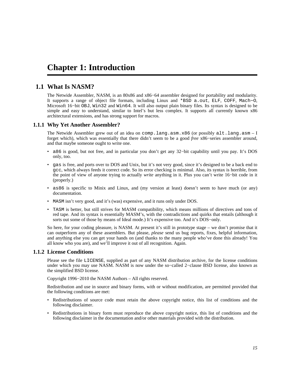# <span id="page-14-0"></span>**Chapter 1: Introduction**

# **1.1 What Is NASM?**

<span id="page-14-1"></span>The Netwide Assembler, NASM, is an 80x86 and x86−64 assembler designed for portability and modularity. It supports a range of object file formats, including Linux and \*BSD a.out, ELF, COFF, Mach−O, Microsoft 16−bit OBJ, Win32 and Win64. It will also output plain binary files. Its syntax is designed to be simple and easy to understand, similar to Intel's but less complex. It supports all currently known x86 architectural extensions, and has strong support for macros.

## **1.1.1 Why Yet Another Assembler?**

<span id="page-14-2"></span>The Netwide Assembler grew out of an idea on comp.lang.asm.x86 (or possibly alt.lang.asm – I forget which), which was essentially that there didn't seem to be a good *free* x86−series assembler around, and that maybe someone ought to write one.

- a86 is good, but not free, and in particular you don't get any 32−bit capability until you pay. It's DOS only, too.
- gas is free, and ports over to DOS and Unix, but it's not very good, since it's designed to be a back end to gcc, which always feeds it correct code. So its error checking is minimal. Also, its syntax is horrible, from the point of view of anyone trying to actually *write* anything in it. Plus you can't write 16−bit code in it (properly.)
- as86 is specific to Minix and Linux, and (my version at least) doesn't seem to have much (or any) documentation.
- MASM isn't very good, and it's (was) expensive, and it runs only under DOS.
- TASM is better, but still strives for MASM compatibility, which means millions of directives and tons of red tape. And its syntax is essentially MASM's, with the contradictions and quirks that entails (although it sorts out some of those by means of Ideal mode.) It's expensive too. And it's DOS−only.

So here, for your coding pleasure, is NASM. At present it's still in prototype stage – we don't promise that it can outperform any of these assemblers. But please, *please* send us bug reports, fixes, helpful information, and anything else you can get your hands on (and thanks to the many people who've done this already! You all know who you are), and we'll improve it out of all recognition. Again.

## **1.1.2 License Conditions**

<span id="page-14-3"></span>Please see the file LICENSE, supplied as part of any NASM distribution archive, for the license conditions under which you may use NASM. NASM is now under the so−called 2−clause BSD license, also known as the simplified BSD license.

Copyright 1996−2010 the NASM Authors – All rights reserved.

Redistribution and use in source and binary forms, with or without modification, are permitted provided that the following conditions are met:

- Redistributions of source code must retain the above copyright notice, this list of conditions and the following disclaimer.
- Redistributions in binary form must reproduce the above copyright notice, this list of conditions and the following disclaimer in the documentation and/or other materials provided with the distribution.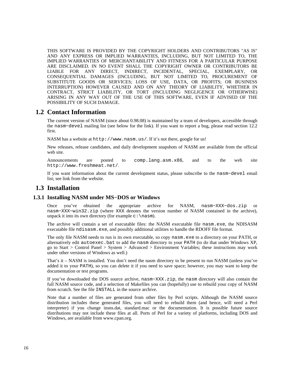THIS SOFTWARE IS PROVIDED BY THE COPYRIGHT HOLDERS AND CONTRIBUTORS "AS IS" AND ANY EXPRESS OR IMPLIED WARRANTIES, INCLUDING, BUT NOT LIMITED TO, THE IMPLIED WARRANTIES OF MERCHANTABILITY AND FITNESS FOR A PARTICULAR PURPOSE ARE DISCLAIMED. IN NO EVENT SHALL THE COPYRIGHT OWNER OR CONTRIBUTORS BE LIABLE FOR ANY DIRECT, INDIRECT, INCIDENTAL, SPECIAL, EXEMPLARY, OR CONSEQUENTIAL DAMAGES (INCLUDING, BUT NOT LIMITED TO, PROCUREMENT OF SUBSTITUTE GOODS OR SERVICES; LOSS OF USE, DATA, OR PROFITS; OR BUSINESS INTERRUPTION) HOWEVER CAUSED AND ON ANY THEORY OF LIABILITY, WHETHER IN CONTRACT, STRICT LIABILITY, OR TORT (INCLUDING NEGLIGENCE OR OTHERWISE) ARISING IN ANY WAY OUT OF THE USE OF THIS SOFTWARE, EVEN IF ADVISED OF THE POSSIBILITY OF SUCH DAMAGE.

## **1.2 Contact Information**

<span id="page-15-0"></span>The current version of NASM (since about 0.98.08) is maintained by a team of developers, accessible through the nasm−devel mailing list (see below for the link). If you want to report a bug, please read [section 12.2](#page-120-1) first.

NASM has a website at <http://www.nasm.us/>. If it's not there, google for us!

New releases, release candidates, and daily development snapshots of NASM are available from the official web site.

Announcements are posted to [comp.lang.asm.x86](news:comp.lang.asm.x86), and to the web site <http://www.freshmeat.net/>.

If you want information about the current development status, please subscribe to the nasm−devel email list; see link from the website.

## <span id="page-15-1"></span>**1.3 Installation**

## **1.3.1 Installing NASM under MS−DOS or Windows**

<span id="page-15-2"></span>Once you've obtained the appropriate archive for NASM, nasm−XXX−dos.zip or nasm−XXX−win32.zip (where XXX denotes the version number of NASM contained in the archive), unpack it into its own directory (for example  $c:\nabla$  example.

The archive will contain a set of executable files: the NASM executable file nasm.exe, the NDISASM executable file ndisasm.exe, and possibly additional utilities to handle the RDOFF file format.

The only file NASM needs to run is its own executable, so copy nasm.exe to a directory on your PATH, or alternatively edit autoexec.bat to add the nasm directory to your PATH (to do that under Windows XP, go to Start > Control Panel > System > Advanced > Environment Variables; these instructions may work under other versions of Windows as well.)

That's it – NASM is installed. You don't need the nasm directory to be present to run NASM (unless you've added it to your PATH), so you can delete it if you need to save space; however, you may want to keep the documentation or test programs.

If you've downloaded the DOS source archive, nasm−XXX.zip, the nasm directory will also contain the full NASM source code, and a selection of Makefiles you can (hopefully) use to rebuild your copy of NASM from scratch. See the file INSTALL in the source archive.

Note that a number of files are generated from other files by Perl scripts. Although the NASM source distribution includes these generated files, you will need to rebuild them (and hence, will need a Perl interpreter) if you change insns.dat, standard.mac or the documentation. It is possible future source distributions may not include these files at all. Ports of Perl for a variety of platforms, including DOS and Windows, are available from [www.cpan.org.](http://www.cpan.org/ports/)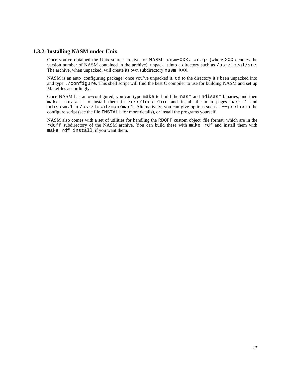## **1.3.2 Installing NASM under Unix**

<span id="page-16-0"></span>Once you've obtained the Unix source archive for NASM, nasm−XXX.tar.gz (where XXX denotes the version number of NASM contained in the archive), unpack it into a directory such as /usr/local/src. The archive, when unpacked, will create its own subdirectory nasm−XXX.

NASM is an auto−configuring package: once you've unpacked it, cd to the directory it's been unpacked into and type ./configure. This shell script will find the best C compiler to use for building NASM and set up Makefiles accordingly.

Once NASM has auto−configured, you can type make to build the nasm and ndisasm binaries, and then make install to install them in /usr/local/bin and install the man pages nasm.1 and ndisasm.1 in /usr/local/man/man1. Alternatively, you can give options such as −−prefix to the configure script (see the file INSTALL for more details), or install the programs yourself.

NASM also comes with a set of utilities for handling the RDOFF custom object−file format, which are in the rdoff subdirectory of the NASM archive. You can build these with make rdf and install them with make rdf\_install, if you want them.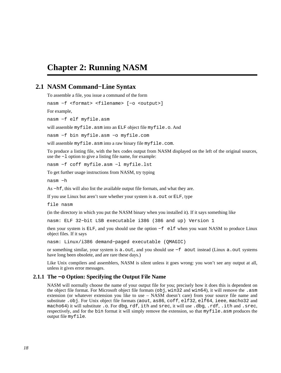# <span id="page-17-0"></span>**Chapter 2: Running NASM**

# **2.1 NASM Command−Line Syntax**

<span id="page-17-1"></span>To assemble a file, you issue a command of the form

nasm −f <format> <filename> [−o <output>]

For example,

nasm −f elf myfile.asm

will assemble myfile.asm into an ELF object file myfile.o. And

nasm −f bin myfile.asm −o myfile.com

will assemble myfile.asm into a raw binary file myfile.com.

To produce a listing file, with the hex codes output from NASM displayed on the left of the original sources, use the −l option to give a listing file name, for example:

nasm −f coff myfile.asm −l myfile.lst

To get further usage instructions from NASM, try typing

nasm −h

As −hf, this will also list the available output file formats, and what they are.

If you use Linux but aren't sure whether your system is a . out or ELF, type

file nasm

(in the directory in which you put the NASM binary when you installed it). If it says something like

nasm: ELF 32−bit LSB executable i386 (386 and up) Version 1

then your system is ELF, and you should use the option −f elf when you want NASM to produce Linux object files. If it says

nasm: Linux/i386 demand−paged executable (QMAGIC)

or something similar, your system is a.out, and you should use −f aout instead (Linux a.out systems have long been obsolete, and are rare these days.)

Like Unix compilers and assemblers, NASM is silent unless it goes wrong: you won't see any output at all, unless it gives error messages.

#### **2.1.1 The −o Option: Specifying the Output File Name**

<span id="page-17-2"></span>NASM will normally choose the name of your output file for you; precisely how it does this is dependent on the object file format. For Microsoft object file formats (obj, win32 and win64), it will remove the .asm extension (or whatever extension you like to use – NASM doesn't care) from your source file name and substitute .obj. For Unix object file formats (aout, as86, coff, elf32, elf64, ieee, macho32 and macho64) it will substitute .o. For dbg, rdf, ith and srec, it will use .dbg, .rdf, .ith and .srec, respectively, and for the bin format it will simply remove the extension, so that myfile.asm produces the output file myfile.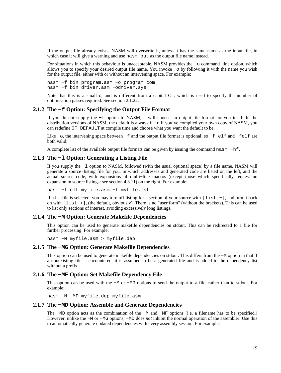If the output file already exists, NASM will overwrite it, unless it has the same name as the input file, in which case it will give a warning and use nasm. out as the output file name instead.

For situations in which this behaviour is unacceptable, NASM provides the −o command−line option, which allows you to specify your desired output file name. You invoke −o by following it with the name you wish for the output file, either with or without an intervening space. For example:

nasm −f bin program.asm −o program.com nasm −f bin driver.asm −odriver.sys

Note that this is a small o, and is different from a capital O , which is used to specify the number of optimisation passes required. See [section 2.1.22.](#page-21-3)

#### **2.1.2 The −f Option: Specifying the Output File Format**

<span id="page-18-0"></span>If you do not supply the −f option to NASM, it will choose an output file format for you itself. In the distribution versions of NASM, the default is always bin; if you've compiled your own copy of NASM, you can redefine OF\_DEFAULT at compile time and choose what you want the default to be.

Like −o, the intervening space between −f and the output file format is optional; so −f elf and −felf are both valid.

A complete list of the available output file formats can be given by issuing the command nasm −hf.

## **2.1.3 The −l Option: Generating a Listing File**

<span id="page-18-1"></span>If you supply the −l option to NASM, followed (with the usual optional space) by a file name, NASM will generate a source−listing file for you, in which addresses and generated code are listed on the left, and the actual source code, with expansions of multi−line macros (except those which specifically request no expansion in source listings: see [section 4.3.11](#page-48-1)) on the right. For example:

nasm −f elf myfile.asm −l myfile.lst

If a list file is selected, you may turn off listing for a section of your source with [list −], and turn it back on with [list +], (the default, obviously). There is no "user form" (without the brackets). This can be used to list only sections of interest, avoiding excessively long listings.

#### **2.1.4 The −M Option: Generate Makefile Dependencies**

<span id="page-18-2"></span>This option can be used to generate makefile dependencies on stdout. This can be redirected to a file for further processing. For example:

nasm −M myfile.asm > myfile.dep

#### **2.1.5 The −MG Option: Generate Makefile Dependencies**

<span id="page-18-3"></span>This option can be used to generate makefile dependencies on stdout. This differs from the −M option in that if a nonexisting file is encountered, it is assumed to be a generated file and is added to the dependency list without a prefix.

#### **2.1.6 The −MF Option: Set Makefile Dependency File**

<span id="page-18-4"></span>This option can be used with the −M or −MG options to send the output to a file, rather than to stdout. For example:

nasm −M −MF myfile.dep myfile.asm

#### **2.1.7 The −MD Option: Assemble and Generate Dependencies**

<span id="page-18-5"></span>The −MD option acts as the combination of the −M and −MF options (i.e. a filename has to be specified.) However, unlike the −M or −MG options, −MD does *not* inhibit the normal operation of the assembler. Use this to automatically generate updated dependencies with every assembly session. For example: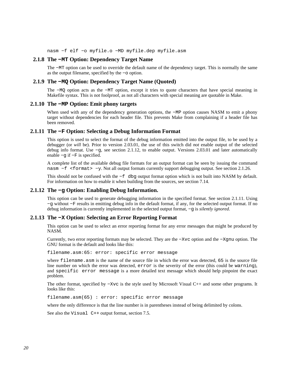nasm −f elf −o myfile.o −MD myfile.dep myfile.asm

#### **2.1.8 The −MT Option: Dependency Target Name**

<span id="page-19-0"></span>The −MT option can be used to override the default name of the dependency target. This is normally the same as the output filename, specified by the −o option.

#### **2.1.9 The −MQ Option: Dependency Target Name (Quoted)**

<span id="page-19-1"></span>The −MQ option acts as the −MT option, except it tries to quote characters that have special meaning in Makefile syntax. This is not foolproof, as not all characters with special meaning are quotable in Make.

## **2.1.10 The −MP Option: Emit phony targets**

<span id="page-19-2"></span>When used with any of the dependency generation options, the −MP option causes NASM to emit a phony target without dependencies for each header file. This prevents Make from complaining if a header file has been removed.

#### **2.1.11 The −F Option: Selecting a Debug Information Format**

<span id="page-19-3"></span>This option is used to select the format of the debug information emitted into the output file, to be used by a debugger (or *will* be). Prior to version 2.03.01, the use of this switch did *not* enable output of the selected debug info format. Use −g, see [section 2.1.12,](#page-19-4) to enable output. Versions 2.03.01 and later automatically enable −g if −F is specified.

A complete list of the available debug file formats for an output format can be seen by issuing the command nasm −f <format> −y. Not all output formats currently support debugging output. See [section 2.1.26.](#page-23-1)

This should not be confused with the −f dbg output format option which is not built into NASM by default. For information on how to enable it when building from the sources, see [section 7.14.](#page-93-0)

#### **2.1.12 The −g Option: Enabling Debug Information.**

<span id="page-19-4"></span>This option can be used to generate debugging information in the specified format. See [section 2.1.11](#page-19-3). Using −g without −F results in emitting debug info in the default format, if any, for the selected output format. If no debug information is currently implemented in the selected output format, −g is *silently ignored*.

### **2.1.13 The −X Option: Selecting an Error Reporting Format**

<span id="page-19-5"></span>This option can be used to select an error reporting format for any error messages that might be produced by NASM.

Currently, two error reporting formats may be selected. They are the −Xvc option and the −Xgnu option. The GNU format is the default and looks like this:

filename.asm:65: error: specific error message

where filename.asm is the name of the source file in which the error was detected, 65 is the source file line number on which the error was detected, error is the severity of the error (this could be warning), and specific error message is a more detailed text message which should help pinpoint the exact problem.

The other format, specified by −Xvc is the style used by Microsoft Visual C++ and some other programs. It looks like this:

filename.asm(65) : error: specific error message

where the only difference is that the line number is in parentheses instead of being delimited by colons.

See also the Visual C++ output format, [section 7.5.](#page-82-0)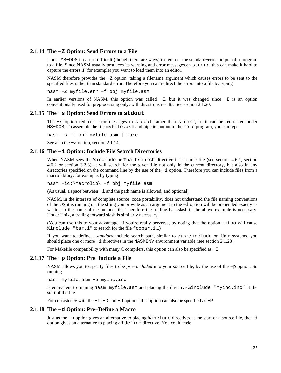## **2.1.14 The −Z Option: Send Errors to a File**

<span id="page-20-0"></span>Under MS−DOS it can be difficult (though there are ways) to redirect the standard−error output of a program to a file. Since NASM usually produces its warning and error messages on stderr, this can make it hard to capture the errors if (for example) you want to load them into an editor.

NASM therefore provides the −Z option, taking a filename argument which causes errors to be sent to the specified files rather than standard error. Therefore you can redirect the errors into a file by typing

nasm −Z myfile.err −f obj myfile.asm

In earlier versions of NASM, this option was called −E, but it was changed since −E is an option conventionally used for preprocessing only, with disastrous results. See [section 2.1.20.](#page-21-1)

#### **2.1.15 The −s Option: Send Errors to stdout**

<span id="page-20-1"></span>The −s option redirects error messages to stdout rather than stderr, so it can be redirected under MS−DOS. To assemble the file myfile.asm and pipe its output to the more program, you can type:

nasm −s −f obj myfile.asm | more

See also the −Z option, [section 2.1.14.](#page-20-0)

#### **2.1.16 The −i Option: Include File Search Directories**

<span id="page-20-2"></span>When NASM sees the  $\frac{2}{3}$  include or  $\frac{2}{3}$  pathsearch directive in a source file (see [section 4.6.1](#page-53-1), [section](#page-54-0) [4.6.2](#page-54-0) or [section 3.2.3\)](#page-27-3), it will search for the given file not only in the current directory, but also in any directories specified on the command line by the use of the −i option. Therefore you can include files from a macro library, for example, by typing

nasm −ic:\macrolib\ −f obj myfile.asm

(As usual, a space between −i and the path name is allowed, and optional).

NASM, in the interests of complete source−code portability, does not understand the file naming conventions of the OS it is running on; the string you provide as an argument to the −i option will be prepended exactly as written to the name of the include file. Therefore the trailing backslash in the above example is necessary. Under Unix, a trailing forward slash is similarly necessary.

(You can use this to your advantage, if you're really perverse, by noting that the option −ifoo will cause %include "bar.i" to search for the file foobar.i...)

If you want to define a *standard* include search path, similar to /usr/include on Unix systems, you should place one or more −i directives in the NASMENV environment variable (see [section 2.1.28\)](#page-23-3).

For Makefile compatibility with many C compilers, this option can also be specified as −I.

#### **2.1.17 The −p Option: Pre−Include a File**

<span id="page-20-3"></span>NASM allows you to specify files to be *pre−included* into your source file, by the use of the −p option. So running

nasm myfile.asm −p myinc.inc

is equivalent to running nasm myfile.asm and placing the directive %include "myinc.inc" at the start of the file.

For consistency with the −I, −D and −U options, this option can also be specified as −P.

#### **2.1.18 The −d Option: Pre−Define a Macro**

<span id="page-20-4"></span>Just as the −p option gives an alternative to placing %include directives at the start of a source file, the −d option gives an alternative to placing a %define directive. You could code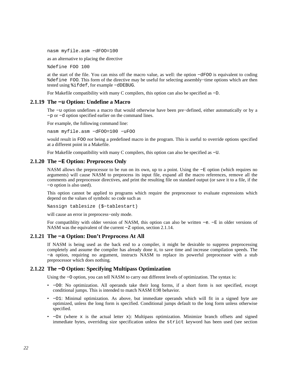nasm myfile.asm −dFOO=100

as an alternative to placing the directive

%define FOO 100

at the start of the file. You can miss off the macro value, as well: the option −dFOO is equivalent to coding %define FOO. This form of the directive may be useful for selecting assembly−time options which are then tested using %ifdef, for example −dDEBUG.

For Makefile compatibility with many C compilers, this option can also be specified as −D.

#### **2.1.19 The −u Option: Undefine a Macro**

<span id="page-21-0"></span>The −u option undefines a macro that would otherwise have been pre−defined, either automatically or by a −p or −d option specified earlier on the command lines.

For example, the following command line:

nasm myfile.asm −dFOO=100 −uFOO

would result in FOO *not* being a predefined macro in the program. This is useful to override options specified at a different point in a Makefile.

For Makefile compatibility with many C compilers, this option can also be specified as −U.

#### **2.1.20 The −E Option: Preprocess Only**

<span id="page-21-1"></span>NASM allows the preprocessor to be run on its own, up to a point. Using the −E option (which requires no arguments) will cause NASM to preprocess its input file, expand all the macro references, remove all the comments and preprocessor directives, and print the resulting file on standard output (or save it to a file, if the −o option is also used).

This option cannot be applied to programs which require the preprocessor to evaluate expressions which depend on the values of symbols: so code such as

%assign tablesize (\$−tablestart)

will cause an error in preprocess−only mode.

For compatiblity with older version of NASM, this option can also be written −e. −E in older versions of NASM was the equivalent of the current −Z option, [section 2.1.14.](#page-20-0)

#### **2.1.21 The −a Option: Don't Preprocess At All**

<span id="page-21-2"></span>If NASM is being used as the back end to a compiler, it might be desirable to suppress preprocessing completely and assume the compiler has already done it, to save time and increase compilation speeds. The −a option, requiring no argument, instructs NASM to replace its powerful preprocessor with a stub preprocessor which does nothing.

#### **2.1.22 The −O Option: Specifying Multipass Optimization**

<span id="page-21-3"></span>Using the −O option, you can tell NASM to carry out different levels of optimization. The syntax is:

- −O0: No optimization. All operands take their long forms, if a short form is not specified, except conditional jumps. This is intended to match NASM 0.98 behavior.
- −O1: Minimal optimization. As above, but immediate operands which will fit in a signed byte are optimized, unless the long form is specified. Conditional jumps default to the long form unless otherwise specified.
- $-\alpha x$  (where x is the actual letter x): Multipass optimization. Minimize branch offsets and signed immediate bytes, overriding size specification unless the strict keyword has been used (see [section](#page-34-2)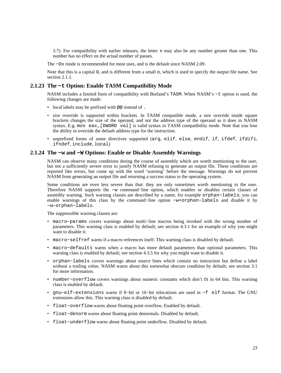[3.7\)](#page-34-2). For compatibility with earlier releases, the letter  $x$  may also be any number greater than one. This number has no effect on the actual number of passes.

The −Ox mode is recommended for most uses, and is the default since NASM 2.09.

Note that this is a capital O, and is different from a small o, which is used to specify the output file name. See [section 2.1.1.](#page-17-2)

## **2.1.23 The −t Option: Enable TASM Compatibility Mode**

<span id="page-22-0"></span>NASM includes a limited form of compatibility with Borland's TASM. When NASM's −t option is used, the following changes are made:

- local labels may be prefixed with @@ instead of .
- size override is supported within brackets. In TASM compatible mode, a size override inside square brackets changes the size of the operand, and not the address type of the operand as it does in NASM syntax. E.g. mov eax, [DWORD val] is valid syntax in TASM compatibility mode. Note that you lose the ability to override the default address type for the instruction.
- unprefixed forms of some directives supported (arg, elif, else, endif, if, ifdef, ifdifi, ifndef, include, local)

## **2.1.24 The −w and −W Options: Enable or Disable Assembly Warnings**

<span id="page-22-1"></span>NASM can observe many conditions during the course of assembly which are worth mentioning to the user, but not a sufficiently severe error to justify NASM refusing to generate an output file. These conditions are reported like errors, but come up with the word 'warning' before the message. Warnings do not prevent NASM from generating an output file and returning a success status to the operating system.

Some conditions are even less severe than that: they are only sometimes worth mentioning to the user. Therefore NASM supports the −w command−line option, which enables or disables certain classes of assembly warning. Such warning classes are described by a name, for example orphan−labels; you can enable warnings of this class by the command−line option −w+orphan−labels and disable it by −w−orphan−labels.

The suppressible warning classes are:

- macro−params covers warnings about multi−line macros being invoked with the wrong number of parameters. This warning class is enabled by default; see [section 4.3.1](#page-43-0) for an example of why you might want to disable it.
- macro−selfref warns if a macro references itself. This warning class is disabled by default.
- macro−defaults warns when a macro has more default parameters than optional parameters. This warning class is enabled by default; see [section 4.3.5](#page-45-0) for why you might want to disable it.
- orphan−labels covers warnings about source lines which contain no instruction but define a label without a trailing colon. NASM warns about this somewhat obscure condition by default; see [section 3.1](#page-26-1) for more information.
- number−overflow covers warnings about numeric constants which don't fit in 64 bits. This warning class is enabled by default.
- gnu−elf−extensions warns if 8−bit or 16−bit relocations are used in −f elf format. The GNU extensions allow this. This warning class is disabled by default.
- float−overflow warns about floating point overflow. Enabled by default.
- float−denorm warns about floating point denormals. Disabled by default.
- float−underflow warns about floating point underflow. Disabled by default.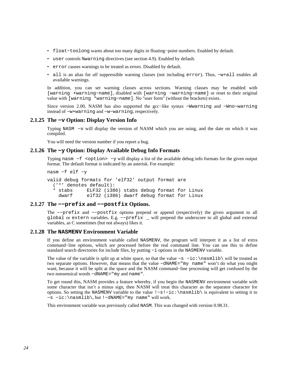- float−toolong warns about too many digits in floating−point numbers. Enabled by default.
- user controls %warning directives (see [section 4.9\)](#page-60-0). Enabled by default.
- error causes warnings to be treated as errors. Disabled by default.
- all is an alias for *all* suppressible warning classes (not including error). Thus, −w+all enables all available warnings.

In addition, you can set warning classes across sections. Warning classes may be enabled with [warning +warning−name], disabled with [warning −warning−name] or reset to their original value with [warning \*warning−name]. No "user form" (without the brackets) exists.

Since version 2.00, NASM has also supported the gcc−like syntax −Wwarning and −Wno−warning instead of −w+warning and −w−warning, respectively.

#### **2.1.25 The −v Option: Display Version Info**

<span id="page-23-0"></span>Typing NASM −v will display the version of NASM which you are using, and the date on which it was compiled.

You will need the version number if you report a bug.

#### **2.1.26 The −y Option: Display Available Debug Info Formats**

<span id="page-23-1"></span>Typing nasm −f <option> −y will display a list of the available debug info formats for the given output format. The default format is indicated by an asterisk. For example:

```
nasm −f elf −y
valid debug formats for 'elf32' output format are 
   ('*' denotes default): 
   * stabs ELF32 (i386) stabs debug format for Linux 
     dwarf elf32 (i386) dwarf debug format for Linux
```
#### **2.1.27 The −−prefix and −−postfix Options.**

<span id="page-23-2"></span>The −−prefix and −−postfix options prepend or append (respectively) the given argument to all global or extern variables. E.g. −−prefix \_ will prepend the underscore to all global and external variables, as C sometimes (but not always) likes it.

#### **2.1.28 The NASMENV Environment Variable**

<span id="page-23-3"></span>If you define an environment variable called NASMENV, the program will interpret it as a list of extra command−line options, which are processed before the real command line. You can use this to define standard search directories for include files, by putting −i options in the NASMENV variable.

The value of the variable is split up at white space, so that the value -s -ic:\nasmlib\ will be treated as two separate options. However, that means that the value −dNAME="my name" won't do what you might want, because it will be split at the space and the NASM command−line processing will get confused by the two nonsensical words −dNAME="my and name".

To get round this, NASM provides a feature whereby, if you begin the NASMENV environment variable with some character that isn't a minus sign, then NASM will treat this character as the separator character for options. So setting the NASMENV variable to the value !−s!−ic:\nasmlib\ is equivalent to setting it to −s −ic:\nasmlib\, but !−dNAME="my name" will work.

This environment variable was previously called NASM. This was changed with version 0.98.31.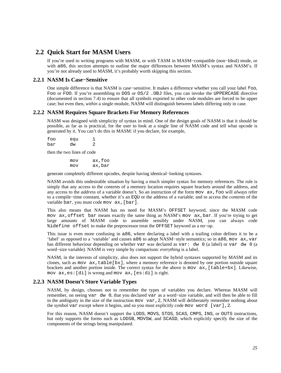# **2.2 Quick Start for MASM Users**

<span id="page-24-0"></span>If you're used to writing programs with MASM, or with TASM in MASM−compatible (non−Ideal) mode, or with a86, this section attempts to outline the major differences between MASM's syntax and NASM's. If you're not already used to MASM, it's probably worth skipping this section.

## **2.2.1 NASM Is Case−Sensitive**

<span id="page-24-1"></span>One simple difference is that NASM is case−sensitive. It makes a difference whether you call your label foo, Foo or FOO. If you're assembling to DOS or  $OS/2$ . OBJ files, you can invoke the UPPERCASE directive (documented in [section 7.4\)](#page-78-0) to ensure that all symbols exported to other code modules are forced to be upper case; but even then, *within* a single module, NASM will distinguish between labels differing only in case.

## **2.2.2 NASM Requires Square Brackets For Memory References**

<span id="page-24-2"></span>NASM was designed with simplicity of syntax in mind. One of the design goals of NASM is that it should be possible, as far as is practical, for the user to look at a single line of NASM code and tell what opcode is generated by it. You can't do this in MASM: if you declare, for example,

| foo | equ |   |
|-----|-----|---|
| bar | dw  | 2 |

then the two lines of code

 mov ax,foo mov ax,bar

generate completely different opcodes, despite having identical−looking syntaxes.

NASM avoids this undesirable situation by having a much simpler syntax for memory references. The rule is simply that any access to the *contents* of a memory location requires square brackets around the address, and any access to the *address* of a variable doesn't. So an instruction of the form mov ax,foo will *always* refer to a compile−time constant, whether it's an EQU or the address of a variable; and to access the *contents* of the variable bar, you must code mov ax, [bar].

This also means that NASM has no need for MASM's OFFSET keyword, since the MASM code mov ax,offset bar means exactly the same thing as NASM's mov ax,bar. If you're trying to get large amounts of MASM code to assemble sensibly under NASM, you can always code %idefine offset to make the preprocessor treat the OFFSET keyword as a no−op.

This issue is even more confusing in a86, where declaring a label with a trailing colon defines it to be a 'label' as opposed to a 'variable' and causes a86 to adopt NASM−style semantics; so in a86, mov ax,var has different behaviour depending on whether var was declared as var: dw 0 (a label) or var dw 0 (a word−size variable). NASM is very simple by comparison: *everything* is a label.

NASM, in the interests of simplicity, also does not support the hybrid syntaxes supported by MASM and its clones, such as mov  $ax,table[bx]$ , where a memory reference is denoted by one portion outside square brackets and another portion inside. The correct syntax for the above is mov ax,[table+bx]. Likewise, mov ax,es:[di] is wrong and mov ax,[es:di] is right.

## **2.2.3 NASM Doesn't Store Variable Types**

<span id="page-24-3"></span>NASM, by design, chooses not to remember the types of variables you declare. Whereas MASM will remember, on seeing var dw 0, that you declared var as a word−size variable, and will then be able to fill in the ambiguity in the size of the instruction mov var,2, NASM will deliberately remember nothing about the symbol var except where it begins, and so you must explicitly code mov word [var],2.

For this reason, NASM doesn't support the LODS, MOVS, STOS, SCAS, CMPS, INS, or OUTS instructions, but only supports the forms such as LODSB, MOVSW, and SCASD, which explicitly specify the size of the components of the strings being manipulated.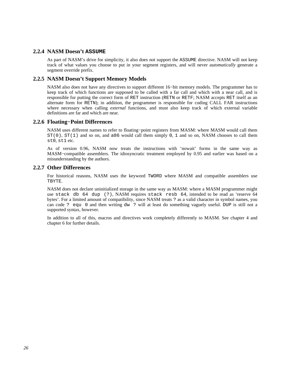## **2.2.4 NASM Doesn't ASSUME**

<span id="page-25-0"></span>As part of NASM's drive for simplicity, it also does not support the ASSUME directive. NASM will not keep track of what values you choose to put in your segment registers, and will never *automatically* generate a segment override prefix.

## **2.2.5 NASM Doesn't Support Memory Models**

<span id="page-25-1"></span>NASM also does not have any directives to support different 16−bit memory models. The programmer has to keep track of which functions are supposed to be called with a far call and which with a near call, and is responsible for putting the correct form of RET instruction (RETN or RETF; NASM accepts RET itself as an alternate form for RETN); in addition, the programmer is responsible for coding CALL FAR instructions where necessary when calling *external* functions, and must also keep track of which external variable definitions are far and which are near.

### **2.2.6 Floating−Point Differences**

<span id="page-25-2"></span>NASM uses different names to refer to floating−point registers from MASM: where MASM would call them  $ST(0)$ ,  $ST(1)$  and so on, and a86 would call them simply 0, 1 and so on, NASM chooses to call them st0, st1 etc.

As of version 0.96, NASM now treats the instructions with 'nowait' forms in the same way as MASM–compatible assemblers. The idiosyncratic treatment employed by 0.95 and earlier was based on a misunderstanding by the authors.

### **2.2.7 Other Differences**

<span id="page-25-3"></span>For historical reasons, NASM uses the keyword TWORD where MASM and compatible assemblers use TBYTE.

NASM does not declare uninitialized storage in the same way as MASM: where a MASM programmer might use stack db 64 dup (?), NASM requires stack resb 64, intended to be read as 'reserve 64 bytes'. For a limited amount of compatibility, since NASM treats ? as a valid character in symbol names, you can code ? equ 0 and then writing dw ? will at least do something vaguely useful. DUP is still not a supported syntax, however.

In addition to all of this, macros and directives work completely differently to MASM. See [chapter 4](#page-37-0) and [chapter 6](#page-70-0) for further details.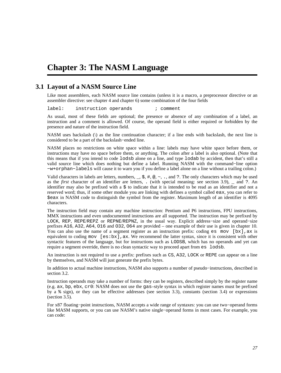# <span id="page-26-0"></span>**Chapter 3: The NASM Language**

# **3.1 Layout of a NASM Source Line**

<span id="page-26-1"></span>Like most assemblers, each NASM source line contains (unless it is a macro, a preprocessor directive or an assembler directive: see [chapter 4](#page-37-0) and [chapter 6\)](#page-70-0) some combination of the four fields

label: instruction operands ; comment

As usual, most of these fields are optional; the presence or absence of any combination of a label, an instruction and a comment is allowed. Of course, the operand field is either required or forbidden by the presence and nature of the instruction field.

NASM uses backslash (\) as the line continuation character; if a line ends with backslash, the next line is considered to be a part of the backslash−ended line.

NASM places no restrictions on white space within a line: labels may have white space before them, or instructions may have no space before them, or anything. The colon after a label is also optional. (Note that this means that if you intend to code lodsb alone on a line, and type lodab by accident, then that's still a valid source line which does nothing but define a label. Running NASM with the command−line option −w+orphan−labels will cause it to warn you if you define a label alone on a line without a trailing colon.)

Valid characters in labels are letters, numbers,  $\overline{z}$ ,  $\overline{z}$ ,  $\overline{z}$ ,  $\overline{z}$ ,  $\overline{z}$ ,  $\overline{z}$ ,  $\overline{z}$ ,  $\overline{z}$ ,  $\overline{z}$ ,  $\overline{z}$ ,  $\overline{z}$ ,  $\overline{z}$ ,  $\overline{z}$ ,  $\overline{z}$ ,  $\overline{z}$ ,  $\overline{z}$ ,  $\overline{z}$ ,  $\$ as the *first* character of an identifier are letters, . (with special meaning: see [section 3.9\)](#page-35-1), \_ and ?. An identifier may also be prefixed with a \$ to indicate that it is intended to be read as an identifier and not a reserved word; thus, if some other module you are linking with defines a symbol called eax, you can refer to \$eax in NASM code to distinguish the symbol from the register. Maximum length of an identifier is 4095 characters.

The instruction field may contain any machine instruction: Pentium and P6 instructions, FPU instructions, MMX instructions and even undocumented instructions are all supported. The instruction may be prefixed by LOCK, REP, REPE/REPZ or REPNE/REPNZ, in the usual way. Explicit address−size and operand−size prefixes A16, A32, A64, O16 and O32, O64 are provided – one example of their use is given in [chapter 10.](#page-113-0) You can also use the name of a segment register as an instruction prefix: coding  $es$  mov  $[bx]$ , ax is equivalent to coding mov  $[es:bx]$ , ax. We recommend the latter syntax, since it is consistent with other syntactic features of the language, but for instructions such as LODSB, which has no operands and yet can require a segment override, there is no clean syntactic way to proceed apart from es lodsb.

An instruction is not required to use a prefix: prefixes such as CS, A32, LOCK or REPE can appear on a line by themselves, and NASM will just generate the prefix bytes.

In addition to actual machine instructions, NASM also supports a number of pseudo−instructions, described in [section 3.2.](#page-27-0)

Instruction operands may take a number of forms: they can be registers, described simply by the register name (e.g. ax, bp, ebx, cr0: NASM does not use the gas–style syntax in which register names must be prefixed by a % sign), or they can be effective addresses (see [section 3.3\)](#page-28-2), constants [\(section 3.4\)](#page-29-0) or expressions [\(section 3.5\)](#page-33-1).

For x87 floating−point instructions, NASM accepts a wide range of syntaxes: you can use two−operand forms like MASM supports, or you can use NASM's native single−operand forms in most cases. For example, you can code: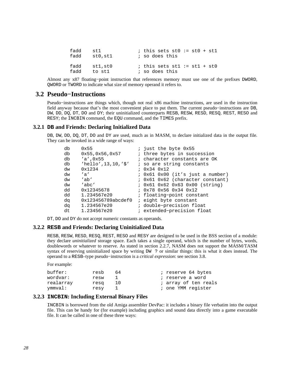| fadd | st 1    | ; this sets st0 := $st0 + st1$ |
|------|---------|--------------------------------|
| fadd | stO,stl | ; so does this                 |
| fadd | stl,stO | ; this sets stl := $st1 + st0$ |
| fadd | to stl  | ; so does this                 |

Almost any x87 floating−point instruction that references memory must use one of the prefixes DWORD, QWORD or TWORD to indicate what size of memory operand it refers to.

## **3.2 Pseudo−Instructions**

<span id="page-27-0"></span>Pseudo−instructions are things which, though not real x86 machine instructions, are used in the instruction field anyway because that's the most convenient place to put them. The current pseudo−instructions are DB, DW, DD, DQ, DT, DO and DY; their uninitialized counterparts RESB, RESW, RESD, RESQ, REST, RESO and RESY; the INCBIN command, the EQU command, and the TIMES prefix.

## **3.2.1 DB and Friends: Declaring Initialized Data**

<span id="page-27-1"></span>DB, DW, DD, DO, DT, DO and DY are used, much as in MASM, to declare initialized data in the output file. They can be invoked in a wide range of ways:

| ; just the byte 0x55                               |
|----------------------------------------------------|
| ; three bytes in succession                        |
| ; character constants are OK                       |
| ; so are string constants                          |
| $0x34$ $0x12$                                      |
| ; 0x61 0x00 (it's just a number)                   |
| ; 0x61 0x62 (character constant)                   |
| : 0x61 0x62 0x63 0x00 (string)                     |
| $: 0x78$ $0x56$ $0x34$ $0x12$                      |
| ; floating-point constant                          |
| 0x123456789abcdef0<br><i>i</i> eight byte constant |
| ; double-precision float                           |
| ; extended-precision float                         |
|                                                    |

DT, DO and DY do not accept numeric constants as operands.

#### **3.2.2 RESB and Friends: Declaring Uninitialized Data**

<span id="page-27-2"></span>RESB, RESW, RESD, RESQ, REST, RESO and RESY are designed to be used in the BSS section of a module: they declare *uninitialized* storage space. Each takes a single operand, which is the number of bytes, words, doublewords or whatever to reserve. As stated in [section 2.2.7,](#page-25-3) NASM does not support the MASM/TASM syntax of reserving uninitialized space by writing DW ? or similar things: this is what it does instead. The operand to a RESB–type pseudo−instruction is a *critical expression*: see [section 3.8](#page-35-0).

```
For example:
```

| buffer:   | resb | 64 | ; reserve 64 bytes   |
|-----------|------|----|----------------------|
| wordvar:  | resw |    | ; reserve a word     |
| realarray | resq | 10 | ; array of ten reals |
| ymmval:   | resy |    | ; one YMM register   |

## **3.2.3 INCBIN: Including External Binary Files**

<span id="page-27-3"></span>INCBIN is borrowed from the old Amiga assembler DevPac: it includes a binary file verbatim into the output file. This can be handy for (for example) including graphics and sound data directly into a game executable file. It can be called in one of these three ways: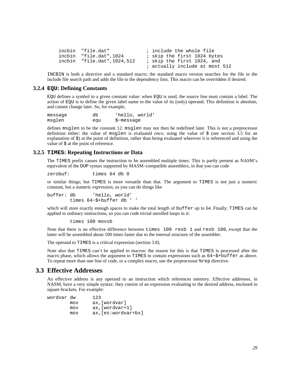```
incbin "file.dat" ; include the whole file
incbin "file.dat", 1024 ; skip the first 1024 bytes
 incbin "file.dat",1024,512 ; skip the first 1024, and 
                             ; actually include at most 512
```
INCBIN is both a directive and a standard macro; the standard macro version searches for the file in the include file search path and adds the file to the dependency lists. This macro can be overridden if desired.

#### **3.2.4 EQU: Defining Constants**

<span id="page-28-0"></span>EQU defines a symbol to a given constant value: when EQU is used, the source line must contain a label. The action of EQU is to define the given label name to the value of its (only) operand. This definition is absolute, and cannot change later. So, for example,

| message | db  | 'hello, world' |
|---------|-----|----------------|
| msglen  | equ | \$-message     |

defines msglen to be the constant 12. msglen may not then be redefined later. This is not a preprocessor definition either: the value of msglen is evaluated *once*, using the value of \$ (see [section 3.5](#page-33-1) for an explanation of \$) at the point of definition, rather than being evaluated wherever it is referenced and using the value of  $\frac{1}{2}$  at the point of reference.

## **3.2.5 TIMES: Repeating Instructions or Data**

<span id="page-28-1"></span>The TIMES prefix causes the instruction to be assembled multiple times. This is partly present as NASM's equivalent of the DUP syntax supported by MASM–compatible assemblers, in that you can code

zerobuf: times 64 db 0

or similar things; but TIMES is more versatile than that. The argument to TIMES is not just a numeric constant, but a numeric *expression*, so you can do things like

buffer: db 'hello, world' times 64−\$+buffer db ' '

which will store exactly enough spaces to make the total length of buffer up to 64. Finally, TIMES can be applied to ordinary instructions, so you can code trivial unrolled loops in it:

times 100 movsb

Note that there is no effective difference between times 100 resb 1 and resb 100, except that the latter will be assembled about 100 times faster due to the internal structure of the assembler.

The operand to TIMES is a critical expression [\(section 3.8\)](#page-35-0).

Note also that TIMES can't be applied to macros: the reason for this is that TIMES is processed after the macro phase, which allows the argument to TIMES to contain expressions such as 64−\$+buffer as above. To repeat more than one line of code, or a complex macro, use the preprocessor %rep directive.

# **3.3 Effective Addresses**

<span id="page-28-2"></span>An effective address is any operand to an instruction which references memory. Effective addresses, in NASM, have a very simple syntax: they consist of an expression evaluating to the desired address, enclosed in square brackets. For example:

| wordvar dw |     | 123                  |
|------------|-----|----------------------|
|            | mov | ax, [wordvar]        |
|            | mov | $ax$ , [wordvar+1]   |
|            | mov | $ax,[es:wordvar+bx]$ |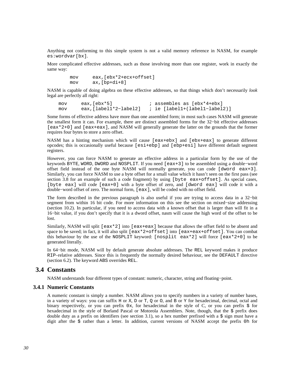Anything not conforming to this simple system is not a valid memory reference in NASM, for example es:wordvar[bx].

More complicated effective addresses, such as those involving more than one register, work in exactly the same way:

> mov eax,[ebx\*2+ecx+offset] mov ax,[bp+di+8]

NASM is capable of doing algebra on these effective addresses, so that things which don't necessarily *look* legal are perfectly all right:

mov eax,[ebx\*5] ; assembles as [ebx\*4+ebx]<br>mov eax,[label1\*2-label2] ; ie [label1+(label1-label mov eax,[label1\*2−label2] ; ie [label1+(label1−label2)]

Some forms of effective address have more than one assembled form; in most such cases NASM will generate the smallest form it can. For example, there are distinct assembled forms for the 32−bit effective addresses [eax\*2+0] and [eax+eax], and NASM will generally generate the latter on the grounds that the former requires four bytes to store a zero offset.

NASM has a hinting mechanism which will cause [eax+ebx] and [ebx+eax] to generate different opcodes; this is occasionally useful because [esi+ebp] and [ebp+esi] have different default segment registers.

However, you can force NASM to generate an effective address in a particular form by the use of the keywords BYTE, WORD, DWORD and NOSPLIT. If you need [eax+3] to be assembled using a double−word offset field instead of the one byte NASM will normally generate, you can code [dword eax+3]. Similarly, you can force NASM to use a byte offset for a small value which it hasn't seen on the first pass (see [section 3.8](#page-35-0) for an example of such a code fragment) by using [byte eax+offset]. As special cases, [byte eax] will code [eax+0] with a byte offset of zero, and [dword eax] will code it with a double−word offset of zero. The normal form, [eax], will be coded with no offset field.

The form described in the previous paragraph is also useful if you are trying to access data in a 32−bit segment from within 16 bit code. For more information on this see the section on mixed–size addressing [\(section 10.2\)](#page-113-2). In particular, if you need to access data with a known offset that is larger than will fit in a 16−bit value, if you don't specify that it is a dword offset, nasm will cause the high word of the offset to be lost.

Similarly, NASM will split  $[ear*2]$  into  $[ear+ear]$  because that allows the offset field to be absent and space to be saved; in fact, it will also split [eax\*2+offset] into [eax+eax+offset]. You can combat this behaviour by the use of the NOSPLIT keyword: [nosplit eax\*2] will force [eax\*2+0] to be generated literally.

In 64−bit mode, NASM will by default generate absolute addresses. The REL keyword makes it produce RIP–relative addresses. Since this is frequently the normally desired behaviour, see the DEFAULT directive [\(section 6.2\)](#page-71-1). The keyword ABS overrides REL.

## **3.4 Constants**

<span id="page-29-0"></span>NASM understands four different types of constant: numeric, character, string and floating−point.

#### **3.4.1 Numeric Constants**

<span id="page-29-1"></span>A numeric constant is simply a number. NASM allows you to specify numbers in a variety of number bases, in a variety of ways: you can suffix H or X, D or T, Q or O, and B or Y for hexadecimal, decimal, octal and binary respectively, or you can prefix  $0x$ , for hexadecimal in the style of C, or you can prefix  $\frac{1}{2}$  for hexadecimal in the style of Borland Pascal or Motorola Assemblers. Note, though, that the \$ prefix does double duty as a prefix on identifiers (see [section 3.1](#page-26-1)), so a hex number prefixed with a  $\frac{1}{5}$  sign must have a digit after the \$ rather than a letter. In addition, current versions of NASM accept the prefix 0h for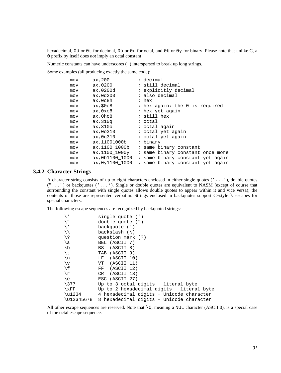hexadecimal, 0d or 0t for decimal, 0o or 0q for octal, and 0b or 0y for binary. Please note that unlike C, a 0 prefix by itself does *not* imply an octal constant!

Numeric constants can have underscores (\_) interspersed to break up long strings.

Some examples (all producing exactly the same code):

| mov | ax, 200         | ; decimal                        |
|-----|-----------------|----------------------------------|
| mov | ax,0200         | ; still decimal                  |
| mov | ax,0200d        | ; explicitly decimal             |
| mov | ax,0d200        | ; also decimal                   |
| mov | ax,0c8h         | ; hex                            |
| mov | ax, \$0c8       | ; hex again: the 0 is required   |
| mov | ax,0xc8         | ; hex yet again                  |
| mov | ax,Ohc8         | ; still hex                      |
| mov | ax, 310q        | ; octal                          |
| mov | ax,310o         | ; octal again                    |
| mov | ax, 00310       | ; octal yet again                |
| mov | ax,0q310        | ; octal yet again                |
| mov | ax, 11001000b   | ; binary                         |
| mov | ax,1100 1000b   | ; same binary constant           |
| mov | ax,1100 1000y   | ; same binary constant once more |
| mov | ax,0b1100 1000  | ; same binary constant yet again |
| mov | ax, 0y1100 1000 | ; same binary constant yet again |

### **3.4.2 Character Strings**

<span id="page-30-0"></span>A character string consists of up to eight characters enclosed in either single quotes ('...'), double quotes  $("...")$  or backquotes  $($ ' $...$ '). Single or double quotes are equivalent to NASM (except of course that surrounding the constant with single quotes allows double quotes to appear within it and vice versa); the contents of those are represented verbatim. Strings enclosed in backquotes support C−style \–escapes for special characters.

The following escape sequences are recognized by backquoted strings:

|                  | single quote (')                          |
|------------------|-------------------------------------------|
| \ ‼              | double quote (")                          |
| ( 1              | backquote (')                             |
| ヽヽ               | backslash $(\setminus)$                   |
| / ¿              | question mark (?)                         |
| \a               | BEL (ASCII 7)                             |
| $\setminus$ b    | BS (ASCII 8)                              |
| \t               | TAB (ASCII 9)                             |
| \n               | LF (ASCII 10)                             |
| $\vee$           | VT (ASCII 11)                             |
| ۱£               | FF (ASCII 12)                             |
| \r               | CR (ASCII 13)                             |
| \e               | ESC (ASCII 27)                            |
| $\backslash$ 377 | Up to 3 octal digits - literal byte       |
| $\chi_{\rm FF}$  | Up to 2 hexadecimal digits - literal byte |
| \u1234           | 4 hexadecimal digits - Unicode character  |
| \U12345678       | 8 hexadecimal digits - Unicode character  |

All other escape sequences are reserved. Note that  $\setminus 0$ , meaning a NUL character (ASCII 0), is a special case of the octal escape sequence.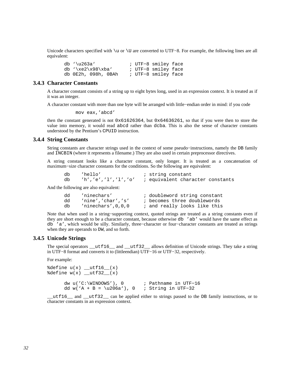Unicode characters specified with \u or \U are converted to UTF−8. For example, the following lines are all equivalent:

| db $\lceil \text{u263a'} \rceil$ |  | ; UTF-8 smiley face |  |
|----------------------------------|--|---------------------|--|
| db $\xe2\x98\xba'$               |  | ; UTF-8 smiley face |  |
| db 0E2h, 098h, 0BAh              |  | ; UTF-8 smiley face |  |

## **3.4.3 Character Constants**

<span id="page-31-0"></span>A character constant consists of a string up to eight bytes long, used in an expression context. It is treated as if it was an integer.

A character constant with more than one byte will be arranged with little−endian order in mind: if you code

mov eax,'abcd'

then the constant generated is not 0x61626364, but 0x64636261, so that if you were then to store the value into memory, it would read abcd rather than dcba. This is also the sense of character constants understood by the Pentium's CPUID instruction.

#### **3.4.4 String Constants**

<span id="page-31-1"></span>String constants are character strings used in the context of some pseudo−instructions, namely the DB family and INCBIN (where it represents a filename.) They are also used in certain preprocessor directives.

A string constant looks like a character constant, only longer. It is treated as a concatenation of maximum−size character constants for the conditions. So the following are equivalent:

| 'hello' | ; string constant                                         |
|---------|-----------------------------------------------------------|
|         | $h', 'e', 'l', 'l', 'o'$ ; equivalent character constants |

And the following are also equivalent:

| dd | 'ninechars'             | ; doubleword string constant |
|----|-------------------------|------------------------------|
| dd | 'nine','char','s'       | ; becomes three doublewords  |
| db | $'$ ninechars', 0, 0, 0 | ; and really looks like this |

Note that when used in a string–supporting context, quoted strings are treated as a string constants even if they are short enough to be a character constant, because otherwise db 'ab' would have the same effect as db 'a', which would be silly. Similarly, three−character or four−character constants are treated as strings when they are operands to DW, and so forth.

## **3.4.5 Unicode Strings**

<span id="page-31-2"></span>The special operators  $_{\text{cutf16}\_\text{and}\_\text{cutf32}\_\text{allows}$  dllows definition of Unicode strings. They take a string in UTF−8 format and converts it to (littleendian) UTF−16 or UTF−32, respectively.

For example:

```
%define u(x) __utf16_(x)
\text{define } w(x) utf32 (x)
      dw u('C:\WINDOWS'), 0 ; Pathname in UTF−16 
      dd w('A + B = \u206a'), 0 ; String in UTF−32
```
\_\_utf16\_\_ and \_\_utf32\_\_ can be applied either to strings passed to the DB family instructions, or to character constants in an expression context.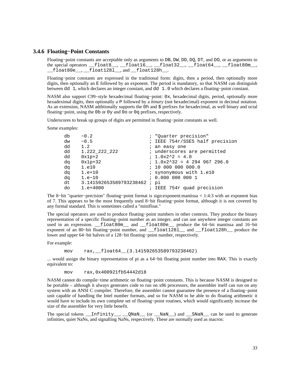## **3.4.6 Floating−Point Constants**

<span id="page-32-0"></span>Floating−point constants are acceptable only as arguments to DB, DW, DD, DQ, DT, and DO, or as arguments to the special operators  $_$ float8<sub>\_\_</sub>,  $_$ float16<sub>\_\_</sub>,  $_$ float32\_\_,  $_$ float64<sub>\_\_</sub>,  $_$ float80m\_\_, \_\_float80e\_\_, \_\_float128l\_\_, and \_\_float128h\_\_.

Floating−point constants are expressed in the traditional form: digits, then a period, then optionally more digits, then optionally an E followed by an exponent. The period is mandatory, so that NASM can distinguish between dd 1, which declares an integer constant, and dd 1.0 which declares a floating−point constant.

NASM also support C99–style hexadecimal floating–point: 0x, hexadecimal digits, period, optionally more hexadeximal digits, then optionally a P followed by a *binary* (not hexadecimal) exponent in decimal notation. As an extension, NASM additionally supports the 0h and  $\ddot{\text{s}}$  prefixes for hexadecimal, as well binary and octal floating−point, using the 0b or 0y and 0o or 0q prefixes, respectively.

Underscores to break up groups of digits are permitted in floating−point constants as well.

Some examples:

| db | $-0.2$                      | ; "Quarter precision"           |
|----|-----------------------------|---------------------------------|
| dw | $-0.5$                      | ; IEEE 754r/SSE5 half precision |
| dd | 1.2                         | ; an easy one                   |
| dd | 1.222 222 222               | ; underscores are permitted     |
| dd | $0x1p+2$                    | $: 1.0x2^2 = 4.0$               |
| da | $0x1p+32$                   | $: 1.0x2^332 = 4294967296.0$    |
| da | 1.e10                       | : 100000000000.0                |
| da | $1.e+10$                    | ; synonymous with 1.e10         |
| da | $1.e-10$                    | : 0.000 000 000 1               |
| dt | 3.141592653589793238462; pi |                                 |
| do | $1. e + 4000$               | ; IEEE 754r quad precision      |

The 8−bit "quarter−precision" floating−point format is sign:exponent:mantissa = 1:4:3 with an exponent bias of 7. This appears to be the most frequently used 8−bit floating−point format, although it is not covered by any formal standard. This is sometimes called a "minifloat."

The special operators are used to produce floating−point numbers in other contexts. They produce the binary representation of a specific floating−point number as an integer, and can use anywhere integer constants are used in an expression. \_\_float80m\_\_ and \_\_float80e\_\_ produce the 64−bit mantissa and 16−bit exponent of an 80-bit floating-point number, and float1281 and float128h produce the lower and upper 64−bit halves of a 128−bit floating−point number, respectively.

For example:

mov rax, float64 (3.141592653589793238462)

... would assign the binary representation of pi as a 64−bit floating point number into RAX. This is exactly equivalent to:

mov rax,0x400921fb54442d18

NASM cannot do compile−time arithmetic on floating−point constants. This is because NASM is designed to be portable – although it always generates code to run on x86 processors, the assembler itself can run on any system with an ANSI C compiler. Therefore, the assembler cannot guarantee the presence of a floating−point unit capable of handling the Intel number formats, and so for NASM to be able to do floating arithmetic it would have to include its own complete set of floating−point routines, which would significantly increase the size of the assembler for very little benefit.

The special tokens \_\_Infinity\_\_, \_\_QNaN\_\_ (or \_\_NaN\_\_) and \_\_SNaN\_\_ can be used to generate infinities, quiet NaNs, and signalling NaNs, respectively. These are normally used as macros: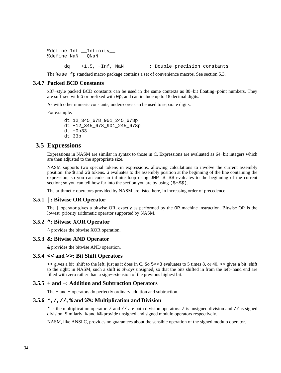```
%define Inf _Infinity
%define NaN __QNaN__ 
      dq +1.5, −Inf, NaN ; Double−precision constants
```
The %use fp standard macro package contains a set of convenience macros. See [section 5.3.](#page-69-0)

### **3.4.7 Packed BCD Constants**

<span id="page-33-0"></span>x87−style packed BCD constants can be used in the same contexts as 80−bit floating−point numbers. They are suffixed with p or prefixed with 0p, and can include up to 18 decimal digits.

As with other numeric constants, underscores can be used to separate digits.

For example:

```
 dt 12_345_678_901_245_678p 
 dt −12_345_678_901_245_678p 
 dt +0p33 
 dt 33p
```
## **3.5 Expressions**

<span id="page-33-1"></span>Expressions in NASM are similar in syntax to those in C. Expressions are evaluated as 64−bit integers which are then adjusted to the appropriate size.

NASM supports two special tokens in expressions, allowing calculations to involve the current assembly position: the \$ and \$\$ tokens. \$ evaluates to the assembly position at the beginning of the line containing the expression; so you can code an infinite loop using JMP  $\Diamond$ .  $\Diamond$  is evaluates to the beginning of the current section; so you can tell how far into the section you are by using (\$–\$\$).

The arithmetic operators provided by NASM are listed here, in increasing order of precedence.

#### **3.5.1 |: Bitwise OR Operator**

<span id="page-33-2"></span>The | operator gives a bitwise OR, exactly as performed by the OR machine instruction. Bitwise OR is the lowest−priority arithmetic operator supported by NASM.

#### **3.5.2 ^: Bitwise XOR Operator**

<span id="page-33-3"></span>^ provides the bitwise XOR operation.

#### **3.5.3 &: Bitwise AND Operator**

<span id="page-33-4"></span>& provides the bitwise AND operation.

## **3.5.4 << and >>: Bit Shift Operators**

<span id="page-33-5"></span><< gives a bit−shift to the left, just as it does in C. So 5<<3 evaluates to 5 times 8, or 40. >> gives a bit−shift to the right; in NASM, such a shift is *always* unsigned, so that the bits shifted in from the left−hand end are filled with zero rather than a sign−extension of the previous highest bit.

#### **3.5.5 + and −: Addition and Subtraction Operators**

<span id="page-33-6"></span>The + and − operators do perfectly ordinary addition and subtraction.

### **3.5.6 \*, /, //, % and %%: Multiplication and Division**

<span id="page-33-7"></span>\* is the multiplication operator. / and // are both division operators: / is unsigned division and // is signed division. Similarly, % and %% provide unsigned and signed modulo operators respectively.

NASM, like ANSI C, provides no guarantees about the sensible operation of the signed modulo operator.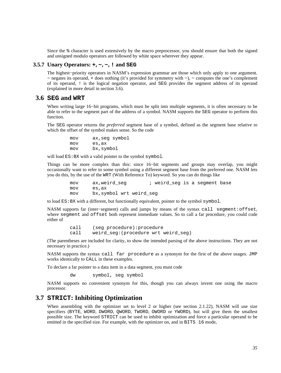Since the % character is used extensively by the macro preprocessor, you should ensure that both the signed and unsigned modulo operators are followed by white space wherever they appear.

## **3.5.7 Unary Operators: +, −, ~, ! and SEG**

<span id="page-34-0"></span>The highest−priority operators in NASM's expression grammar are those which only apply to one argument. − negates its operand, + does nothing (it's provided for symmetry with −), ~ computes the one's complement of its operand, ! is the logical negation operator, and SEG provides the segment address of its operand (explained in more detail in [section 3.6\)](#page-34-1).

### **3.6 SEG and WRT**

<span id="page-34-1"></span>When writing large 16−bit programs, which must be split into multiple segments, it is often necessary to be able to refer to the segment part of the address of a symbol. NASM supports the SEG operator to perform this function.

The SEG operator returns the *preferred* segment base of a symbol, defined as the segment base relative to which the offset of the symbol makes sense. So the code

> mov ax,seg symbol mov es,ax mov bx,symbol

will load  $ES:BX$  with a valid pointer to the symbol symbol.

Things can be more complex than this: since 16−bit segments and groups may overlap, you might occasionally want to refer to some symbol using a different segment base from the preferred one. NASM lets you do this, by the use of the WRT (With Reference To) keyword. So you can do things like

mov ax, weird seg *i* weird seg is a segment base mov es,ax mov bx,symbol wrt weird\_seg

to load ES:BX with a different, but functionally equivalent, pointer to the symbol symbol.

NASM supports far (inter−segment) calls and jumps by means of the syntax call segment:offset, where segment and offset both represent immediate values. So to call a far procedure, you could code either of

> call (seg procedure):procedure call weird seg: (procedure wrt weird seg)

(The parentheses are included for clarity, to show the intended parsing of the above instructions. They are not necessary in practice.)

NASM supports the syntax call far procedure as a synonym for the first of the above usages. JMP works identically to CALL in these examples.

To declare a far pointer to a data item in a data segment, you must code

dw symbol, seg symbol

NASM supports no convenient synonym for this, though you can always invent one using the macro processor.

## **3.7 STRICT: Inhibiting Optimization**

<span id="page-34-2"></span>When assembling with the optimizer set to level 2 or higher (see [section 2.1.22\)](#page-21-3), NASM will use size specifiers (BYTE, WORD, DWORD, QWORD, TWORD, OWORD or YWORD), but will give them the smallest possible size. The keyword STRICT can be used to inhibit optimization and force a particular operand to be emitted in the specified size. For example, with the optimizer on, and in BITS 16 mode,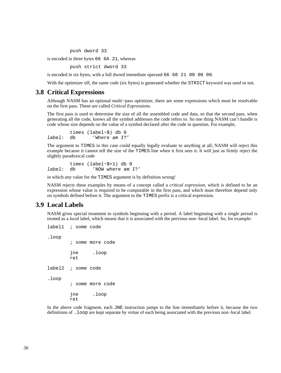push dword 33

is encoded in three bytes 66 6A 21, whereas

push strict dword 33

is encoded in six bytes, with a full dword immediate operand 66 68 21 00 00 00.

With the optimizer off, the same code (six bytes) is generated whether the STRICT keyword was used or not.

#### **3.8 Critical Expressions**

<span id="page-35-0"></span>Although NASM has an optional multi−pass optimizer, there are some expressions which must be resolvable on the first pass. These are called *Critical Expressions*.

The first pass is used to determine the size of all the assembled code and data, so that the second pass, when generating all the code, knows all the symbol addresses the code refers to. So one thing NASM can't handle is code whose size depends on the value of a symbol declared after the code in question. For example,

 times (label−\$) db 0 label: db 'Where am I?'

The argument to TIMES in this case could equally legally evaluate to anything at all; NASM will reject this example because it cannot tell the size of the TIMES line when it first sees it. It will just as firmly reject the slightly paradoxical code

 times (label−\$+1) db 0 label: db 'NOW where am I?'

in which *any* value for the TIMES argument is by definition wrong!

NASM rejects these examples by means of a concept called a *critical expression*, which is defined to be an expression whose value is required to be computable in the first pass, and which must therefore depend only on symbols defined before it. The argument to the TIMES prefix is a critical expression.

## **3.9 Local Labels**

<span id="page-35-1"></span>NASM gives special treatment to symbols beginning with a period. A label beginning with a single period is treated as a *local* label, which means that it is associated with the previous non−local label. So, for example:

```
label1 ; some code
.loop 
         ; some more code 
         jne .loop 
         ret 
label2 ; some code 
.loop 
         ; some more code 
         jne .loop 
         ret
```
In the above code fragment, each JNE instruction jumps to the line immediately before it, because the two definitions of .loop are kept separate by virtue of each being associated with the previous non−local label.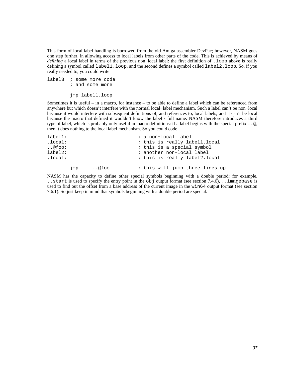This form of local label handling is borrowed from the old Amiga assembler DevPac; however, NASM goes one step further, in allowing access to local labels from other parts of the code. This is achieved by means of *defining* a local label in terms of the previous non–local label: the first definition of .loop above is really defining a symbol called label1.loop, and the second defines a symbol called label2.loop. So, if you really needed to, you could write

label3 ; some more code ; and some more

jmp label1.loop

Sometimes it is useful – in a macro, for instance – to be able to define a label which can be referenced from anywhere but which doesn't interfere with the normal local−label mechanism. Such a label can't be non−local because it would interfere with subsequent definitions of, and references to, local labels; and it can't be local because the macro that defined it wouldn't know the label's full name. NASM therefore introduces a third type of label, which is probably only useful in macro definitions: if a label begins with the special prefix ..@, then it does nothing to the local label mechanism. So you could code

| label1: |     |      | ; a non-local label             |
|---------|-----|------|---------------------------------|
| .local: |     |      | ; this is really labell.local   |
| @foo:   |     |      | ; this is a special symbol      |
| label2: |     |      | ; another non-local label       |
| .local: |     |      | ; this is really label2.local   |
|         | jmp | @foo | ; this will jump three lines up |

NASM has the capacity to define other special symbols beginning with a double period: for example, ..start is used to specify the entry point in the obj output format (see [section 7.4.6\)](#page-81-0), ..imagebase is used to find out the offset from a base address of the current image in the win64 output format (see [section](#page-84-0) [7.6.1\)](#page-84-0). So just keep in mind that symbols beginning with a double period are special.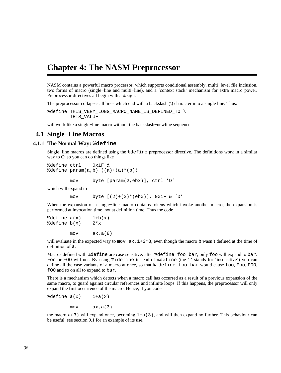# **Chapter 4: The NASM Preprocessor**

NASM contains a powerful macro processor, which supports conditional assembly, multi−level file inclusion, two forms of macro (single−line and multi−line), and a 'context stack' mechanism for extra macro power. Preprocessor directives all begin with a % sign.

The preprocessor collapses all lines which end with a backslash (\) character into a single line. Thus:

%define THIS\_VERY\_LONG\_MACRO\_NAME\_IS\_DEFINED\_TO \ THIS\_VALUE

will work like a single−line macro without the backslash−newline sequence.

## **4.1 Single−Line Macros**

## **4.1.1 The Normal Way: %define**

Single−line macros are defined using the %define preprocessor directive. The definitions work in a similar way to C; so you can do things like

%define ctrl 0x1F &  $\texttt{define param}(a,b)$   $((a)+(a)*(b))$ 

mov byte [param(2,ebx)], ctrl 'D'

which will expand to

mov byte  $[(2)+(2)*(ebx)]$ ,  $0x1F$  & 'D'

When the expansion of a single−line macro contains tokens which invoke another macro, the expansion is performed at invocation time, not at definition time. Thus the code

 $\text{8define } a(x)$  1+b(x)  $\text{define } b(x)$  2\*x

mov ax,a(8)

will evaluate in the expected way to mov  $ax, 1+2*8$ , even though the macro b wasn't defined at the time of definition of a.

Macros defined with %define are case sensitive: after %define foo bar, only foo will expand to bar: Foo or FOO will not. By using %idefine instead of %define (the 'i' stands for 'insensitive') you can define all the case variants of a macro at once, so that %idefine foo bar would cause foo, Foo, FOO, fOO and so on all to expand to bar.

There is a mechanism which detects when a macro call has occurred as a result of a previous expansion of the same macro, to guard against circular references and infinite loops. If this happens, the preprocessor will only expand the first occurrence of the macro. Hence, if you code

 $\delta$ define  $a(x)$  1+a(x)

 $mov$   $ax, a(3)$ 

the macro  $a(3)$  will expand once, becoming  $1+a(3)$ , and will then expand no further. This behaviour can be useful: see [section 9.1](#page-106-0) for an example of its use.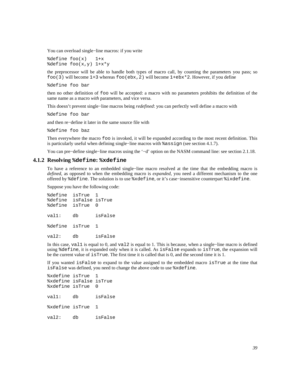You can overload single−line macros: if you write

 $\delta$ define foo $(x)$  1+x %define foo(x,y) 1+x\*y

the preprocessor will be able to handle both types of macro call, by counting the parameters you pass; so foo(3) will become  $1+3$  whereas foo(ebx, 2) will become  $1+ebx*2$ . However, if you define

%define foo bar

then no other definition of foo will be accepted: a macro with no parameters prohibits the definition of the same name as a macro *with* parameters, and vice versa.

This doesn't prevent single−line macros being *redefined*: you can perfectly well define a macro with

%define foo bar

and then re−define it later in the same source file with

%define foo baz

Then everywhere the macro foo is invoked, it will be expanded according to the most recent definition. This is particularly useful when defining single−line macros with %assign (see [section 4.1.7\)](#page-40-0).

You can pre−define single−line macros using the '−d' option on the NASM command line: see [section 2.1.18.](#page-20-0)

#### **4.1.2 Resolving %define: %xdefine**

To have a reference to an embedded single−line macro resolved at the time that the embedding macro is *defined*, as opposed to when the embedding macro is *expanded*, you need a different mechanism to the one offered by %define. The solution is to use %xdefine, or it's case−insensitive counterpart %ixdefine.

Suppose you have the following code:

%define isTrue 1 %define isFalse isTrue %define isTrue 0 val1: db isFalse %define isTrue 1 val2: db isFalse

In this case, val1 is equal to 0, and val2 is equal to 1. This is because, when a single−line macro is defined using %define, it is expanded only when it is called. As isFalse expands to isTrue, the expansion will be the current value of isTrue. The first time it is called that is 0, and the second time it is 1.

If you wanted isFalse to expand to the value assigned to the embedded macro isTrue at the time that isFalse was defined, you need to change the above code to use %xdefine.

%xdefine isTrue %xdefine isFalse isTrue %xdefine isTrue 0 val1: db isFalse %xdefine isTrue 1 val2: db isFalse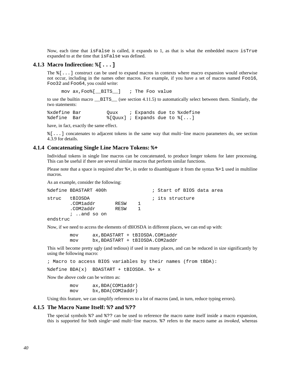Now, each time that isFalse is called, it expands to 1, as that is what the embedded macro isTrue expanded to at the time that isFalse was defined.

#### **4.1.3 Macro Indirection: %[...]**

<span id="page-39-0"></span>The %[...] construct can be used to expand macros in contexts where macro expansion would otherwise not occur, including in the names other macros. For example, if you have a set of macros named Foo16, Foo32 and Foo64, you could write:

mov ax,Foo%[\_\_BITS\_\_] ; The Foo value

to use the builtin macro \_\_BITS\_\_ (see [section 4.11.5\)](#page-62-0) to automatically select between them. Similarly, the two statements:

%xdefine Bar Quux ; Expands due to %xdefine %define Bar %[Quux] ; Expands due to  $[(\ldots)]$ 

have, in fact, exactly the same effect.

%[...] concatenates to adjacent tokens in the same way that multi−line macro parameters do, see [section](#page-47-0) [4.3.9](#page-47-0) for details.

#### **4.1.4 Concatenating Single Line Macro Tokens: %+**

<span id="page-39-1"></span>Individual tokens in single line macros can be concatenated, to produce longer tokens for later processing. This can be useful if there are several similar macros that perform similar functions.

Please note that a space is required after  $\hat{\epsilon}$  +, in order to disambiguate it from the syntax  $\hat{\epsilon}$  +1 used in multiline macros.

As an example, consider the following:

|          | %define BDASTART 400h                                |              |    |  |                 | ; Start of BIOS data area |  |
|----------|------------------------------------------------------|--------------|----|--|-----------------|---------------------------|--|
| struc    | tBIOSDA<br>.COMladdr<br>.COM2addr<br>$i$ , and so on | RESW<br>RESW | п. |  | ; its structure |                           |  |
| endstruc |                                                      |              |    |  |                 |                           |  |

Now, if we need to access the elements of tBIOSDA in different places, we can end up with:

 mov ax,BDASTART + tBIOSDA.COM1addr mov bx,BDASTART + tBIOSDA.COM2addr

This will become pretty ugly (and tedious) if used in many places, and can be reduced in size significantly by using the following macro:

; Macro to access BIOS variables by their names (from tBDA):

%define BDA(x) BDASTART + tBIOSDA. %+ x

Now the above code can be written as:

 mov ax,BDA(COM1addr) mov bx,BDA(COM2addr)

Using this feature, we can simplify references to a lot of macros (and, in turn, reduce typing errors).

#### **4.1.5 The Macro Name Itself: %? and %??**

The special symbols %? and %?? can be used to reference the macro name itself inside a macro expansion, this is supported for both single−and multi−line macros. %? refers to the macro name as *invoked*, whereas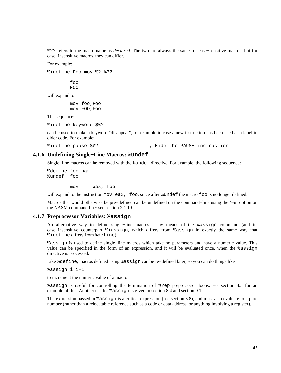%?? refers to the macro name as *declared*. The two are always the same for case−sensitive macros, but for case−insensitive macros, they can differ.

For example:

%idefine Foo mov %?,%??

 foo FOO

will expand to:

 mov foo,Foo mov FOO,Foo

The sequence:

%idefine keyword \$%?

can be used to make a keyword "disappear", for example in case a new instruction has been used as a label in older code. For example:

%idefine pause \$%? ; Hide the PAUSE instruction

### **4.1.6 Undefining Single−Line Macros: %undef**

Single−line macros can be removed with the %undef directive. For example, the following sequence:

%define foo bar %undef foo

mov eax, foo

will expand to the instruction mov eax, foo, since after  $\text{under the macro foo}$  is no longer defined.

Macros that would otherwise be pre−defined can be undefined on the command−line using the '−u' option on the NASM command line: see [section 2.1.19.](#page-21-0)

#### **4.1.7 Preprocessor Variables: %assign**

<span id="page-40-0"></span>An alternative way to define single−line macros is by means of the %assign command (and its case−insensitive counterpart %iassign, which differs from %assign in exactly the same way that %idefine differs from %define).

%assign is used to define single−line macros which take no parameters and have a numeric value. This value can be specified in the form of an expression, and it will be evaluated once, when the %assign directive is processed.

Like %define, macros defined using %assign can be re−defined later, so you can do things like

%assign i i+1

to increment the numeric value of a macro.

%assign is useful for controlling the termination of %rep preprocessor loops: see [section 4.5](#page-52-0) for an example of this. Another use for %assign is given in [section 8.4](#page-97-0) and [section 9.1.](#page-106-0)

The expression passed to %assign is a critical expression (see [section 3.8\)](#page-35-0), and must also evaluate to a pure number (rather than a relocatable reference such as a code or data address, or anything involving a register).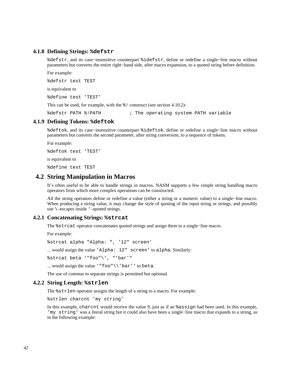## **4.1.8 Defining Strings: %defstr**

<span id="page-41-1"></span>%defstr, and its case−insensitive counterpart %idefstr, define or redefine a single−line macro without parameters but converts the entire right−hand side, after macro expansion, to a quoted string before definition.

For example:

%defstr test TEST

is equivalent to

%define test 'TEST'

This can be used, for example, with the  $\frac{1}{6}$ ! construct (see [section 4.10.2\)](#page-61-0):

%defstr PATH %!PATH ; The operating system PATH variable

#### **4.1.9 Defining Tokens: %deftok**

%deftok, and its case−insensitive counterpart %ideftok, define or redefine a single−line macro without parameters but converts the second parameter, after string conversion, to a sequence of tokens.

For example:

%deftok test 'TEST'

is equivalent to

%define test TEST

## **4.2 String Manipulation in Macros**

It's often useful to be able to handle strings in macros. NASM supports a few simple string handling macro operators from which more complex operations can be constructed.

All the string operators define or redefine a value (either a string or a numeric value) to a single−line macro. When producing a string value, it may change the style of quoting of the input string or strings, and possibly use \–escapes inside '–quoted strings.

#### **4.2.1 Concatenating Strings: %strcat**

The %strcat operator concatenates quoted strings and assign them to a single−line macro.

For example:

%strcat alpha "Alpha: ", '12" screen'

... would assign the value 'Alpha: 12" screen' to alpha. Similarly:

%strcat beta '"foo"\', "'bar'"

... would assign the value '"foo"\\'bar'' to beta.

The use of commas to separate strings is permitted but optional.

#### **4.2.2 String Length: %strlen**

<span id="page-41-0"></span>The %strlen operator assigns the length of a string to a macro. For example:

%strlen charcnt 'my string'

In this example, charcnt would receive the value 9, just as if an %assign had been used. In this example, 'my string' was a literal string but it could also have been a single−line macro that expands to a string, as in the following example: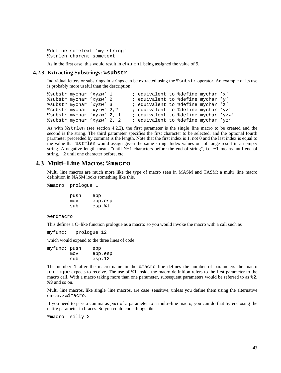%define sometext 'my string' %strlen charcnt sometext

As in the first case, this would result in charcnt being assigned the value of 9.

## **4.2.3 Extracting Substrings: %substr**

Individual letters or substrings in strings can be extracted using the %substr operator. An example of its use is probably more useful than the description:

```
%substr mychar 'xyzw' 1 ; equivalent to %define mychar 'x' 
%substr mychar 'xyzw' 2 ; equivalent to %define mychar 'y' 
%substr mychar 'xyzw' 3 ; equivalent to %define mychar 'z'<br>%substr mychar 'xyzw' 2,2 ; equivalent to %define mychar 'yz
%substr mychar 'xyzw' 2,2 ; equivalent to %define mychar 'yz' 
%substr mychar 'xyzw' 2,-1 ; equivalent to %define mychar 'yzw'<br>%substr mychar 'xyzw' 2,-2 ; equivalent to %define mychar 'yz'
                                       ; equivalent to %define mychar 'yz'
```
As with %strlen (see [section 4.2.2\)](#page-41-0), the first parameter is the single−line macro to be created and the second is the string. The third parameter specifies the first character to be selected, and the optional fourth parameter preceeded by comma) is the length. Note that the first index is 1, not 0 and the last index is equal to the value that %strlen would assign given the same string. Index values out of range result in an empty string. A negative length means "until N−1 characters before the end of string", i.e. −1 means until end of string, −2 until one character before, etc.

# **4.3 Multi−Line Macros: %macro**

Multi−line macros are much more like the type of macro seen in MASM and TASM: a multi−line macro definition in NASM looks something like this.

%macro prologue 1

 push ebp mov ebp,esp sub esp,%1

%endmacro

This defines a C−like function prologue as a macro: so you would invoke the macro with a call such as

myfunc: prologue 12

which would expand to the three lines of code

myfunc: push ebp mov ebp,esp sub esp,12

The number 1 after the macro name in the %macro line defines the number of parameters the macro prologue expects to receive. The use of %1 inside the macro definition refers to the first parameter to the macro call. With a macro taking more than one parameter, subsequent parameters would be referred to as %2, %3 and so on.

Multi−line macros, like single−line macros, are case−sensitive, unless you define them using the alternative directive %imacro.

If you need to pass a comma as *part* of a parameter to a multi−line macro, you can do that by enclosing the entire parameter in braces. So you could code things like

%macro silly 2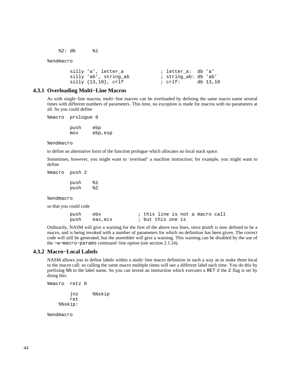%2: db %1

%endmacro

```
 silly 'a', letter_a ; letter_a: db 'a' 
                         ; string_ab: db 'ab'
 silly {13,10}, crlf ; crlf: db 13,10
```
## **4.3.1 Overloading Multi−Line Macros**

As with single−line macros, multi−line macros can be overloaded by defining the same macro name several times with different numbers of parameters. This time, no exception is made for macros with no parameters at all. So you could define

%macro prologue 0

 push ebp mov ebp,esp

%endmacro

to define an alternative form of the function prologue which allocates no local stack space.

Sometimes, however, you might want to 'overload' a machine instruction; for example, you might want to define

%macro push 2

 push %1 push %2

%endmacro

so that you could code

| push ebx |              |                   |  |  | ; this line is not a macro call |  |
|----------|--------------|-------------------|--|--|---------------------------------|--|
|          | push eax,ecx | ; but this one is |  |  |                                 |  |

Ordinarily, NASM will give a warning for the first of the above two lines, since push is now defined to be a macro, and is being invoked with a number of parameters for which no definition has been given. The correct code will still be generated, but the assembler will give a warning. This warning can be disabled by the use of the −w−macro−params command−line option (see [section 2.1.24\)](#page-22-0).

#### **4.3.2 Macro−Local Labels**

<span id="page-43-0"></span>NASM allows you to define labels within a multi−line macro definition in such a way as to make them local to the macro call: so calling the same macro multiple times will use a different label each time. You do this by prefixing %% to the label name. So you can invent an instruction which executes a RET if the Z flag is set by doing this:

```
%macro retz 0 
          jnz %%skip 
         ret 
     %%skip:
```
%endmacro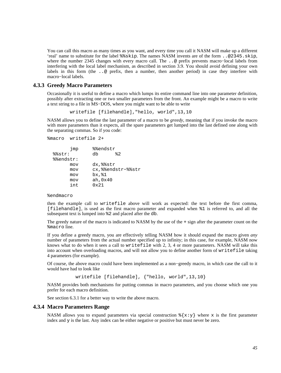You can call this macro as many times as you want, and every time you call it NASM will make up a different 'real' name to substitute for the label %%skip. The names NASM invents are of the form ..@2345.skip, where the number 2345 changes with every macro call. The ..@ prefix prevents macro−local labels from interfering with the local label mechanism, as described in [section 3.9.](#page-35-1) You should avoid defining your own labels in this form (the ..@ prefix, then a number, then another period) in case they interfere with macro−local labels.

#### **4.3.3 Greedy Macro Parameters**

<span id="page-44-0"></span>Occasionally it is useful to define a macro which lumps its entire command line into one parameter definition, possibly after extracting one or two smaller parameters from the front. An example might be a macro to write a text string to a file in MS−DOS, where you might want to be able to write

writefile [filehandle],"hello, world",13,10

NASM allows you to define the last parameter of a macro to be *greedy*, meaning that if you invoke the macro with more parameters than it expects, all the spare parameters get lumped into the last defined one along with the separating commas. So if you code:

```
%macro writefile 2+
```

```
 jmp %%endstr 
 %%str: db %2 
 %%endstr: 
      mov dx,%%str 
      mov cx,%%endstr−%%str 
      mov bx,%1 
      mov ah,0x40 
      int 0x21
```
#### %endmacro

then the example call to writefile above will work as expected: the text before the first comma, [filehandle], is used as the first macro parameter and expanded when %1 is referred to, and all the subsequent text is lumped into %2 and placed after the db.

The greedy nature of the macro is indicated to NASM by the use of the + sign after the parameter count on the %macro line.

If you define a greedy macro, you are effectively telling NASM how it should expand the macro given *any* number of parameters from the actual number specified up to infinity; in this case, for example, NASM now knows what to do when it sees a call to writefile with 2, 3, 4 or more parameters. NASM will take this into account when overloading macros, and will not allow you to define another form of writefile taking 4 parameters (for example).

Of course, the above macro could have been implemented as a non−greedy macro, in which case the call to it would have had to look like

writefile [filehandle], {"hello, world",13,10}

NASM provides both mechanisms for putting commas in macro parameters, and you choose which one you prefer for each macro definition.

See [section 6.3.1](#page-71-0) for a better way to write the above macro.

#### **4.3.4 Macro Parameters Range**

NASM allows you to expand parameters via special construction  $\{\mathbf{x}:y\}$  where x is the first parameter index and y is the last. Any index can be either negative or positive but must never be zero.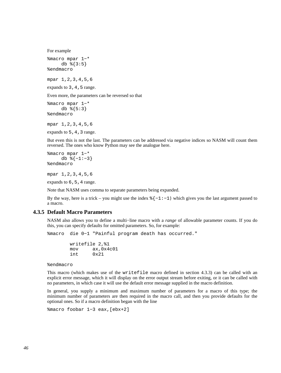For example

```
%macro mpar 1−* 
     db \{3:5\}%endmacro
```
mpar 1,2,3,4,5,6

expands to 3, 4, 5 range.

Even more, the parameters can be reversed so that

```
%macro mpar 1−* 
      db %{5:3} 
%endmacro
```
mpar 1,2,3,4,5,6

expands to 5, 4, 3 range.

But even this is not the last. The parameters can be addressed via negative indices so NASM will count them reversed. The ones who know Python may see the analogue here.

```
%macro mpar 1−* 
      db %{−1:−3} 
%endmacro
```
mpar 1,2,3,4,5,6

expands to 6,5,4 range.

Note that NASM uses comma to separate parameters being expanded.

By the way, here is a trick – you might use the index  $\{ -1 : -1 \}$  which gives you the last argument passed to a macro.

## **4.3.5 Default Macro Parameters**

NASM also allows you to define a multi−line macro with a *range* of allowable parameter counts. If you do this, you can specify defaults for omitted parameters. So, for example:

```
%macro die 0−1 "Painful program death has occurred."
```
 writefile 2,%1 mov ax,0x4c01 int 0x21

%endmacro

This macro (which makes use of the writefile macro defined in [section 4.3.3](#page-44-0)) can be called with an explicit error message, which it will display on the error output stream before exiting, or it can be called with no parameters, in which case it will use the default error message supplied in the macro definition.

In general, you supply a minimum and maximum number of parameters for a macro of this type; the minimum number of parameters are then required in the macro call, and then you provide defaults for the optional ones. So if a macro definition began with the line

```
%macro foobar 1−3 eax,[ebx+2]
```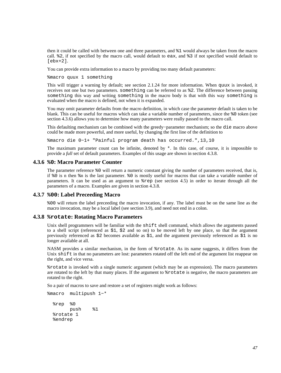then it could be called with between one and three parameters, and %1 would always be taken from the macro call. %2, if not specified by the macro call, would default to eax, and %3 if not specified would default to  $[ebx+2]$ .

You can provide extra information to a macro by providing too many default parameters:

%macro quux 1 something

This will trigger a warning by default; see [section 2.1.24](#page-22-0) for more information. When quux is invoked, it receives not one but two parameters. something can be referred to as %2. The difference between passing something this way and writing something in the macro body is that with this way something is evaluated when the macro is defined, not when it is expanded.

You may omit parameter defaults from the macro definition, in which case the parameter default is taken to be blank. This can be useful for macros which can take a variable number of parameters, since the %0 token (see [section 4.3.6\)](#page-46-0) allows you to determine how many parameters were really passed to the macro call.

This defaulting mechanism can be combined with the greedy−parameter mechanism; so the die macro above could be made more powerful, and more useful, by changing the first line of the definition to

%macro die 0−1+ "Painful program death has occurred.",13,10

The maximum parameter count can be infinite, denoted by  $*$ . In this case, of course, it is impossible to provide a *full* set of default parameters. Examples of this usage are shown in [section 4.3.8.](#page-46-1)

#### **4.3.6 %0: Macro Parameter Counter**

<span id="page-46-0"></span>The parameter reference %0 will return a numeric constant giving the number of parameters received, that is, if %0 is n then %n is the last parameter. %0 is mostly useful for macros that can take a variable number of parameters. It can be used as an argument to %rep (see [section 4.5\)](#page-52-0) in order to iterate through all the parameters of a macro. Examples are given in [section 4.3.8.](#page-46-1)

#### **4.3.7 %00: Label Preceeding Macro**

%00 will return the label preceeding the macro invocation, if any. The label must be on the same line as the macro invocation, may be a local label (see [section 3.9\)](#page-35-1), and need not end in a colon.

#### **4.3.8 %rotate: Rotating Macro Parameters**

<span id="page-46-1"></span>Unix shell programmers will be familiar with the shift shell command, which allows the arguments passed to a shell script (referenced as \$1, \$2 and so on) to be moved left by one place, so that the argument previously referenced as \$2 becomes available as \$1, and the argument previously referenced as \$1 is no longer available at all.

NASM provides a similar mechanism, in the form of %rotate. As its name suggests, it differs from the Unix shift in that no parameters are lost: parameters rotated off the left end of the argument list reappear on the right, and vice versa.

%rotate is invoked with a single numeric argument (which may be an expression). The macro parameters are rotated to the left by that many places. If the argument to %rotate is negative, the macro parameters are rotated to the right.

So a pair of macros to save and restore a set of registers might work as follows:

```
%macro multipush 1−* 
   %rep %0 
         push %1 
   %rotate 1
```
%endrep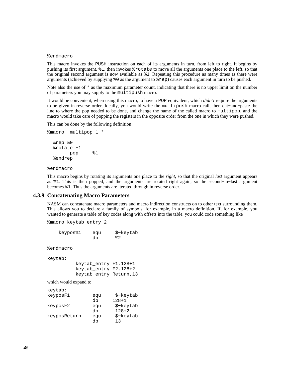#### %endmacro

This macro invokes the PUSH instruction on each of its arguments in turn, from left to right. It begins by pushing its first argument, %1, then invokes %rotate to move all the arguments one place to the left, so that the original second argument is now available as %1. Repeating this procedure as many times as there were arguments (achieved by supplying %0 as the argument to %rep) causes each argument in turn to be pushed.

Note also the use of  $*$  as the maximum parameter count, indicating that there is no upper limit on the number of parameters you may supply to the multipush macro.

It would be convenient, when using this macro, to have a POP equivalent, which *didn't* require the arguments to be given in reverse order. Ideally, you would write the multipush macro call, then cut−and−paste the line to where the pop needed to be done, and change the name of the called macro to multipop, and the macro would take care of popping the registers in the opposite order from the one in which they were pushed.

This can be done by the following definition:

```
%macro multipop 1−* 
   %rep %0 
   %rotate −1 
         pop %1 
   %endrep
```
%endmacro

This macro begins by rotating its arguments one place to the *right*, so that the original *last* argument appears as %1. This is then popped, and the arguments are rotated right again, so the second−to−last argument becomes %1. Thus the arguments are iterated through in reverse order.

#### **4.3.9 Concatenating Macro Parameters**

<span id="page-47-0"></span>NASM can concatenate macro parameters and macro indirection constructs on to other text surrounding them. This allows you to declare a family of symbols, for example, in a macro definition. If, for example, you wanted to generate a table of key codes along with offsets into the table, you could code something like

```
%macro keytab_entry 2 
    keypos%1 equ $−keytab 
db \frac{1}{2} and \frac{1}{2}%endmacro 
keytab: 
          keytab_entry F1,128+1 
          keytab_entry F2,128+2 
          keytab_entry Return,13
which would expand to
keytab: 
keyposF1 equ $−keytab 
               db 128+1 
keyposF2 equ $−keytab 
               db 128+2 
keyposReturn equ $−keytab 
 db 13
```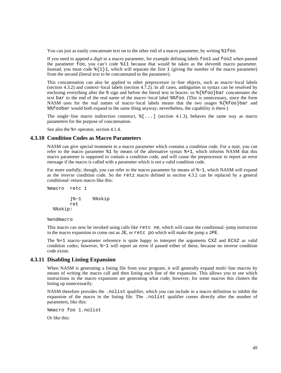You can just as easily concatenate text on to the other end of a macro parameter, by writing  $\$1$  foo.

If you need to append a *digit* to a macro parameter, for example defining labels foo1 and foo2 when passed the parameter foo, you can't code %11 because that would be taken as the eleventh macro parameter. Instead, you must code  $\{\1\}$ 1, which will separate the first 1 (giving the number of the macro parameter) from the second (literal text to be concatenated to the parameter).

This concatenation can also be applied to other preprocessor in−line objects, such as macro−local labels [\(section 4.3.2\)](#page-43-0) and context−local labels [\(section 4.7.2\)](#page-55-0). In all cases, ambiguities in syntax can be resolved by enclosing everything after the % sign and before the literal text in braces: so %{%foo}bar concatenates the text bar to the end of the real name of the macro−local label %%foo. (This is unnecessary, since the form NASM uses for the real names of macro–local labels means that the two usages %{%foo}bar and %%foobar would both expand to the same thing anyway; nevertheless, the capability is there.)

The single−line macro indirection construct, %[...] [\(section 4.1.3\)](#page-39-0), behaves the same way as macro parameters for the purpose of concatenation.

See also the %+ operator, [section 4.1.4.](#page-39-1)

#### **4.3.10 Condition Codes as Macro Parameters**

NASM can give special treatment to a macro parameter which contains a condition code. For a start, you can refer to the macro parameter  $\S1$  by means of the alternative syntax  $\S1$ , which informs NASM that this macro parameter is supposed to contain a condition code, and will cause the preprocessor to report an error message if the macro is called with a parameter which is *not* a valid condition code.

Far more usefully, though, you can refer to the macro parameter by means of %−1, which NASM will expand as the *inverse* condition code. So the retz macro defined in [section 4.3.2](#page-43-0) can be replaced by a general conditional−return macro like this:

```
%macro retc 1 
          j%−1 %%skip 
          ret 
   %%skip:
```
#### %endmacro

This macro can now be invoked using calls like retc ne, which will cause the conditional−jump instruction in the macro expansion to come out as  $JE$ , or  $r \in \mathbb{C}$  po which will make the jump a  $JPE$ .

The %+1 macro−parameter reference is quite happy to interpret the arguments CXZ and ECXZ as valid condition codes; however, %−1 will report an error if passed either of these, because no inverse condition code exists.

#### **4.3.11 Disabling Listing Expansion**

When NASM is generating a listing file from your program, it will generally expand multi−line macros by means of writing the macro call and then listing each line of the expansion. This allows you to see which instructions in the macro expansion are generating what code; however, for some macros this clutters the listing up unnecessarily.

NASM therefore provides the .nolist qualifier, which you can include in a macro definition to inhibit the expansion of the macro in the listing file. The .nolist qualifier comes directly after the number of parameters, like this:

%macro foo 1.nolist

Or like this: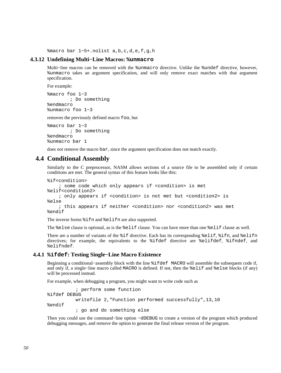%macro bar 1−5+.nolist a,b,c,d,e,f,g,h

#### **4.3.12 Undefining Multi−Line Macros: %unmacro**

Multi−line macros can be removed with the %unmacro directive. Unlike the %undef directive, however, %unmacro takes an argument specification, and will only remove exact matches with that argument specification.

For example:

%macro foo 1−3 ; Do something %endmacro %unmacro foo 1−3

removes the previously defined macro foo, but

%macro bar 1−3 ; Do something %endmacro %unmacro bar 1

does *not* remove the macro bar, since the argument specification does not match exactly.

## **4.4 Conditional Assembly**

Similarly to the C preprocessor, NASM allows sections of a source file to be assembled only if certain conditions are met. The general syntax of this feature looks like this:

```
%if<condition> 
     ; some code which only appears if <condition> is met 
%elif<condition2> 
     ; only appears if <condition> is not met but <condition2> is 
%else 
     ; this appears if neither <condition> nor <condition2> was met 
%endif
```
The inverse forms %ifn and %elifn are also supported.

The %else clause is optional, as is the %elif clause. You can have more than one %elif clause as well.

There are a number of variants of the %if directive. Each has its corresponding %elif, %ifn, and %elifn directives; for example, the equivalents to the %ifdef directive are %elifdef, %ifndef, and %elifndef.

#### **4.4.1 %ifdef: Testing Single−Line Macro Existence**

Beginning a conditional−assembly block with the line %ifdef MACRO will assemble the subsequent code if, and only if, a single−line macro called MACRO is defined. If not, then the %elif and %else blocks (if any) will be processed instead.

For example, when debugging a program, you might want to write code such as

```
 ; perform some function 
%ifdef DEBUG 
           writefile 2,"Function performed successfully",13,10 
%endif 
            ; go and do something else
```
Then you could use the command−line option −dDEBUG to create a version of the program which produced debugging messages, and remove the option to generate the final release version of the program.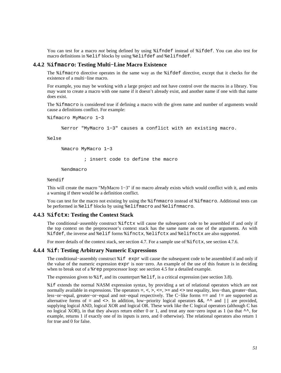You can test for a macro *not* being defined by using %ifndef instead of %ifdef. You can also test for macro definitions in %elif blocks by using %elifdef and %elifndef.

#### **4.4.2 %ifmacro: Testing Multi−Line Macro Existence**

The %ifmacro directive operates in the same way as the %ifdef directive, except that it checks for the existence of a multi−line macro.

For example, you may be working with a large project and not have control over the macros in a library. You may want to create a macro with one name if it doesn't already exist, and another name if one with that name does exist.

The %ifmacro is considered true if defining a macro with the given name and number of arguments would cause a definitions conflict. For example:

```
%ifmacro MyMacro 1−3
```
%error "MyMacro 1−3" causes a conflict with an existing macro.

%else

%macro MyMacro 1−3

; insert code to define the macro

%endmacro

#### %endif

This will create the macro "MyMacro 1−3" if no macro already exists which would conflict with it, and emits a warning if there would be a definition conflict.

You can test for the macro not existing by using the  $\frac{2}{3}$  if final frace instead of  $\frac{2}{3}$  if final tests can be performed in %elif blocks by using %elifmacro and %elifnmacro.

#### **4.4.3 %ifctx: Testing the Context Stack**

The conditional−assembly construct %ifctx will cause the subsequent code to be assembled if and only if the top context on the preprocessor's context stack has the same name as one of the arguments. As with %ifdef, the inverse and %elif forms %ifnctx, %elifctx and %elifnctx are also supported.

For more details of the context stack, see [section 4.7.](#page-54-0) For a sample use of  $\text{\$if} \text{ctx}, \text{see} \text{section 4.7.6}.$ 

#### **4.4.4 %if: Testing Arbitrary Numeric Expressions**

The conditional−assembly construct %if expr will cause the subsequent code to be assembled if and only if the value of the numeric expression expr is non−zero. An example of the use of this feature is in deciding when to break out of a %rep preprocessor loop: see [section 4.5](#page-52-0) for a detailed example.

The expression given to  $i$ if, and its counterpart  $i$ elif, is a critical expression (see [section 3.8\)](#page-35-0).

%if extends the normal NASM expression syntax, by providing a set of relational operators which are not normally available in expressions. The operators =, <, >, <=, >= and <> test equality, less–than, greater–than, less−or−equal, greater−or−equal and not−equal respectively. The C−like forms == and != are supported as alternative forms of = and <>. In addition, low−priority logical operators &&, ^^ and || are provided, supplying logical AND, logical XOR and logical OR. These work like the C logical operators (although C has no logical XOR), in that they always return either 0 or 1, and treat any non−zero input as 1 (so that ^^, for example, returns 1 if exactly one of its inputs is zero, and 0 otherwise). The relational operators also return 1 for true and 0 for false.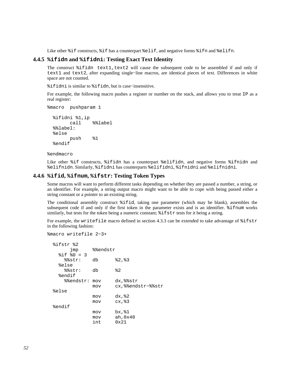Like other  $i$ f constructs,  $i$  f has a counterpart  $i$ elif, and negative forms  $i$  fn and  $i$ elifn.

## **4.4.5 %ifidn and %ifidni: Testing Exact Text Identity**

The construct  $\text{ifindn text1, text2 will cause the subsequent code to be assembled if and only if}$ text1 and text2, after expanding single−line macros, are identical pieces of text. Differences in white space are not counted.

%ifidni is similar to %ifidn, but is case−insensitive.

For example, the following macro pushes a register or number on the stack, and allows you to treat IP as a real register:

%macro pushparam 1

```
 %ifidni %1,ip 
       call %%label 
 %%label: 
 %else 
       push %1 
 %endif
```
%endmacro

Like other %if constructs, %ifidn has a counterpart %elifidn, and negative forms %ifnidn and %elifnidn. Similarly, %ifidni has counterparts %elifidni, %ifnidni and %elifnidni.

## **4.4.6 %ifid, %ifnum, %ifstr: Testing Token Types**

Some macros will want to perform different tasks depending on whether they are passed a number, a string, or an identifier. For example, a string output macro might want to be able to cope with being passed either a string constant or a pointer to an existing string.

The conditional assembly construct %ifid, taking one parameter (which may be blank), assembles the subsequent code if and only if the first token in the parameter exists and is an identifier. %ifnum works similarly, but tests for the token being a numeric constant; %ifstr tests for it being a string.

For example, the writefile macro defined in [section 4.3.3](#page-44-0) can be extended to take advantage of  $\text{\$ifstr}$ in the following fashion:

```
%macro writefile 2−3+
```

```
 %ifstr %2 
      jmp %%endstr 
 §if §0 = 3
    %%str: db %2,%3 
   %else 
    %%str: db %2 
   %endif 
    %%endstr: mov dx,%%str 
              mov cx,%%endstr−%%str 
 %else 
              mov dx,%2 
              mov cx,%3 
 %endif 
              mov bx,%1 
              mov ah,0x40 
              int 0x21
```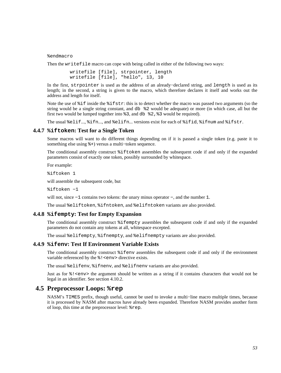%endmacro

Then the writefile macro can cope with being called in either of the following two ways:

```
 writefile [file], strpointer, length 
 writefile [file], "hello", 13, 10
```
In the first, strpointer is used as the address of an already−declared string, and length is used as its length; in the second, a string is given to the macro, which therefore declares it itself and works out the address and length for itself.

Note the use of %if inside the %ifstr: this is to detect whether the macro was passed two arguments (so the string would be a single string constant, and db %2 would be adequate) or more (in which case, all but the first two would be lumped together into  $\frac{1}{2}$ , and db  $\frac{1}{2}$ ,  $\frac{1}{2}$  would be required).

The usual %elif..., %ifn..., and %elifn... versions exist for each of %ifid, %ifnum and %ifstr.

#### **4.4.7 %iftoken: Test for a Single Token**

Some macros will want to do different things depending on if it is passed a single token (e.g. paste it to something else using %+) versus a multi−token sequence.

The conditional assembly construct %iftoken assembles the subsequent code if and only if the expanded parameters consist of exactly one token, possibly surrounded by whitespace.

For example:

%iftoken 1

will assemble the subsequent code, but

%iftoken −1

will not, since −1 contains two tokens: the unary minus operator −, and the number 1.

The usual %eliftoken, %ifntoken, and %elifntoken variants are also provided.

#### **4.4.8 %ifempty: Test for Empty Expansion**

The conditional assembly construct %ifempty assembles the subsequent code if and only if the expanded parameters do not contain any tokens at all, whitespace excepted.

The usual %elifempty, %ifnempty, and %elifnempty variants are also provided.

## **4.4.9 %ifenv: Test If Environment Variable Exists**

The conditional assembly construct %ifenv assembles the subsequent code if and only if the environment variable referenced by the  $\frac{1}{2}$  < env> directive exists.

The usual %elifenv, %ifnenv, and %elifnenv variants are also provided.

Just as for  $\gamma$ ! <env> the argument should be written as a string if it contains characters that would not be legal in an identifier. See [section 4.10.2.](#page-61-0)

## **4.5 Preprocessor Loops: %rep**

<span id="page-52-0"></span>NASM's TIMES prefix, though useful, cannot be used to invoke a multi−line macro multiple times, because it is processed by NASM after macros have already been expanded. Therefore NASM provides another form of loop, this time at the preprocessor level: %rep.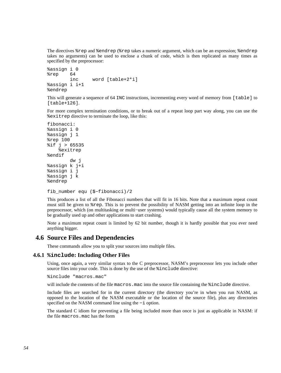The directives %rep and %endrep (%rep takes a numeric argument, which can be an expression; %endrep takes no arguments) can be used to enclose a chunk of code, which is then replicated as many times as specified by the preprocessor:

```
%assign i 0 
%rep 64 
         inc word [table+2*i] 
%assign i i+1 
%endrep
```
This will generate a sequence of 64 INC instructions, incrementing every word of memory from [table] to [table+126].

For more complex termination conditions, or to break out of a repeat loop part way along, you can use the %exitrep directive to terminate the loop, like this:

```
fibonacci: 
%assign i 0 
%assign j 1 
%rep 100 
%if j > 65535 
     %exitrep 
%endif 
          dw j 
%assign k j+i 
%assign i j 
%assign j k 
%endrep
```

```
fib_number equ ($−fibonacci)/2
```
This produces a list of all the Fibonacci numbers that will fit in 16 bits. Note that a maximum repeat count must still be given to %rep. This is to prevent the possibility of NASM getting into an infinite loop in the preprocessor, which (on multitasking or multi−user systems) would typically cause all the system memory to be gradually used up and other applications to start crashing.

Note a maximum repeat count is limited by 62 bit number, though it is hardly possible that you ever need anything bigger.

# **4.6 Source Files and Dependencies**

These commands allow you to split your sources into multiple files.

#### **4.6.1 %include: Including Other Files**

<span id="page-53-0"></span>Using, once again, a very similar syntax to the C preprocessor, NASM's preprocessor lets you include other source files into your code. This is done by the use of the %include directive:

%include "macros.mac"

will include the contents of the file macros.mac into the source file containing the  $\frac{1}{2}$  include directive.

Include files are searched for in the current directory (the directory you're in when you run NASM, as opposed to the location of the NASM executable or the location of the source file), plus any directories specified on the NASM command line using the −i option.

The standard C idiom for preventing a file being included more than once is just as applicable in NASM: if the file macros.mac has the form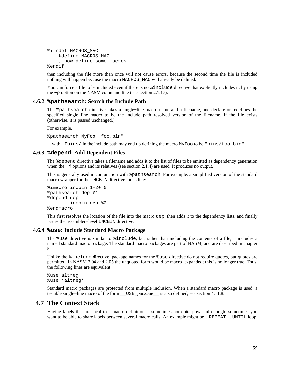```
%ifndef MACROS_MAC 
     %define MACROS_MAC 
     ; now define some macros 
%endif
```
then including the file more than once will not cause errors, because the second time the file is included nothing will happen because the macro MACROS\_MAC will already be defined.

You can force a file to be included even if there is no  $s$  include directive that explicitly includes it, by using the −p option on the NASM command line (see [section 2.1.17\)](#page-20-1).

#### **4.6.2 %pathsearch: Search the Include Path**

The %pathsearch directive takes a single−line macro name and a filename, and declare or redefines the specified single−line macro to be the include−path−resolved version of the filename, if the file exists (otherwise, it is passed unchanged.)

For example,

%pathsearch MyFoo "foo.bin"

... with −Ibins/ in the include path may end up defining the macro MyFoo to be "bins/foo.bin".

#### **4.6.3 %depend: Add Dependent Files**

The %depend directive takes a filename and adds it to the list of files to be emitted as dependency generation when the −M options and its relatives (see [section 2.1.4\)](#page-18-0) are used. It produces no output.

This is generally used in conjunction with %pathsearch. For example, a simplified version of the standard macro wrapper for the INCBIN directive looks like:

```
%imacro incbin 1−2+ 0 
%pathsearch dep %1 
%depend dep 
         incbin dep,%2 
%endmacro
```
This first resolves the location of the file into the macro dep, then adds it to the dependency lists, and finally issues the assembler−level INCBIN directive.

## **4.6.4 %use: Include Standard Macro Package**

<span id="page-54-1"></span>The %use directive is similar to %include, but rather than including the contents of a file, it includes a named standard macro package. The standard macro packages are part of NASM, and are described in [chapter](#page-68-0) [5.](#page-68-0)

Unlike the %include directive, package names for the %use directive do not require quotes, but quotes are permitted. In NASM 2.04 and 2.05 the unquoted form would be macro−expanded; this is no longer true. Thus, the following lines are equivalent:

%use altreg %use 'altreg'

Standard macro packages are protected from multiple inclusion. When a standard macro package is used, a testable single−line macro of the form \_\_USE\_*package*\_\_ is also defined, see [section 4.11.8.](#page-63-0)

## **4.7 The Context Stack**

<span id="page-54-0"></span>Having labels that are local to a macro definition is sometimes not quite powerful enough: sometimes you want to be able to share labels between several macro calls. An example might be a REPEAT ... UNTIL loop,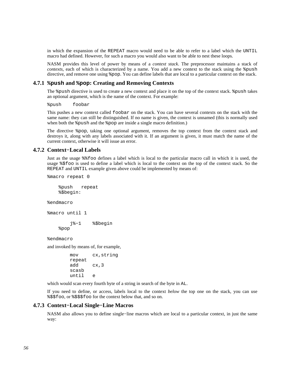in which the expansion of the REPEAT macro would need to be able to refer to a label which the UNTIL macro had defined. However, for such a macro you would also want to be able to nest these loops.

NASM provides this level of power by means of a *context stack*. The preprocessor maintains a stack of *contexts*, each of which is characterized by a name. You add a new context to the stack using the *&push* directive, and remove one using %pop. You can define labels that are local to a particular context on the stack.

#### **4.7.1 %push and %pop: Creating and Removing Contexts**

<span id="page-55-1"></span>The %push directive is used to create a new context and place it on the top of the context stack. %push takes an optional argument, which is the name of the context. For example:

%push foobar

This pushes a new context called foobar on the stack. You can have several contexts on the stack with the same name: they can still be distinguished. If no name is given, the context is unnamed (this is normally used when both the  $\epsilon$  push and the  $\epsilon$  pop are inside a single macro definition.)

The directive %pop, taking one optional argument, removes the top context from the context stack and destroys it, along with any labels associated with it. If an argument is given, it must match the name of the current context, otherwise it will issue an error.

## **4.7.2 Context−Local Labels**

<span id="page-55-0"></span>Just as the usage %%foo defines a label which is local to the particular macro call in which it is used, the usage %\$foo is used to define a label which is local to the context on the top of the context stack. So the REPEAT and UNTIL example given above could be implemented by means of:

```
%macro repeat 0
```

```
 %push repeat 
 %$begin:
```
%endmacro

```
%macro until 1
```
 j%−1 %\$begin %pop

%endmacro

and invoked by means of, for example,

```
 mov cx,string 
 repeat 
 add cx,3 
 scasb 
 until e
```
which would scan every fourth byte of a string in search of the byte in AL.

If you need to define, or access, labels local to the context *below* the top one on the stack, you can use %\$\$foo, or %\$\$\$foo for the context below that, and so on.

#### **4.7.3 Context−Local Single−Line Macros**

NASM also allows you to define single−line macros which are local to a particular context, in just the same way: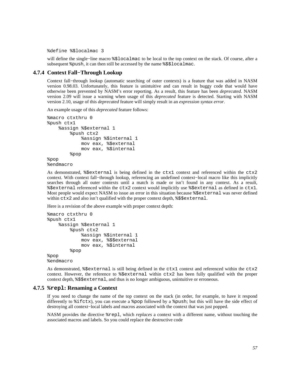%define %\$localmac 3

will define the single−line macro %\$localmac to be local to the top context on the stack. Of course, after a subsequent %push, it can then still be accessed by the name %\$\$localmac.

## **4.7.4 Context Fall−Through Lookup**

Context fall−through lookup (automatic searching of outer contexts) is a feature that was added in NASM version 0.98.03. Unfortunately, this feature is unintuitive and can result in buggy code that would have otherwise been prevented by NASM's error reporting. As a result, this feature has been *deprecated*. NASM version 2.09 will issue a warning when usage of this *deprecated* feature is detected. Starting with NASM version 2.10, usage of this *deprecated* feature will simply result in an *expression syntax error*.

An example usage of this *deprecated* feature follows:

```
%macro ctxthru 0 
%push ctx1 
     %assign %$external 1 
          %push ctx2 
              %assign %$internal 1 
              mov eax, %$external 
              mov eax, %$internal 
          %pop 
%pop 
%endmacro
```
As demonstrated,  $\S$ sexternal is being defined in the ctx1 context and referenced within the ctx2 context. With context fall−through lookup, referencing an undefined context−local macro like this implicitly searches through all outer contexts until a match is made or isn't found in any context. As a result, %\$external referenced within the ctx2 context would implicitly use %\$external as defined in ctx1. Most people would expect NASM to issue an error in this situation because %\$external was never defined within  $ctx2$  and also isn't qualified with the proper context depth,  $\frac{1}{2}\frac{1}{2}$ 

Here is a revision of the above example with proper context depth:

```
%macro ctxthru 0 
%push ctx1 
     %assign %$external 1 
          %push ctx2 
              %assign %$internal 1 
              mov eax, %$$external 
              mov eax, %$internal 
          %pop 
%pop 
%endmacro
```
As demonstrated, %\$external is still being defined in the ctx1 context and referenced within the ctx2 context. However, the reference to %\$external within ctx2 has been fully qualified with the proper context depth, %\$\$external, and thus is no longer ambiguous, unintuitive or erroneous.

#### **4.7.5 %repl: Renaming a Context**

If you need to change the name of the top context on the stack (in order, for example, to have it respond differently to %ifctx), you can execute a %pop followed by a %push; but this will have the side effect of destroying all context−local labels and macros associated with the context that was just popped.

NASM provides the directive %repl, which *replaces* a context with a different name, without touching the associated macros and labels. So you could replace the destructive code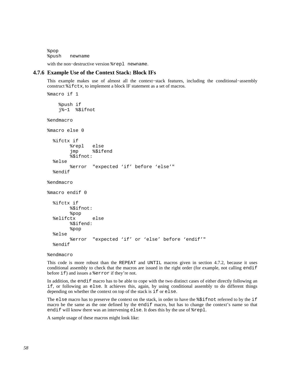%pop %push newname

with the non−destructive version %repl newname.

## **4.7.6 Example Use of the Context Stack: Block IFs**

<span id="page-57-0"></span>This example makes use of almost all the context−stack features, including the conditional−assembly construct %ifctx, to implement a block IF statement as a set of macros.

```
%macro if 1 
     %push if 
     j%−1 %$ifnot 
%endmacro 
%macro else 0 
   %ifctx if 
          %repl else 
          jmp %$ifend 
          %$ifnot: 
   %else 
          %error "expected 'if' before 'else'" 
   %endif 
%endmacro 
%macro endif 0 
   %ifctx if 
          %$ifnot: 
          %pop 
   %elifctx else 
          %$ifend: 
          %pop 
   %else 
          %error "expected 'if' or 'else' before 'endif'" 
   %endif
```
%endmacro

This code is more robust than the REPEAT and UNTIL macros given in [section 4.7.2,](#page-55-0) because it uses conditional assembly to check that the macros are issued in the right order (for example, not calling endif before if) and issues a %error if they're not.

In addition, the endif macro has to be able to cope with the two distinct cases of either directly following an if, or following an else. It achieves this, again, by using conditional assembly to do different things depending on whether the context on top of the stack is if or else.

The else macro has to preserve the context on the stack, in order to have the  $\frac{2}{3}$ ifnot referred to by the if macro be the same as the one defined by the endif macro, but has to change the context's name so that endif will know there was an intervening else. It does this by the use of %repl.

A sample usage of these macros might look like: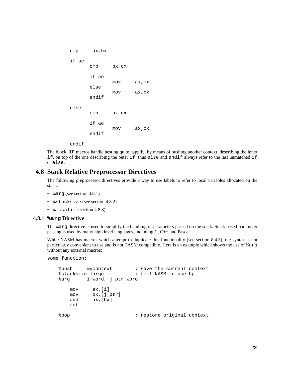```
 cmp ax,bx 
 if ae 
        cmp bx,cx 
        if ae 
                 mov ax,cx 
        else 
                 mov ax,bx 
        endif 
 else 
        cmp ax,cx 
        if ae 
                 mov ax,cx 
        endif
```
endif

The block−IF macros handle nesting quite happily, by means of pushing another context, describing the inner if, on top of the one describing the outer if; thus else and endif always refer to the last unmatched if or else.

# **4.8 Stack Relative Preprocessor Directives**

The following preprocessor directives provide a way to use labels to refer to local variables allocated on the stack.

- %arg (see [section 4.8.1\)](#page-58-0)
- %stacksize (see [section 4.8.2\)](#page-59-0)
- *%*local (see [section 4.8.3\)](#page-59-1)

#### **4.8.1 %arg Directive**

<span id="page-58-0"></span>The %arg directive is used to simplify the handling of parameters passed on the stack. Stack based parameter passing is used by many high level languages, including C, C++ and Pascal.

While NASM has macros which attempt to duplicate this functionality (see [section 8.4.5\)](#page-101-0), the syntax is not particularly convenient to use and is not TASM compatible. Here is an example which shows the use of %arg without any external macros:

```
some_function:
```

```
%push mycontext : save the current context
 %stacksize large ; tell NASM to use bp 
 %arg i:word, j_ptr:word 
    mov ax,[i] 
    mov bx,[j_ptr] 
    add ax,[bx] 
    ret 
%pop \qquad \qquad ; restore original context
```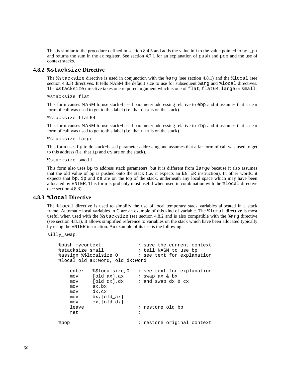This is similar to the procedure defined in [section 8.4.5](#page-101-0) and adds the value in i to the value pointed to by j\_ptr and returns the sum in the ax register. See [section 4.7.1](#page-55-1) for an explanation of push and pop and the use of context stacks.

#### **4.8.2 %stacksize Directive**

<span id="page-59-0"></span>The %stacksize directive is used in conjunction with the %arg (see [section 4.8.1](#page-58-0)) and the %local (see [section 4.8.3\)](#page-59-1) directives. It tells NASM the default size to use for subsequent %arg and %local directives. The %stacksize directive takes one required argument which is one of flat, flat64, large or small.

%stacksize flat

This form causes NASM to use stack−based parameter addressing relative to ebp and it assumes that a near form of call was used to get to this label (i.e. that eip is on the stack).

%stacksize flat64

This form causes NASM to use stack–based parameter addressing relative to rbp and it assumes that a near form of call was used to get to this label (i.e. that rip is on the stack).

%stacksize large

This form uses bp to do stack−based parameter addressing and assumes that a far form of call was used to get to this address (i.e. that ip and cs are on the stack).

%stacksize small

This form also uses bp to address stack parameters, but it is different from large because it also assumes that the old value of bp is pushed onto the stack (i.e. it expects an ENTER instruction). In other words, it expects that bp, ip and cs are on the top of the stack, underneath any local space which may have been allocated by ENTER. This form is probably most useful when used in combination with the %local directive (see [section 4.8.3\)](#page-59-1).

#### **4.8.3 %local Directive**

<span id="page-59-1"></span>The %local directive is used to simplify the use of local temporary stack variables allocated in a stack frame. Automatic local variables in C are an example of this kind of variable. The %local directive is most useful when used with the %stacksize (see [section 4.8.2](#page-59-0) and is also compatible with the %arg directive (see [section 4.8.1](#page-58-0)). It allows simplified reference to variables on the stack which have been allocated typically by using the ENTER instruction. An example of its use is the following:

silly\_swap:

```
 %push mycontext ; save the current context 
    %stacksize small ; tell NASM to use bp 
   %assign %$localsize 0 \qquad \qquad ; see text for explanation
    %local old_ax:word, old_dx:word 
       enter %$localsize,0 ; see text for explanation 
      mov [old_ax], ax ; swap ax & bx
      mov [old_dx],dx ; and swap dx & cx
       mov ax,bx 
       mov dx,cx 
       mov bx,[old_ax] 
       mov cx,[old_dx] 
      leave \qquad \qquad ; restore old bp
 ret ; 
   %pop \longrightarrow ; restore original context
```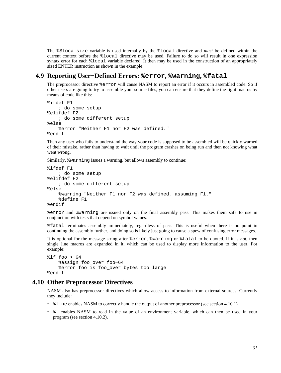The %\$localsize variable is used internally by the %local directive and *must* be defined within the current context before the %local directive may be used. Failure to do so will result in one expression syntax error for each %local variable declared. It then may be used in the construction of an appropriately sized ENTER instruction as shown in the example.

# **4.9 Reporting User−Defined Errors: %error, %warning, %fatal**

The preprocessor directive %error will cause NASM to report an error if it occurs in assembled code. So if other users are going to try to assemble your source files, you can ensure that they define the right macros by means of code like this:

```
%ifdef F1 
     ; do some setup 
%elifdef F2 
     ; do some different setup 
%else 
     %error "Neither F1 nor F2 was defined." 
%endif
```
Then any user who fails to understand the way your code is supposed to be assembled will be quickly warned of their mistake, rather than having to wait until the program crashes on being run and then not knowing what went wrong.

Similarly, %warning issues a warning, but allows assembly to continue:

```
%ifdef F1 
     ; do some setup 
%elifdef F2 
     ; do some different setup 
%else 
     %warning "Neither F1 nor F2 was defined, assuming F1." 
     %define F1 
%endif
```
%error and %warning are issued only on the final assembly pass. This makes them safe to use in conjunction with tests that depend on symbol values.

%fatal terminates assembly immediately, regardless of pass. This is useful when there is no point in continuing the assembly further, and doing so is likely just going to cause a spew of confusing error messages.

It is optional for the message string after %error, %warning or %fatal to be quoted. If it is *not*, then single−line macros are expanded in it, which can be used to display more information to the user. For example:

```
\$if foo > 64
     %assign foo_over foo−64 
     %error foo is foo_over bytes too large 
%endif
```
## **4.10 Other Preprocessor Directives**

NASM also has preprocessor directives which allow access to information from external sources. Currently they include:

- $\text{\$line}$  and  $\text{F}$  also in  $\text{F}$  and  $\text{F}$  and  $\text{F}$  and  $\text{F}$  are preprocessor (see [section 4.10.1\)](#page-61-1).
- %! enables NASM to read in the value of an environment variable, which can then be used in your program (see [section 4.10.2\)](#page-61-0).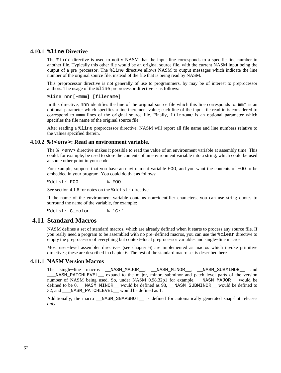## **4.10.1 %line Directive**

<span id="page-61-1"></span>The %line directive is used to notify NASM that the input line corresponds to a specific line number in another file. Typically this other file would be an original source file, with the current NASM input being the output of a pre−processor. The %line directive allows NASM to output messages which indicate the line number of the original source file, instead of the file that is being read by NASM.

This preprocessor directive is not generally of use to programmers, by may be of interest to preprocessor authors. The usage of the %line preprocessor directive is as follows:

%line nnn[+mmm] [filename]

In this directive, nnn identifies the line of the original source file which this line corresponds to, mmm is an optional parameter which specifies a line increment value; each line of the input file read in is considered to correspond to mmm lines of the original source file. Finally, filename is an optional parameter which specifies the file name of the original source file.

After reading a %line preprocessor directive, NASM will report all file name and line numbers relative to the values specified therein.

#### **4.10.2 %!<env>: Read an environment variable.**

<span id="page-61-0"></span>The  $\frac{1}{2}$ ! <env> directive makes it possible to read the value of an environment variable at assembly time. This could, for example, be used to store the contents of an environment variable into a string, which could be used at some other point in your code.

For example, suppose that you have an environment variable FOO, and you want the contents of FOO to be embedded in your program. You could do that as follows:

%defstr FOO %!FOO

See [section 4.1.8](#page-41-1) for notes on the %defstr directive.

If the name of the environment variable contains non−identifier characters, you can use string quotes to surround the name of the variable, for example:

%defstr C\_colon %!'C:'

## **4.11 Standard Macros**

NASM defines a set of standard macros, which are already defined when it starts to process any source file. If you really need a program to be assembled with no pre−defined macros, you can use the %clear directive to empty the preprocessor of everything but context−local preprocessor variables and single−line macros.

Most user−level assembler directives (see [chapter 6\)](#page-70-0) are implemented as macros which invoke primitive directives; these are described in [chapter 6.](#page-70-0) The rest of the standard macro set is described here.

## **4.11.1 NASM Version Macros**

The single−line macros \_\_NASM\_MAJOR\_\_, \_\_NASM\_MINOR\_\_, \_\_NASM\_SUBMINOR\_\_ and \_\_\_NASM\_PATCHLEVEL\_\_ expand to the major, minor, subminor and patch level parts of the version number of NASM being used. So, under NASM 0.98.32p1 for example, \_\_NASM\_MAJOR\_\_ would be defined to be 0, \_\_NASM\_MINOR\_\_ would be defined as  $\overline{98}$ , \_\_NASM\_SUBMINOR\_\_ would be defined to 32, and \_\_\_NASM\_PATCHLEVEL\_\_ would be defined as 1.

Additionally, the macro \_\_NASM\_SNAPSHOT\_\_ is defined for automatically generated snapshot releases *only*.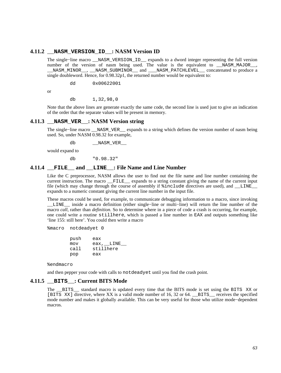#### **4.11.2 \_\_NASM\_VERSION\_ID\_\_: NASM Version ID**

The single−line macro \_\_NASM\_VERSION\_ID\_\_ expands to a dword integer representing the full version number of the version of nasm being used. The value is the equivalent to \_\_NASM\_MAJOR\_\_, \_\_NASM\_MINOR\_\_, \_\_NASM\_SUBMINOR\_\_ and \_\_\_NASM\_PATCHLEVEL\_\_ concatenated to produce a single doubleword. Hence, for 0.98.32p1, the returned number would be equivalent to:

dd 0x00622001

or

db 1,32,98,0

Note that the above lines are generate exactly the same code, the second line is used just to give an indication of the order that the separate values will be present in memory.

## **4.11.3 \_\_NASM\_VER\_\_: NASM Version string**

The single−line macro \_\_NASM\_VER\_\_ expands to a string which defines the version number of nasm being used. So, under NASM 0.98.32 for example,

db \_\_NASM\_VER\_\_

would expand to

db "0.98.32"

#### **4.11.4 \_\_FILE\_\_ and \_\_LINE\_\_: File Name and Line Number**

Like the C preprocessor, NASM allows the user to find out the file name and line number containing the current instruction. The macro \_\_FILE\_\_ expands to a string constant giving the name of the current input file (which may change through the course of assembly if  $\frac{2}{10}$  and  $\frac{1}{2}$  and  $\frac{1}{2}$  and  $\frac{1}{2}$  and  $\frac{1}{2}$  and  $\frac{1}{2}$  and  $\frac{1}{2}$  and  $\frac{1}{2}$  and  $\frac{1}{2}$  and  $\frac{1}{2}$  and  $\frac{1}{2}$  and  $\frac{1}{2}$  expands to a numeric constant giving the current line number in the input file.

These macros could be used, for example, to communicate debugging information to a macro, since invoking \_\_LINE\_\_ inside a macro definition (either single−line or multi−line) will return the line number of the macro *call*, rather than *definition*. So to determine where in a piece of code a crash is occurring, for example, one could write a routine stillhere, which is passed a line number in EAX and outputs something like 'line 155: still here'. You could then write a macro

%macro notdeadyet 0

| push | eax       |
|------|-----------|
| mov  | eax, LINE |
| call | stillhere |
| pop  | eax       |

%endmacro

and then pepper your code with calls to notdeadyet until you find the crash point.

## **4.11.5 \_\_BITS\_\_: Current BITS Mode**

<span id="page-62-0"></span>The \_\_BITS\_\_ standard macro is updated every time that the BITS mode is set using the BITS XX or [BITS XX] directive, where XX is a valid mode number of 16, 32 or 64. BITS receives the specified mode number and makes it globally available. This can be very useful for those who utilize mode−dependent macros.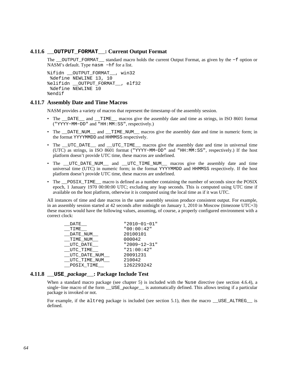## **4.11.6 \_\_OUTPUT\_FORMAT\_\_: Current Output Format**

The \_\_OUTPUT\_FORMAT\_\_ standard macro holds the current Output Format, as given by the −f option or NASM's default. Type nasm −hf for a list.

```
%ifidn OUTPUT FORMAT , win32
  %define NEWLINE 13, 10 
%elifidn __OUTPUT_FORMAT__, elf32 
  %define NEWLINE 10 
%endif
```
#### **4.11.7 Assembly Date and Time Macros**

NASM provides a variety of macros that represent the timestamp of the assembly session.

- The \_\_DATE\_\_ and \_\_TIME\_\_ macros give the assembly date and time as strings, in ISO 8601 format ("YYYY−MM−DD" and "HH:MM:SS", respectively.)
- The \_\_DATE\_NUM\_\_\_ and \_\_TIME\_NUM\_\_\_ macros give the assembly date and time in numeric form; in the format YYYYMMDD and HHMMSS respectively.
- The \_\_UTC\_DATE\_\_ and \_\_UTC\_TIME\_\_ macros give the assembly date and time in universal time (UTC) as strings, in ISO 8601 format ("YYYY−MM−DD" and "HH:MM:SS", respectively.) If the host platform doesn't provide UTC time, these macros are undefined.
- The \_UTC\_DATE\_NUM\_\_ and \_UTC\_TIME\_NUM\_\_ macros give the assembly date and time universal time (UTC) in numeric form; in the format YYYYMMDD and HHMMSS respectively. If the host platform doesn't provide UTC time, these macros are undefined.
- The <u>posix</u> TIME macro is defined as a number containing the number of seconds since the POSIX epoch, 1 January 1970 00:00:00 UTC; excluding any leap seconds. This is computed using UTC time if available on the host platform, otherwise it is computed using the local time as if it was UTC.

All instances of time and date macros in the same assembly session produce consistent output. For example, in an assembly session started at 42 seconds after midnight on January 1, 2010 in Moscow (timezone UTC+3) these macros would have the following values, assuming, of course, a properly configured environment with a correct clock:

| DATE         | "2010-01-01"       |
|--------------|--------------------|
| TIME         | "00:00:42"         |
| DATE NUM     | 20100101           |
| TIME NUM     | 000042             |
| UTC DATE     | $"2009 - 12 - 31"$ |
| UTC TIME     | "21:00:42"         |
| UTC DATE NUM | 20091231           |
| UTC TIME NUM | 210042             |
| POSIX TIME   | 1262293242         |

#### **4.11.8 \_\_USE\_***package***\_\_: Package Include Test**

<span id="page-63-0"></span>When a standard macro package (see [chapter 5\)](#page-68-0) is included with the %use directive (see [section 4.6.4\)](#page-54-1), a single−line macro of the form \_\_USE\_*package*\_\_ is automatically defined. This allows testing if a particular package is invoked or not.

For example, if the altreg package is included (see [section 5.1](#page-68-1)), then the macro \_\_USE\_ALTREG\_ is defined.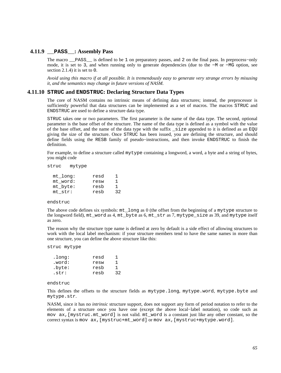## **4.11.9 \_\_PASS\_\_: Assembly Pass**

The macro \_\_PASS\_\_ is defined to be 1 on preparatory passes, and 2 on the final pass. In preprocess−only mode, it is set to 3, and when running only to generate dependencies (due to the −M or −MG option, see [section 2.1.4\)](#page-18-0) it is set to 0.

*Avoid using this macro if at all possible. It is tremendously easy to generate very strange errors by misusing it, and the semantics may change in future versions of NASM.*

#### **4.11.10 STRUC and ENDSTRUC: Declaring Structure Data Types**

The core of NASM contains no intrinsic means of defining data structures; instead, the preprocessor is sufficiently powerful that data structures can be implemented as a set of macros. The macros STRUC and ENDSTRUC are used to define a structure data type.

STRUC takes one or two parameters. The first parameter is the name of the data type. The second, optional parameter is the base offset of the structure. The name of the data type is defined as a symbol with the value of the base offset, and the name of the data type with the suffix \_size appended to it is defined as an EQU giving the size of the structure. Once STRUC has been issued, you are defining the structure, and should define fields using the RESB family of pseudo−instructions, and then invoke ENDSTRUC to finish the definition.

For example, to define a structure called mytype containing a longword, a word, a byte and a string of bytes, you might code

struc mytype

| mt long: | resd | ı  |
|----------|------|----|
| mt word: | resw | 1  |
| mt byte: | resb | 1. |
| mt str:  | resb | 32 |

#### endstruc

The above code defines six symbols: mt\_long as 0 (the offset from the beginning of a mytype structure to the longword field), mt\_word as 4, mt\_byte as 6, mt\_str as 7, mytype\_size as 39, and mytype itself as zero.

The reason why the structure type name is defined at zero by default is a side effect of allowing structures to work with the local label mechanism: if your structure members tend to have the same names in more than one structure, you can define the above structure like this:

struc mytype

| .long: | resd | ٦  |
|--------|------|----|
| .word: | resw | 1  |
| .byte: | resb | 1  |
| .str:  | resb | 32 |

#### endstruc

This defines the offsets to the structure fields as mytype.long, mytype.word, mytype.byte and mytype.str.

NASM, since it has no *intrinsic* structure support, does not support any form of period notation to refer to the elements of a structure once you have one (except the above local−label notation), so code such as mov ax,[mystruc.mt\_word] is not valid. mt\_word is a constant just like any other constant, so the correct syntax is mov ax,[mystruc+mt\_word] or mov ax,[mystruc+mytype.word].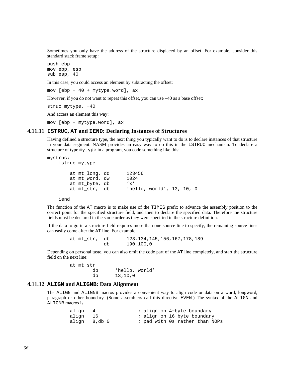Sometimes you only have the address of the structure displaced by an offset. For example, consider this standard stack frame setup:

push ebp mov ebp, esp sub esp, 40

In this case, you could access an element by subtracting the offset:

mov [ebp − 40 + mytype.word], ax

However, if you do not want to repeat this offset, you can use –40 as a base offset:

struc mytype, −40

And access an element this way:

mov [ebp + mytype.word], ax

#### **4.11.11 ISTRUC, AT and IEND: Declaring Instances of Structures**

Having defined a structure type, the next thing you typically want to do is to declare instances of that structure in your data segment. NASM provides an easy way to do this in the ISTRUC mechanism. To declare a structure of type mytype in a program, you code something like this:

```
mystruc: 
    istruc mytype 
        at mt_long, dd 123456 
        at mt_word, dw 1024 
        at mt_byte, db 'x' 
        at mt_str, db 'hello, world', 13, 10, 0
```
iend

The function of the AT macro is to make use of the TIMES prefix to advance the assembly position to the correct point for the specified structure field, and then to declare the specified data. Therefore the structure fields must be declared in the same order as they were specified in the structure definition.

If the data to go in a structure field requires more than one source line to specify, the remaining source lines can easily come after the AT line. For example:

> at mt\_str, db 123,134,145,156,167,178,189 db 190,100,0

Depending on personal taste, you can also omit the code part of the AT line completely, and start the structure field on the next line:

> at mt\_str db 'hello, world' db 13,10,0

#### **4.11.12 ALIGN and ALIGNB: Data Alignment**

<span id="page-65-0"></span>The ALIGN and ALIGNB macros provides a convenient way to align code or data on a word, longword, paragraph or other boundary. (Some assemblers call this directive EVEN.) The syntax of the ALIGN and ALIGNB macros is

| align 4      |  | ; align on 4-byte boundary     |
|--------------|--|--------------------------------|
| align 16     |  | ; align on 16-byte boundary    |
| align 8,db 0 |  | ; pad with Os rather than NOPs |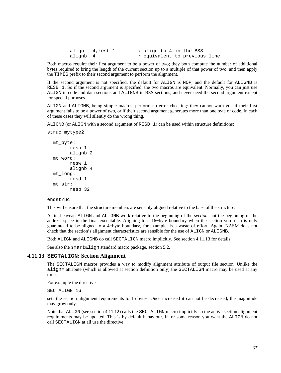|          | align 4,resb 1 | ; align to 4 in the BSS       |  |  |
|----------|----------------|-------------------------------|--|--|
| alignb 4 |                | ; equivalent to previous line |  |  |

Both macros require their first argument to be a power of two; they both compute the number of additional bytes required to bring the length of the current section up to a multiple of that power of two, and then apply the TIMES prefix to their second argument to perform the alignment.

If the second argument is not specified, the default for ALIGN is NOP, and the default for ALIGNB is RESB 1. So if the second argument is specified, the two macros are equivalent. Normally, you can just use ALIGN in code and data sections and ALIGNB in BSS sections, and never need the second argument except for special purposes.

ALIGN and ALIGNB, being simple macros, perform no error checking: they cannot warn you if their first argument fails to be a power of two, or if their second argument generates more than one byte of code. In each of these cases they will silently do the wrong thing.

ALIGNB (or ALIGN with a second argument of RESB 1) can be used within structure definitions:

```
struc mytype2
```

```
 mt_byte: 
         resb 1 
         alignb 2 
 mt_word: 
         resw 1 
         alignb 4 
 mt_long: 
        resd 1 
 mt_str: 
         resb 32
```
#### endstruc

This will ensure that the structure members are sensibly aligned relative to the base of the structure.

A final caveat: ALIGN and ALIGNB work relative to the beginning of the *section*, not the beginning of the address space in the final executable. Aligning to a 16−byte boundary when the section you're in is only guaranteed to be aligned to a 4−byte boundary, for example, is a waste of effort. Again, NASM does not check that the section's alignment characteristics are sensible for the use of ALIGN or ALIGNB.

Both ALIGN and ALIGNB do call SECTALIGN macro implicitly. See [section 4.11.13](#page-66-0) for details.

See also the smartalign standard macro package, [section 5.2.](#page-68-2)

#### **4.11.13 SECTALIGN: Section Alignment**

<span id="page-66-0"></span>The SECTALIGN macros provides a way to modify alignment attribute of output file section. Unlike the align= attribute (which is allowed at section definition only) the SECTALIGN macro may be used at any time.

For example the directive

SECTALIGN 16

sets the section alignment requirements to 16 bytes. Once increased it can not be decreased, the magnitude may grow only.

Note that ALIGN (see [section 4.11.12\)](#page-65-0) calls the SECTALIGN macro implicitly so the active section alignment requirements may be updated. This is by default behaviour, if for some reason you want the ALIGN do not call SECTALIGN at all use the directive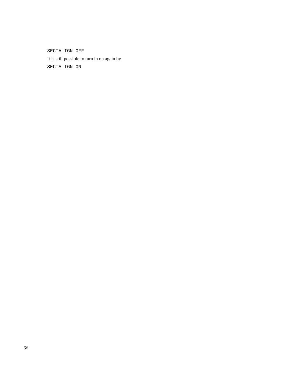SECTALIGN OFF

It is still possible to turn in on again by SECTALIGN ON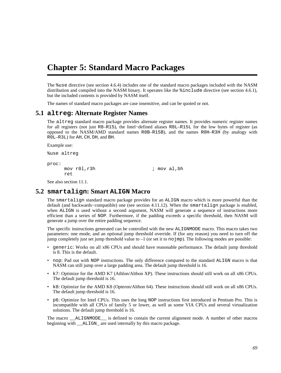# <span id="page-68-0"></span>**Chapter 5: Standard Macro Packages**

The %use directive (see [section 4.6.4\)](#page-54-1) includes one of the standard macro packages included with the NASM distribution and compiled into the NASM binary. It operates like the %include directive (see [section 4.6.1](#page-53-0)), but the included contents is provided by NASM itself.

The names of standard macro packages are case insensitive, and can be quoted or not.

## **5.1 altreg: Alternate Register Names**

<span id="page-68-1"></span>The altreg standard macro package provides alternate register names. It provides numeric register names for all registers (not just R8–R15), the Intel−defined aliases R8L–R15L for the low bytes of register (as opposed to the NASM/AMD standard names R8B–R15B), and the names R0H–R3H (by analogy with R0L–R3L) for AH, CH, DH, and BH.

Example use:

%use altreg

proc: ret

mov r01, r3h ; mov al, bh

See also [section 11.1.](#page-116-0)

# **5.2 smartalign: Smart ALIGN Macro**

<span id="page-68-2"></span>The smartalign standard macro package provides for an ALIGN macro which is more powerful than the default (and backwards−compatible) one (see [section 4.11.12\)](#page-65-0). When the smartalign package is enabled, when ALIGN is used without a second argument, NASM will generate a sequence of instructions more efficient than a series of NOP. Furthermore, if the padding exceeds a specific threshold, then NASM will generate a jump over the entire padding sequence.

The specific instructions generated can be controlled with the new ALIGNMODE macro. This macro takes two parameters: one mode, and an optional jump threshold override. If (for any reason) you need to turn off the jump completely just set jump threshold value to  $-1$  (or set it to no  $\overline{1}$ mp). The following modes are possible:

- generic: Works on all x86 CPUs and should have reasonable performance. The default jump threshold is 8. This is the default.
- nop: Pad out with NOP instructions. The only difference compared to the standard ALIGN macro is that NASM can still jump over a large padding area. The default jump threshold is 16.
- k7: Optimize for the AMD K7 (Athlon/Althon XP). These instructions should still work on all x86 CPUs. The default jump threshold is 16.
- k8: Optimize for the AMD K8 (Opteron/Althon 64). These instructions should still work on all x86 CPUs. The default jump threshold is 16.
- p6: Optimize for Intel CPUs. This uses the long NOP instructions first introduced in Pentium Pro. This is incompatible with all CPUs of family 5 or lower, as well as some VIA CPUs and several virtualization solutions. The default jump threshold is 16.

The macro \_\_ALIGNMODE\_\_ is defined to contain the current alignment mode. A number of other macros beginning with \_\_ALIGN\_ are used internally by this macro package.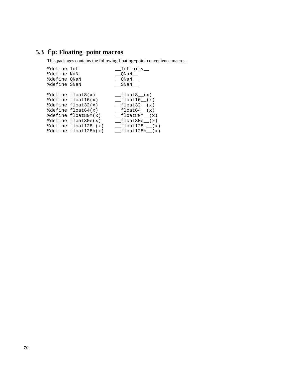# **5.3 fp: Floating−point macros**

This packages contains the following floating−point convenience macros:

| %define Inf  |                            | Infinity__    |
|--------------|----------------------------|---------------|
| %define NaN  |                            | ONaN          |
| %define QNaN |                            | ONaN          |
| %define SNaN |                            | SNaN          |
|              |                            |               |
|              | %define float8(x)          | float8 (x)    |
|              | %define float16(x)         | float16 (x)   |
|              | %define float32(x)         | float32 (x)   |
|              | $\delta$ define float64(x) | float64 (x)   |
|              | %define float80m(x)        | float80m (x)  |
|              | %define float80e(x)        | float80e (x)  |
|              | %define float1281(x)       | float1281 (x) |
|              | %define float128h(x)       | float128h (x) |
|              |                            |               |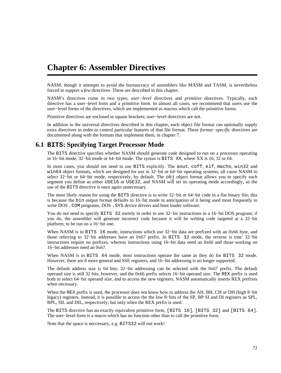# <span id="page-70-0"></span>**Chapter 6: Assembler Directives**

NASM, though it attempts to avoid the bureaucracy of assemblers like MASM and TASM, is nevertheless forced to support a *few* directives. These are described in this chapter.

NASM's directives come in two types: *user−level* directives and *primitive* directives. Typically, each directive has a user−level form and a primitive form. In almost all cases, we recommend that users use the user−level forms of the directives, which are implemented as macros which call the primitive forms.

Primitive directives are enclosed in square brackets; user−level directives are not.

In addition to the universal directives described in this chapter, each object file format can optionally supply extra directives in order to control particular features of that file format. These *format−specific* directives are documented along with the formats that implement them, in [chapter 7.](#page-76-0)

# **6.1 BITS: Specifying Target Processor Mode**

The BITS directive specifies whether NASM should generate code designed to run on a processor operating in 16−bit mode, 32−bit mode or 64−bit mode. The syntax is BITS XX, where XX is 16, 32 or 64.

In most cases, you should not need to use BITS explicitly. The aout, coff, elf, macho, win32 and win64 object formats, which are designed for use in 32−bit or 64−bit operating systems, all cause NASM to select 32-bit or 64-bit mode, respectively, by default. The obj object format allows you to specify each segment you define as either USE16 or USE32, and NASM will set its operating mode accordingly, so the use of the BITS directive is once again unnecessary.

The most likely reason for using the BITS directive is to write 32−bit or 64−bit code in a flat binary file; this is because the bin output format defaults to 16−bit mode in anticipation of it being used most frequently to write DOS . COM programs, DOS . SYS device drivers and boot loader software.

You do *not* need to specify BITS 32 merely in order to use 32−bit instructions in a 16−bit DOS program; if you do, the assembler will generate incorrect code because it will be writing code targeted at a 32−bit platform, to be run on a 16−bit one.

When NASM is in BITS 16 mode, instructions which use 32–bit data are prefixed with an 0x66 byte, and those referring to 32−bit addresses have an 0x67 prefix. In BITS 32 mode, the reverse is true: 32−bit instructions require no prefixes, whereas instructions using 16−bit data need an 0x66 and those working on 16−bit addresses need an 0x67.

When NASM is in BITS 64 mode, most instructions operate the same as they do for BITS 32 mode. However, there are 8 more general and SSE registers, and 16−bit addressing is no longer supported.

The default address size is 64 bits; 32−bit addressing can be selected with the 0x67 prefix. The default operand size is still 32 bits, however, and the 0x66 prefix selects 16−bit operand size. The REX prefix is used both to select 64−bit operand size, and to access the new registers. NASM automatically inserts REX prefixes when necessary.

When the REX prefix is used, the processor does not know how to address the AH, BH, CH or DH (high 8−bit legacy) registers. Instead, it is possible to access the the low 8−bits of the SP, BP SI and DI registers as SPL, BPL, SIL and DIL, respectively; but only when the REX prefix is used.

The BITS directive has an exactly equivalent primitive form, [BITS 16], [BITS 32] and [BITS 64]. The user−level form is a macro which has no function other than to call the primitive form.

Note that the space is neccessary, e.g. BITS32 will *not* work!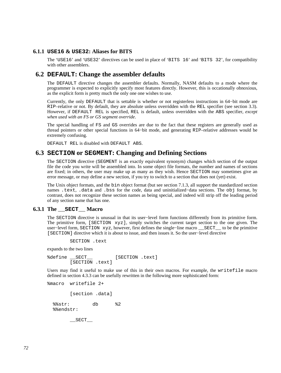## **6.1.1 USE16 & USE32: Aliases for BITS**

The 'USE16' and 'USE32' directives can be used in place of 'BITS 16' and 'BITS 32', for compatibility with other assemblers.

## **6.2 DEFAULT: Change the assembler defaults**

The DEFAULT directive changes the assembler defaults. Normally, NASM defaults to a mode where the programmer is expected to explicitly specify most features directly. However, this is occationally obnoxious, as the explicit form is pretty much the only one one wishes to use.

Currently, the only DEFAULT that is settable is whether or not registerless instructions in 64−bit mode are RIP–relative or not. By default, they are absolute unless overridden with the REL specifier (see [section 3.3](#page-28-0)). However, if DEFAULT REL is specified, REL is default, unless overridden with the ABS specifier, *except when used with an FS or GS segment override*.

The special handling of FS and GS overrides are due to the fact that these registers are generally used as thread pointers or other special functions in 64−bit mode, and generating RIP–relative addresses would be extremely confusing.

DEFAULT REL is disabled with DEFAULT ABS.

## **6.3 SECTION or SEGMENT: Changing and Defining Sections**

The SECTION directive (SEGMENT is an exactly equivalent synonym) changes which section of the output file the code you write will be assembled into. In some object file formats, the number and names of sections are fixed; in others, the user may make up as many as they wish. Hence SECTION may sometimes give an error message, or may define a new section, if you try to switch to a section that does not (yet) exist.

The Unix object formats, and the bin object format (but see [section 7.1.3](#page-77-0), all support the standardized section names .text, .data and .bss for the code, data and uninitialized−data sections. The obj format, by contrast, does not recognize these section names as being special, and indeed will strip off the leading period of any section name that has one.

#### **6.3.1 The \_\_SECT\_\_ Macro**

<span id="page-71-0"></span>The SECTION directive is unusual in that its user−level form functions differently from its primitive form. The primitive form, [SECTION xyz], simply switches the current target section to the one given. The user−level form, SECTION xyz, however, first defines the single−line macro \_\_SECT\_\_ to be the primitive [SECTION] directive which it is about to issue, and then issues it. So the user−level directive

SECTION .text

expands to the two lines

%define SECT [SECTION .text] [SECTION .text]

Users may find it useful to make use of this in their own macros. For example, the writefile macro defined in [section 4.3.3](#page-44-0) can be usefully rewritten in the following more sophisticated form:

```
%macro writefile 2+
```
[section .data]

 %%str: db %2 %%endstr:

 $\_$ SECT $\_$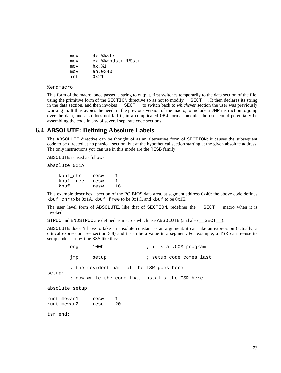| mov | dx,%%str              |
|-----|-----------------------|
| mov | cx, % endstr- % % str |
| mov | bx, %1                |
| mov | ah, 0x40              |
| int | $0 \times 21$         |

%endmacro

This form of the macro, once passed a string to output, first switches temporarily to the data section of the file, using the primitive form of the SECTION directive so as not to modify \_\_SECT\_\_. It then declares its string in the data section, and then invokes \_\_SECT\_\_ to switch back to *whichever* section the user was previously working in. It thus avoids the need, in the previous version of the macro, to include a JMP instruction to jump over the data, and also does not fail if, in a complicated OBJ format module, the user could potentially be assembling the code in any of several separate code sections.

# **6.4 ABSOLUTE: Defining Absolute Labels**

The ABSOLUTE directive can be thought of as an alternative form of SECTION: it causes the subsequent code to be directed at no physical section, but at the hypothetical section starting at the given absolute address. The only instructions you can use in this mode are the RESB family.

ABSOLUTE is used as follows:

absolute 0x1A

 kbuf\_chr resw 1 kbuf\_free resw 1 kbuf resw 16

This example describes a section of the PC BIOS data area, at segment address 0x40: the above code defines kbuf\_chr to be 0x1A, kbuf\_free to be 0x1C, and kbuf to be 0x1E.

The user−level form of ABSOLUTE, like that of SECTION, redefines the \_\_SECT\_\_ macro when it is invoked.

STRUC and ENDSTRUC are defined as macros which use ABSOLUTE (and also \_\_SECT\_\_).

ABSOLUTE doesn't have to take an absolute constant as an argument: it can take an expression (actually, a critical expression: see [section 3.8\)](#page-35-0) and it can be a value in a segment. For example, a TSR can re−use its setup code as run−time BSS like this:

|                            | org | 100h         |         | ; it's a .COM program                           |
|----------------------------|-----|--------------|---------|-------------------------------------------------|
|                            | jmp | setup        |         | ; setup code comes last                         |
|                            |     |              |         | ; the resident part of the TSR goes here        |
| setup:                     |     |              |         | ; now write the code that installs the TSR here |
| absolute setup             |     |              |         |                                                 |
| runtimevar1<br>runtimevar2 |     | resw<br>resd | 1<br>20 |                                                 |
| tsr end:                   |     |              |         |                                                 |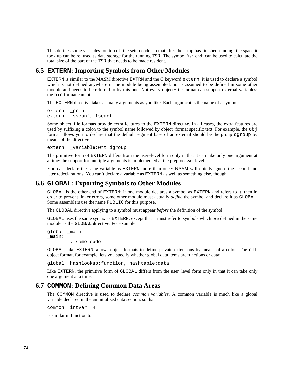This defines some variables 'on top of' the setup code, so that after the setup has finished running, the space it took up can be re−used as data storage for the running TSR. The symbol 'tsr\_end' can be used to calculate the total size of the part of the TSR that needs to be made resident.

# **6.5 EXTERN: Importing Symbols from Other Modules**

EXTERN is similar to the MASM directive EXTRN and the C keyword extern: it is used to declare a symbol which is not defined anywhere in the module being assembled, but is assumed to be defined in some other module and needs to be referred to by this one. Not every object−file format can support external variables: the bin format cannot.

The EXTERN directive takes as many arguments as you like. Each argument is the name of a symbol:

extern printf extern \_sscanf,\_fscanf

Some object−file formats provide extra features to the EXTERN directive. In all cases, the extra features are used by suffixing a colon to the symbol name followed by object−format specific text. For example, the obj format allows you to declare that the default segment base of an external should be the group dgroup by means of the directive

extern \_variable:wrt dgroup

The primitive form of EXTERN differs from the user−level form only in that it can take only one argument at a time: the support for multiple arguments is implemented at the preprocessor level.

You can declare the same variable as EXTERN more than once: NASM will quietly ignore the second and later redeclarations. You can't declare a variable as EXTERN as well as something else, though.

# **6.6 GLOBAL: Exporting Symbols to Other Modules**

GLOBAL is the other end of EXTERN: if one module declares a symbol as EXTERN and refers to it, then in order to prevent linker errors, some other module must actually *define* the symbol and declare it as GLOBAL. Some assemblers use the name PUBLIC for this purpose.

The GLOBAL directive applying to a symbol must appear *before* the definition of the symbol.

GLOBAL uses the same syntax as EXTERN, except that it must refer to symbols which *are* defined in the same module as the GLOBAL directive. For example:

global \_main \_main:

; some code

GLOBAL, like EXTERN, allows object formats to define private extensions by means of a colon. The elf object format, for example, lets you specify whether global data items are functions or data:

global hashlookup:function, hashtable:data

Like EXTERN, the primitive form of GLOBAL differs from the user−level form only in that it can take only one argument at a time.

## **6.7 COMMON: Defining Common Data Areas**

The COMMON directive is used to declare *common variables*. A common variable is much like a global variable declared in the uninitialized data section, so that

common intvar 4

is similar in function to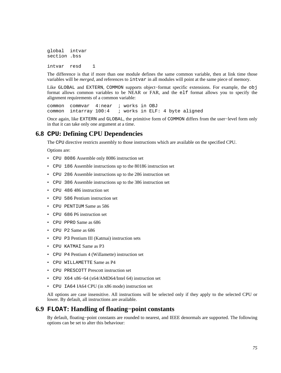global intvar section .bss intvar resd 1

The difference is that if more than one module defines the same common variable, then at link time those variables will be *merged*, and references to intvar in all modules will point at the same piece of memory.

Like GLOBAL and EXTERN, COMMON supports object−format specific extensions. For example, the obj format allows common variables to be NEAR or FAR, and the elf format allows you to specify the alignment requirements of a common variable:

common commvar 4:near ; works in OBJ common intarray 100:4 ; works in ELF: 4 byte aligned

Once again, like EXTERN and GLOBAL, the primitive form of COMMON differs from the user−level form only in that it can take only one argument at a time.

# **6.8 CPU: Defining CPU Dependencies**

The CPU directive restricts assembly to those instructions which are available on the specified CPU.

Options are:

- CPU 8086 Assemble only 8086 instruction set
- CPU 186 Assemble instructions up to the 80186 instruction set
- CPU 286 Assemble instructions up to the 286 instruction set
- CPU 386 Assemble instructions up to the 386 instruction set
- CPU 486 486 instruction set
- CPU 586 Pentium instruction set
- CPU PENTIUM Same as 586
- CPU 686 P6 instruction set
- CPU PPRO Same as 686
- CPU P2 Same as 686
- CPU P3 Pentium III (Katmai) instruction sets
- CPU KATMAI Same as P3
- CPU P4 Pentium 4 (Willamette) instruction set
- CPU WILLAMETTE Same as P4
- CPU PRESCOTT Prescott instruction set
- CPU X64 x86−64 (x64/AMD64/Intel 64) instruction set
- CPU IA64 IA64 CPU (in x86 mode) instruction set

All options are case insensitive. All instructions will be selected only if they apply to the selected CPU or lower. By default, all instructions are available.

# **6.9 FLOAT: Handling of floating−point constants**

By default, floating−point constants are rounded to nearest, and IEEE denormals are supported. The following options can be set to alter this behaviour: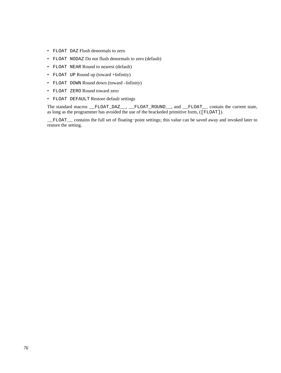- FLOAT DAZ Flush denormals to zero
- FLOAT NODAZ Do not flush denormals to zero (default)
- FLOAT NEAR Round to nearest (default)
- FLOAT UP Round up (toward +Infinity)
- FLOAT DOWN Round down (toward –Infinity)
- FLOAT ZERO Round toward zero
- FLOAT DEFAULT Restore default settings

The standard macros \_\_FLOAT\_DAZ\_\_, \_\_FLOAT\_ROUND\_\_, and \_\_FLOAT\_\_ contain the current state, as long as the programmer has avoided the use of the brackeded primitive form, ([FLOAT]).

\_\_FLOAT\_\_ contains the full set of floating−point settings; this value can be saved away and invoked later to restore the setting.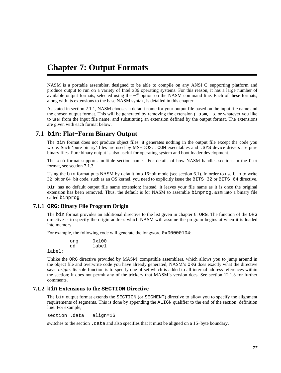# **Chapter 7: Output Formats**

NASM is a portable assembler, designed to be able to compile on any ANSI C−supporting platform and produce output to run on a variety of Intel x86 operating systems. For this reason, it has a large number of available output formats, selected using the −f option on the NASM command line. Each of these formats, along with its extensions to the base NASM syntax, is detailed in this chapter.

As stated in [section 2.1.1](#page-17-0), NASM chooses a default name for your output file based on the input file name and the chosen output format. This will be generated by removing the extension (.asm, .s, or whatever you like to use) from the input file name, and substituting an extension defined by the output format. The extensions are given with each format below.

# **7.1 bin: Flat−Form Binary Output**

The bin format does not produce object files: it generates nothing in the output file except the code you wrote. Such 'pure binary' files are used by MS-DOS: . COM executables and . SYS device drivers are pure binary files. Pure binary output is also useful for operating system and boot loader development.

The bin format supports multiple section names. For details of how NASM handles sections in the bin format, see [section 7.1.3.](#page-77-0)

Using the bin format puts NASM by default into 16−bit mode (see [section 6.1](#page-70-0)). In order to use bin to write 32−bit or 64−bit code, such as an OS kernel, you need to explicitly issue the BITS 32 or BITS 64 directive.

bin has no default output file name extension: instead, it leaves your file name as it is once the original extension has been removed. Thus, the default is for NASM to assemble binprog.asm into a binary file called binprog.

# **7.1.1 ORG: Binary File Program Origin**

The bin format provides an additional directive to the list given in [chapter 6:](#page-70-1) ORG. The function of the ORG directive is to specify the origin address which NASM will assume the program begins at when it is loaded into memory.

For example, the following code will generate the longword 0x00000104:

 org 0x100 dd label

label:

Unlike the ORG directive provided by MASM−compatible assemblers, which allows you to jump around in the object file and overwrite code you have already generated, NASM's ORG does exactly what the directive says: *origin*. Its sole function is to specify one offset which is added to all internal address references within the section; it does not permit any of the trickery that MASM's version does. See [section 12.1.3](#page-119-0) for further comments.

## **7.1.2 bin Extensions to the SECTION Directive**

The bin output format extends the SECTION (or SEGMENT) directive to allow you to specify the alignment requirements of segments. This is done by appending the ALIGN qualifier to the end of the section−definition line. For example,

section .data align=16

switches to the section .data and also specifies that it must be aligned on a 16−byte boundary.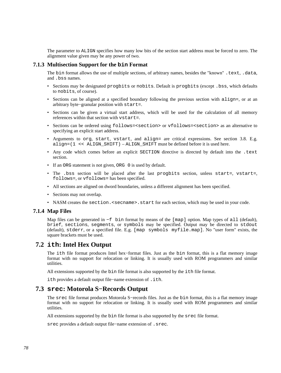The parameter to ALIGN specifies how many low bits of the section start address must be forced to zero. The alignment value given may be any power of two.

## **7.1.3 Multisection Support for the bin Format**

<span id="page-77-0"></span>The bin format allows the use of multiple sections, of arbitrary names, besides the "known" .text, .data, and .bss names.

- Sections may be designated progbits or nobits. Default is progbits (except . bss, which defaults to nobits, of course).
- Sections can be aligned at a specified boundary following the previous section with  $\text{align}$ , or at an arbitrary byte−granular position with start=.
- Sections can be given a virtual start address, which will be used for the calculation of all memory references within that section with vstart=.
- Sections can be ordered using follows=<section> or vfollows=<section> as an alternative to specifying an explicit start address.
- Arguments to org, start, vstart, and align= are critical expressions. See [section 3.8.](#page-35-0) E.g. align= $(1 \le \text{ALIGN SHIFT})$  – ALIGN SHIFT must be defined before it is used here.
- Any code which comes before an explicit SECTION directive is directed by default into the .text section.
- If an ORG statement is not given, ORG 0 is used by default.
- The .bss section will be placed after the last progbits section, unless start=, vstart=, follows=, or vfollows= has been specified.
- All sections are aligned on dword boundaries, unless a different alignment has been specified.
- Sections may not overlap.
- NASM creates the section. < secname>. start for each section, which may be used in your code.

#### **7.1.4 Map Files**

Map files can be generated in −f bin format by means of the [map] option. Map types of all (default), brief, sections, segments, or symbols may be specified. Output may be directed to stdout (default), stderr, or a specified file. E.g. [map symbols myfile.map]. No "user form" exists, the square brackets must be used.

## **7.2 ith: Intel Hex Output**

The ith file format produces Intel hex−format files. Just as the bin format, this is a flat memory image format with no support for relocation or linking. It is usually used with ROM programmers and similar utilities.

All extensions supported by the bin file format is also supported by the ith file format.

ith provides a default output file−name extension of .ith.

# **7.3 srec: Motorola S−Records Output**

The srec file format produces Motorola S−records files. Just as the bin format, this is a flat memory image format with no support for relocation or linking. It is usually used with ROM programmers and similar utilities.

All extensions supported by the bin file format is also supported by the srec file format.

srec provides a default output file−name extension of .srec.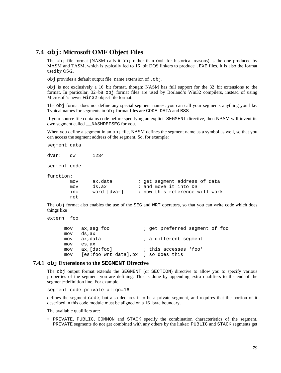# **7.4 obj: Microsoft OMF Object Files**

<span id="page-78-0"></span>The obj file format (NASM calls it obj rather than omf for historical reasons) is the one produced by MASM and TASM, which is typically fed to 16−bit DOS linkers to produce .EXE files. It is also the format used by OS/2.

obj provides a default output file−name extension of .obj.

obj is not exclusively a 16−bit format, though: NASM has full support for the 32−bit extensions to the format. In particular, 32−bit obj format files are used by Borland's Win32 compilers, instead of using Microsoft's newer win32 object file format.

The obj format does not define any special segment names: you can call your segments anything you like. Typical names for segments in obj format files are CODE, DATA and BSS.

If your source file contains code before specifying an explicit SEGMENT directive, then NASM will invent its own segment called \_\_NASMDEFSEG for you.

When you define a segment in an  $obj$  file, NASM defines the segment name as a symbol as well, so that you can access the segment address of the segment. So, for example:

segment data

dvar: dw 1234

segment code

function:

```
mov ax, data \qquad i get segment address of data
mov ds, ax \qquad ; and move it into DS
 inc word [dvar] ; now this reference will work 
 ret
```
The obj format also enables the use of the SEG and WRT operators, so that you can write code which does things like

```
extern foo
```
mov ax, seg foo ; get preferred segment of foo mov ds,ax mov ax, data  $\qquad i$  a different segment mov es,ax mov ax,[ds:foo] ; this accesses 'foo' mov [es:foo wrt data],bx ; so does this

#### **7.4.1 obj Extensions to the SEGMENT Directive**

The obj output format extends the SEGMENT (or SECTION) directive to allow you to specify various properties of the segment you are defining. This is done by appending extra qualifiers to the end of the segment−definition line. For example,

segment code private align=16

defines the segment code, but also declares it to be a private segment, and requires that the portion of it described in this code module must be aligned on a 16−byte boundary.

The available qualifiers are:

• PRIVATE, PUBLIC, COMMON and STACK specify the combination characteristics of the segment. PRIVATE segments do not get combined with any others by the linker; PUBLIC and STACK segments get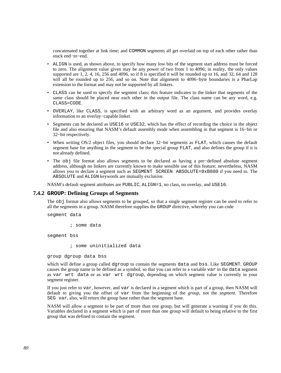concatenated together at link time; and COMMON segments all get overlaid on top of each other rather than stuck end−to−end.

- ALIGN is used, as shown above, to specify how many low bits of the segment start address must be forced to zero. The alignment value given may be any power of two from 1 to 4096; in reality, the only values supported are 1, 2, 4, 16, 256 and 4096, so if 8 is specified it will be rounded up to 16, and 32, 64 and 128 will all be rounded up to 256, and so on. Note that alignment to 4096−byte boundaries is a PharLap extension to the format and may not be supported by all linkers.
- CLASS can be used to specify the segment class; this feature indicates to the linker that segments of the same class should be placed near each other in the output file. The class name can be any word, e.g. CLASS=CODE.
- OVERLAY, like CLASS, is specified with an arbitrary word as an argument, and provides overlay information to an overlay−capable linker.
- Segments can be declared as USE16 or USE32, which has the effect of recording the choice in the object file and also ensuring that NASM's default assembly mode when assembling in that segment is 16−bit or 32−bit respectively.
- When writing OS/2 object files, you should declare 32−bit segments as FLAT, which causes the default segment base for anything in the segment to be the special group FLAT, and also defines the group if it is not already defined.
- The obj file format also allows segments to be declared as having a pre−defined absolute segment address, although no linkers are currently known to make sensible use of this feature; nevertheless, NASM allows you to declare a segment such as SEGMENT SCREEN ABSOLUTE=0xB800 if you need to. The ABSOLUTE and ALIGN keywords are mutually exclusive.

NASM's default segment attributes are PUBLIC, ALIGN=1, no class, no overlay, and USE16.

#### **7.4.2 GROUP: Defining Groups of Segments**

The obj format also allows segments to be grouped, so that a single segment register can be used to refer to all the segments in a group. NASM therefore supplies the GROUP directive, whereby you can code

segment data

; some data

segment bss

; some uninitialized data

group dgroup data bss

which will define a group called dgroup to contain the segments data and bss. Like SEGMENT, GROUP causes the group name to be defined as a symbol, so that you can refer to a variable var in the data segment as var wrt data or as var wrt dgroup, depending on which segment value is currently in your segment register.

If you just refer to var, however, and var is declared in a segment which is part of a group, then NASM will default to giving you the offset of var from the beginning of the *group*, not the *segment*. Therefore SEG var, also, will return the group base rather than the segment base.

NASM will allow a segment to be part of more than one group, but will generate a warning if you do this. Variables declared in a segment which is part of more than one group will default to being relative to the first group that was defined to contain the segment.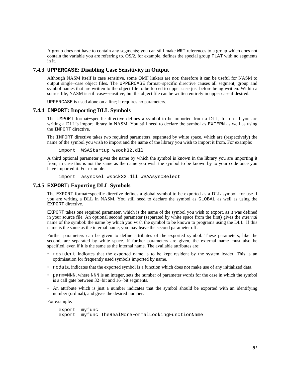A group does not have to contain any segments; you can still make WRT references to a group which does not contain the variable you are referring to. OS/2, for example, defines the special group FLAT with no segments in it.

## **7.4.3 UPPERCASE: Disabling Case Sensitivity in Output**

Although NASM itself is case sensitive, some OMF linkers are not; therefore it can be useful for NASM to output single−case object files. The UPPERCASE format−specific directive causes all segment, group and symbol names that are written to the object file to be forced to upper case just before being written. Within a source file, NASM is still case–sensitive; but the object file can be written entirely in upper case if desired.

UPPERCASE is used alone on a line; it requires no parameters.

#### **7.4.4 IMPORT: Importing DLL Symbols**

The IMPORT format−specific directive defines a symbol to be imported from a DLL, for use if you are writing a DLL's import library in NASM. You still need to declare the symbol as EXTERN as well as using the IMPORT directive.

The IMPORT directive takes two required parameters, separated by white space, which are (respectively) the name of the symbol you wish to import and the name of the library you wish to import it from. For example:

import WSAStartup wsock32.dll

A third optional parameter gives the name by which the symbol is known in the library you are importing it from, in case this is not the same as the name you wish the symbol to be known by to your code once you have imported it. For example:

import asyncsel wsock32.dll WSAAsyncSelect

#### **7.4.5 EXPORT: Exporting DLL Symbols**

The EXPORT format−specific directive defines a global symbol to be exported as a DLL symbol, for use if you are writing a DLL in NASM. You still need to declare the symbol as GLOBAL as well as using the EXPORT directive.

EXPORT takes one required parameter, which is the name of the symbol you wish to export, as it was defined in your source file. An optional second parameter (separated by white space from the first) gives the *external* name of the symbol: the name by which you wish the symbol to be known to programs using the DLL. If this name is the same as the internal name, you may leave the second parameter off.

Further parameters can be given to define attributes of the exported symbol. These parameters, like the second, are separated by white space. If further parameters are given, the external name must also be specified, even if it is the same as the internal name. The available attributes are:

- resident indicates that the exported name is to be kept resident by the system loader. This is an optimisation for frequently used symbols imported by name.
- nodata indicates that the exported symbol is a function which does not make use of any initialized data.
- parm=NNN, where NNN is an integer, sets the number of parameter words for the case in which the symbol is a call gate between 32−bit and 16−bit segments.
- An attribute which is just a number indicates that the symbol should be exported with an identifying number (ordinal), and gives the desired number.

For example:

```
 export myfunc 
 export myfunc TheRealMoreFormalLookingFunctionName
```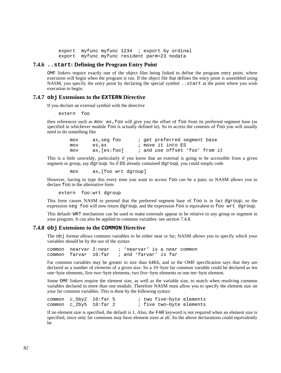export myfunc myfunc 1234 ; export by ordinal export myfunc myfunc resident parm=23 nodata

#### **7.4.6 ..start: Defining the Program Entry Point**

<span id="page-81-2"></span>OMF linkers require exactly one of the object files being linked to define the program entry point, where execution will begin when the program is run. If the object file that defines the entry point is assembled using NASM, you specify the entry point by declaring the special symbol . . start at the point where you wish execution to begin.

#### **7.4.7 obj Extensions to the EXTERN Directive**

<span id="page-81-1"></span>If you declare an external symbol with the directive

extern foo

then references such as mov ax,foo will give you the offset of foo from its preferred segment base (as specified in whichever module foo is actually defined in). So to access the contents of foo you will usually need to do something like

> mov ax, seg foo ; get preferred segment base mov es, ax  $\qquad \qquad ;$  move it into ES mov ax,[es:foo] ; and use offset 'foo' from it

This is a little unwieldy, particularly if you know that an external is going to be accessible from a given segment or group, say dgroup. So if DS already contained dgroup, you could simply code

mov ax,[foo wrt dgroup]

However, having to type this every time you want to access foo can be a pain; so NASM allows you to declare foo in the alternative form

extern foo:wrt dgroup

This form causes NASM to pretend that the preferred segment base of foo is in fact dgroup; so the expression seg foo will now return dgroup, and the expression foo is equivalent to foo wrt dgroup.

This default−WRT mechanism can be used to make externals appear to be relative to any group or segment in your program. It can also be applied to common variables: see [section 7.4.8.](#page-81-0)

#### **7.4.8 obj Extensions to the COMMON Directive**

<span id="page-81-0"></span>The obj format allows common variables to be either near or far; NASM allows you to specify which your variables should be by the use of the syntax

common nearvar 2:near ; 'nearvar' is a near common common farvar 10:far ; and 'farvar' is far

Far common variables may be greater in size than 64Kb, and so the OMF specification says that they are declared as a number of *elements* of a given size. So a 10−byte far common variable could be declared as ten one−byte elements, five two−byte elements, two five−byte elements or one ten−byte element.

Some OMF linkers require the element size, as well as the variable size, to match when resolving common variables declared in more than one module. Therefore NASM must allow you to specify the element size on your far common variables. This is done by the following syntax:

| common c 5by2 10:far 5 |  | ; two five-byte elements |  |
|------------------------|--|--------------------------|--|
| common c 2by5 10:far 2 |  | ; five two-byte elements |  |

If no element size is specified, the default is 1. Also, the FAR keyword is not required when an element size is specified, since only far commons may have element sizes at all. So the above declarations could equivalently be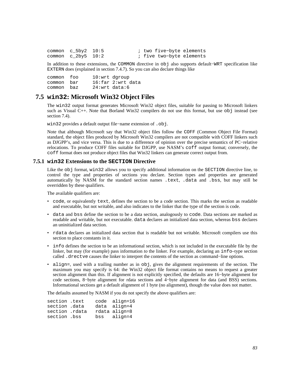| common c $5by2$ 10:5 |  | ; two five-byte elements |  |
|----------------------|--|--------------------------|--|
| common c $2by5$ 10:2 |  | ; five two-byte elements |  |

In addition to these extensions, the COMMON directive in obj also supports default−WRT specification like EXTERN does (explained in [section 7.4.7\)](#page-81-1). So you can also declare things like

common foo 10:wrt dgroup common bar 16:far 2:wrt data common baz 24:wrt data:6

# **7.5 win32: Microsoft Win32 Object Files**

<span id="page-82-0"></span>The win32 output format generates Microsoft Win32 object files, suitable for passing to Microsoft linkers such as Visual C++. Note that Borland Win32 compilers do not use this format, but use obj instead (see [section 7.4\)](#page-78-0).

win32 provides a default output file−name extension of .obj.

Note that although Microsoft say that Win32 object files follow the COFF (Common Object File Format) standard, the object files produced by Microsoft Win32 compilers are not compatible with COFF linkers such as DJGPP's, and vice versa. This is due to a difference of opinion over the precise semantics of PC−relative relocations. To produce COFF files suitable for DJGPP, use NASM's coff output format; conversely, the coff format does not produce object files that Win32 linkers can generate correct output from.

#### **7.5.1 win32 Extensions to the SECTION Directive**

Like the obj format, win32 allows you to specify additional information on the SECTION directive line, to control the type and properties of sections you declare. Section types and properties are generated automatically by NASM for the standard section names .text, .data and .bss, but may still be overridden by these qualifiers.

The available qualifiers are:

- code, or equivalently text, defines the section to be a code section. This marks the section as readable and executable, but not writable, and also indicates to the linker that the type of the section is code.
- data and bss define the section to be a data section, analogously to code. Data sections are marked as readable and writable, but not executable. data declares an initialized data section, whereas bss declares an uninitialized data section.
- rdata declares an initialized data section that is readable but not writable. Microsoft compilers use this section to place constants in it.
- info defines the section to be an informational section, which is not included in the executable file by the linker, but may (for example) pass information *to* the linker. For example, declaring an info–type section called .drectve causes the linker to interpret the contents of the section as command−line options.
- align=, used with a trailing number as in obj, gives the alignment requirements of the section. The maximum you may specify is 64: the Win32 object file format contains no means to request a greater section alignment than this. If alignment is not explicitly specified, the defaults are 16−byte alignment for code sections, 8−byte alignment for rdata sections and 4−byte alignment for data (and BSS) sections. Informational sections get a default alignment of 1 byte (no alignment), though the value does not matter.

The defaults assumed by NASM if you do not specify the above qualifiers are:

| section .text  |  | code align=16 |
|----------------|--|---------------|
| section .data  |  | data align=4  |
| section .rdata |  | rdata align=8 |
| section .bss   |  | bss align=4   |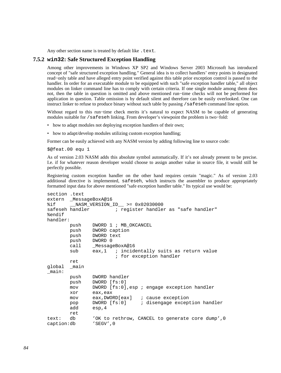Any other section name is treated by default like . text.

#### **7.5.2 win32: Safe Structured Exception Handling**

Among other improvements in Windows XP SP2 and Windows Server 2003 Microsoft has introduced concept of "safe structured exception handling." General idea is to collect handlers' entry points in designated read−only table and have alleged entry point verified against this table prior exception control is passed to the handler. In order for an executable module to be equipped with such "safe exception handler table," all object modules on linker command line has to comply with certain criteria. If one single module among them does not, then the table in question is omitted and above mentioned run−time checks will not be performed for application in question. Table omission is by default silent and therefore can be easily overlooked. One can instruct linker to refuse to produce binary without such table by passing /safeseh command line option.

Without regard to this run−time check merits it's natural to expect NASM to be capable of generating modules suitable for /safeseh linking. From developer's viewpoint the problem is two-fold:

- how to adapt modules not deploying exception handlers of their own;
- how to adapt/develop modules utilizing custom exception handling;

Former can be easily achieved with any NASM version by adding following line to source code:

\$@feat.00 equ 1

As of version 2.03 NASM adds this absolute symbol automatically. If it's not already present to be precise. I.e. if for whatever reason developer would choose to assign another value in source file, it would still be perfectly possible.

Registering custom exception handler on the other hand requires certain "magic." As of version 2.03 additional directive is implemented, safeseh, which instructs the assembler to produce appropriately formatted input data for above mentioned "safe exception handler table." Its typical use would be:

```
section .text 
extern _MessageBoxA@16 
%if __NASM_VERSION_ID__ >= 0x02030000 
safeseh handler \qquad \qquad ; register handler as "safe handler"
%endif 
handler: 
        push DWORD 1 ; MB_OKCANCEL 
        push DWORD caption 
        push DWORD text 
        push DWORD 0 
        call _MessageBoxA@16 
        sub eax,1 ; incidentally suits as return value
                        ; for exception handler 
        ret 
global _main 
_main: 
        push DWORD handler 
        push DWORD [fs:0] 
        mov DWORD [fs:0],esp ; engage exception handler 
        xor eax,eax 
        mov eax,DWORD[eax] ; cause exception 
        pop DWORD [fs:0] ; disengage exception handler 
        add esp,4 
        ret 
text: db 'OK to rethrow, CANCEL to generate core dump',0 
caption:db 'SEGV',0
```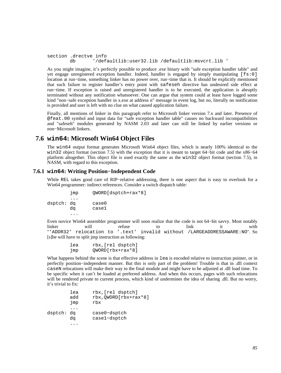```
section .drectve info 
        db '/defaultlib:user32.lib /defaultlib:msvcrt.lib '
```
As you might imagine, it's perfectly possible to produce .exe binary with "safe exception handler table" and yet engage unregistered exception handler. Indeed, handler is engaged by simply manipulating [fs:0] location at run−time, something linker has no power over, run−time that is. It should be explicitly mentioned that such failure to register handler's entry point with safeseh directive has undesired side effect at run−time. If exception is raised and unregistered handler is to be executed, the application is abruptly terminated without any notification whatsoever. One can argue that system could at least have logged some kind "non−safe exception handler in x.exe at address n" message in event log, but no, literally no notification is provided and user is left with no clue on what caused application failure.

Finally, all mentions of linker in this paragraph refer to Microsoft linker version 7.x and later. Presence of @feat.00 symbol and input data for "safe exception handler table" causes no backward incompatibilities and "safeseh" modules generated by NASM 2.03 and later can still be linked by earlier versions or non−Microsoft linkers.

# **7.6 win64: Microsoft Win64 Object Files**

The win64 output format generates Microsoft Win64 object files, which is nearly 100% identical to the win32 object format [\(section 7.5\)](#page-82-0) with the exception that it is meant to target 64−bit code and the x86−64 platform altogether. This object file is used exactly the same as the win32 object format [\(section 7.5\)](#page-82-0), in NASM, with regard to this exception.

## **7.6.1 win64: Writing Position−Independent Code**

While REL takes good care of RIP−relative addressing, there is one aspect that is easy to overlook for a Win64 programmer: indirect references. Consider a switch dispatch table:

 jmp QWORD[dsptch+rax\*8] ... dsptch: dq case0 dq case1 ...

Even novice Win64 assembler programmer will soon realize that the code is not 64−bit savvy. Most notably linker will refuse to link it with "'ADDR32' relocation to '.text' invalid without /LARGEADDRESSAWARE:NO". So [s]he will have to split jmp instruction as following:

| lea | rbx, [rel dsptch]  |
|-----|--------------------|
| JMP | $QWORD[rbx+rax*8]$ |

What happens behind the scene is that effective address in lea is encoded relative to instruction pointer, or in perfectly position−independent manner. But this is only part of the problem! Trouble is that in .dll context caseN relocations will make their way to the final module and might have to be adjusted at .dll load time. To be specific when it can't be loaded at preferred address. And when this occurs, pages with such relocations will be rendered private to current process, which kind of undermines the idea of sharing .dll. But no worry, it's trivial to fix:

|            | lea<br>add<br>jmp | rbx, [rel dsptch]<br>$rbx, QWORD[rbx+rax*8]$<br>rbx |
|------------|-------------------|-----------------------------------------------------|
| dsptch: dq | dα                | case0-dsptch<br>case1-dsptch                        |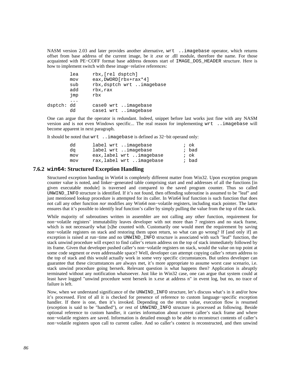NASM version 2.03 and later provides another alternative, wrt ..imagebase operator, which returns offset from base address of the current image, be it .exe or .dll module, therefore the name. For those acquainted with PE−COFF format base address denotes start of IMAGE\_DOS\_HEADER structure. Here is how to implement switch with these image−relative references:

|            | lea        | rbx, [rel dsptch]                                   |
|------------|------------|-----------------------------------------------------|
|            | mov<br>sub | eax, DWORD [rbx+rax*4]<br>rbx, dsptch wrt imagebase |
|            | add<br>jmp | rbx, rax<br>rbx                                     |
| dsptch: dd | dd         | case0 wrt imagebase<br>casel wrt imagebase          |

One can argue that the operator is redundant. Indeed, snippet before last works just fine with any NASM version and is not even Windows specific... The real reason for implementing wrt ..imagebase will become apparent in next paragraph.

It should be noted that wrt ..imagebase is defined as 32−bit operand only:

| dd  | label wrt imagebase      | ; ok  |
|-----|--------------------------|-------|
| da  | label wrt imagebase      | ; bad |
| mov | eax, label wrt imagebase | ; ok  |
| mov | rax, label wrt imagebase | ; bad |

#### **7.6.2 win64: Structured Exception Handling**

Structured exception handing in Win64 is completely different matter from Win32. Upon exception program counter value is noted, and linker−generated table comprising start and end addresses of all the functions [in given executable module] is traversed and compared to the saved program counter. Thus so called UNWIND\_INFO structure is identified. If it's not found, then offending subroutine is assumed to be "leaf" and just mentioned lookup procedure is attempted for its caller. In Win64 leaf function is such function that does not call any other function *nor* modifies any Win64 non−volatile registers, including stack pointer. The latter ensures that it's possible to identify leaf function's caller by simply pulling the value from the top of the stack.

While majority of subroutines written in assembler are not calling any other function, requirement for non−volatile registers' immutability leaves developer with not more than 7 registers and no stack frame, which is not necessarily what [s]he counted with. Customarily one would meet the requirement by saving non−volatile registers on stack and restoring them upon return, so what can go wrong? If [and only if] an exception is raised at run–time and no UNWIND\_INFO structure is associated with such "leaf" function, the stack unwind procedure will expect to find caller's return address on the top of stack immediately followed by its frame. Given that developer pushed caller's non−volatile registers on stack, would the value on top point at some code segment or even addressable space? Well, developer can attempt copying caller's return address to the top of stack and this would actually work in some very specific circumstances. But unless developer can guarantee that these circumstances are always met, it's more appropriate to assume worst case scenario, i.e. stack unwind procedure going berserk. Relevant question is what happens then? Application is abruptly terminated without any notification whatsoever. Just like in Win32 case, one can argue that system could at least have logged "unwind procedure went berserk in x.exe at address n" in event log, but no, no trace of failure is left.

Now, when we understand significance of the UNWIND\_INFO structure, let's discuss what's in it and/or how it's processed. First of all it is checked for presence of reference to custom language−specific exception handler. If there is one, then it's invoked. Depending on the return value, execution flow is resumed (exception is said to be "handled"), *or* rest of UNWIND\_INFO structure is processed as following. Beside optional reference to custom handler, it carries information about current callee's stack frame and where non−volatile registers are saved. Information is detailed enough to be able to reconstruct contents of caller's non−volatile registers upon call to current callee. And so caller's context is reconstructed, and then unwind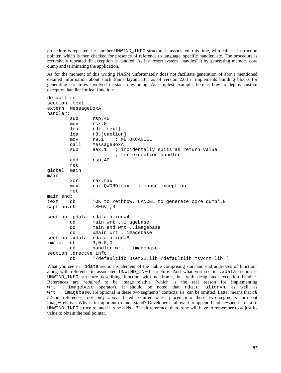procedure is repeated, i.e. another UNWIND\_INFO structure is associated, this time, with caller's instruction pointer, which is then checked for presence of reference to language−specific handler, etc. The procedure is recursively repeated till exception is handled. As last resort system "handles" it by generating memory core dump and terminating the application.

As for the moment of this writing NASM unfortunately does not facilitate generation of above mentioned detailed information about stack frame layout. But as of version 2.03 it implements building blocks for generating structures involved in stack unwinding. As simplest example, here is how to deploy custom exception handler for leaf function:

```
default rel 
section .text 
extern MessageBoxA 
handler: 
       sub rsp, 40
        mov rcx,0 
        lea rdx,[text] 
        lea r8,[caption] 
        mov r9,1 ; MB_OKCANCEL 
        call MessageBoxA 
       sub eax,1 ; incidentally suits as return value
                        ; for exception handler 
        add rsp,40 
        ret 
global main 
main: 
        xor rax,rax 
        mov rax,QWORD[rax] ; cause exception 
        ret 
main_end: 
text: db 'OK to rethrow, CANCEL to generate core dump',0 
caption:db 'SEGV',0 
section .pdata rdata align=4 
        dd main wrt ..imagebase 
       dd main end wrt ..imagebase
        dd xmain wrt ..imagebase 
section .xdata rdata align=8 
xmain: db 9,0,0,0 
        dd handler wrt ..imagebase 
section .drectve info 
        db '/defaultlib:user32.lib /defaultlib:msvcrt.lib '
```
What you see in .pdata section is element of the "table comprising start and end addresses of function" along with reference to associated UNWIND\_INFO structure. And what you see in .xdata section is UNWIND\_INFO structure describing function with no frame, but with designated exception handler. References are *required* to be image−relative (which is the real reason for implementing wrt ..imagebase operator). It should be noted that rdata align=n, as well as wrt ..imagebase, are optional in these two segments' contexts, i.e. can be omitted. Latter means that *all* 32−bit references, not only above listed required ones, placed into these two segments turn out image−relative. Why is it important to understand? Developer is allowed to append handler−specific data to UNWIND\_INFO structure, and if [s]he adds a 32−bit reference, then [s]he will have to remember to adjust its value to obtain the real pointer.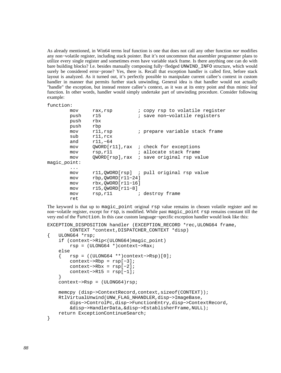As already mentioned, in Win64 terms leaf function is one that does not call any other function *nor* modifies any non−volatile register, including stack pointer. But it's not uncommon that assembler programmer plans to utilize every single register and sometimes even have variable stack frame. Is there anything one can do with bare building blocks? I.e. besides manually composing fully−fledged UNWIND\_INFO structure, which would surely be considered error−prone? Yes, there is. Recall that exception handler is called first, before stack layout is analyzed. As it turned out, it's perfectly possible to manipulate current callee's context in custom handler in manner that permits further stack unwinding. General idea is that handler would not actually "handle" the exception, but instead restore callee's context, as it was at its entry point and thus mimic leaf function. In other words, handler would simply undertake part of unwinding procedure. Consider following example:

#### function:

| mov<br>push<br>push                      | rax, rsp<br>r15<br>rbx                                           | ; copy rsp to volatile register<br>; save non-volatile registers                                                 |
|------------------------------------------|------------------------------------------------------------------|------------------------------------------------------------------------------------------------------------------|
| push<br>mov<br>sub                       | rbp<br>$r11$ , $rsp$<br>$r11$ , $rcx$                            | ; prepare variable stack frame                                                                                   |
| and<br>mov<br>mov<br>mov<br>magic point: | $r11, -64$<br>rsp,r11                                            | $QWORD[r11]$ , rax ; check for exceptions<br>; allocate stack frame<br>QWORD[rsp], rax ; save original rsp value |
| .<br>mov<br>mov<br>mov<br>mov            | $rbp,OWORD[r11-24]$<br>$rbx,OWORD[r11-16]$<br>$r15,OWORD[r11-8]$ | rll, OWORD[rsp] ; pull original rsp value                                                                        |
| mov<br>ret                               | rsp,r11                                                          | ; destroy frame                                                                                                  |

The keyword is that up to magic\_point original rsp value remains in chosen volatile register and no non−volatile register, except for rsp, is modified. While past magic\_point rsp remains constant till the very end of the function. In this case custom language−specific exception handler would look like this:

```
EXCEPTION DISPOSITION handler (EXCEPTION RECORD *rec, ULONG64 frame,
         CONTEXT *context,DISPATCHER_CONTEXT *disp) 
{ ULONG64 *rsp; 
     if (context−>Rip<(ULONG64)magic_point) 
         rsp = (ULONG64 *)context−>Rax; 
     else 
     { rsp = ((ULONG64 **)context−>Rsp)[0]; 
         context−>Rbp = rsp[−3]; 
         context−>Rbx = rsp[−2]; 
        context->R15 = resp[-1]; } 
     context−>Rsp = (ULONG64)rsp; 
     memcpy (disp−>ContextRecord,context,sizeof(CONTEXT)); 
     RtlVirtualUnwind(UNW_FLAG_NHANDLER,disp−>ImageBase, 
         dips−>ControlPc,disp−>FunctionEntry,disp−>ContextRecord, 
         &disp−>HandlerData,&disp−>EstablisherFrame,NULL); 
     return ExceptionContinueSearch; 
}
```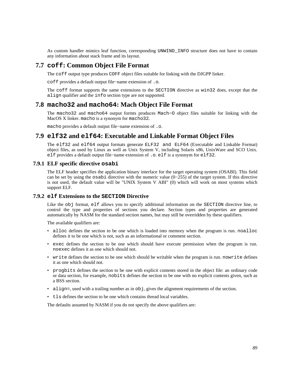As custom handler mimics leaf function, corresponding UNWIND\_INFO structure does not have to contain any information about stack frame and its layout.

# **7.7 coff: Common Object File Format**

The coff output type produces COFF object files suitable for linking with the DJGPP linker.

coff provides a default output file−name extension of .o.

The coff format supports the same extensions to the SECTION directive as win32 does, except that the align qualifier and the info section type are not supported.

# **7.8 macho32 and macho64: Mach Object File Format**

The macho32 and macho64 output formts produces Mach−O object files suitable for linking with the MacOS X linker. macho is a synonym for macho32.

macho provides a default output file−name extension of .o.

# **7.9 elf32 and elf64: Executable and Linkable Format Object Files**

<span id="page-88-0"></span>The elf32 and elf64 output formats generate ELF32 and ELF64 (Executable and Linkable Format) object files, as used by Linux as well as Unix System V, including Solaris x86, UnixWare and SCO Unix. elf provides a default output file−name extension of .o. elf is a synonym for elf32.

## **7.9.1 ELF specific directive osabi**

The ELF header specifies the application binary interface for the target operating system (OSABI). This field can be set by using the osabi directive with the numeric value (0−255) of the target system. If this directive is not used, the default value will be "UNIX System V ABI" (0) which will work on most systems which support ELF.

#### **7.9.2 elf Extensions to the SECTION Directive**

Like the obj format, elf allows you to specify additional information on the SECTION directive line, to control the type and properties of sections you declare. Section types and properties are generated automatically by NASM for the standard section names, but may still be overridden by these qualifiers.

The available qualifiers are:

- alloc defines the section to be one which is loaded into memory when the program is run. noalloc defines it to be one which is not, such as an informational or comment section.
- exec defines the section to be one which should have execute permission when the program is run. noexec defines it as one which should not.
- write defines the section to be one which should be writable when the program is run. nowrite defines it as one which should not.
- progbits defines the section to be one with explicit contents stored in the object file: an ordinary code or data section, for example, nobits defines the section to be one with no explicit contents given, such as a BSS section.
- align=, used with a trailing number as in  $obj$ , gives the alignment requirements of the section.
- tls defines the section to be one which contains thread local variables.

The defaults assumed by NASM if you do not specify the above qualifiers are: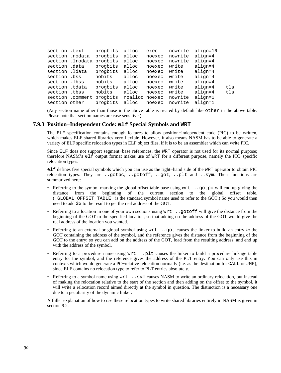| section .text   | progbits                  | alloc          | exec   | nowrite | align=16 |     |
|-----------------|---------------------------|----------------|--------|---------|----------|-----|
| section .rodata | progbits                  | alloc          | noexec | nowrite | align=4  |     |
|                 | section .lrodata progbits | alloc          | noexec | nowrite | align=4  |     |
| section .data   | progbits                  | alloc          | noexec | write   | align=4  |     |
| section .ldata  | progbits                  | alloc          | noexec | write   | align=4  |     |
| section .bss    | nobits                    | alloc          | noexec | write   | align=4  |     |
| section .lbss   | nobits                    | alloc          | noexec | write   | align=4  |     |
| section .tdata  | progbits                  | alloc          | noexec | write   | align=4  | tls |
| section .tbss   | nobits                    | alloc          | noexec | write   | align=4  | tls |
|                 | section .comment progbits | noalloc noexec |        | nowrite | align=1  |     |
| section other   | progbits                  | alloc          | noexec | nowrite | align=1  |     |

(Any section name other than those in the above table is treated by default like other in the above table. Please note that section names are case sensitive.)

#### **7.9.3 Position−Independent Code: elf Special Symbols and WRT**

<span id="page-89-0"></span>The ELF specification contains enough features to allow position−independent code (PIC) to be written, which makes ELF shared libraries very flexible. However, it also means NASM has to be able to generate a variety of ELF specific relocation types in ELF object files, if it is to be an assembler which can write PIC.

Since ELF does not support segment−base references, the WRT operator is not used for its normal purpose; therefore NASM's elf output format makes use of WRT for a different purpose, namely the PIC−specific relocation types.

elf defines five special symbols which you can use as the right−hand side of the WRT operator to obtain PIC relocation types. They are ..gotpc, ..gotoff, ..got, ..plt and ..sym. Their functions are summarized here:

- Referring to the symbol marking the global offset table base using  $wrt$ . gotpc will end up giving the distance from the beginning of the current section to the global offset table. (\_GLOBAL\_OFFSET\_TABLE\_ is the standard symbol name used to refer to the GOT.) So you would then need to add \$\$ to the result to get the real address of the GOT.
- Referring to a location in one of your own sections using wrt ..gotoff will give the distance from the beginning of the GOT to the specified location, so that adding on the address of the GOT would give the real address of the location you wanted.
- Referring to an external or global symbol using wrt ..got causes the linker to build an entry *in* the GOT containing the address of the symbol, and the reference gives the distance from the beginning of the GOT to the entry; so you can add on the address of the GOT, load from the resulting address, and end up with the address of the symbol.
- Referring to a procedure name using wrt ..plt causes the linker to build a procedure linkage table entry for the symbol, and the reference gives the address of the PLT entry. You can only use this in contexts which would generate a PC−relative relocation normally (i.e. as the destination for CALL or JMP), since ELF contains no relocation type to refer to PLT entries absolutely.
- Referring to a symbol name using wrt ..sym causes NASM to write an ordinary relocation, but instead of making the relocation relative to the start of the section and then adding on the offset to the symbol, it will write a relocation record aimed directly at the symbol in question. The distinction is a necessary one due to a peculiarity of the dynamic linker.

A fuller explanation of how to use these relocation types to write shared libraries entirely in NASM is given in [section 9.2.](#page-109-0)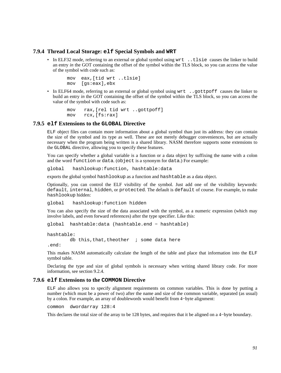## **7.9.4 Thread Local Storage: elf Special Symbols and WRT**

• In ELF32 mode, referring to an external or global symbol using wrt ..tlsie causes the linker to build an entry *in* the GOT containing the offset of the symbol within the TLS block, so you can access the value of the symbol with code such as:

```
 mov eax,[tid wrt ..tlsie] 
 mov [gs:eax],ebx
```
• In ELF64 mode, referring to an external or global symbol using  $wrt$ . . qottpoff causes the linker to build an entry *in* the GOT containing the offset of the symbol within the TLS block, so you can access the value of the symbol with code such as:

```
 mov rax,[rel tid wrt ..gottpoff] 
 mov rcx,[fs:rax]
```
#### **7.9.5 elf Extensions to the GLOBAL Directive**

<span id="page-90-0"></span>ELF object files can contain more information about a global symbol than just its address: they can contain the size of the symbol and its type as well. These are not merely debugger conveniences, but are actually necessary when the program being written is a shared library. NASM therefore supports some extensions to the GLOBAL directive, allowing you to specify these features.

You can specify whether a global variable is a function or a data object by suffixing the name with a colon and the word function or data. (object is a synonym for data.) For example:

global hashlookup:function, hashtable:data

exports the global symbol hashlookup as a function and hashtable as a data object.

Optionally, you can control the ELF visibility of the symbol. Just add one of the visibility keywords: default, internal, hidden, or protected. The default is default of course. For example, to make hashlookup hidden:

global hashlookup:function hidden

You can also specify the size of the data associated with the symbol, as a numeric expression (which may involve labels, and even forward references) after the type specifier. Like this:

global hashtable:data (hashtable.end − hashtable)

```
hashtable: 
        db this, that, theother i some data here
.end:
```
This makes NASM automatically calculate the length of the table and place that information into the ELF symbol table.

Declaring the type and size of global symbols is necessary when writing shared library code. For more information, see [section 9.2.4.](#page-111-0)

#### **7.9.6 elf Extensions to the COMMON Directive**

ELF also allows you to specify alignment requirements on common variables. This is done by putting a number (which must be a power of two) after the name and size of the common variable, separated (as usual) by a colon. For example, an array of doublewords would benefit from 4−byte alignment:

common dwordarray 128:4

This declares the total size of the array to be 128 bytes, and requires that it be aligned on a 4−byte boundary.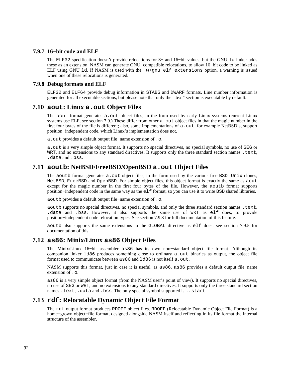## **7.9.7 16−bit code and ELF**

The ELF32 specification doesn't provide relocations for 8− and 16−bit values, but the GNU ld linker adds these as an extension. NASM can generate GNU−compatible relocations, to allow 16−bit code to be linked as ELF using GNU ld. If NASM is used with the −w+gnu−elf−extensions option, a warning is issued when one of these relocations is generated.

## **7.9.8 Debug formats and ELF**

ELF32 and ELF64 provide debug information in STABS and DWARF formats. Line number information is generated for all executable sections, but please note that only the ".text" section is executable by default.

# **7.10 aout: Linux a.out Object Files**

The aout format generates a.out object files, in the form used by early Linux systems (current Linux systems use ELF, see [section 7.9.](#page-88-0)) These differ from other a, out object files in that the magic number in the first four bytes of the file is different; also, some implementations of a.out, for example NetBSD's, support position−independent code, which Linux's implementation does not.

a.out provides a default output file−name extension of .o.

a.out is a very simple object format. It supports no special directives, no special symbols, no use of SEG or WRT, and no extensions to any standard directives. It supports only the three standard section names .text, .data and .bss.

# **7.11 aoutb: NetBSD/FreeBSD/OpenBSD a.out Object Files**

The aoutb format generates a.out object files, in the form used by the various free BSD Unix clones, NetBSD, FreeBSD and OpenBSD. For simple object files, this object format is exactly the same as aout except for the magic number in the first four bytes of the file. However, the aoutb format supports position−independent code in the same way as the elf format, so you can use it to write BSD shared libraries.

aoutb provides a default output file−name extension of .o.

aoutb supports no special directives, no special symbols, and only the three standard section names .text, .data and .bss. However, it also supports the same use of WRT as elf does, to provide position−independent code relocation types. See [section 7.9.3](#page-89-0) for full documentation of this feature.

aoutb also supports the same extensions to the GLOBAL directive as elf does: see [section 7.9.5](#page-90-0) for documentation of this.

# **7.12 as86: Minix/Linux as86 Object Files**

The Minix/Linux 16−bit assembler as86 has its own non−standard object file format. Although its companion linker 1d86 produces something close to ordinary a. out binaries as output, the object file format used to communicate between as 86 and 1d86 is not itself a. out.

NASM supports this format, just in case it is useful, as as86. as86 provides a default output file−name extension of .o.

as86 is a very simple object format (from the NASM user's point of view). It supports no special directives, no use of SEG or WRT, and no extensions to any standard directives. It supports only the three standard section names .text, .data and .bss. The only special symbol supported is ..start.

# **7.13 rdf: Relocatable Dynamic Object File Format**

The rdf output format produces RDOFF object files. RDOFF (Relocatable Dynamic Object File Format) is a home−grown object−file format, designed alongside NASM itself and reflecting in its file format the internal structure of the assembler.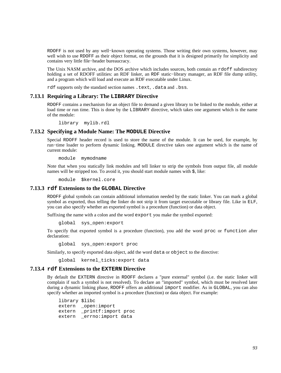RDOFF is not used by any well–known operating systems. Those writing their own systems, however, may well wish to use RDOFF as their object format, on the grounds that it is designed primarily for simplicity and contains very little file−header bureaucracy.

The Unix NASM archive, and the DOS archive which includes sources, both contain an rdoff subdirectory holding a set of RDOFF utilities: an RDF linker, an RDF static−library manager, an RDF file dump utility, and a program which will load and execute an RDF executable under Linux.

rdf supports only the standard section names .text, .data and .bss.

#### **7.13.1 Requiring a Library: The LIBRARY Directive**

RDOFF contains a mechanism for an object file to demand a given library to be linked to the module, either at load time or run time. This is done by the LIBRARY directive, which takes one argument which is the name of the module:

library mylib.rdl

## **7.13.2 Specifying a Module Name: The MODULE Directive**

Special RDOFF header record is used to store the name of the module. It can be used, for example, by run−time loader to perform dynamic linking. MODULE directive takes one argument which is the name of current module:

module mymodname

Note that when you statically link modules and tell linker to strip the symbols from output file, all module names will be stripped too. To avoid it, you should start module names with \$, like:

module \$kernel.core

#### **7.13.3 rdf Extensions to the GLOBAL Directive**

RDOFF global symbols can contain additional information needed by the static linker. You can mark a global symbol as exported, thus telling the linker do not strip it from target executable or library file. Like in ELF, you can also specify whether an exported symbol is a procedure (function) or data object.

Suffixing the name with a colon and the word export you make the symbol exported:

global sys\_open:export

To specify that exported symbol is a procedure (function), you add the word proc or function after declaration:

global sys\_open:export proc

Similarly, to specify exported data object, add the word data or object to the directive:

global kernel\_ticks:export data

#### **7.13.4 rdf Extensions to the EXTERN Directive**

By default the EXTERN directive in RDOFF declares a "pure external" symbol (i.e. the static linker will complain if such a symbol is not resolved). To declare an "imported" symbol, which must be resolved later during a dynamic linking phase, RDOFF offers an additional import modifier. As in GLOBAL, you can also specify whether an imported symbol is a procedure (function) or data object. For example:

 library \$libc extern \_open:import extern \_printf:import proc extern \_errno:import data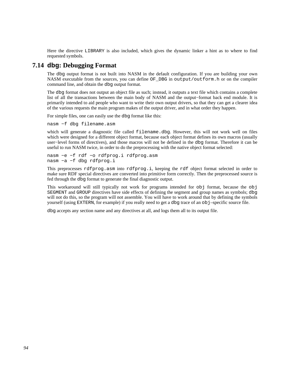Here the directive LIBRARY is also included, which gives the dynamic linker a hint as to where to find requested symbols.

# **7.14 dbg: Debugging Format**

The dbg output format is not built into NASM in the default configuration. If you are building your own NASM executable from the sources, you can define OF\_DBG in output/outform.h or on the compiler command line, and obtain the dbg output format.

The dbg format does not output an object file as such; instead, it outputs a text file which contains a complete list of all the transactions between the main body of NASM and the output−format back end module. It is primarily intended to aid people who want to write their own output drivers, so that they can get a clearer idea of the various requests the main program makes of the output driver, and in what order they happen.

For simple files, one can easily use the dbg format like this:

nasm −f dbg filename.asm

which will generate a diagnostic file called filename.dbg. However, this will not work well on files which were designed for a different object format, because each object format defines its own macros (usually user−level forms of directives), and those macros will not be defined in the dbg format. Therefore it can be useful to run NASM twice, in order to do the preprocessing with the native object format selected:

nasm −e −f rdf −o rdfprog.i rdfprog.asm nasm −a −f dbg rdfprog.i

This preprocesses rdfprog.asm into rdfprog.i, keeping the rdf object format selected in order to make sure RDF special directives are converted into primitive form correctly. Then the preprocessed source is fed through the dbg format to generate the final diagnostic output.

This workaround will still typically not work for programs intended for obj format, because the obj SEGMENT and GROUP directives have side effects of defining the segment and group names as symbols; dbg will not do this, so the program will not assemble. You will have to work around that by defining the symbols yourself (using EXTERN, for example) if you really need to get a dbg trace of an obj–specific source file.

dbg accepts any section name and any directives at all, and logs them all to its output file.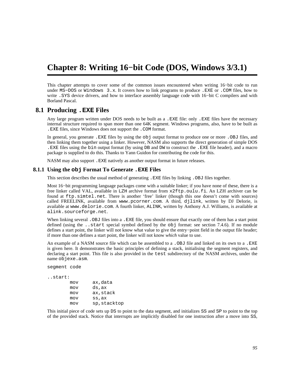# **Chapter 8: Writing 16−bit Code (DOS, Windows 3/3.1)**

This chapter attempts to cover some of the common issues encountered when writing 16−bit code to run under MS−DOS or Windows 3.x. It covers how to link programs to produce .EXE or .COM files, how to write .SYS device drivers, and how to interface assembly language code with 16−bit C compilers and with Borland Pascal.

## **8.1 Producing .EXE Files**

Any large program written under DOS needs to be built as a .EXE file: only .EXE files have the necessary internal structure required to span more than one 64K segment. Windows programs, also, have to be built as .EXE files, since Windows does not support the .COM format.

In general, you generate .EXE files by using the obj output format to produce one or more .OBJ files, and then linking them together using a linker. However, NASM also supports the direct generation of simple DOS .EXE files using the bin output format (by using DB and DW to construct the .EXE file header), and a macro package is supplied to do this. Thanks to Yann Guidon for contributing the code for this.

NASM may also support .EXE natively as another output format in future releases.

#### **8.1.1 Using the obj Format To Generate .EXE Files**

This section describes the usual method of generating .EXE files by linking .OBJ files together.

Most 16−bit programming language packages come with a suitable linker; if you have none of these, there is a free linker called VAL, available in LZH archive format from [x2ftp.oulu.fi](ftp://x2ftp.oulu.fi/pub/msdos/programming/lang/). An LZH archiver can be found at [ftp.simtel.net](ftp://ftp.simtel.net/pub/simtelnet/msdos/arcers). There is another 'free' linker (though this one doesn't come with sources) called FREELINK, available from [www.pcorner.com](http://www.pcorner.com/tpc/old/3-101.html). A third, djlink, written by DJ Delorie, is available at [www.delorie.com](http://www.delorie.com/djgpp/16bit/djlink/). A fourth linker, ALINK, written by Anthony A.J. Williams, is available at [alink.sourceforge.net](http://alink.sourceforge.net).

When linking several . OBJ files into a . EXE file, you should ensure that exactly one of them has a start point defined (using the ..start special symbol defined by the obj format: see [section 7.4.6\)](#page-81-2). If no module defines a start point, the linker will not know what value to give the entry−point field in the output file header; if more than one defines a start point, the linker will not know *which* value to use.

An example of a NASM source file which can be assembled to a . OBJ file and linked on its own to a . EXE is given here. It demonstrates the basic principles of defining a stack, initialising the segment registers, and declaring a start point. This file is also provided in the test subdirectory of the NASM archives, under the name objexe.asm.

segment code

```
..start:
```

| mov | ax,data     |
|-----|-------------|
| mov | ds,ax       |
| mov | ax, stack   |
| mov | ss,ax       |
| mov | sp,stacktop |

This initial piece of code sets up DS to point to the data segment, and initializes SS and SP to point to the top of the provided stack. Notice that interrupts are implicitly disabled for one instruction after a move into SS,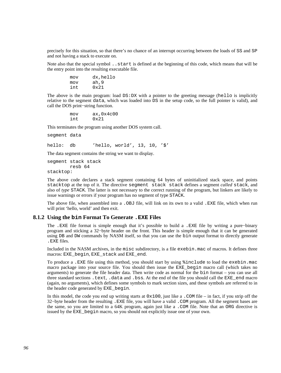precisely for this situation, so that there's no chance of an interrupt occurring between the loads of SS and SP and not having a stack to execute on.

Note also that the special symbol ..start is defined at the beginning of this code, which means that will be the entry point into the resulting executable file.

| mov | dx, hello |
|-----|-----------|
| mov | ah, 9     |
| int | 0x21      |

The above is the main program: load DS:DX with a pointer to the greeting message (hello is implicitly relative to the segment data, which was loaded into DS in the setup code, so the full pointer is valid), and call the DOS print−string function.

> mov ax,0x4c00 int 0x21

This terminates the program using another DOS system call.

segment data

hello: db 'hello, world', 13, 10, '\$'

The data segment contains the string we want to display.

segment stack stack resb 64

stacktop:

The above code declares a stack segment containing 64 bytes of uninitialized stack space, and points stacktop at the top of it. The directive segment stack stack defines a segment *called* stack, and also of *type* STACK. The latter is not necessary to the correct running of the program, but linkers are likely to issue warnings or errors if your program has no segment of type STACK.

The above file, when assembled into a .OBJ file, will link on its own to a valid .EXE file, which when run will print 'hello, world' and then exit.

## **8.1.2 Using the bin Format To Generate .EXE Files**

The .EXE file format is simple enough that it's possible to build a .EXE file by writing a pure−binary program and sticking a 32−byte header on the front. This header is simple enough that it can be generated using DB and DW commands by NASM itself, so that you can use the bin output format to directly generate .EXE files.

Included in the NASM archives, in the misc subdirectory, is a file exebin.mac of macros. It defines three macros: EXE\_begin, EXE\_stack and EXE\_end.

To produce a .EXE file using this method, you should start by using %include to load the exebin.mac macro package into your source file. You should then issue the EXE\_begin macro call (which takes no arguments) to generate the file header data. Then write code as normal for the bin format – you can use all three standard sections .text, .data and .bss. At the end of the file you should call the EXE\_end macro (again, no arguments), which defines some symbols to mark section sizes, and these symbols are referred to in the header code generated by EXE\_begin.

In this model, the code you end up writing starts at  $0 \times 100$ , just like a . COM file – in fact, if you strip off the 32−byte header from the resulting .EXE file, you will have a valid .COM program. All the segment bases are the same, so you are limited to a 64K program, again just like a .COM file. Note that an ORG directive is issued by the EXE\_begin macro, so you should not explicitly issue one of your own.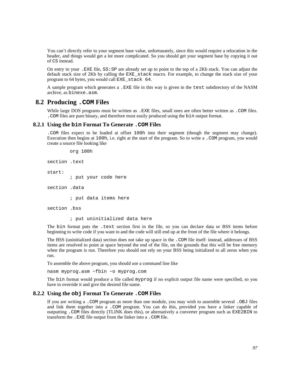You can't directly refer to your segment base value, unfortunately, since this would require a relocation in the header, and things would get a lot more complicated. So you should get your segment base by copying it out of CS instead.

On entry to your .EXE file, SS:SP are already set up to point to the top of a 2Kb stack. You can adjust the default stack size of 2Kb by calling the EXE\_stack macro. For example, to change the stack size of your program to 64 bytes, you would call EXE\_stack 64.

A sample program which generates a .EXE file in this way is given in the test subdirectory of the NASM archive, as binexe.asm.

## **8.2 Producing .COM Files**

While large DOS programs must be written as .EXE files, small ones are often better written as .COM files. .COM files are pure binary, and therefore most easily produced using the bin output format.

### **8.2.1 Using the bin Format To Generate .COM Files**

.COM files expect to be loaded at offset 100h into their segment (though the segment may change). Execution then begins at 100h, i.e. right at the start of the program. So to write a .COM program, you would create a source file looking like

```
 org 100h
```

```
section .text 
start: 
          ; put your code here 
section .data 
          ; put data items here 
section .bss 
          ; put uninitialized data here
```
The bin format puts the .text section first in the file, so you can declare data or BSS items before beginning to write code if you want to and the code will still end up at the front of the file where it belongs.

The BSS (uninitialized data) section does not take up space in the .COM file itself: instead, addresses of BSS items are resolved to point at space beyond the end of the file, on the grounds that this will be free memory when the program is run. Therefore you should not rely on your BSS being initialized to all zeros when you run.

To assemble the above program, you should use a command line like

nasm myprog.asm −fbin −o myprog.com

The bin format would produce a file called myprog if no explicit output file name were specified, so you have to override it and give the desired file name.

#### **8.2.2 Using the obj Format To Generate .COM Files**

If you are writing a .COM program as more than one module, you may wish to assemble several .OBJ files and link them together into a .COM program. You can do this, provided you have a linker capable of outputting .COM files directly (TLINK does this), or alternatively a converter program such as EXE2BIN to transform the .EXE file output from the linker into a .COM file.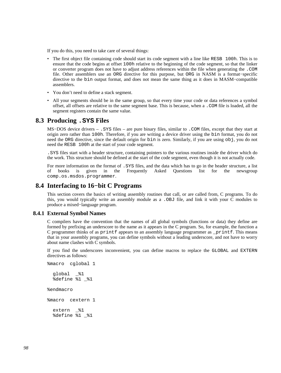If you do this, you need to take care of several things:

- The first object file containing code should start its code segment with a line like RESB 100h. This is to ensure that the code begins at offset 100h relative to the beginning of the code segment, so that the linker or converter program does not have to adjust address references within the file when generating the .COM file. Other assemblers use an ORG directive for this purpose, but ORG in NASM is a format−specific directive to the bin output format, and does not mean the same thing as it does in MASM−compatible assemblers.
- You don't need to define a stack segment.
- All your segments should be in the same group, so that every time your code or data references a symbol offset, all offsets are relative to the same segment base. This is because, when a .COM file is loaded, all the segment registers contain the same value.

#### **8.3 Producing .SYS Files**

MS−DOS device drivers – .SYS files – are pure binary files, similar to .COM files, except that they start at origin zero rather than 100h. Therefore, if you are writing a device driver using the bin format, you do not need the ORG directive, since the default origin for bin is zero. Similarly, if you are using obj, you do not need the RESB 100h at the start of your code segment.

.SYS files start with a header structure, containing pointers to the various routines inside the driver which do the work. This structure should be defined at the start of the code segment, even though it is not actually code.

For more information on the format of .SYS files, and the data which has to go in the header structure, a list of books is given in the Frequently Asked Questions list for the newsgroup [comp.os.msdos.programmer](news:comp.os.msdos.programmer).

## **8.4 Interfacing to 16−bit C Programs**

<span id="page-97-1"></span>This section covers the basics of writing assembly routines that call, or are called from, C programs. To do this, you would typically write an assembly module as a .OBJ file, and link it with your C modules to produce a mixed−language program.

#### **8.4.1 External Symbol Names**

<span id="page-97-0"></span>C compilers have the convention that the names of all global symbols (functions or data) they define are formed by prefixing an underscore to the name as it appears in the C program. So, for example, the function a C programmer thinks of as printf appears to an assembly language programmer as \_printf. This means that in your assembly programs, you can define symbols without a leading underscore, and not have to worry about name clashes with C symbols.

If you find the underscores inconvenient, you can define macros to replace the GLOBAL and EXTERN directives as follows:

```
%macro cglobal 1 
  global _%1 
   %define %1 _%1 
%endmacro 
%macro cextern 1 
   extern _%1 
   %define %1 _%1
```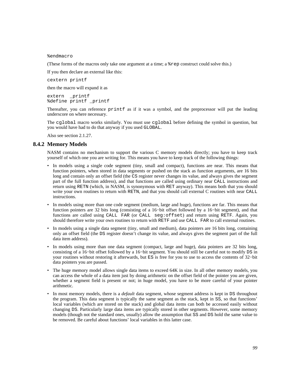%endmacro

(These forms of the macros only take one argument at a time; a %rep construct could solve this.)

If you then declare an external like this:

cextern printf

then the macro will expand it as

extern \_printf %define printf \_printf

Thereafter, you can reference printf as if it was a symbol, and the preprocessor will put the leading underscore on where necessary.

The cglobal macro works similarly. You must use cglobal before defining the symbol in question, but you would have had to do that anyway if you used GLOBAL.

Also see [section 2.1.27.](#page-23-0)

#### **8.4.2 Memory Models**

NASM contains no mechanism to support the various C memory models directly; you have to keep track yourself of which one you are writing for. This means you have to keep track of the following things:

- In models using a single code segment (tiny, small and compact), functions are near. This means that function pointers, when stored in data segments or pushed on the stack as function arguments, are 16 bits long and contain only an offset field (the CS register never changes its value, and always gives the segment part of the full function address), and that functions are called using ordinary near CALL instructions and return using RETN (which, in NASM, is synonymous with RET anyway). This means both that you should write your own routines to return with RETN, and that you should call external C routines with near CALL instructions.
- In models using more than one code segment (medium, large and huge), functions are far. This means that function pointers are 32 bits long (consisting of a 16−bit offset followed by a 16−bit segment), and that functions are called using CALL FAR (or CALL seg:offset) and return using RETF. Again, you should therefore write your own routines to return with RETF and use CALL FAR to call external routines.
- In models using a single data segment (tiny, small and medium), data pointers are 16 bits long, containing only an offset field (the DS register doesn't change its value, and always gives the segment part of the full data item address).
- In models using more than one data segment (compact, large and huge), data pointers are 32 bits long, consisting of a 16−bit offset followed by a 16−bit segment. You should still be careful not to modify DS in your routines without restoring it afterwards, but ES is free for you to use to access the contents of 32−bit data pointers you are passed.
- The huge memory model allows single data items to exceed 64K in size. In all other memory models, you can access the whole of a data item just by doing arithmetic on the offset field of the pointer you are given, whether a segment field is present or not; in huge model, you have to be more careful of your pointer arithmetic.
- In most memory models, there is a *default* data segment, whose segment address is kept in DS throughout the program. This data segment is typically the same segment as the stack, kept in SS, so that functions' local variables (which are stored on the stack) and global data items can both be accessed easily without changing DS. Particularly large data items are typically stored in other segments. However, some memory models (though not the standard ones, usually) allow the assumption that SS and DS hold the same value to be removed. Be careful about functions' local variables in this latter case.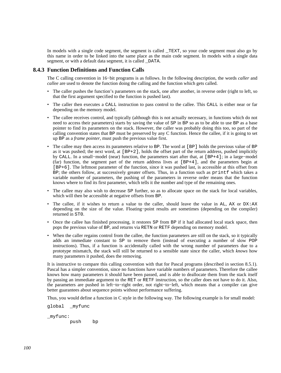In models with a single code segment, the segment is called TEXT, so your code segment must also go by this name in order to be linked into the same place as the main code segment. In models with a single data segment, or with a default data segment, it is called DATA.

### **8.4.3 Function Definitions and Function Calls**

The C calling convention in 16−bit programs is as follows. In the following description, the words *caller* and *callee* are used to denote the function doing the calling and the function which gets called.

- The caller pushes the function's parameters on the stack, one after another, in reverse order (right to left, so that the first argument specified to the function is pushed last).
- The caller then executes a CALL instruction to pass control to the callee. This CALL is either near or far depending on the memory model.
- The callee receives control, and typically (although this is not actually necessary, in functions which do not need to access their parameters) starts by saving the value of SP in BP so as to be able to use BP as a base pointer to find its parameters on the stack. However, the caller was probably doing this too, so part of the calling convention states that BP must be preserved by any C function. Hence the callee, if it is going to set up BP as a *frame pointer*, must push the previous value first.
- The callee may then access its parameters relative to BP. The word at [BP] holds the previous value of BP as it was pushed; the next word, at  $[BF+2]$ , holds the offset part of the return address, pushed implicitly by CALL. In a small−model (near) function, the parameters start after that, at [BP+4]; in a large−model (far) function, the segment part of the return address lives at [BP+4], and the parameters begin at [BP+6]. The leftmost parameter of the function, since it was pushed last, is accessible at this offset from BP; the others follow, at successively greater offsets. Thus, in a function such as printf which takes a variable number of parameters, the pushing of the parameters in reverse order means that the function knows where to find its first parameter, which tells it the number and type of the remaining ones.
- The callee may also wish to decrease SP further, so as to allocate space on the stack for local variables, which will then be accessible at negative offsets from BP.
- The callee, if it wishes to return a value to the caller, should leave the value in AL, AX or DX:AX depending on the size of the value. Floating−point results are sometimes (depending on the compiler) returned in ST0.
- Once the callee has finished processing, it restores SP from BP if it had allocated local stack space, then pops the previous value of BP, and returns via RETN or RETF depending on memory model.
- When the caller regains control from the callee, the function parameters are still on the stack, so it typically adds an immediate constant to SP to remove them (instead of executing a number of slow POP instructions). Thus, if a function is accidentally called with the wrong number of parameters due to a prototype mismatch, the stack will still be returned to a sensible state since the caller, which *knows* how many parameters it pushed, does the removing.

It is instructive to compare this calling convention with that for Pascal programs (described in [section 8.5.1](#page-103-0)). Pascal has a simpler convention, since no functions have variable numbers of parameters. Therefore the callee knows how many parameters it should have been passed, and is able to deallocate them from the stack itself by passing an immediate argument to the RET or RETF instruction, so the caller does not have to do it. Also, the parameters are pushed in left−to−right order, not right−to−left, which means that a compiler can give better guarantees about sequence points without performance suffering.

Thus, you would define a function in C style in the following way. The following example is for small model:

global \_myfunc

\_myfunc:

push bp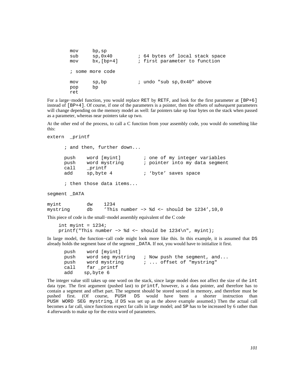```
 mov bp,sp 
sub sp,0x40 ; 64 bytes of local stack space
 mov bx,[bp+4] ; first parameter to function 
 ; some more code 
 mov sp,bp ; undo "sub sp,0x40" above 
 pop bp 
 ret
```
For a large−model function, you would replace RET by RETF, and look for the first parameter at [BP+6] instead of [BP+4]. Of course, if one of the parameters is a pointer, then the offsets of *subsequent* parameters will change depending on the memory model as well: far pointers take up four bytes on the stack when passed as a parameter, whereas near pointers take up two.

At the other end of the process, to call a C function from your assembly code, you would do something like this:

```
extern printf
```
 ; and then, further down... push word [myint] ; one of my integer variables push word mystring  $\cdot$  ; pointer into my data segment call \_printf<br>add sp,byte sp, byte 4 ; 'byte' saves space ; then those data items... segment DATA myint dw 1234 mystring db 'This number −> %d <− should be 1234',10,0

This piece of code is the small−model assembly equivalent of the C code

```
int myint = 1234; printf("This number −> %d <− should be 1234\n", myint);
```
In large model, the function−call code might look more like this. In this example, it is assumed that DS already holds the segment base of the segment \_DATA. If not, you would have to initialize it first.

```
 push word [myint] 
 push word seg mystring ; Now push the segment, and... 
push word mystring \cdots offset of "mystring"
call far printf
 add sp,byte 6
```
The integer value still takes up one word on the stack, since large model does not affect the size of the int data type. The first argument (pushed last) to printf, however, is a data pointer, and therefore has to contain a segment and offset part. The segment should be stored second in memory, and therefore must be pushed first. (Of course, PUSH DS would have been a shorter instruction than PUSH WORD SEG mystring, if DS was set up as the above example assumed.) Then the actual call becomes a far call, since functions expect far calls in large model; and SP has to be increased by 6 rather than 4 afterwards to make up for the extra word of parameters.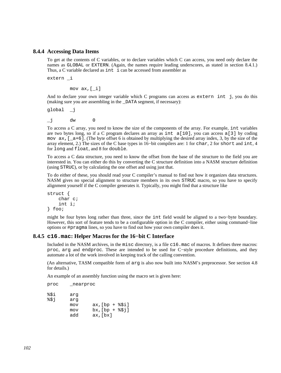## **8.4.4 Accessing Data Items**

To get at the contents of C variables, or to declare variables which C can access, you need only declare the names as GLOBAL or EXTERN. (Again, the names require leading underscores, as stated in [section 8.4.1](#page-97-0).) Thus, a C variable declared as int i can be accessed from assembler as

extern \_i

mov ax,[\_i]

And to declare your own integer variable which C programs can access as extern int j, you do this (making sure you are assembling in the \_DATA segment, if necessary):

global \_j

\_j dw 0

To access a C array, you need to know the size of the components of the array. For example, int variables are two bytes long, so if a C program declares an array as int  $a[10]$ , you can access a[3] by coding mov  $ax, \lceil a+6 \rceil$ . (The byte offset 6 is obtained by multiplying the desired array index, 3, by the size of the array element, 2.) The sizes of the C base types in 16−bit compilers are: 1 for char, 2 for short and int, 4 for long and float, and 8 for double.

To access a C data structure, you need to know the offset from the base of the structure to the field you are interested in. You can either do this by converting the C structure definition into a NASM structure definition (using STRUC), or by calculating the one offset and using just that.

To do either of these, you should read your C compiler's manual to find out how it organizes data structures. NASM gives no special alignment to structure members in its own STRUC macro, so you have to specify alignment yourself if the C compiler generates it. Typically, you might find that a structure like

```
struct { 
      char c; 
      int i; 
} foo;
```
might be four bytes long rather than three, since the int field would be aligned to a two−byte boundary. However, this sort of feature tends to be a configurable option in the C compiler, either using command−line options or #pragma lines, so you have to find out how your own compiler does it.

#### **8.4.5 c16.mac: Helper Macros for the 16−bit C Interface**

<span id="page-101-0"></span>Included in the NASM archives, in the misc directory, is a file c16.mac of macros. It defines three macros: proc, arg and endproc. These are intended to be used for C−style procedure definitions, and they automate a lot of the work involved in keeping track of the calling convention.

(An alternative, TASM compatible form of arg is also now built into NASM's preprocessor. See [section 4.8](#page-58-0) for details.)

An example of an assembly function using the macro set is given here:

proc \_nearproc

| arq |                 |
|-----|-----------------|
| arq |                 |
| mov | $ax/[bp + $Si]$ |
| mov | $bx/[bp + $31]$ |
| add | ax, [bx]        |
|     |                 |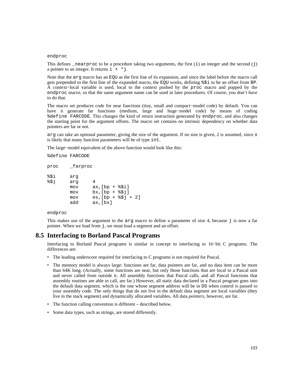#### endproc

This defines \_nearproc to be a procedure taking two arguments, the first  $(i)$  an integer and the second  $(j)$ a pointer to an integer. It returns  $i + *j$ .

Note that the arg macro has an EQU as the first line of its expansion, and since the label before the macro call gets prepended to the first line of the expanded macro, the EQU works, defining %\$i to be an offset from BP. A context−local variable is used, local to the context pushed by the proc macro and popped by the endproc macro, so that the same argument name can be used in later procedures. Of course, you don't *have* to do that.

The macro set produces code for near functions (tiny, small and compact−model code) by default. You can have it generate far functions (medium, large and huge−model code) by means of coding %define FARCODE. This changes the kind of return instruction generated by endproc, and also changes the starting point for the argument offsets. The macro set contains no intrinsic dependency on whether data pointers are far or not.

arg can take an optional parameter, giving the size of the argument. If no size is given, 2 is assumed, since it is likely that many function parameters will be of type int.

The large−model equivalent of the above function would look like this:

%define FARCODE

| proc | farproc |                         |
|------|---------|-------------------------|
| %\$i | arq     |                         |
| 851  | arq     | 4                       |
|      | mov     | $ax$ , $[bp + $Si]$     |
|      | mov     | $bx/[bp + $3j]$         |
|      | mov     | $es$ , $[bp + $3j + 2]$ |
|      | add     | $ax$ , $[bx]$           |

#### endproc

This makes use of the argument to the  $\arg \max$  macro to define a parameter of size 4, because  $\exists$  is now a far pointer. When we load from j, we must load a segment and an offset.

# **8.5 Interfacing to Borland Pascal Programs**

Interfacing to Borland Pascal programs is similar in concept to interfacing to 16−bit C programs. The differences are:

- The leading underscore required for interfacing to C programs is not required for Pascal.
- The memory model is always large: functions are far, data pointers are far, and no data item can be more than 64K long. (Actually, some functions are near, but only those functions that are local to a Pascal unit and never called from outside it. All assembly functions that Pascal calls, and all Pascal functions that assembly routines are able to call, are far.) However, all static data declared in a Pascal program goes into the default data segment, which is the one whose segment address will be in DS when control is passed to your assembly code. The only things that do not live in the default data segment are local variables (they live in the stack segment) and dynamically allocated variables. All data *pointers*, however, are far.
- The function calling convention is different described below.
- Some data types, such as strings, are stored differently.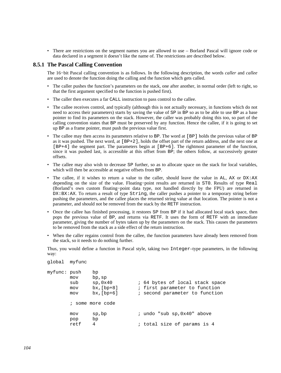• There are restrictions on the segment names you are allowed to use – Borland Pascal will ignore code or data declared in a segment it doesn't like the name of. The restrictions are described below.

## **8.5.1 The Pascal Calling Convention**

<span id="page-103-0"></span>The 16−bit Pascal calling convention is as follows. In the following description, the words *caller* and *callee* are used to denote the function doing the calling and the function which gets called.

- The caller pushes the function's parameters on the stack, one after another, in normal order (left to right, so that the first argument specified to the function is pushed first).
- The caller then executes a far CALL instruction to pass control to the callee.
- The callee receives control, and typically (although this is not actually necessary, in functions which do not need to access their parameters) starts by saving the value of SP in BP so as to be able to use BP as a base pointer to find its parameters on the stack. However, the caller was probably doing this too, so part of the calling convention states that BP must be preserved by any function. Hence the callee, if it is going to set up BP as a frame pointer, must push the previous value first.
- The callee may then access its parameters relative to BP. The word at [BP] holds the previous value of BP as it was pushed. The next word, at [BP+2], holds the offset part of the return address, and the next one at [BP+4] the segment part. The parameters begin at [BP+6]. The rightmost parameter of the function, since it was pushed last, is accessible at this offset from BP; the others follow, at successively greater offsets.
- The callee may also wish to decrease SP further, so as to allocate space on the stack for local variables, which will then be accessible at negative offsets from BP.
- The callee, if it wishes to return a value to the caller, should leave the value in  $AL$ ,  $AX$  or  $DX:AX$ depending on the size of the value. Floating−point results are returned in ST0. Results of type Real (Borland's own custom floating−point data type, not handled directly by the FPU) are returned in DX:BX:AX. To return a result of type String, the caller pushes a pointer to a temporary string before pushing the parameters, and the callee places the returned string value at that location. The pointer is not a parameter, and should not be removed from the stack by the RETF instruction.
- Once the callee has finished processing, it restores SP from BP if it had allocated local stack space, then pops the previous value of BP, and returns via RETF. It uses the form of RETF with an immediate parameter, giving the number of bytes taken up by the parameters on the stack. This causes the parameters to be removed from the stack as a side effect of the return instruction.
- When the caller regains control from the callee, the function parameters have already been removed from the stack, so it needs to do nothing further.

Thus, you would define a function in Pascal style, taking two Integer–type parameters, in the following way:

```
global myfunc 
myfunc: push bp 
       mov bp,sp 
      sub sp,0x40 ; 64 bytes of local stack space
       mov bx,[bp+8] ; first parameter to function 
       mov bx,[bp+6] ; second parameter to function 
        ; some more code 
      mov sp, bp \cdot i undo "sub sp, 0x40" above
       pop bp 
      retf 4 : total size of params is 4
```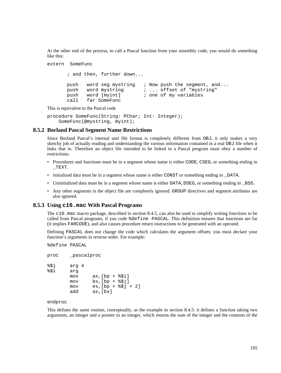At the other end of the process, to call a Pascal function from your assembly code, you would do something like this:

```
extern SomeFunc
```
 ; and then, further down... push word seg mystring ; Now push the segment, and... push word mystring  $\vdots$   $\vdots$  offset of "mystring"<br>push word [myint]  $\vdots$  one of my variables push word [myint] ; one of my variables call far SomeFunc

This is equivalent to the Pascal code

```
procedure SomeFunc(String: PChar; Int: Integer); 
     SomeFunc(@mystring, myint);
```
## **8.5.2 Borland Pascal Segment Name Restrictions**

Since Borland Pascal's internal unit file format is completely different from OBJ, it only makes a very sketchy job of actually reading and understanding the various information contained in a real OBJ file when it links that in. Therefore an object file intended to be linked to a Pascal program must obey a number of restrictions:

- Procedures and functions must be in a segment whose name is either CODE, CSEG, or something ending in  $_T$ EXT.
- initialized data must be in a segment whose name is either CONST or something ending in DATA.
- Uninitialized data must be in a segment whose name is either DATA, DSEG, or something ending in \_BSS.
- Any other segments in the object file are completely ignored. GROUP directives and segment attributes are also ignored.

#### **8.5.3 Using c16.mac With Pascal Programs**

The c16.mac macro package, described in [section 8.4.5](#page-101-0), can also be used to simplify writing functions to be called from Pascal programs, if you code %define PASCAL. This definition ensures that functions are far (it implies FARCODE), and also causes procedure return instructions to be generated with an operand.

Defining PASCAL does not change the code which calculates the argument offsets; you must declare your function's arguments in reverse order. For example:

%define PASCAL

```
proc _pascalproc 
%$j arg 4 
%$i arg 
       mov ax,[bp + <i>§</i> $i]mov bx, [bp + <i>§</i>5j]mov es, [bp + $$j + 2] add ax,[bx]
```
endproc

This defines the same routine, conceptually, as the example in [section 8.4.5:](#page-101-0) it defines a function taking two arguments, an integer and a pointer to an integer, which returns the sum of the integer and the contents of the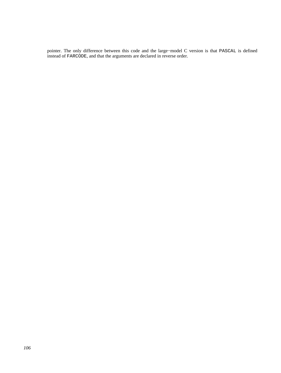pointer. The only difference between this code and the large−model C version is that PASCAL is defined instead of FARCODE, and that the arguments are declared in reverse order.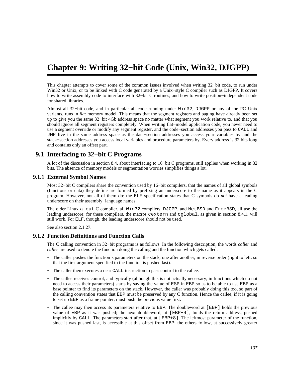# **Chapter 9: Writing 32−bit Code (Unix, Win32, DJGPP)**

This chapter attempts to cover some of the common issues involved when writing 32−bit code, to run under Win32 or Unix, or to be linked with C code generated by a Unix−style C compiler such as DJGPP. It covers how to write assembly code to interface with 32−bit C routines, and how to write position−independent code for shared libraries.

Almost all 32−bit code, and in particular all code running under Win32, DJGPP or any of the PC Unix variants, runs in *flat* memory model. This means that the segment registers and paging have already been set up to give you the same 32−bit 4Gb address space no matter what segment you work relative to, and that you should ignore all segment registers completely. When writing flat−model application code, you never need to use a segment override or modify any segment register, and the code−section addresses you pass to CALL and JMP live in the same address space as the data−section addresses you access your variables by and the stack−section addresses you access local variables and procedure parameters by. Every address is 32 bits long and contains only an offset part.

# **9.1 Interfacing to 32−bit C Programs**

A lot of the discussion in [section 8.4,](#page-97-1) about interfacing to 16−bit C programs, still applies when working in 32 bits. The absence of memory models or segmentation worries simplifies things a lot.

#### **9.1.1 External Symbol Names**

Most 32−bit C compilers share the convention used by 16−bit compilers, that the names of all global symbols (functions or data) they define are formed by prefixing an underscore to the name as it appears in the C program. However, not all of them do: the ELF specification states that C symbols do *not* have a leading underscore on their assembly−language names.

The older Linux a.out C compiler, all Win32 compilers, DJGPP, and NetBSD and FreeBSD, all use the leading underscore; for these compilers, the macros cextern and cglobal, as given in [section 8.4.1,](#page-97-0) will still work. For ELF, though, the leading underscore should not be used.

See also [section 2.1.27.](#page-23-0)

## **9.1.2 Function Definitions and Function Calls**

The C calling convention in 32−bit programs is as follows. In the following description, the words *caller* and *callee* are used to denote the function doing the calling and the function which gets called.

- The caller pushes the function's parameters on the stack, one after another, in reverse order (right to left, so that the first argument specified to the function is pushed last).
- The caller then executes a near CALL instruction to pass control to the callee.
- The callee receives control, and typically (although this is not actually necessary, in functions which do not need to access their parameters) starts by saving the value of ESP in EBP so as to be able to use EBP as a base pointer to find its parameters on the stack. However, the caller was probably doing this too, so part of the calling convention states that EBP must be preserved by any C function. Hence the callee, if it is going to set up EBP as a frame pointer, must push the previous value first.
- The callee may then access its parameters relative to EBP. The doubleword at [EBP] holds the previous value of EBP as it was pushed; the next doubleword, at [EBP+4], holds the return address, pushed implicitly by CALL. The parameters start after that, at [EBP+8]. The leftmost parameter of the function, since it was pushed last, is accessible at this offset from EBP; the others follow, at successively greater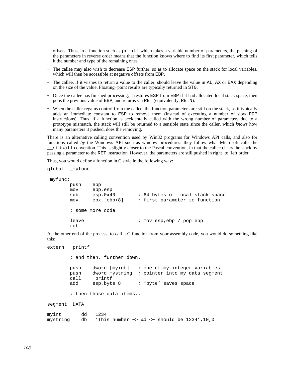offsets. Thus, in a function such as printf which takes a variable number of parameters, the pushing of the parameters in reverse order means that the function knows where to find its first parameter, which tells it the number and type of the remaining ones.

- The callee may also wish to decrease ESP further, so as to allocate space on the stack for local variables, which will then be accessible at negative offsets from EBP.
- The callee, if it wishes to return a value to the caller, should leave the value in AL, AX or EAX depending on the size of the value. Floating−point results are typically returned in ST0.
- Once the callee has finished processing, it restores ESP from EBP if it had allocated local stack space, then pops the previous value of EBP, and returns via RET (equivalently, RETN).
- When the caller regains control from the callee, the function parameters are still on the stack, so it typically adds an immediate constant to ESP to remove them (instead of executing a number of slow POP instructions). Thus, if a function is accidentally called with the wrong number of parameters due to a prototype mismatch, the stack will still be returned to a sensible state since the caller, which *knows* how many parameters it pushed, does the removing.

There is an alternative calling convention used by Win32 programs for Windows API calls, and also for functions called *by* the Windows API such as window procedures: they follow what Microsoft calls the \_\_stdcall convention. This is slightly closer to the Pascal convention, in that the callee clears the stack by passing a parameter to the RET instruction. However, the parameters are still pushed in right−to−left order.

Thus, you would define a function in C style in the following way:

```
global _myfunc 
_myfunc: 
                push ebp 
                mov ebp,esp 
               sub esp,0x40 ; 64 bytes of local stack space
                mov ebx,[ebp+8] ; first parameter to function 
                ; some more code 
               leave : : \mathbb{R}^p ; \mathbb{R}^p \mathbb{R}^p \mathbb{R}^p \mathbb{R}^p \mathbb{R}^p \mathbb{R}^p \mathbb{R}^p \mathbb{R}^p \mathbb{R}^p \mathbb{R}^p \mathbb{R}^p \mathbb{R}^p \mathbb{R}^p \mathbb{R}^p \mathbb{R}^p \mathbb{R}^p \mathbb{R}^p \mathbb{R}^ ret
```
At the other end of the process, to call a C function from your assembly code, you would do something like this:

```
extern _printf
```
 ; and then, further down... push dword [myint] ; one of my integer variables push dword mystring ; pointer into my data segment call \_printf add esp, byte 8 ; 'byte' saves space ; then those data items...

segment DATA

| myint                                                            | dd 1234 |  |  |  |  |  |
|------------------------------------------------------------------|---------|--|--|--|--|--|
| mystring db 'This number -> %d <- should be $1234'$ , $10$ , $0$ |         |  |  |  |  |  |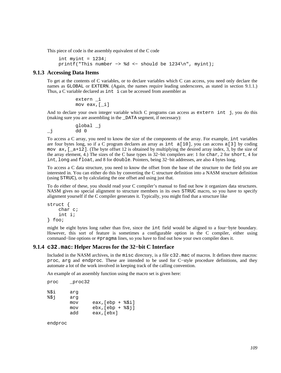This piece of code is the assembly equivalent of the C code

```
int myint = 1234; printf("This number −> %d <− should be 1234\n", myint);
```
#### **9.1.3 Accessing Data Items**

To get at the contents of C variables, or to declare variables which C can access, you need only declare the names as GLOBAL or EXTERN. (Again, the names require leading underscores, as stated in [section 9.1.1](#page-106-0).) Thus, a C variable declared as int i can be accessed from assembler as

> extern \_i mov eax,[\_i]

And to declare your own integer variable which C programs can access as extern int j, you do this (making sure you are assembling in the \_DATA segment, if necessary):

 global \_j  $j$  dd 0

To access a C array, you need to know the size of the components of the array. For example, int variables are four bytes long, so if a C program declares an array as int  $a[10]$ , you can access a[3] by coding mov  $ax$ ,  $[a+12]$ . (The byte offset 12 is obtained by multiplying the desired array index, 3, by the size of the array element, 4.) The sizes of the C base types in 32−bit compilers are: 1 for char, 2 for short, 4 for int, long and float, and 8 for double. Pointers, being 32−bit addresses, are also 4 bytes long.

To access a C data structure, you need to know the offset from the base of the structure to the field you are interested in. You can either do this by converting the C structure definition into a NASM structure definition (using STRUC), or by calculating the one offset and using just that.

To do either of these, you should read your C compiler's manual to find out how it organizes data structures. NASM gives no special alignment to structure members in its own STRUC macro, so you have to specify alignment yourself if the C compiler generates it. Typically, you might find that a structure like

```
struct { 
      char c; 
      int i; 
} foo;
```
might be eight bytes long rather than five, since the int field would be aligned to a four−byte boundary. However, this sort of feature is sometimes a configurable option in the C compiler, either using command−line options or #pragma lines, so you have to find out how your own compiler does it.

#### **9.1.4 c32.mac: Helper Macros for the 32−bit C Interface**

Included in the NASM archives, in the misc directory, is a file c32.mac of macros. It defines three macros: proc, arg and endproc. These are intended to be used for C−style procedure definitions, and they automate a lot of the work involved in keeping track of the calling convention.

An example of an assembly function using the macro set is given here:

```
proc _proc32 
%$i arg 
%$j arg 
        mov eax,[ebp + %$i] 
        mov ebx,[ebp + %$j] 
        add eax,[ebx]
```
endproc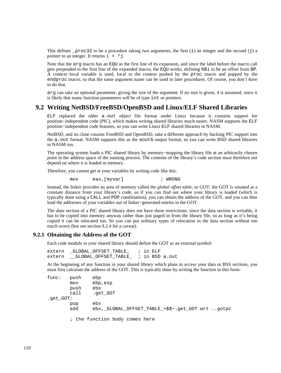This defines  $p\text{roc32}$  to be a procedure taking two arguments, the first (i) an integer and the second (j) and pointer to an integer. It returns  $i + *j$ .

Note that the arg macro has an EQU as the first line of its expansion, and since the label before the macro call gets prepended to the first line of the expanded macro, the EQU works, defining %\$i to be an offset from BP. A context−local variable is used, local to the context pushed by the proc macro and popped by the endproc macro, so that the same argument name can be used in later procedures. Of course, you don't *have* to do that.

arg can take an optional parameter, giving the size of the argument. If no size is given, 4 is assumed, since it is likely that many function parameters will be of type int or pointers.

## **9.2 Writing NetBSD/FreeBSD/OpenBSD and Linux/ELF Shared Libraries**

ELF replaced the older a.out object file format under Linux because it contains support for position−independent code (PIC), which makes writing shared libraries much easier. NASM supports the ELF position−independent code features, so you can write Linux ELF shared libraries in NASM.

NetBSD, and its close cousins FreeBSD and OpenBSD, take a different approach by hacking PIC support into the a.out format. NASM supports this as the aoutb output format, so you can write BSD shared libraries in NASM too.

The operating system loads a PIC shared library by memory–mapping the library file at an arbitrarily chosen point in the address space of the running process. The contents of the library's code section must therefore not depend on where it is loaded in memory.

Therefore, you cannot get at your variables by writing code like this:

mov eax,[myvar] ; WRONG

Instead, the linker provides an area of memory called the *global offset table*, or GOT; the GOT is situated at a constant distance from your library's code, so if you can find out where your library is loaded (which is typically done using a CALL and POP combination), you can obtain the address of the GOT, and you can then load the addresses of your variables out of linker−generated entries in the GOT.

The *data* section of a PIC shared library does not have these restrictions: since the data section is writable, it has to be copied into memory anyway rather than just paged in from the library file, so as long as it's being copied it can be relocated too. So you can put ordinary types of relocation in the data section without too much worry (but see [section 9.2.4](#page-111-0) for a caveat).

#### **9.2.1 Obtaining the Address of the GOT**

Each code module in your shared library should define the GOT as an external symbol:

extern GLOBAL OFFSET TABLE  $\quad$  ; in ELF extern GLOBAL OFFSET TABLE ; in BSD a.out

At the beginning of any function in your shared library which plans to access your data or BSS sections, you must first calculate the address of the GOT. This is typically done by writing the function in this form:

```
func: push ebp 
        mov ebp,esp 
        push ebx 
        call .get_GOT 
.get_GOT: 
        pop ebx 
        add ebx,_GLOBAL_OFFSET_TABLE_+$$−.get_GOT wrt ..gotpc 
        ; the function body comes here
```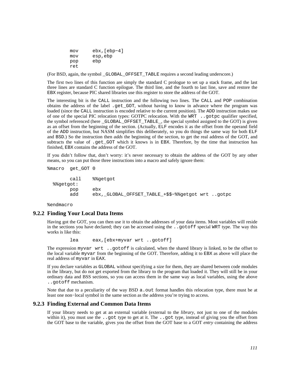mov ebx,[ebp−4] mov esp,ebp pop ebp ret

(For BSD, again, the symbol \_GLOBAL\_OFFSET\_TABLE requires a second leading underscore.)

The first two lines of this function are simply the standard C prologue to set up a stack frame, and the last three lines are standard C function epilogue. The third line, and the fourth to last line, save and restore the EBX register, because PIC shared libraries use this register to store the address of the GOT.

The interesting bit is the CALL instruction and the following two lines. The CALL and POP combination obtains the address of the label .get\_GOT, without having to know in advance where the program was loaded (since the CALL instruction is encoded relative to the current position). The ADD instruction makes use of one of the special PIC relocation types: GOTPC relocation. With the WRT ..gotpc qualifier specified, the symbol referenced (here \_GLOBAL\_OFFSET\_TABLE\_, the special symbol assigned to the GOT) is given as an offset from the beginning of the section. (Actually, ELF encodes it as the offset from the operand field of the ADD instruction, but NASM simplifies this deliberately, so you do things the same way for both ELF and BSD.) So the instruction then *adds* the beginning of the section, to get the real address of the GOT, and subtracts the value of .get\_GOT which it knows is in EBX. Therefore, by the time that instruction has finished, EBX contains the address of the GOT.

If you didn't follow that, don't worry: it's never necessary to obtain the address of the GOT by any other means, so you can put those three instructions into a macro and safely ignore them:

```
%macro get_GOT 0
```

```
 call %%getgot 
 %%getgot: 
      pop ebx 
      add ebx,_GLOBAL_OFFSET_TABLE_+$$−%%getgot wrt ..gotpc
```
%endmacro

#### **9.2.2 Finding Your Local Data Items**

Having got the GOT, you can then use it to obtain the addresses of your data items. Most variables will reside in the sections you have declared; they can be accessed using the ..gotoff special WRT type. The way this works is like this:

lea eax,[ebx+myvar wrt ..gotoff]

The expression myvar wrt ..gotoff is calculated, when the shared library is linked, to be the offset to the local variable myvar from the beginning of the GOT. Therefore, adding it to EBX as above will place the real address of myvar in EAX.

If you declare variables as GLOBAL without specifying a size for them, they are shared between code modules in the library, but do not get exported from the library to the program that loaded it. They will still be in your ordinary data and BSS sections, so you can access them in the same way as local variables, using the above ..gotoff mechanism.

Note that due to a peculiarity of the way BSD a. out format handles this relocation type, there must be at least one non−local symbol in the same section as the address you're trying to access.

#### **9.2.3 Finding External and Common Data Items**

If your library needs to get at an external variable (external to the *library*, not just to one of the modules within it), you must use the . got type to get at it. The . got type, instead of giving you the offset from the GOT base to the variable, gives you the offset from the GOT base to a GOT *entry* containing the address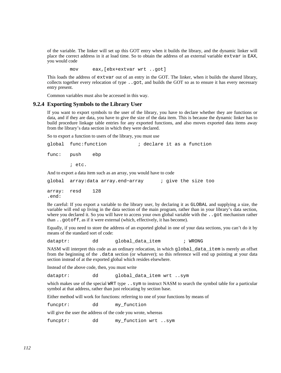of the variable. The linker will set up this GOT entry when it builds the library, and the dynamic linker will place the correct address in it at load time. So to obtain the address of an external variable extvar in EAX, you would code

mov eax,[ebx+extvar wrt ..got]

This loads the address of extvar out of an entry in the GOT. The linker, when it builds the shared library, collects together every relocation of type ..got, and builds the GOT so as to ensure it has every necessary entry present.

Common variables must also be accessed in this way.

#### **9.2.4 Exporting Symbols to the Library User**

<span id="page-111-0"></span>If you want to export symbols to the user of the library, you have to declare whether they are functions or data, and if they are data, you have to give the size of the data item. This is because the dynamic linker has to build procedure linkage table entries for any exported functions, and also moves exported data items away from the library's data section in which they were declared.

So to export a function to users of the library, you must use

|                                                                    | qlobal func:function               | ; declare it as a function |  |  |  |                     |  |
|--------------------------------------------------------------------|------------------------------------|----------------------------|--|--|--|---------------------|--|
| func: push                                                         | ebp                                |                            |  |  |  |                     |  |
|                                                                    | $i$ etc.                           |                            |  |  |  |                     |  |
| And to export a data item such as an array, you would have to code |                                    |                            |  |  |  |                     |  |
|                                                                    | qlobal  array:data array.end-array |                            |  |  |  | ; give the size too |  |

array: resd 128 .end:

Be careful: If you export a variable to the library user, by declaring it as GLOBAL and supplying a size, the variable will end up living in the data section of the main program, rather than in your library's data section, where you declared it. So you will have to access your own global variable with the ..got mechanism rather than ..gotoff, as if it were external (which, effectively, it has become).

Equally, if you need to store the address of an exported global in one of your data sections, you can't do it by means of the standard sort of code:

dataptr: dd global data item ; WRONG

NASM will interpret this code as an ordinary relocation, in which global\_data\_item is merely an offset from the beginning of the .data section (or whatever); so this reference will end up pointing at your data section instead of at the exported global which resides elsewhere.

Instead of the above code, then, you must write

dataptr: dd global\_data\_item wrt ..sym

which makes use of the special WRT type . . sym to instruct NASM to search the symbol table for a particular symbol at that address, rather than just relocating by section base.

Either method will work for functions: referring to one of your functions by means of

funcptr: dd my\_function

will give the user the address of the code you wrote, whereas

funcptr: dd my\_function wrt ..sym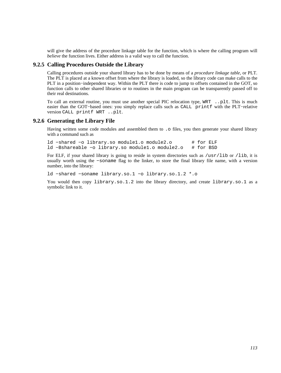will give the address of the procedure linkage table for the function, which is where the calling program will *believe* the function lives. Either address is a valid way to call the function.

#### **9.2.5 Calling Procedures Outside the Library**

Calling procedures outside your shared library has to be done by means of a *procedure linkage table*, or PLT. The PLT is placed at a known offset from where the library is loaded, so the library code can make calls to the PLT in a position−independent way. Within the PLT there is code to jump to offsets contained in the GOT, so function calls to other shared libraries or to routines in the main program can be transparently passed off to their real destinations.

To call an external routine, you must use another special PIC relocation type, WRT ..plt. This is much easier than the GOT−based ones: you simply replace calls such as CALL printf with the PLT−relative version CALL printf WRT ..plt.

#### **9.2.6 Generating the Library File**

Having written some code modules and assembled them to . o files, you then generate your shared library with a command such as

ld −shared −o library.so module1.o module2.o # for ELF<br>ld −Bshareable −o library.so module1.o module2.o # for BSD ld −Bshareable −o library.so module1.o module2.o

For ELF, if your shared library is going to reside in system directories such as /usr/lib or /lib, it is usually worth using the −soname flag to the linker, to store the final library file name, with a version number, into the library:

ld −shared −soname library.so.1 −o library.so.1.2 \*.o

You would then copy library.so.1.2 into the library directory, and create library.so.1 as a symbolic link to it.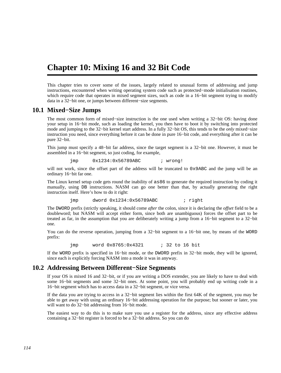## **Chapter 10: Mixing 16 and 32 Bit Code**

This chapter tries to cover some of the issues, largely related to unusual forms of addressing and jump instructions, encountered when writing operating system code such as protected−mode initialisation routines, which require code that operates in mixed segment sizes, such as code in a 16−bit segment trying to modify data in a 32−bit one, or jumps between different−size segments.

#### **10.1 Mixed−Size Jumps**

<span id="page-113-0"></span>The most common form of mixed–size instruction is the one used when writing a 32–bit OS: having done your setup in 16−bit mode, such as loading the kernel, you then have to boot it by switching into protected mode and jumping to the 32−bit kernel start address. In a fully 32−bit OS, this tends to be the *only* mixed−size instruction you need, since everything before it can be done in pure 16−bit code, and everything after it can be pure 32−bit.

This jump must specify a 48−bit far address, since the target segment is a 32−bit one. However, it must be assembled in a 16−bit segment, so just coding, for example,

jmp 0x1234:0x56789ABC ; wrong!

will not work, since the offset part of the address will be truncated to 0x9ABC and the jump will be an ordinary 16−bit far one.

The Linux kernel setup code gets round the inability of as86 to generate the required instruction by coding it manually, using DB instructions. NASM can go one better than that, by actually generating the right instruction itself. Here's how to do it right:

jmp dword 0x1234:0x56789ABC ; right

The DWORD prefix (strictly speaking, it should come *after* the colon, since it is declaring the *offset* field to be a doubleword; but NASM will accept either form, since both are unambiguous) forces the offset part to be treated as far, in the assumption that you are deliberately writing a jump from a 16−bit segment to a 32−bit one.

You can do the reverse operation, jumping from a 32−bit segment to a 16−bit one, by means of the WORD prefix:

jmp word 0x8765:0x4321 ; 32 to 16 bit

If the WORD prefix is specified in 16−bit mode, or the DWORD prefix in 32−bit mode, they will be ignored, since each is explicitly forcing NASM into a mode it was in anyway.

## **10.2 Addressing Between Different−Size Segments**

If your OS is mixed 16 and 32−bit, or if you are writing a DOS extender, you are likely to have to deal with some 16−bit segments and some 32−bit ones. At some point, you will probably end up writing code in a 16−bit segment which has to access data in a 32−bit segment, or vice versa.

If the data you are trying to access in a 32−bit segment lies within the first 64K of the segment, you may be able to get away with using an ordinary 16−bit addressing operation for the purpose; but sooner or later, you will want to do 32−bit addressing from 16−bit mode.

The easiest way to do this is to make sure you use a register for the address, since any effective address containing a 32−bit register is forced to be a 32−bit address. So you can do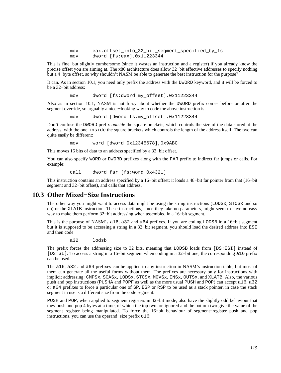mov eax, offset into 32 bit segment specified by fs mov dword [fs:eax],0x11223344

This is fine, but slightly cumbersome (since it wastes an instruction and a register) if you already know the precise offset you are aiming at. The x86 architecture does allow 32−bit effective addresses to specify nothing but a 4−byte offset, so why shouldn't NASM be able to generate the best instruction for the purpose?

It can. As in [section 10.1,](#page-113-0) you need only prefix the address with the DWORD keyword, and it will be forced to be a 32−bit address:

mov dword [fs:dword my\_offset],0x11223344

Also as in [section 10.1,](#page-113-0) NASM is not fussy about whether the DWORD prefix comes before or after the segment override, so arguably a nicer−looking way to code the above instruction is

mov dword [dword fs:my\_offset],0x11223344

Don't confuse the DWORD prefix *outside* the square brackets, which controls the size of the data stored at the address, with the one inside the square brackets which controls the length of the address itself. The two can quite easily be different:

mov word [dword 0x12345678],0x9ABC

This moves 16 bits of data to an address specified by a 32−bit offset.

You can also specify WORD or DWORD prefixes along with the FAR prefix to indirect far jumps or calls. For example:

call dword far [fs:word 0x4321]

This instruction contains an address specified by a 16−bit offset; it loads a 48−bit far pointer from that (16−bit segment and 32−bit offset), and calls that address.

## **10.3 Other Mixed−Size Instructions**

The other way you might want to access data might be using the string instructions (LODSx, STOSx and so on) or the XLATB instruction. These instructions, since they take no parameters, might seem to have no easy way to make them perform 32−bit addressing when assembled in a 16−bit segment.

This is the purpose of NASM's a16, a32 and a64 prefixes. If you are coding LODSB in a 16−bit segment but it is supposed to be accessing a string in a 32−bit segment, you should load the desired address into ESI and then code

a32 lodsb

The prefix forces the addressing size to 32 bits, meaning that LODSB loads from [DS:ESI] instead of [DS:SI]. To access a string in a 16−bit segment when coding in a 32−bit one, the corresponding a16 prefix can be used.

The a16, a32 and a64 prefixes can be applied to any instruction in NASM's instruction table, but most of them can generate all the useful forms without them. The prefixes are necessary only for instructions with implicit addressing: CMPSx, SCASx, LODSx, STOSx, MOVSx, INSx, OUTSx, and XLATB. Also, the various push and pop instructions (PUSHA and POPF as well as the more usual PUSH and POP) can accept a16, a32 or a64 prefixes to force a particular one of SP, ESP or RSP to be used as a stack pointer, in case the stack segment in use is a different size from the code segment.

PUSH and POP, when applied to segment registers in 32−bit mode, also have the slightly odd behaviour that they push and pop 4 bytes at a time, of which the top two are ignored and the bottom two give the value of the segment register being manipulated. To force the 16−bit behaviour of segment−register push and pop instructions, you can use the operand−size prefix o16: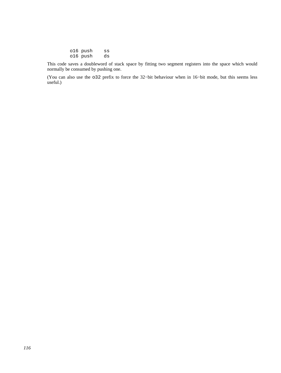| o16 push | SS |
|----------|----|
| o16 push | ds |

This code saves a doubleword of stack space by fitting two segment registers into the space which would normally be consumed by pushing one.

(You can also use the o32 prefix to force the 32−bit behaviour when in 16−bit mode, but this seems less useful.)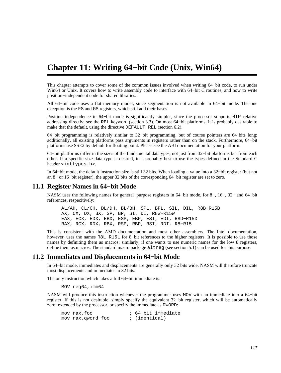## **Chapter 11: Writing 64−bit Code (Unix, Win64)**

This chapter attempts to cover some of the common issues involved when writing 64−bit code, to run under Win64 or Unix. It covers how to write assembly code to interface with 64−bit C routines, and how to write position−independent code for shared libraries.

All 64−bit code uses a flat memory model, since segmentation is not available in 64−bit mode. The one exception is the FS and GS registers, which still add their bases.

Position independence in 64−bit mode is significantly simpler, since the processor supports RIP–relative addressing directly; see the REL keyword [\(section 3.3\)](#page-28-0). On most 64−bit platforms, it is probably desirable to make that the default, using the directive DEFAULT REL [\(section 6.2\)](#page-71-0).

64−bit programming is relatively similar to 32−bit programming, but of course pointers are 64 bits long; additionally, all existing platforms pass arguments in registers rather than on the stack. Furthermore, 64−bit platforms use SSE2 by default for floating point. Please see the ABI documentation for your platform.

64−bit platforms differ in the sizes of the fundamental datatypes, not just from 32−bit platforms but from each other. If a specific size data type is desired, it is probably best to use the types defined in the Standard C header <inttypes.h>.

In 64−bit mode, the default instruction size is still 32 bits. When loading a value into a 32−bit register (but not an 8− or 16−bit register), the upper 32 bits of the corresponding 64−bit register are set to zero.

#### **11.1 Register Names in 64−bit Mode**

NASM uses the following names for general−purpose registers in 64−bit mode, for 8−, 16−, 32− and 64−bit references, respecitively:

 AL/AH, CL/CH, DL/DH, BL/BH, SPL, BPL, SIL, DIL, R8B−R15B AX, CX, DX, BX, SP, BP, SI, DI, R8W−R15W EAX, ECX, EDX, EBX, ESP, EBP, ESI, EDI, R8D−R15D RAX, RCX, RDX, RBX, RSP, RBP, RSI, RDI, R8−R15

This is consistent with the AMD documentation and most other assemblers. The Intel documentation, however, uses the names R8L−R15L for 8−bit references to the higher registers. It is possible to use those names by definiting them as macros; similarly, if one wants to use numeric names for the low 8 registers, define them as macros. The standard macro package altreg (see [section 5.1](#page-68-0)) can be used for this purpose.

#### **11.2 Immediates and Displacements in 64−bit Mode**

In 64−bit mode, immediates and displacements are generally only 32 bits wide. NASM will therefore truncate most displacements and immediates to 32 bits.

The only instruction which takes a full 64−bit immediate is:

MOV reg64,imm64

NASM will produce this instruction whenever the programmer uses MOV with an immediate into a 64−bit register. If this is not desirable, simply specify the equivalent 32−bit register, which will be automatically zero−extended by the processor, or specify the immediate as DWORD:

| mov rax, foo       |  | ; 64-bit immediate |
|--------------------|--|--------------------|
| mov rax, qword foo |  | ; (identical)      |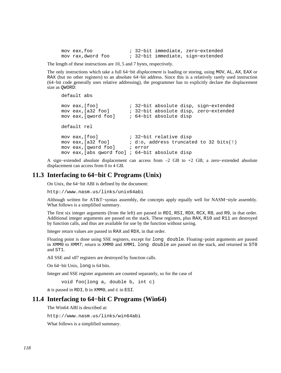mov eax,foo ; 32−bit immediate, zero−extended mov rax,dword foo ; 32−bit immediate, sign−extended

The length of these instructions are 10, 5 and 7 bytes, respectively.

The only instructions which take a full 64−bit *displacement* is loading or storing, using MOV, AL, AX, EAX or RAX (but no other registers) to an absolute 64−bit address. Since this is a relatively rarely used instruction (64−bit code generally uses relative addressing), the programmer has to explicitly declare the displacement size as QWORD:

```
 default abs 
      mov eax,[foo] ; 32−bit absolute disp, sign−extended 
 mov eax,[a32 foo] ; 32−bit absolute disp, zero−extended 
 mov eax,[qword foo] ; 64−bit absolute disp 
      default rel 
     mov eax, [foo] ; 32-bit relative disp<br>mov eax, [a32 foo] ; d:o, address truncate
                            ; d:o, address truncated to 32 bits(!)<br>; error
     mov eax, [qword foo]
      mov eax,[abs qword foo] ; 64−bit absolute disp
```
A sign−extended absolute displacement can access from –2 GB to +2 GB; a zero−extended absolute displacement can access from 0 to 4 GB.

#### **11.3 Interfacing to 64−bit C Programs (Unix)**

On Unix, the 64−bit ABI is defined by the document:

<http://www.nasm.us/links/unix64abi>

Although written for AT&T−syntax assembly, the concepts apply equally well for NASM−style assembly. What follows is a simplified summary.

The first six integer arguments (from the left) are passed in RDI, RSI, RDX, RCX, R8, and R9, in that order. Additional integer arguments are passed on the stack. These registers, plus RAX, R10 and R11 are destroyed by function calls, and thus are available for use by the function without saving.

Integer return values are passed in RAX and RDX, in that order.

Floating point is done using SSE registers, except for long double. Floating−point arguments are passed in XMM0 to XMM7; return is XMM0 and XMM1. long double are passed on the stack, and returned in ST0 and ST1.

All SSE and x87 registers are destroyed by function calls.

On 64−bit Unix, long is 64 bits.

Integer and SSE register arguments are counted separately, so for the case of

void foo(long a, double b, int c)

a is passed in RDI, b in XMM0, and c in ESI.

### **11.4 Interfacing to 64−bit C Programs (Win64)**

The Win64 ABI is described at:

<http://www.nasm.us/links/win64abi>

What follows is a simplified summary.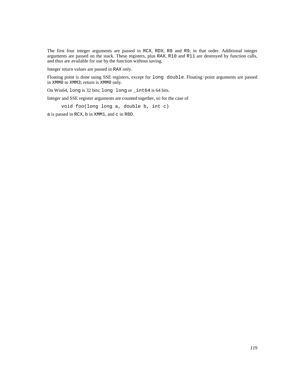The first four integer arguments are passed in RCX, RDX, R8 and R9, in that order. Additional integer arguments are passed on the stack. These registers, plus RAX, R10 and R11 are destroyed by function calls, and thus are available for use by the function without saving.

Integer return values are passed in RAX only.

Floating point is done using SSE registers, except for long double. Floating−point arguments are passed in XMM0 to XMM3; return is XMM0 only.

On Win64, long is 32 bits; long long or \_int64 is 64 bits.

Integer and SSE register arguments are counted together, so for the case of

void foo(long long a, double b, int c)

a is passed in RCX, b in XMM1, and c in R8D.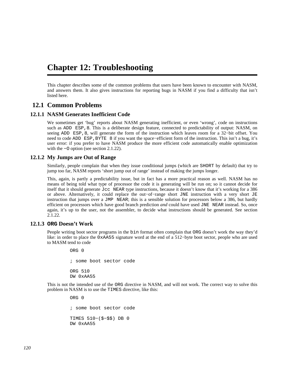## **Chapter 12: Troubleshooting**

This chapter describes some of the common problems that users have been known to encounter with NASM, and answers them. It also gives instructions for reporting bugs in NASM if you find a difficulty that isn't listed here.

## **12.1 Common Problems**

#### **12.1.1 NASM Generates Inefficient Code**

<span id="page-119-0"></span>We sometimes get 'bug' reports about NASM generating inefficient, or even 'wrong', code on instructions such as ADD ESP, 8. This is a deliberate design feature, connected to predictability of output: NASM, on seeing ADD ESP,8, will generate the form of the instruction which leaves room for a 32-bit offset. You need to code ADD ESP, BYTE 8 if you want the space–efficient form of the instruction. This isn't a bug, it's user error: if you prefer to have NASM produce the more efficient code automatically enable optimization with the −O option (see [section 2.1.22\)](#page-21-0).

#### **12.1.2 My Jumps are Out of Range**

Similarly, people complain that when they issue conditional jumps (which are SHORT by default) that try to jump too far, NASM reports 'short jump out of range' instead of making the jumps longer.

This, again, is partly a predictability issue, but in fact has a more practical reason as well. NASM has no means of being told what type of processor the code it is generating will be run on; so it cannot decide for itself that it should generate Jcc NEAR type instructions, because it doesn't know that it's working for a 386 or above. Alternatively, it could replace the out−of−range short JNE instruction with a very short JE instruction that jumps over a JMP NEAR; this is a sensible solution for processors below a 386, but hardly efficient on processors which have good branch prediction *and* could have used JNE NEAR instead. So, once again, it's up to the user, not the assembler, to decide what instructions should be generated. See [section](#page-21-0) [2.1.22.](#page-21-0)

#### **12.1.3 ORG Doesn't Work**

People writing boot sector programs in the bin format often complain that ORG doesn't work the way they'd like: in order to place the 0xAA55 signature word at the end of a 512−byte boot sector, people who are used to MASM tend to code

> ORG 0 ; some boot sector code ORG 510 DW 0xAA55

This is not the intended use of the ORG directive in NASM, and will not work. The correct way to solve this problem in NASM is to use the TIMES directive, like this:

> ORG 0 ; some boot sector code TIMES 510−(\$−\$\$) DB 0 DW 0xAA55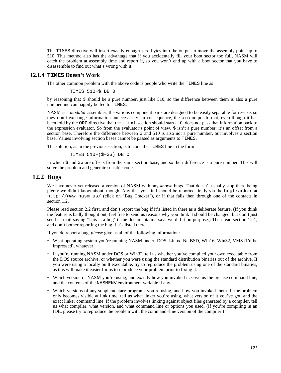The TIMES directive will insert exactly enough zero bytes into the output to move the assembly point up to 510. This method also has the advantage that if you accidentally fill your boot sector too full, NASM will catch the problem at assembly time and report it, so you won't end up with a boot sector that you have to disassemble to find out what's wrong with it.

#### **12.1.4 TIMES Doesn't Work**

The other common problem with the above code is people who write the TIMES line as

```
 TIMES 510−$ DB 0
```
by reasoning that  $\frac{1}{5}$  should be a pure number, just like 510, so the difference between them is also a pure number and can happily be fed to TIMES.

NASM is a *modular* assembler: the various component parts are designed to be easily separable for re−use, so they don't exchange information unnecessarily. In consequence, the bin output format, even though it has been told by the ORG directive that the .text section should start at 0, does not pass that information back to the expression evaluator. So from the evaluator's point of view, \$ isn't a pure number: it's an offset from a section base. Therefore the difference between  $\frac{1}{5}$  and 510 is also not a pure number, but involves a section base. Values involving section bases cannot be passed as arguments to TIMES.

The solution, as in the previous section, is to code the TIMES line in the form

TIMES 510−(\$−\$\$) DB 0

in which  $\frac{2}{3}$  and  $\frac{2}{3}$  are offsets from the same section base, and so their difference is a pure number. This will solve the problem and generate sensible code.

### **12.2 Bugs**

We have never yet released a version of NASM with any *known* bugs. That doesn't usually stop there being plenty we didn't know about, though. Any that you find should be reported firstly via the bugtracker at <http://www.nasm.us/> (click on "Bug Tracker"), or if that fails then through one of the contacts in [section 1.2.](#page-15-0)

Please read [section 2.2](#page-24-0) first, and don't report the bug if it's listed in there as a deliberate feature. (If you think the feature is badly thought out, feel free to send us reasons why you think it should be changed, but don't just send us mail saying 'This is a bug' if the documentation says we did it on purpose.) Then read [section 12.1](#page-119-0), and don't bother reporting the bug if it's listed there.

If you do report a bug, *please* give us all of the following information:

- What operating system you're running NASM under. DOS, Linux, NetBSD, Win16, Win32, VMS (I'd be impressed), whatever.
- If you're running NASM under DOS or Win32, tell us whether you've compiled your own executable from the DOS source archive, or whether you were using the standard distribution binaries out of the archive. If you were using a locally built executable, try to reproduce the problem using one of the standard binaries, as this will make it easier for us to reproduce your problem prior to fixing it.
- Which version of NASM you're using, and exactly how you invoked it. Give us the precise command line, and the contents of the NASMENV environment variable if any.
- Which versions of any supplementary programs you're using, and how you invoked them. If the problem only becomes visible at link time, tell us what linker you're using, what version of it you've got, and the exact linker command line. If the problem involves linking against object files generated by a compiler, tell us what compiler, what version, and what command line or options you used. (If you're compiling in an IDE, please try to reproduce the problem with the command−line version of the compiler.)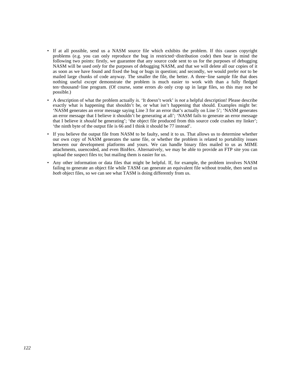- If at all possible, send us a NASM source file which exhibits the problem. If this causes copyright problems (e.g. you can only reproduce the bug in restricted−distribution code) then bear in mind the following two points: firstly, we guarantee that any source code sent to us for the purposes of debugging NASM will be used *only* for the purposes of debugging NASM, and that we will delete all our copies of it as soon as we have found and fixed the bug or bugs in question; and secondly, we would prefer *not* to be mailed large chunks of code anyway. The smaller the file, the better. A three−line sample file that does nothing useful *except* demonstrate the problem is much easier to work with than a fully fledged ten−thousand−line program. (Of course, some errors *do* only crop up in large files, so this may not be possible.)
- A description of what the problem actually *is*. 'It doesn't work' is *not* a helpful description! Please describe exactly what is happening that shouldn't be, or what isn't happening that should. Examples might be: 'NASM generates an error message saying Line 3 for an error that's actually on Line 5'; 'NASM generates an error message that I believe it shouldn't be generating at all'; 'NASM fails to generate an error message that I believe it *should* be generating'; 'the object file produced from this source code crashes my linker'; 'the ninth byte of the output file is 66 and I think it should be 77 instead'.
- If you believe the output file from NASM to be faulty, send it to us. That allows us to determine whether our own copy of NASM generates the same file, or whether the problem is related to portability issues between our development platforms and yours. We can handle binary files mailed to us as MIME attachments, uuencoded, and even BinHex. Alternatively, we may be able to provide an FTP site you can upload the suspect files to; but mailing them is easier for us.
- Any other information or data files that might be helpful. If, for example, the problem involves NASM failing to generate an object file while TASM can generate an equivalent file without trouble, then send us *both* object files, so we can see what TASM is doing differently from us.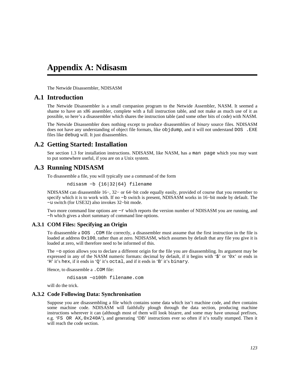## **Appendix A: Ndisasm**

The Netwide Disassembler, NDISASM

### **A.1 Introduction**

The Netwide Disassembler is a small companion program to the Netwide Assembler, NASM. It seemed a shame to have an x86 assembler, complete with a full instruction table, and not make as much use of it as possible, so here's a disassembler which shares the instruction table (and some other bits of code) with NASM.

The Netwide Disassembler does nothing except to produce disassemblies of *binary* source files. NDISASM does not have any understanding of object file formats, like objdump, and it will not understand DOS . EXE files like debug will. It just disassembles.

## **A.2 Getting Started: Installation**

See [section 1.3](#page-15-1) for installation instructions. NDISASM, like NASM, has a man page which you may want to put somewhere useful, if you are on a Unix system.

## **A.3 Running NDISASM**

To disassemble a file, you will typically use a command of the form

ndisasm −b {16|32|64} filename

NDISASM can disassemble 16−, 32− or 64−bit code equally easily, provided of course that you remember to specify which it is to work with. If no –b switch is present, NDISASM works in 16–bit mode by default. The −u switch (for USE32) also invokes 32−bit mode.

Two more command line options are −r which reports the version number of NDISASM you are running, and −h which gives a short summary of command line options.

#### **A.3.1 COM Files: Specifying an Origin**

To disassemble a DOS .COM file correctly, a disassembler must assume that the first instruction in the file is loaded at address  $0x100$ , rather than at zero. NDISASM, which assumes by default that any file you give it is loaded at zero, will therefore need to be informed of this.

The −o option allows you to declare a different origin for the file you are disassembling. Its argument may be expressed in any of the NASM numeric formats: decimal by default, if it begins with '\$' or '0x' or ends in 'H' it's hex, if it ends in 'Q' it's octal, and if it ends in 'B' it's binary.

Hence, to disassemble a . COM file:

ndisasm −o100h filename.com

will do the trick.

#### **A.3.2 Code Following Data: Synchronisation**

Suppose you are disassembling a file which contains some data which isn't machine code, and *then* contains some machine code. NDISASM will faithfully plough through the data section, producing machine instructions wherever it can (although most of them will look bizarre, and some may have unusual prefixes, e.g. 'FS OR AX,0x240A'), and generating 'DB' instructions ever so often if it's totally stumped. Then it will reach the code section.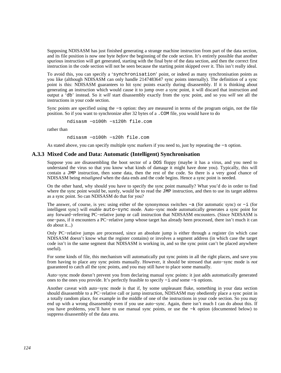Supposing NDISASM has just finished generating a strange machine instruction from part of the data section, and its file position is now one byte *before* the beginning of the code section. It's entirely possible that another spurious instruction will get generated, starting with the final byte of the data section, and then the correct first instruction in the code section will not be seen because the starting point skipped over it. This isn't really ideal.

To avoid this, you can specify a 'synchronisation' point, or indeed as many synchronisation points as you like (although NDISASM can only handle 2147483647 sync points internally). The definition of a sync point is this: NDISASM guarantees to hit sync points exactly during disassembly. If it is thinking about generating an instruction which would cause it to jump over a sync point, it will discard that instruction and output a 'db' instead. So it *will* start disassembly exactly from the sync point, and so you *will* see all the instructions in your code section.

Sync points are specified using the −s option: they are measured in terms of the program origin, not the file position. So if you want to synchronize after 32 bytes of a .COM file, you would have to do

ndisasm −o100h −s120h file.com

rather than

ndisasm −o100h −s20h file.com

As stated above, you can specify multiple sync markers if you need to, just by repeating the −s option.

#### **A.3.3 Mixed Code and Data: Automatic (Intelligent) Synchronisation**

Suppose you are disassembling the boot sector of a DOS floppy (maybe it has a virus, and you need to understand the virus so that you know what kinds of damage it might have done you). Typically, this will contain a JMP instruction, then some data, then the rest of the code. So there is a very good chance of NDISASM being *misaligned* when the data ends and the code begins. Hence a sync point is needed.

On the other hand, why should you have to specify the sync point manually? What you'd do in order to find where the sync point would be, surely, would be to read the JMP instruction, and then to use its target address as a sync point. So can NDISASM do that for you?

The answer, of course, is yes: using either of the synonymous switches −a (for automatic sync) or −i (for intelligent sync) will enable auto−sync mode. Auto−sync mode automatically generates a sync point for any forward−referring PC−relative jump or call instruction that NDISASM encounters. (Since NDISASM is one−pass, if it encounters a PC−relative jump whose target has already been processed, there isn't much it can do about it...)

Only PC−relative jumps are processed, since an absolute jump is either through a register (in which case NDISASM doesn't know what the register contains) or involves a segment address (in which case the target code isn't in the same segment that NDISASM is working in, and so the sync point can't be placed anywhere useful).

For some kinds of file, this mechanism will automatically put sync points in all the right places, and save you from having to place any sync points manually. However, it should be stressed that auto−sync mode is *not* guaranteed to catch all the sync points, and you may still have to place some manually.

Auto−sync mode doesn't prevent you from declaring manual sync points: it just adds automatically generated ones to the ones you provide. It's perfectly feasible to specify −i *and* some −s options.

Another caveat with auto−sync mode is that if, by some unpleasant fluke, something in your data section should disassemble to a PC−relative call or jump instruction, NDISASM may obediently place a sync point in a totally random place, for example in the middle of one of the instructions in your code section. So you may end up with a wrong disassembly even if you use auto−sync. Again, there isn't much I can do about this. If you have problems, you'll have to use manual sync points, or use the −k option (documented below) to suppress disassembly of the data area.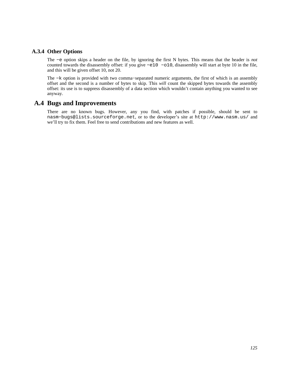#### **A.3.4 Other Options**

The −e option skips a header on the file, by ignoring the first N bytes. This means that the header is *not* counted towards the disassembly offset: if you give −e10 −o10, disassembly will start at byte 10 in the file, and this will be given offset 10, not 20.

The −k option is provided with two comma−separated numeric arguments, the first of which is an assembly offset and the second is a number of bytes to skip. This *will* count the skipped bytes towards the assembly offset: its use is to suppress disassembly of a data section which wouldn't contain anything you wanted to see anyway.

## **A.4 Bugs and Improvements**

There are no known bugs. However, any you find, with patches if possible, should be sent to [nasm−bugs@lists.sourceforge.net](mailto:nasm-bugs@lists.sourceforge.net), or to the developer's site at <http://www.nasm.us/> and we'll try to fix them. Feel free to send contributions and new features as well.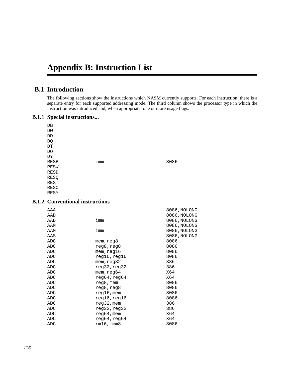# **Appendix B: Instruction List**

## **B.1 Introduction**

The following sections show the instructions which NASM currently supports. For each instruction, there is a separate entry for each supported addressing mode. The third column shows the processor type in which the instruction was introduced and, when appropriate, one or more usage flags.

#### **B.1.1 Special instructions...**

| DB          |     |      |
|-------------|-----|------|
| DW          |     |      |
| DD          |     |      |
| DQ          |     |      |
| DT          |     |      |
| DO          |     |      |
| DΥ          |     |      |
| <b>RESB</b> | imm | 8086 |
| <b>RESW</b> |     |      |
| <b>RESD</b> |     |      |
| RESQ        |     |      |
| REST        |     |      |
| <b>RESO</b> |     |      |
| RESY        |     |      |

### **B.1.2 Conventional instructions**

| AAA |                       | 8086, NOLONG |
|-----|-----------------------|--------------|
| AAD |                       | 8086, NOLONG |
| AAD | imm                   | 8086, NOLONG |
| AAM |                       | 8086, NOLONG |
| AAM | imm                   | 8086, NOLONG |
| AAS |                       | 8086, NOLONG |
| ADC | mem,reg8              | 8086         |
| ADC | reg8,reg8             | 8086         |
| ADC | mem, <sub>req16</sub> | 8086         |
| ADC | reg16,reg16           | 8086         |
| ADC | mem,reg32             | 386          |
| ADC | reg32, reg32          | 386          |
| ADC | mem, req64            | X64          |
| ADC | reg64,reg64           | X64          |
| ADC | reg8, mem             | 8086         |
| ADC | reg8,reg8             | 8086         |
| ADC | $req16$ , mem         | 8086         |
| ADC | reg16,reg16           | 8086         |
| ADC | $reg32$ , mem         | 386          |
| ADC | reg32,reg32           | 386          |
| ADC | $reg64,$ mem          | X64          |
| ADC | reg64, reg64          | X64          |
| ADC | $rm16$ , imm $8$      | 8086         |
|     |                       |              |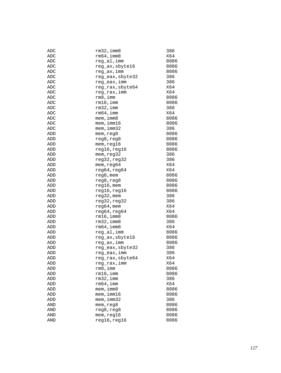| ADC        | $rm32$ , imm $8$ | 386  |
|------------|------------------|------|
| ADC        | $rm64$ ,imm $8$  | X64  |
| ADC        | reg_al,imm       | 8086 |
| ADC        | reg_ax, sbyte16  | 8086 |
| ADC        | reg_ax,imm       | 8086 |
| <b>ADC</b> | reg_eax, sbyte32 | 386  |
| ADC        | reg_eax,imm      | 386  |
| ADC        | reg_rax, sbyte64 | X64  |
| ADC        | reg_rax, imm     | X64  |
| ADC        | rm8,imm          | 8086 |
| ADC        | rm16, imm        | 8086 |
| <b>ADC</b> | $rm32$ , imm     | 386  |
| ADC        | rm64, imm        | X64  |
| ADC        | mem, imm8        | 8086 |
| ADC        | $m$ em, imm $16$ | 8086 |
| ADC        | $m$ em, imm $32$ | 386  |
| ADD        | mem, reg8        | 8086 |
| ADD        | reg8, reg8       | 8086 |
| ADD        | mem, reg16       | 8086 |
| ADD        | reg16, reg16     | 8086 |
|            |                  | 386  |
| ADD        | mem, reg32       |      |
| ADD        | reg32, reg32     | 386  |
| ADD        | mem, reg64       | X64  |
| ADD        | reg64, reg64     | X64  |
| ADD        | reg8, mem        | 8086 |
| ADD        | reg8, reg8       | 8086 |
| ADD        | reg16, mem       | 8086 |
| ADD        | reg16,reg16      | 8086 |
| ADD        | $reg32$ , mem    | 386  |
| ADD        | reg32, reg32     | 386  |
| ADD        | $reg64,$ mem     | X64  |
| ADD        | reg64, reg64     | X64  |
| ADD        | $rm16$ ,imm $8$  | 8086 |
| ADD        | $rm32$ , imm $8$ | 386  |
| ADD        | $rm64$ , imm $8$ | X64  |
| ADD        | reg_al, imm      | 8086 |
| ADD        | reg_ax, sbyte16  | 8086 |
| ADD        | reg_ax, imm      | 8086 |
| ADD        | reg_eax, sbyte32 | 386  |
| ADD        | reg_eax,imm      | 386  |
| ADD        | reg_rax, sbyte64 | X64  |
| ADD        | reg_rax,imm      | X64  |
| ADD        | rm8,imm          | 8086 |
| ADD        | $rm16$ , imm     | 8086 |
| ADD        | $rm32$ , imm     | 386  |
| ADD        | $rm64$ , imm     | X64  |
| ADD        | $m$ em, imm $8$  | 8086 |
| ADD        | $m$ em, imm $16$ | 8086 |
| ADD        | $m$ em, imm $32$ | 386  |
| AND        | mem, reg8        | 8086 |
| AND        | reg8,reg8        | 8086 |
| AND        | mem,reg16        | 8086 |
| AND        | reg16, reg16     | 8086 |
|            |                  |      |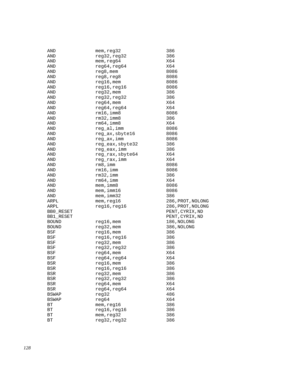| AND          | mem, reg32       | 386               |
|--------------|------------------|-------------------|
| AND          | reg32, reg32     | 386               |
| AND          | mem, reg64       | X64               |
| AND          | reg64, reg64     | X64               |
| AND          | $reg8$ , mem     | 8086              |
| AND          | reg8, reg8       | 8086              |
| AND          | $reg16$ , mem    | 8086              |
| AND          | reg16, reg16     | 8086              |
| AND          | $reg32$ , mem    | 386               |
| AND          | reg32, reg32     | 386               |
| AND          | $reg64,$ mem     | X64               |
| AND          | reg64, reg64     | X64               |
|              | $rm16$ , imm $8$ | 8086              |
| AND          |                  |                   |
| AND          | $rm32$ , imm $8$ | 386               |
| AND          | $rm64$ , imm $8$ | X64               |
| AND          | reg_al,imm       | 8086              |
| AND          | reg_ax, sbyte16  | 8086              |
| AND          | reg_ax,imm       | 8086              |
| AND          | reg_eax, sbyte32 | 386               |
| AND          | reg_eax,imm      | 386               |
| AND          | reg_rax, sbyte64 | X64               |
| AND          | reg_rax,imm      | X64               |
| AND          | rm 8, imm        | 8086              |
| AND          | $rm16$ , imm     | 8086              |
| AND          | $rm32$ , imm     | 386               |
| AND          | rm64, imm        | X64               |
| AND          | mem, imm8        | 8086              |
| AND          | $m$ em, imm $16$ | 8086              |
| AND          | mem, imm32       | 386               |
| ARPL         | mem, reg16       | 286, PROT, NOLONG |
| ARPL         | reg16, reg16     | 286, PROT, NOLONG |
| BB0_RESET    |                  | PENT, CYRIX, ND   |
| BB1 RESET    |                  | PENT, CYRIX, ND   |
| <b>BOUND</b> | $reg16$ , mem    | 186, NOLONG       |
| <b>BOUND</b> | $reg32$ , mem    | 386, NOLONG       |
| BSF          | $reg16$ , mem    | 386               |
|              |                  |                   |
| BSF          | reg16, reg16     | 386               |
| BSF          | $reg32$ , mem    | 386               |
| BSF          | reg32, reg32     | 386               |
| BSF          | $reg64,$ mem     | X64               |
| BSF          | reg64, reg64     | X64               |
| BSR          | $reg16$ , mem    | 386               |
| BSR          | reg16, reg16     | 386               |
| BSR          | $reg32$ , mem    | 386               |
| BSR          | reg32, reg32     | 386               |
| BSR          | $reg64,$ mem     | X64               |
| BSR          | reg64, reg64     | X64               |
| <b>BSWAP</b> | reg32            | 486               |
| <b>BSWAP</b> | reg64            | X64               |
| ВT           | mem, reg16       | 386               |
| ВT           | reg16, reg16     | 386               |
| ВT           | mem, reg32       | 386               |
| ВT           | reg32, reg32     | 386               |
|              |                  |                   |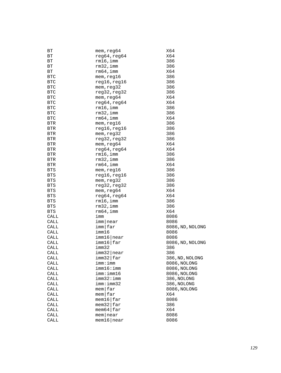| ВT         | mem, reg64                 | X64              |
|------------|----------------------------|------------------|
| ВT         | reg64, reg64               | X64              |
| ВT         | $rm16$ , imm               | 386              |
| ВT         | $rm32$ , imm               | 386              |
| ВT         | $rm64$ , imm               | X64              |
| <b>BTC</b> | mem, reg16                 | 386              |
| <b>BTC</b> | reg16, reg16               | 386              |
| <b>BTC</b> | mem, reg32                 | 386              |
| <b>BTC</b> | reg32, reg32               | 386              |
| <b>BTC</b> | mem, reg64                 | X64              |
| <b>BTC</b> | reg64, reg64               | X64              |
| <b>BTC</b> | $rm16$ , imm               | 386              |
| <b>BTC</b> | $rm32$ , imm               | 386              |
| <b>BTC</b> | $rm64$ , imm               | X64              |
| <b>BTR</b> | mem, reg16                 | 386              |
| BTR        | reg16,reg16                | 386              |
| <b>BTR</b> | mem, reg32                 | 386              |
| <b>BTR</b> | reg32, reg32               | 386              |
| <b>BTR</b> | mem, req64                 | X64              |
| <b>BTR</b> | reg64, reg64               | X64              |
| BTR        | $rm16$ , imm               | 386              |
| BTR        | $rm32$ , imm               | 386              |
| <b>BTR</b> | rm64, imm                  | X64              |
| <b>BTS</b> | mem, reg16                 | 386              |
| <b>BTS</b> | reg16, reg16               | 386              |
| <b>BTS</b> | mem, reg32                 | 386              |
| <b>BTS</b> | reg32, reg32               | 386              |
| <b>BTS</b> | mem, reg64                 | X64              |
| <b>BTS</b> | reg64, reg64               | X64              |
| <b>BTS</b> | $rm16$ , imm               | 386              |
| <b>BTS</b> | $rm32$ , imm               | 386              |
| <b>BTS</b> | $rm64$ , imm               | X64              |
| CALL       | imm                        | 8086             |
| CALL       | imm near                   | 8086             |
| CALL       | $imm$   far                | 8086, ND, NOLONG |
| CALL       | imm16                      | 8086             |
| CALL       | imm16 near                 | 8086             |
| CALL       | imm16 far                  | 8086, ND, NOLONG |
| CALL       | imm32                      | 386              |
| CALL       | $imm32$ near               | 386              |
| CALL       | imm32 far                  | 386, ND, NOLONG  |
| CALL       | imm:imm                    | 8086, NOLONG     |
| CALL       | imm16:imm                  | 8086, NOLONG     |
| CALL       | imm:imm16                  | 8086, NOLONG     |
| CALL       | imm32:imm                  | 386, NOLONG      |
| CALL       | imm:imm32                  | 386, NOLONG      |
| CALL       | $m$ em $far$               | 8086, NOLONG     |
| CALL       | $m$ em $far$               | X64              |
| CALL       | $m$ em16 $\frac{1}{2}$ far | 8086             |
| CALL       | $m$ em32 $\frac{1}{2}$ far | 386              |
| CALL       | $m$ em64 $\frac{1}{2}$ far | X64              |
| CALL       | $m$ em   near              | 8086             |
| CALL       | $m$ em16   near            | 8086             |
|            |                            |                  |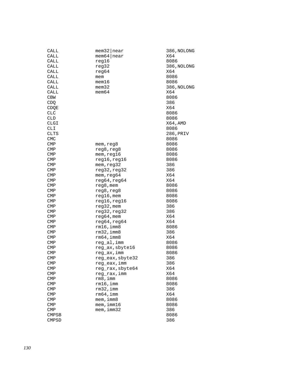| CALL         | $m$ em32   near  | 386, NOLONG |
|--------------|------------------|-------------|
| CALL         | $m$ em64   near  | X64         |
| CALL         | reg16            | 8086        |
| CALL         | reg32            | 386, NOLONG |
| CALL         | reg64            | X64         |
| CALL         | mem              | 8086        |
| CALL         | mem16            | 8086        |
| CALL         | $m$ em $32$      | 386, NOLONG |
| CALL         | $m$ em $64$      | X64         |
| <b>CBW</b>   |                  | 8086        |
| CDQ          |                  | 386         |
| CDOE         |                  | X64         |
| <b>CLC</b>   |                  | 8086        |
| <b>CLD</b>   |                  | 8086        |
| CLGI         |                  | X64, AMD    |
| CLI          |                  | 8086        |
| CLTS         |                  | 286,PRIV    |
| <b>CMC</b>   |                  | 8086        |
| <b>CMP</b>   | mem, reg8        | 8086        |
| <b>CMP</b>   | reg8, reg8       | 8086        |
| $\text{CMP}$ | mem, reg16       | 8086        |
| <b>CMP</b>   | reg16, reg16     | 8086        |
| <b>CMP</b>   | mem, reg32       | 386         |
| <b>CMP</b>   | reg32, reg32     | 386         |
| <b>CMP</b>   | mem, reg64       | X64         |
| <b>CMP</b>   | reg64, reg64     | X64         |
| <b>CMP</b>   | reg8, mem        | 8086        |
| <b>CMP</b>   | reg8,reg8        | 8086        |
| <b>CMP</b>   | reg16,mem        | 8086        |
| <b>CMP</b>   | reg16, reg16     | 8086        |
| <b>CMP</b>   | reg32, mem       | 386         |
| <b>CMP</b>   | reg32, reg32     | 386         |
| <b>CMP</b>   | $reg64,$ mem     | X64         |
| <b>CMP</b>   | reg64, reg64     | X64         |
| <b>CMP</b>   | rm16,imm8        | 8086        |
| <b>CMP</b>   | $rm32$ , imm $8$ | 386         |
| <b>CMP</b>   | $rm64$ , imm $8$ | X64         |
| <b>CMP</b>   | reg_al, imm      | 8086        |
| <b>CMP</b>   | reg_ax, sbyte16  | 8086        |
| <b>CMP</b>   | reg_ax,imm       | 8086        |
| <b>CMP</b>   | reg_eax, sbyte32 | 386         |
| CMP          | reg_eax,imm      | 386         |
| $\text{CMP}$ | reg rax, sbyte64 | X64         |
| $\text{CMP}$ | reg_rax,imm      | X64         |
| <b>CMP</b>   | rm8,imm          | 8086        |
| $\text{CMP}$ | rm16, imm        | 8086        |
| <b>CMP</b>   | $rm32$ , imm     | 386         |
|              | rm64, imm        | X64         |
| <b>CMP</b>   |                  |             |
| $\text{CMP}$ | $m$ em, imm $8$  | 8086        |
| $\text{CMP}$ | $m$ em, imm $16$ | 8086        |
| <b>CMP</b>   | $m$ em, imm $32$ | 386         |
| <b>CMPSB</b> |                  | 8086        |
| <b>CMPSD</b> |                  | 386         |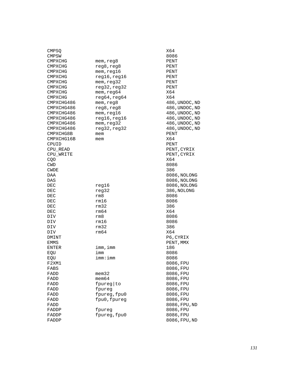| CMPSQ          |              | X64            |
|----------------|--------------|----------------|
| CMPSW          |              | 8086           |
| CMPXCHG        | mem, reg8    | PENT           |
| CMPXCHG        | reg8,reg8    | PENT           |
| CMPXCHG        | mem, reg16   | PENT           |
| CMPXCHG        | reg16, reg16 | PENT           |
| <b>CMPXCHG</b> | mem, reg32   | PENT           |
| CMPXCHG        | reg32, reg32 | PENT           |
| CMPXCHG        | mem, reg64   | X64            |
| CMPXCHG        | reg64, reg64 | X64            |
| CMPXCHG486     | mem, reg8    | 486, UNDOC, ND |
| CMPXCHG486     | reg8, reg8   | 486, UNDOC, ND |
| CMPXCHG486     | mem, reg16   | 486, UNDOC, ND |
| CMPXCHG486     |              |                |
|                | reg16, reg16 | 486, UNDOC, ND |
| CMPXCHG486     | mem, reg32   | 486, UNDOC, ND |
| CMPXCHG486     | reg32, reg32 | 486, UNDOC, ND |
| CMPXCHG8B      | mem          | PENT           |
| CMPXCHG16B     | mem          | X64            |
| CPUID          |              | PENT           |
| CPU READ       |              | PENT, CYRIX    |
| CPU WRITE      |              | PENT, CYRIX    |
| CQO            |              | X64            |
| CWD            |              | 8086           |
| CWDE           |              | 386            |
| DAA            |              | 8086, NOLONG   |
| DAS            |              | 8086, NOLONG   |
| DEC            | reg16        | 8086, NOLONG   |
| DEC            | reg32        | 386, NOLONG    |
| DEC            | rm8          | 8086           |
| DEC            | rm16         | 8086           |
| DEC            | rm32         | 386            |
| DEC            | rm64         | X64            |
| DIV            | rm8          | 8086           |
| DIV            | rm16         | 8086           |
| DIV            | rm32         | 386            |
| DIV            | rm64         | X64            |
| DMINT          |              | P6, CYRIX      |
| EMMS           |              | PENT, MMX      |
| ENTER          | imm,imm      | 186            |
| EQU            | imm          | 8086           |
| EQU            | imm:imm      | 8086           |
| F2XM1          |              | 8086, FPU      |
| FABS           |              | 8086, FPU      |
| FADD           | $m$ em $32$  | 8086, FPU      |
| FADD           | $m$ em $64$  | 8086, FPU      |
| FADD           | fpureg to    | 8086, FPU      |
| FADD           | fpureg       | 8086, FPU      |
| FADD           | fpureg, fpu0 | 8086, FPU      |
| FADD           | fpu0, fpureg | 8086, FPU      |
| FADD           |              | 8086, FPU, ND  |
| FADDP          | fpureg       | 8086, FPU      |
| FADDP          | fpureg, fpu0 | 8086, FPU      |
| FADDP          |              | 8086, FPU, ND  |
|                |              |                |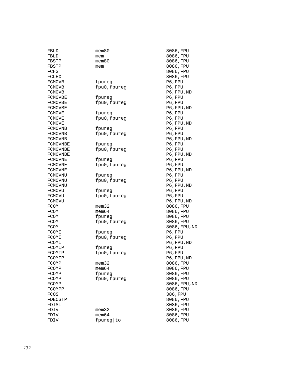| FBLD          | $m$ em $80$  | 8086, FPU     |
|---------------|--------------|---------------|
| FBLD          | mem          | 8086, FPU     |
| FBSTP         | $m$ em $80$  | 8086, FPU     |
| FBSTP         | mem          | 8086, FPU     |
| FCHS          |              | 8086, FPU     |
| FCLEX         |              | 8086, FPU     |
| <b>FCMOVB</b> | fpureg       | P6, FPU       |
| FCMOVB        | fpu0, fpureg | P6, FPU       |
| FCMOVB        |              | P6, FPU, ND   |
| FCMOVBE       | tpureg       | P6, FPU       |
| FCMOVBE       | fpu0, fpureg | P6, FPU       |
| FCMOVBE       |              | P6, FPU, ND   |
| FCMOVE        | fpureq       | P6, FPU       |
| FCMOVE        | fpu0, fpureg | P6, FPU       |
| FCMOVE        |              | P6, FPU, ND   |
| FCMOVNB       | fpureg       | P6, FPU       |
| FCMOVNB       | fpu0, fpureg | P6, FPU       |
| FCMOVNB       |              | P6, FPU, ND   |
| FCMOVNBE      | fpureg       | P6, FPU       |
| FCMOVNBE      | fpu0, fpureg | P6, FPU       |
| FCMOVNBE      |              | P6, FPU, ND   |
| FCMOVNE       | tpureg       | P6, FPU       |
| FCMOVNE       | fpu0, fpureg | P6, FPU       |
| FCMOVNE       |              | P6, FPU, ND   |
| FCMOVNU       | fpureg       | P6, FPU       |
| FCMOVNU       | fpu0, fpureg | P6, FPU       |
| FCMOVNU       |              | P6, FPU, ND   |
| FCMOVU        | fpureg       | P6, FPU       |
| FCMOVU        | fpu0, fpureg | P6, FPU       |
| FCMOVU        |              | P6, FPU, ND   |
| FCOM          | mem32        | 8086, FPU     |
| FCOM          | mem64        | 8086, FPU     |
| FCOM          | fpureg       | 8086, FPU     |
| FCOM          | fpu0, fpureg | 8086, FPU     |
| FCOM          |              | 8086, FPU, ND |
| FCOMI         | fpureg       | P6, FPU       |
| FCOMI         | fpu0, fpureg | P6, FPU       |
| FCOMI         |              | P6, FPU, ND   |
| FCOMIP        | fpureg       | P6, FPU       |
| FCOMIP        | fpu0, fpureg | P6, FPU       |
| FCOMIP        |              | P6, FPU, ND   |
| FCOMP         | mem32        | 8086, FPU     |
| FCOMP         | $m$ em $64$  | 8086, FPU     |
| FCOMP         | fpureg       | 8086, FPU     |
| FCOMP         | fpu0, fpureg | 8086, FPU     |
| FCOMP         |              | 8086, FPU, ND |
| FCOMPP        |              | 8086, FPU     |
| FCOS          |              | 386, FPU      |
| FDECSTP       |              | 8086, FPU     |
| FDISI         |              | 8086, FPU     |
| FDIV          | mem32        | 8086, FPU     |
| FDIV          | $m$ em $64$  | 8086, FPU     |
| FDIV          | fpureg to    | 8086, FPU     |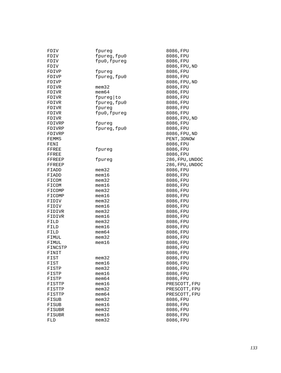| FDIV    | fpureg       | 8086,FPU        |
|---------|--------------|-----------------|
| FDIV    | fpureg, fpu0 | 8086, FPU       |
| FDIV    | fpu0, fpureg | 8086, FPU       |
| FDIV    |              | 8086, FPU, ND   |
| FDIVP   | fpureg       | 8086, FPU       |
| FDIVP   | fpureg, fpu0 | 8086, FPU       |
| FDIVP   |              | 8086, FPU, ND   |
| FDIVR   | $m$ em $32$  | 8086, FPU       |
| FDIVR   | $m$ em $64$  | 8086, FPU       |
| FDIVR   | fpureg to    | 8086, FPU       |
| FDIVR   | fpureg, fpu0 | 8086, FPU       |
| FDIVR   | fpureg       | 8086, FPU       |
| FDIVR   | fpu0, fpureg | 8086, FPU       |
| FDIVR   |              | 8086, FPU, ND   |
| FDIVRP  | fpureg       | 8086, FPU       |
| FDIVRP  | fpureg, fpu0 | 8086, FPU       |
| FDIVRP  |              | 8086, FPU, ND   |
| FEMMS   |              | PENT, 3DNOW     |
| FENI    |              | 8086, FPU       |
| FFREE   | fpureg       | 8086, FPU       |
| FFREE   |              | 8086, FPU       |
| FFREEP  | fpureg       | 286, FPU, UNDOC |
| FFREEP  |              | 286, FPU, UNDOC |
| FIADD   | $m$ em $32$  | 8086, FPU       |
| FIADD   | $m$ em $16$  | 8086, FPU       |
| FICOM   | $m$ em $32$  | 8086, FPU       |
| FICOM   | $m$ em $16$  | 8086, FPU       |
| FICOMP  | $m$ em $32$  | 8086, FPU       |
| FICOMP  | mem16        | 8086, FPU       |
| FIDIV   | $m$ em $32$  | 8086, FPU       |
| FIDIV   | $m$ em $16$  | 8086, FPU       |
| FIDIVR  | mem32        | 8086, FPU       |
| FIDIVR  | $m$ em $16$  | 8086, FPU       |
| FILD    | $m$ em $32$  | 8086, FPU       |
| FILD    | mem16        | 8086, FPU       |
| FILD    | $m$ em $64$  | 8086, FPU       |
| FIMUL   | $m$ em $32$  | 8086, FPU       |
| FIMUL   | mem16        | 8086, FPU       |
| FINCSTP |              | 8086, FPU       |
| FINIT   |              | 8086, FPU       |
| FIST    | mem32        | 8086, FPU       |
| FIST    | mem16        | 8086, FPU       |
| FISTP   | $m$ em $32$  | 8086, FPU       |
| FISTP   | mem16        | 8086, FPU       |
| FISTP   | mem64        | 8086, FPU       |
| FISTTP  | $m$ em $16$  | PRESCOTT, FPU   |
| FISTTP  | $m$ em $32$  | PRESCOTT, FPU   |
| FISTTP  | $m$ em $64$  | PRESCOTT, FPU   |
| FISUB   | $m$ em $32$  | 8086, FPU       |
| FISUB   | mem16        | 8086, FPU       |
| FISUBR  | $m$ em $32$  | 8086, FPU       |
| FISUBR  | $m$ em $16$  | 8086, FPU       |
| FLD     | $m$ em $32$  | 8086, FPU       |
|         |              |                 |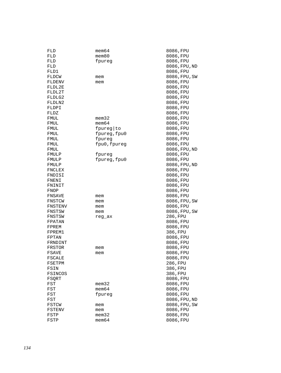| FLD              | mem64                | 8086,FPU               |
|------------------|----------------------|------------------------|
| FLD              | mem80                | 8086, FPU              |
| FLD              | fpureg               | 8086, FPU              |
| FLD              |                      | 8086,FPU,ND            |
| FLD1             |                      | 8086, FPU              |
| FLDCW            | mem                  | 8086, FPU, SW          |
| FLDENV           | mem                  | 8086,FPU               |
| FLDL2E           |                      | 8086, FPU              |
| FLDL2T           |                      | 8086, FPU              |
| FLDLG2           |                      | 8086, FPU              |
| FLDLN2           |                      | 8086, FPU              |
| FLDPI            |                      | 8086, FPU              |
| FLDZ             |                      | 8086, FPU              |
| FMUL             | mem32                | 8086, FPU              |
| FMUL             | mem64                | 8086, FPU              |
| FMUL             | fpureg to            | 8086, FPU              |
| FMUL             | fpureg, fpu0         | 8086, FPU              |
| FMUL             | fpureg               | 8086, FPU              |
| FMUL             | fpu0, fpureg         | 8086, FPU              |
| FMUL             |                      | 8086, FPU, ND          |
| FMULP            | fpureg               | 8086, FPU              |
| FMULP            | fpureg, fpu0         | 8086,FPU               |
| FMULP            |                      | 8086, FPU, ND          |
| FNCLEX           |                      | 8086,FPU               |
| FNDISI           |                      | 8086,FPU               |
| FNENI            |                      | 8086, FPU              |
| FNINIT           |                      | 8086, FPU              |
| FNOP             |                      | 8086, FPU              |
| FNSAVE           | mem                  | 8086, FPU              |
| FNSTCW           | mem                  | 8086, FPU, SW          |
| FNSTENV          | mem                  | 8086,FPU               |
| FNSTSW           | mem                  | 8086, FPU, SW          |
| FNSTSW           | reg_ax               | 286, FPU               |
| FPATAN           |                      | 8086,FPU               |
| FPREM            |                      | 8086, FPU              |
| FPREM1           |                      | 386, FPU               |
| FPTAN            |                      | 8086,FPU               |
| FRNDINT          |                      | 8086, FPU              |
| FRSTOR           |                      | 8086, FPU              |
| FSAVE            | mem                  | 8086, FPU              |
|                  | mem                  | 8086, FPU              |
| FSCALE<br>FSETPM |                      | 286, FPU               |
| FSIN             |                      | 386, FPU               |
| FSINCOS          |                      | 386, FPU               |
|                  |                      |                        |
| FSQRT            |                      | 8086, FPU              |
| FST              | mem32<br>$m$ em $64$ | 8086, FPU<br>8086, FPU |
| FST              |                      |                        |
| FST              | fpureq               | 8086, FPU              |
| FST              |                      | 8086, FPU, ND          |
| FSTCW            | mem                  | 8086, FPU, SW          |
| FSTENV           | mem                  | 8086, FPU              |
| FSTP             | mem32                | 8086, FPU              |
| FSTP             | mem64                | 8086, FPU              |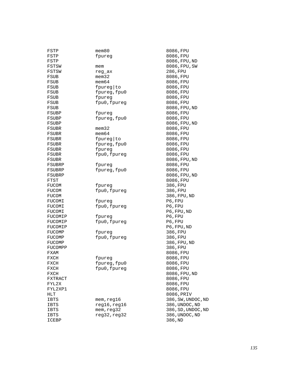| FSTP        | $m$ em $80$  | 8086, FPU          |
|-------------|--------------|--------------------|
| FSTP        | fpureg       | 8086, FPU          |
| FSTP        |              | 8086, FPU, ND      |
| FSTSW       | mem          | 8086, FPU, SW      |
| FSTSW       | reg_ax       | 286, FPU           |
| FSUB        | mem32        | 8086, FPU          |
| FSUB        | mem64        | 8086, FPU          |
| FSUB        | fpureg to    | 8086, FPU          |
| FSUB        | fpureg, fpu0 | 8086, FPU          |
| FSUB        | fpureg       | 8086, FPU          |
| FSUB        | fpu0, fpureg | 8086, FPU          |
| FSUB        |              | 8086, FPU, ND      |
| FSUBP       | fpureg       | 8086, FPU          |
| FSUBP       | fpureg, fpu0 | 8086, FPU          |
| FSUBP       |              | 8086, FPU, ND      |
| FSUBR       | $m$ em $32$  | 8086, FPU          |
| FSUBR       | mem64        | 8086, FPU          |
|             |              | 8086, FPU          |
| FSUBR       | fpureg to    |                    |
| FSUBR       | fpureg, fpu0 | 8086, FPU          |
| FSUBR       | fpureg       | 8086, FPU          |
| FSUBR       | fpu0, fpureg | 8086, FPU          |
| FSUBR       |              | 8086, FPU, ND      |
| FSUBRP      | fpureg       | 8086, FPU          |
| FSUBRP      | fpureg, fpu0 | 8086, FPU          |
| FSUBRP      |              | 8086, FPU, ND      |
| FTST        |              | 8086, FPU          |
| FUCOM       | fpureg       | 386,FPU            |
| FUCOM       | fpu0, fpureg | 386, FPU           |
| FUCOM       |              | 386, FPU, ND       |
| FUCOMI      | fpureg       | P6, FPU            |
| FUCOMI      | fpu0, fpureg | P6, FPU            |
| FUCOMI      |              | P6, FPU, ND        |
| FUCOMIP     | fpureg       | P6, FPU            |
| FUCOMIP     | fpu0, fpureg | P6, FPU            |
| FUCOMIP     |              | P6, FPU, ND        |
| FUCOMP      | fpureq       | 386, FPU           |
| FUCOMP      | fpu0, fpureg | 386, FPU           |
| FUCOMP      |              | 386, FPU, ND       |
| FUCOMPP     |              | 386, FPU           |
| FXAM        |              | 8086, FPU          |
| FXCH        | fpureg       | 8086, FPU          |
| FXCH        | fpureg, fpu0 | 8086, FPU          |
| FXCH        | fpu0, fpureg | 8086, FPU          |
| FXCH        |              | 8086, FPU, ND      |
| FXTRACT     |              | 8086, FPU          |
| FYL2X       |              | 8086, FPU          |
| FYL2XP1     |              | 8086, FPU          |
| HLT         |              | 8086, PRIV         |
| IBTS        | mem, reg16   | 386, SW, UNDOC, ND |
| <b>IBTS</b> | reg16, reg16 | 386, UNDOC, ND     |
| IBTS        | mem, reg32   | 386, SD, UNDOC, ND |
| IBTS        | reg32, reg32 | 386, UNDOC, ND     |
| ICEBP       |              | 386, ND            |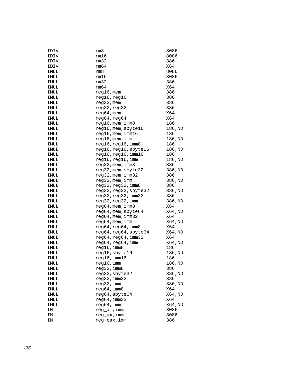| IDIV | rm8                    | 8086    |
|------|------------------------|---------|
| IDIV | rm16                   | 8086    |
| IDIV | rm32                   | 386     |
| IDIV | rm64                   | X64     |
| IMUL | rm8                    | 8086    |
| IMUL | rm16                   | 8086    |
| IMUL | rm32                   | 386     |
| IMUL | rm64                   | X64     |
| IMUL | reg16, mem             | 386     |
| IMUL | reg16, reg16           | 386     |
| IMUL | reg32, mem             | 386     |
| IMUL | reg32, reg32           | 386     |
| IMUL | $reg64,$ mem           | X64     |
| IMUL | reg64, reg64           | X64     |
| IMUL | $reg16$ , mem, imm $8$ | 186     |
| IMUL | reg16, mem, sbyte16    | 186,ND  |
| IMUL | reg16,mem,imm16        | 186     |
| IMUL | reg16, mem, imm        | 186, ND |
| IMUL | reg16,reg16,imm8       | 186     |
| IMUL | reg16,reg16,sbyte16    | 186,ND  |
| IMUL | reg16, reg16, imm16    | 186     |
| IMUL | reg16,reg16,imm        | 186,ND  |
| IMUL | reg32, mem, imm8       | 386     |
| IMUL | reg32, mem, sbyte32    | 386, ND |
| IMUL | $reg32$ , mem, $imm32$ | 386     |
| IMUL | reg32, mem, imm        | 386,ND  |
| IMUL | reg32, reg32, imm8     | 386     |
| IMUL | reg32, reg32, sbyte32  | 386, ND |
| IMUL | reg32,reg32,imm32      | 386     |
| IMUL | reg32, reg32, imm      | 386, ND |
| IMUL | reg64, mem, imm8       | X64     |
| IMUL | reg64, mem, sbyte64    | X64, ND |
| IMUL | reg64, mem, imm32      | X64     |
| IMUL | reg64, mem, imm        | X64, ND |
| IMUL | reg64,reg64,imm8       | X64     |
| IMUL | reg64, reg64, sbyte64  | X64, ND |
| IMUL | reg64,reg64,imm32      | X64     |
| IMUL | reg64,reg64,imm        | X64, ND |
| IMUL | reg16, imm8            | 186     |
| IMUL | reg16, sbyte16         | 186, ND |
| IMUL | reg16,imm16            | 186     |
| IMUL | reg16,imm              | 186,ND  |
| IMUL | reg32, imm8            | 386     |
| IMUL | reg32, sbyte32         | 386, ND |
| IMUL | reg32, imm32           | 386     |
| IMUL | reg32, imm             | 386,ND  |
| IMUL | reg64, imm8            | X64     |
| IMUL | reg64, sbyte64         | X64, ND |
| IMUL | reg64, imm32           | X64     |
| IMUL | reg64,imm              | X64,ND  |
| ΙN   | reg_al, imm            | 8086    |
| ΙN   | reg_ax,imm             | 8086    |
| ΙN   | reg_eax,imm            | 386     |
|      |                        |         |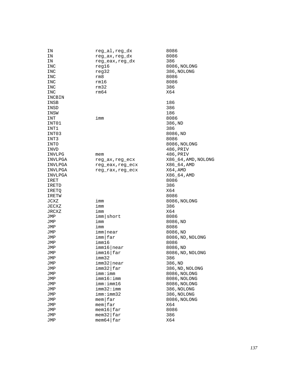| ΙN      | reg_al,reg_dx              | 8086                |
|---------|----------------------------|---------------------|
| ΙN      | reg_ax,reg_dx              | 8086                |
| ΙN      | reg_eax,reg_dx             | 386                 |
| INC     | reg16                      | 8086, NOLONG        |
| INC     | reg32                      | 386, NOLONG         |
| INC     | rm8                        | 8086                |
| INC     | rm16                       | 8086                |
| INC     | rm32                       | 386                 |
| INC     | rm64                       | X64                 |
| INCBIN  |                            |                     |
|         |                            |                     |
| INSB    |                            | 186                 |
| INSD    |                            | 386                 |
| INSW    |                            | 186                 |
| INT     | imm                        | 8086                |
| INT01   |                            | 386, ND             |
| INT1    |                            | 386                 |
| INT03   |                            | 8086,ND             |
| INT3    |                            | 8086                |
| INTO    |                            | 8086, NOLONG        |
| INVD    |                            | 486, PRIV           |
| INVLPG  | mem                        | 486,PRIV            |
| INVLPGA | reg_ax,reg_ecx             | X86_64, AMD, NOLONG |
| INVLPGA | reg_eax,reg_ecx            | $X86\_64$ , AMD     |
| INVLPGA | reg_rax, reg_ecx           | X64, AMD            |
| INVLPGA |                            | X86_64, AMD         |
| IRET    |                            | 8086                |
| IRETD   |                            | 386                 |
| IRETQ   |                            | X64                 |
| IRETW   |                            | 8086                |
| JCXZ    | imm                        | 8086, NOLONG        |
| JECXZ   | imm                        | 386                 |
| JRCXZ   | imm                        | X64                 |
|         |                            |                     |
| JMP     | imm short                  | 8086                |
| JMP     | imm                        | 8086,ND             |
| JMP     | imm                        | 8086                |
| JMP     | imm near                   | 8086,ND             |
| JMP     | imm far                    | 8086, ND, NOLONG    |
| JMP     | imm16                      | 8086                |
| JMP     | imm16 near                 | 8086,ND             |
| JMP     | imm16 far                  | 8086, ND, NOLONG    |
| JMP     | imm32                      | 386                 |
| JMP     | $imm32$  near              | 386, ND             |
| JMP     | imm32 far                  | 386, ND, NOLONG     |
| JMP     | imm:imm                    | 8086, NOLONG        |
| JMP     | imm16:imm                  | 8086, NOLONG        |
| JMP     | imm:imm16                  | 8086, NOLONG        |
| JMP     | imm32:imm                  | 386, NOLONG         |
| JMP     | imm:imm32                  | 386, NOLONG         |
| JMP     | $m$ em $ far$              | 8086, NOLONG        |
| JMP     | $m$ em $far$               | X64                 |
| JMP     | $m$ em16 $\frac{1}{2}$ far | 8086                |
| JMP     | $m$ em32 $f$ ar            | 386                 |
| JMP     | $m$ em64 $\frac{1}{2}$ far | X64                 |
|         |                            |                     |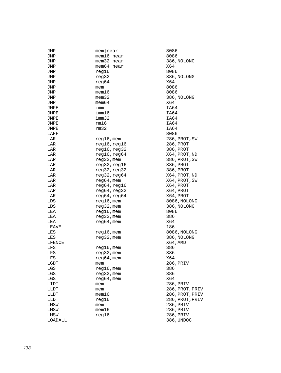| JMP     | $m$ em   near    | 8086            |
|---------|------------------|-----------------|
| JMP     | $m$ em16   near  | 8086            |
| JMP     | $m$ em32   near  | 386, NOLONG     |
| JMP     | $m$ em 64   near | X64             |
| JMP     | reg16            | 8086            |
| JMP     | reg32            | 386, NOLONG     |
| JMP     | reg64            | X64             |
| JMP     | mem              | 8086            |
| JMP     | $m$ em $16$      | 8086            |
| JMP     | $m$ em $32$      | 386, NOLONG     |
| JMP     | mem64            | X64             |
| JMPE    | imm              | IA64            |
|         | imm16            | IA64            |
| JMPE    |                  |                 |
| JMPE    | imm32            | IA64            |
| JMPE    | rm16             | IA64            |
| JMPE    | rm32             | IA64            |
| LAHF    |                  | 8086            |
| LAR     | reg16, mem       | 286, PROT, SW   |
| LAR     | reg16, reg16     | 286, PROT       |
| LAR     | reg16, reg32     | 386, PROT       |
| LAR     | reg16, reg64     | X64,PROT,ND     |
| LAR     | reg32, mem       | 386, PROT, SW   |
| LAR     | reg32,reg16      | 386, PROT       |
| LAR     | reg32, reg32     | 386, PROT       |
| LAR     | reg32, reg64     | X64, PROT, ND   |
| LAR     | $reg64,$ mem     | X64, PROT, SW   |
| LAR     | reg64,reg16      | X64, PROT       |
| LAR     | reg64, reg32     | X64, PROT       |
| LAR     | reg64, reg64     | X64, PROT       |
| LDS     | reg16, mem       | 8086, NOLONG    |
| LDS     | reg32, mem       | 386, NOLONG     |
| LEA     | $reg16$ , mem    | 8086            |
| LEA     | reg32, mem       | 386             |
|         |                  |                 |
| LEA     | $reg64$ , mem    | X64             |
| LEAVE   |                  | 186             |
| LES     | $req16$ , mem    | 8086, NOLONG    |
| LES     | reg32, mem       | 386, NOLONG     |
| LFENCE  |                  | X64, AMD        |
| LFS     | reg16,mem        | 386             |
| LFS     | reg32, mem       | 386             |
| LFS     | $reg64,$ mem     | X64             |
| LGDT    | mem              | 286,PRIV        |
| LGS     | $reg16$ , mem    | 386             |
| LGS     | reg32, mem       | 386             |
| LGS     | reg64, mem       | X64             |
| LIDT    | mem              | 286, PRIV       |
| LLDT    | mem              | 286, PROT, PRIV |
| LLDT    | mem16            | 286,PROT,PRIV   |
| LLDT    | reg16            | 286,PROT,PRIV   |
| LMSW    | mem              | 286,PRIV        |
| LMSW    | mem16            | 286, PRIV       |
|         |                  | 286, PRIV       |
| LMSW    | reg16            |                 |
| LOADALL |                  | 386, UNDOC      |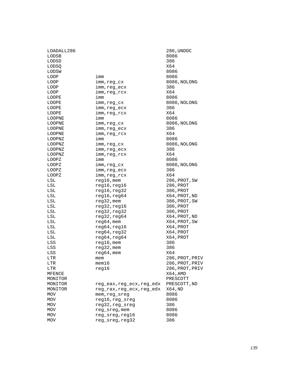| LOADALL286      |                           | 286, UNDOC      |
|-----------------|---------------------------|-----------------|
| LODSB           |                           | 8086            |
| LODSD           |                           | 386             |
| LODSQ           |                           | X64             |
| LODSW           |                           | 8086            |
| LOOP            | imm                       | 8086            |
| LOOP            | imm, reg_cx               | 8086, NOLONG    |
| LOOP            | imm, reg_ecx              | 386             |
| LOOP            | imm, reg_rcx              | X64             |
| LOOPE           | imm                       | 8086            |
| LOOPE           | imm, reg_cx               | 8086, NOLONG    |
| LOOPE           | imm, reg_ecx              | 386             |
| LOOPE           | imm, reg_rcx              | X64             |
| LOOPNE          | imm                       | 8086            |
| LOOPNE          | imm,reg_cx                | 8086, NOLONG    |
| LOOPNE          | imm, reg_ecx              | 386             |
| LOOPNE          | imm, reg_rcx              | X64             |
| LOOPNZ          | imm                       | 8086            |
| LOOPNZ          | imm, reg_cx               | 8086, NOLONG    |
| LOOPNZ          | imm, reg_ecx              | 386             |
|                 |                           | X64             |
| LOOPNZ<br>LOOPZ | imm,reg_rcx               | 8086            |
|                 | imm                       |                 |
| LOOPZ           | imm, reg_cx               | 8086, NOLONG    |
| LOOPZ           | imm, reg_ecx              | 386             |
| LOOPZ           | imm, reg_rcx              | X64             |
| LSL             | reg16, mem                | 286, PROT, SW   |
| LSL             | reg16, reg16              | 286, PROT       |
| LSL             | reg16, reg32              | 386, PROT       |
| LSL             | reg16,reg64               | X64, PROT, ND   |
| LSL             | reg32, mem                | 386, PROT, SW   |
| LSL             | reg32, reg16              | 386, PROT       |
| LSL             | reg32, reg32              | 386, PROT       |
| LSL             | reg32, reg64              | X64, PROT, ND   |
| LSL             | $reg64$ , mem             | X64, PROT, SW   |
| LSL             | reg64, reg16              | X64, PROT       |
| LSL             | reg64, reg32              | X64, PROT       |
| LSL             | reg64, reg64              | X64, PROT       |
| LSS             | reg16, mem                | 386             |
| LSS             | $reg32$ , mem             | 386             |
| LSS             | $reg64$ , mem             | X64             |
| LTR             | mem                       | 286, PROT, PRIV |
| LTR             | mem16                     | 286, PROT, PRIV |
| LTR             | reg16                     | 286, PROT, PRIV |
| MFENCE          |                           | X64, AMD        |
| MONITOR         |                           | PRESCOTT        |
| MONITOR         | reg eax, reg ecx, reg edx | PRESCOTT, ND    |
| MONITOR         | reg rax, reg ecx, reg edx | X64,ND          |
| MOV             | mem, req sreq             | 8086            |
| <b>MOV</b>      | reg16, reg_sreg           | 8086            |
| MOV             | reg32, reg_sreg           | 386             |
| MOV             | reg_sreg, mem             | 8086            |
| <b>MOV</b>      | reg_sreg, reg16           | 8086            |
| MOV             | reg_sreg,reg32            | 386             |
|                 |                           |                 |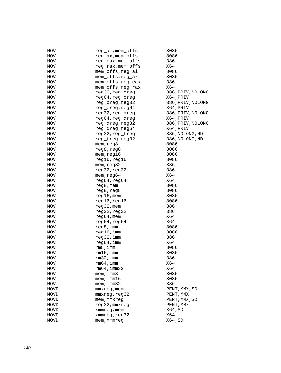| MOV        | reg al, mem offs  | 8086              |
|------------|-------------------|-------------------|
| MOV        | reg_ax, mem_offs  | 8086              |
| <b>MOV</b> | reg_eax, mem_offs | 386               |
| MOV        | reg_rax, mem_offs | X64               |
| MOV        | mem_offs, reg_al  | 8086              |
| MOV        | mem_offs, reg_ax  | 8086              |
| MOV        | mem_offs, reg_eax | 386               |
| MOV        | mem_offs, reg_rax | X64               |
| <b>MOV</b> | reg32, reg_creg   | 386, PRIV, NOLONG |
| <b>MOV</b> | reg64,reg_creg    | X64,PRIV          |
| MOV        | reg_creg, reg32   | 386, PRIV, NOLONG |
|            | reg_creg, reg64   |                   |
| MOV        |                   | X64, PRIV         |
| MOV        | reg32, reg_dreg   | 386, PRIV, NOLONG |
| MOV        | reg64, reg_dreg   | X64,PRIV          |
| <b>MOV</b> | reg_dreg, reg32   | 386, PRIV, NOLONG |
| <b>MOV</b> | reg_dreg, reg64   | X64, PRIV         |
| MOV        | reg32, reg_treg   | 386, NOLONG, ND   |
| MOV        | reg_treg, reg32   | 386, NOLONG, ND   |
| MOV        | mem, reg8         | 8086              |
| MOV        | reg8, reg8        | 8086              |
| <b>MOV</b> | mem, reg16        | 8086              |
| <b>MOV</b> | reg16, reg16      | 8086              |
| MOV        | mem, reg32        | 386               |
| MOV        | reg32, reg32      | 386               |
| MOV        | mem, reg64        | X64               |
| MOV        | reg64, reg64      | X64               |
| <b>MOV</b> | reg8, mem         | 8086              |
| MOV        | reg8, reg8        | 8086              |
| MOV        | reg16, mem        | 8086              |
| MOV        | reg16, reg16      | 8086              |
| MOV        | $reg32$ , mem     | 386               |
| MOV        | reg32, reg32      | 386               |
| <b>MOV</b> | $reg64$ , mem     | X64               |
| <b>MOV</b> | reg64, reg64      | X64               |
|            |                   |                   |
| MOV        | reg8,imm          | 8086              |
| MOV        | reg16, imm        | 8086              |
| MOV        | reg32, imm        | 386               |
| MOV        | reg64, imm        | X64               |
| <b>MOV</b> | rm 8, imm         | 8086              |
| MOV        | rm16, imm         | 8086              |
| MOV        | $rm32$ , imm      | 386               |
| <b>MOV</b> | $rm64$ , imm      | X64               |
| MOV        | $rm64$ , imm $32$ | X64               |
| MOV        | $m$ em, imm $8$   | 8086              |
| MOV        | mem, imm16        | 8086              |
| MOV        | $m$ em, imm $32$  | 386               |
| MOVD       | mmxreq, mem       | PENT,MMX,SD       |
| MOVD       | mmxreg, reg32     | PENT, MMX         |
| MOVD       | mem, mmxreg       | PENT, MMX, SD     |
| MOVD       | reg32, mmxreg     | PENT, MMX         |
| MOVD       | xmmreg, mem       | X64, SD           |
| MOVD       | xmmreg, reg32     | X64               |
| MOVD       | mem, xmmreq       | X64, SD           |
|            |                   |                   |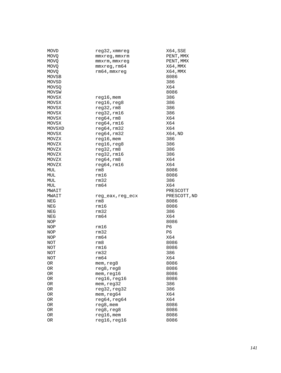| MOVD        | reg32, xmmreg                 | X64, SSE     |
|-------------|-------------------------------|--------------|
| MOVQ        | mmxreg, mmxrm                 | PENT, MMX    |
| MOVQ.       | mmxrm, mmxreg                 | PENT, MMX    |
| MOVQ.       | mmxreg,rm64                   | X64, MMX     |
| <b>MOVQ</b> | rm64, mmxreg                  | X64, MMX     |
| MOVSB       |                               | 8086         |
| MOVSD       |                               | 386          |
| MOVSQ       |                               | X64          |
| MOVSW       |                               | 8086         |
| MOVSX       | $reg16$ , mem                 | 386          |
| MOVSX       | reg16, reg8                   | 386          |
| MOVSX       | reg32, rm8                    | 386          |
| MOVSX       | reg32,rm16                    | 386          |
|             |                               | X64          |
| MOVSX       | reg64,rm8                     |              |
| MOVSX       | reg64,rm16                    | X64          |
| MOVSXD      | reg64,rm32                    | X64          |
| MOVSX       | reg64,rm32                    | X64, ND      |
| MOVZX       | $reg16$ , mem                 | 386          |
| MOVZX       | reg16, reg8                   | 386          |
| MOVZX       | reg32,rm8                     | 386          |
| MOVZX       | $req32$ , $rm16$              | 386          |
| MOVZX       | reg64, rm8                    | X64          |
| MOVZX       | reg64,rm16                    | X64          |
| MUL         | rm8                           | 8086         |
| MUL         | rm16                          | 8086         |
| MUL         | rm32                          | 386          |
|             |                               |              |
| MUL         | rm64                          | X64          |
| MWAIT       |                               | PRESCOTT     |
| MWAIT       | reg_eax, reg_ecx              | PRESCOTT, ND |
| NEG         | rm8                           | 8086         |
| NEG         | rm16                          | 8086         |
| NEG         | rm32                          | 386          |
| NEG         | rm64                          | X64          |
|             |                               | 8086         |
| NOP         |                               |              |
| NOP         | rm16                          | P6           |
| NOP         | rm32                          | P6           |
| NOP         | rm64                          | X64          |
| NOT         | rm8                           | 8086         |
| NOT         | rm16                          | 8086         |
| NOT         | rm32                          | 386          |
| NOT         | rm64                          | X64          |
| 0R          | mem, reg8                     | 8086         |
| 0R          | reg8, reg8                    | 8086         |
| OR          | mem,reg16                     | 8086         |
| 0R          | reg16, reg16                  | 8086         |
| OR          | mem, reg32                    | 386          |
| OR          | reg32, reg32                  | 386          |
| OR          | mem, reg64                    | X64          |
| OR          | reg64, reg64                  | X64          |
| OR          | $reg8$ , mem                  | 8086         |
| 0R          | reg8, reg8                    | 8086         |
| OR<br>OR    | $reg16$ , mem<br>reg16, reg16 | 8086<br>8086 |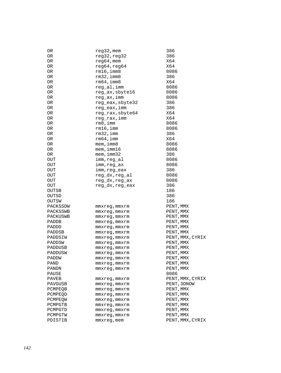| 0R         | reg32, mem       | 386              |
|------------|------------------|------------------|
| 0R         | reg32, reg32     | 386              |
| OR         | $req64$ , mem    | X64              |
| 0R         | reg64, reg64     | X64              |
| 0R         | $rm16$ , imm $8$ | 8086             |
| 0R         | $rm32$ , imm $8$ | 386              |
| 0R         | $rm64$ , imm $8$ | X64              |
| 0R         | reg_al,imm       | 8086             |
| 0R         | reg_ax, sbyte16  | 8086             |
| 0R         | reg_ax, imm      | 8086             |
| 0R         | reg_eax, sbyte32 | 386              |
| OR         | req eax, imm     | 386              |
| OR         | reg_rax, sbyte64 | X64              |
| 0R         | reg_rax,imm      | X64              |
| 0R         | rm 8, imm        | 8086             |
| 0R         | $rm16$ , imm     | 8086             |
| 0R         | $rm32$ , imm     | 386              |
| 0R         | $rm64$ , imm     | X64              |
| 0R         | $m$ em, imm $8$  | 8086             |
| 0R         | $m$ em, imm $16$ | 8086             |
|            | mem, imm32       |                  |
| 0R         |                  | 386<br>8086      |
| OUT        | imm,reg_al       |                  |
| OUT        | imm,reg_ax       | 8086             |
| OUT        | imm, reg_eax     | 386              |
| OUT        | reg_dx,reg_al    | 8086             |
| <b>OUT</b> | reg_dx, reg_ax   | 8086             |
| OUT        | reg dx, reg eax  | 386              |
| OUTSB      |                  | 186              |
| OUTSD      |                  | 386              |
| OUTSW      |                  | 186              |
| PACKSSDW   | mmxreg,mmxrm     | PENT, MMX        |
| PACKSSWB   | mmxreg,mmxrm     | PENT, MMX        |
| PACKUSWB   | mmxreg,mmxrm     | PENT, MMX        |
| PADDB      | mmxreg,mmxrm     | PENT, MMX        |
| PADDD      | mmxreg,mmxrm     | PENT, MMX        |
| PADDSB     | mmxreg, mmxrm    | PENT, MMX        |
| PADDSIW    | mmxreg, mmxrm    | PENT, MMX, CYRIX |
| PADDSW     | mmxreg,mmxrm     | PENT, MMX        |
| PADDUSB    | mmxreg, mmxrm    | PENT, MMX        |
| PADDUSW    | mmxreg,mmxrm     | PENT, MMX        |
| PADDW      | mmxreg, mmxrm    | PENT, MMX        |
| PAND       | mmxreq,mmxrm     | PENT, MMX        |
| PANDN      | mmxreg,mmxrm     | PENT, MMX        |
| PAUSE      |                  | 8086             |
| PAVEB      | mmxreg,mmxrm     | PENT, MMX, CYRIX |
| PAVGUSB    | mmxreg,mmxrm     | PENT, 3DNOW      |
| PCMPEQB    | mmxreg,mmxrm     | PENT, MMX        |
| PCMPEOD    | mmxreg,mmxrm     | PENT, MMX        |
| PCMPEOW    | mmxreg,mmxrm     | PENT, MMX        |
| PCMPGTB    | mmxreg,mmxrm     | PENT, MMX        |
| PCMPGTD    | mmxreg,mmxrm     | PENT, MMX        |
| PCMPGTW    | mmxreg,mmxrm     | PENT, MMX        |
| PDISTIB    | mmxreg, mem      | PENT, MMX, CYRIX |
|            |                  |                  |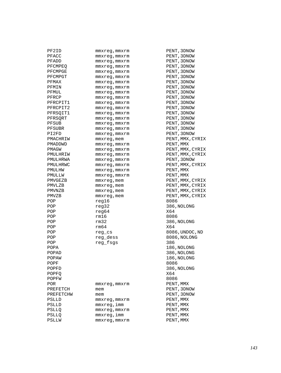| PF2ID     | mmxreg,mmxrm       | PENT, 3DNOW      |
|-----------|--------------------|------------------|
| PFACC     | mmxreg,mmxrm       | PENT, 3DNOW      |
| PFADD     | mmxreg,mmxrm       | PENT, 3DNOW      |
| PFCMPEQ   | mmxreg,mmxrm       | PENT, 3DNOW      |
| PFCMPGE   | mmxreg,mmxrm       | PENT, 3DNOW      |
| PFCMPGT   | mmxreg, mmxrm      | PENT, 3DNOW      |
| PFMAX     | mmxreg, mmxrm      | PENT, 3DNOW      |
| PFMIN     | mmxreg,mmxrm       | PENT, 3DNOW      |
| PFMUL     | mmxreg, mmxrm      | PENT, 3DNOW      |
| PFRCP     | mmxreq, mmxrm      | PENT, 3DNOW      |
| PFRCPIT1  | mmxreg,mmxrm       | PENT, 3DNOW      |
| PFRCPIT2  | mmxreg, mmxrm      | PENT, 3DNOW      |
| PFRSQIT1  | mmxreg, mmxrm      | PENT, 3DNOW      |
|           |                    | PENT, 3DNOW      |
| PFRSQRT   | mmxreg,mmxrm       |                  |
| PFSUB     | mmxreg, mmxrm      | PENT, 3DNOW      |
| PFSUBR    | mmxreg, mmxrm      | PENT, 3DNOW      |
| PI2FD     | mmxreg, mmxrm      | PENT, 3DNOW      |
| PMACHRIW  | mmxreg, mem        | PENT, MMX, CYRIX |
| PMADDWD   | mmxreg, mmxrm      | PENT, MMX        |
| PMAGW     | $mmxreg$ , $mmxrm$ | PENT, MMX, CYRIX |
| PMULHRIW  | mmxreg, mmxrm      | PENT, MMX, CYRIX |
| PMULHRWA  | mmxreg,mmxrm       | PENT, 3DNOW      |
| PMULHRWC  | $mmxreg$ , $mmxrm$ | PENT, MMX, CYRIX |
| PMULHW    | mmxreg, mmxrm      | PENT, MMX        |
| PMULLW    | mmxreg, mmxrm      | PENT, MMX        |
| PMVGEZB   | $mmxreg$ , mem     | PENT, MMX, CYRIX |
| PMVLZB    | mmxreg, mem        | PENT, MMX, CYRIX |
| PMVNZB    | mmxreg, mem        | PENT, MMX, CYRIX |
| PMVZB     | mmxreg, mem        | PENT, MMX, CYRIX |
| POP       | req16              | 8086             |
| POP       | reg32              | 386, NOLONG      |
| POP       | reg64              | X64              |
| POP       | rm16               | 8086             |
| POP       | rm32               | 386, NOLONG      |
| POP       | rm64               | X64              |
| POP       | reg_cs             | 8086,UNDOC,ND    |
| POP       | reg_dess           | 8086, NOLONG     |
| POP       | reg_fsgs           | 386              |
| POPA      |                    | 186, NOLONG      |
| POPAD     |                    | 386, NOLONG      |
| POPAW     |                    | 186, NOLONG      |
| POPF      |                    | 8086             |
| POPFD     |                    | 386, NOLONG      |
| POPFO     |                    | X64              |
| POPFW     |                    | 8086             |
|           |                    | PENT, MMX        |
| POR       | mmxreg,mmxrm       |                  |
| PREFETCH  | mem                | PENT, 3DNOW      |
| PREFETCHW | mem                | PENT, 3DNOW      |
| PSLLD     | mmxreg, mmxrm      | PENT, MMX        |
| PSLLD     | mmxreg,imm         | PENT, MMX        |
| PSLLQ     | mmxreq, mmxrm      | PENT, MMX        |
| PSLLQ     | mmxreg,imm         | PENT, MMX        |
| PSLLW     | mmxreq, mmxrm      | PENT, MMX        |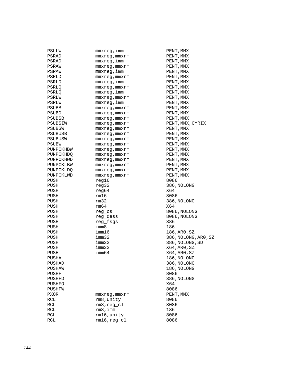| PSLLW       | mmxreg,imm                    | PENT, MMX            |
|-------------|-------------------------------|----------------------|
| PSRAD       | mmxreg,mmxrm                  | PENT, MMX            |
| PSRAD       | mmxreg,imm                    | PENT, MMX            |
| PSRAW       | mmxreg, mmxrm                 | PENT, MMX            |
| PSRAW       | mmxreg,imm                    | PENT, MMX            |
| PSRLD       | mmxreq, mmxrm                 | PENT, MMX            |
| PSRLD       | mmxreg, imm                   | PENT, MMX            |
| PSRLQ       | mmxreg, mmxrm                 | PENT, MMX            |
| PSRLQ       | mmxreg, imm                   | PENT, MMX            |
| PSRLW       | mmxreg, mmxrm                 | PENT, MMX            |
| PSRLW       | mmxreg, imm                   | PENT, MMX            |
| PSUBB       | mmxreq, mmxrm                 | PENT, MMX            |
| PSUBD       | mmxreg,mmxrm                  | PENT, MMX            |
| PSUBSB      | mmxreg,mmxrm                  | PENT, MMX            |
| PSUBSIW     | mmxreg, mmxrm                 | PENT, MMX, CYRIX     |
| PSUBSW      | mmxreg, mmxrm                 | PENT, MMX            |
| PSUBUSB     | mmxreg, mmxrm                 | PENT, MMX            |
| PSUBUSW     |                               | PENT, MMX            |
| PSUBW       | mmxreg,mmxrm<br>mmxreq, mmxrm | PENT, MMX            |
|             |                               |                      |
| PUNPCKHBW   | mmxreg,mmxrm                  | PENT, MMX            |
| PUNPCKHDO   | mmxreg,mmxrm                  | PENT, MMX            |
| PUNPCKHWD   | mmxreg, mmxrm                 | PENT, MMX            |
| PUNPCKLBW   | mmxreg, mmxrm                 | PENT, MMX            |
| PUNPCKLDQ   | mmxreq, mmxrm                 | PENT, MMX            |
| PUNPCKLWD   | mmxreq, mmxrm                 | PENT, MMX            |
| PUSH        | reg16                         | 8086                 |
| PUSH        | req32                         | 386, NOLONG          |
| PUSH        | reg64                         | X64                  |
| PUSH        | rm16                          | 8086                 |
| PUSH        | rm32                          | 386, NOLONG          |
| PUSH        | rm64                          | X64                  |
| PUSH        | reg_cs                        | 8086, NOLONG         |
| PUSH        | reg_dess                      | 8086, NOLONG         |
| PUSH        | reg_fsgs                      | 386                  |
| PUSH        | imm8                          | 186                  |
| PUSH        | imm16                         | 186, AR0, SZ         |
| PUSH        | imm32                         | 386, NOLONG, ARO, SZ |
| PUSH        | imm32                         | 386, NOLONG, SD      |
| PUSH        | imm32                         | X64, AR0, SZ         |
| PUSH        | imm64                         | X64, AR0, SZ         |
| PUSHA       |                               | 186, NOLONG          |
| PUSHAD      |                               | 386, NOLONG          |
| PUSHAW      |                               | 186, NOLONG          |
| PUSHF       |                               | 8086                 |
| PUSHFD      |                               | 386, NOLONG          |
| PUSHFO      |                               | X64                  |
| PUSHFW      |                               | 8086                 |
| <b>PXOR</b> | mmxreg, mmxrm                 | PENT, MMX            |
| RCL         | rm8, unity                    | 8086                 |
| RCL         | $rm8, reg_c1$                 | 8086                 |
| RCL         | rm 8, imm                     | 186                  |
| RCL         | rm16, unity                   | 8086                 |
| RCL         | $rm16, reg_c1$                | 8086                 |
|             |                               |                      |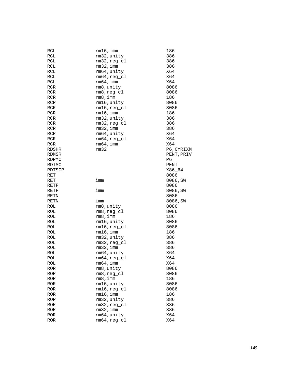| RCL          | $rm16$ , imm                  | 186        |
|--------------|-------------------------------|------------|
| RCL          | rm32, unity                   | 386        |
| RCL          | $rm32, reg_cl$                | 386        |
| RCL          | $rm32$ , imm                  | 386        |
| RCL          | rm64, unity                   | X64        |
| RCL          | $rm64, reg_c1$                | X64        |
| RCL          | $rm64$ , imm                  | X64        |
| <b>RCR</b>   | rm8, unity                    | 8086       |
| RCR          | $rm8, reg_c1$                 | 8086       |
| RCR          | rm 8, imm                     | 186        |
| <b>RCR</b>   | rm16, unity                   | 8086       |
| RCR          | $rm16, reg_cl$                | 8086       |
| <b>RCR</b>   | rm16, imm                     | 186        |
| RCR          | rm32, unity                   | 386        |
|              |                               |            |
| RCR          | $rm32, reg_cl$                | 386        |
| <b>RCR</b>   | $rm32$ , imm                  | 386        |
| <b>RCR</b>   | rm64, unity                   | X64        |
| RCR          | $rm64, reg_cl$                | X64        |
| <b>RCR</b>   | rm64, imm                     | X64        |
| RDSHR        | rm32                          | P6, CYRIXM |
| RDMSR        |                               | PENT, PRIV |
| <b>RDPMC</b> |                               | P6         |
| RDTSC        |                               | PENT       |
| RDTSCP       |                               | X86_64     |
| RET          |                               | 8086       |
| RET          | imm                           | 8086, SW   |
| RETF         |                               | 8086       |
|              |                               |            |
| RETF         | imm                           | 8086, SW   |
| RETN         |                               | 8086       |
| RETN         | imm                           | 8086, SW   |
| ROL          |                               | 8086       |
| ROL          | rm8, unity                    | 8086       |
| ROL          | $rm8, reg_c1$<br>rm 8, imm    | 186        |
| ROL          |                               | 8086       |
| ROL          | rm16,unity                    | 8086       |
|              | rm16,reg_cl                   | 186        |
| ROL          | $rm16$ , imm                  |            |
| ROL          | rm32, unity                   | 386        |
| ROL          | $rm32, reg_cl$                | 386        |
| ROL          | $rm32$ , imm                  | 386        |
| ROL          | rm64, unity                   | X64        |
| ROL          | $rm64, reg_cl$                | X64        |
| ROL          | $rm64$ , imm                  | X64        |
| ROR          | rm8, unity                    | 8086       |
| ROR          | $rm8, reg_cl$                 | 8086       |
| <b>ROR</b>   | rm 8, imm                     | 186        |
| <b>ROR</b>   | rm16, unity                   | 8086       |
| <b>ROR</b>   | rm16,reg_cl                   | 8086       |
| <b>ROR</b>   | $rm16$ , imm                  | 186        |
| <b>ROR</b>   | rm32, unity                   | 386        |
| <b>ROR</b>   | $rm32, reg_c1$                | 386        |
| <b>ROR</b>   | $rm32$ , imm                  | 386        |
| ROR<br>ROR   | rm64, unity<br>$rm64, reg_c1$ | X64<br>X64 |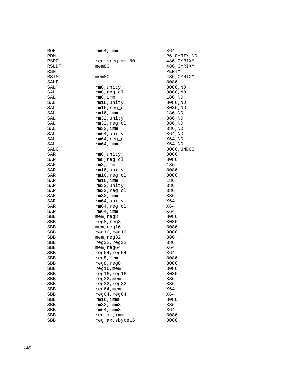| <b>ROR</b><br>RDM | $rm64$ , imm     | X64<br>P6, CYRIX, ND |
|-------------------|------------------|----------------------|
| RSDC              | reg_sreg, mem80  | 486, CYRIXM          |
| RSLDT             | mem80            | 486, CYRIXM          |
| RSM               |                  | PENTM                |
| RSTS              | $m$ em $80$      | 486, CYRIXM          |
| SAHF              |                  | 8086                 |
| SAL               | rm8,unity        | 8086,ND              |
| SAL               | $rm8, reg_c1$    | 8086, ND             |
| SAL               | rm 8, imm        | 186,ND               |
| SAL               | rm16, unity      | 8086, ND             |
| SAL               | $rm16, reg_c1$   | 8086, ND             |
| SAL               | $rm16$ , imm     | 186,ND               |
| SAL               | rm32, unity      | 386, ND              |
| SAL               | $rm32, reg_cl$   | 386, ND              |
| SAL               | $rm32$ , imm     | 386,ND               |
| SAL               | rm64, unity      | X64,ND               |
| SAL               | $rm64, reg_c1$   | X64,ND               |
| SAL               | $rm64$ , imm     | X64,ND               |
| <b>SALC</b>       |                  | 8086, UNDOC          |
| SAR               | rm8, unity       | 8086                 |
| SAR               | $rm8, reg_cl$    | 8086                 |
| SAR               | rm 8, imm        | 186                  |
| ${\tt SAR}$       | rm16, unity      | 8086                 |
| SAR               | $rm16, reg_cl$   | 8086                 |
| SAR               | rm16, imm        | 186                  |
| SAR               | rm32, unity      | 386                  |
| SAR               | $rm32, reg_cl$   | 386                  |
| SAR               | $rm32$ , imm     | 386                  |
| SAR               | rm64, unity      | X64                  |
| SAR               | $rm64, reg_c1$   | X64                  |
| SAR               | $rm64$ , imm     | X64                  |
| SBB               | mem, reg8        | 8086                 |
| SBB               | reg8, reg8       | 8086                 |
| SBB               | mem,reg16        | 8086                 |
| SBB               | reg16, reg16     | 8086                 |
| SBB               | mem, reg32       | 386                  |
| SBB               | reg32, reg32     | 386                  |
| SBB               | mem, reg64       | X64                  |
| <b>SBB</b>        | reg64, reg64     | X64                  |
| SBB               | reg8,mem         | 8086                 |
| SBB               | reg8,reg8        | 8086                 |
| SBB               | $reg16$ , mem    | 8086                 |
| SBB               | reg16, reg16     | 8086                 |
| SBB               | reg32, mem       | 386                  |
| SBB               | reg32, reg32     | 386                  |
| SBB               | reg64, mem       | X64                  |
| SBB               | reg64, reg64     | X64                  |
| <b>SBB</b>        | $rm16$ , imm $8$ | 8086                 |
| SBB               | $rm32$ , imm $8$ | 386                  |
| SBB               | rm64, imm8       | X64                  |
| SBB               | reg_al, imm      | 8086                 |
| SBB               | reg_ax, sbyte16  | 8086                 |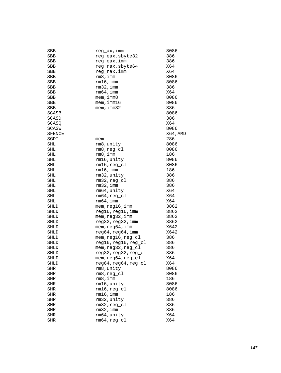| SBB          | reg_ax,imm           | 8086     |
|--------------|----------------------|----------|
| SBB          | reg_eax, sbyte32     | 386      |
| SBB          | reg_eax, imm         | 386      |
| SBB          | reg_rax, sbyte64     | X64      |
| SBB          | reg_rax,imm          | X64      |
| SBB          | rm8,imm              | 8086     |
| SBB          | rm16, imm            | 8086     |
| SBB          | $rm32$ , imm         | 386      |
| SBB          | $rm64$ , imm         | X64      |
| SBB          | $m$ em, imm $8$      | 8086     |
| SBB          | mem, imm16           | 8086     |
| SBB          | mem, imm32           | 386      |
| <b>SCASB</b> |                      | 8086     |
| SCASD        |                      | 386      |
|              |                      |          |
| SCASO        |                      | X64      |
| <b>SCASW</b> |                      | 8086     |
| SFENCE       |                      | X64, AMD |
| SGDT         | mem                  | 286      |
| SHL          | rm8, unity           | 8086     |
| SHL          | rm8,reg_cl           | 8086     |
| SHL          | rm 8, imm            | 186      |
| SHL          | rm16, unity          | 8086     |
| SHL          | $rm16, reg_c1$       | 8086     |
| SHL          | $rm16$ , imm         | 186      |
| SHL          | rm32, unity          | 386      |
| SHL          | $rm32, reg_c1$       | 386      |
| SHL          | $rm32$ , imm         | 386      |
| SHL          | rm64, unity          | X64      |
| SHL          | $rm64, reg\_cl$      | X64      |
| SHL          | $rm64$ , imm         | X64      |
| SHLD         | mem, reg16, imm      | 3862     |
| SHLD         | reg16, reg16, imm    | 3862     |
| SHLD         | mem, reg32, imm      | 3862     |
| SHLD         | reg32, reg32, imm    | 3862     |
| SHLD         | mem, reg64, imm      | X642     |
| SHLD         | reg64, reg64, imm    | X642     |
| SHLD         | mem, reg16, reg_cl   | 386      |
| SHLD         | reg16, reg16, reg_cl | 386      |
| SHLD         | mem, reg32, reg_cl   | 386      |
| SHLD         | reg32, reg32, reg_cl | 386      |
| SHLD         | mem, reg64, reg_cl   | X64      |
| SHLD         | reg64, reg64, reg_cl | X64      |
| <b>SHR</b>   | rm8, unity           | 8086     |
| SHR          | $rm8, reg_c1$        | 8086     |
|              |                      |          |
| <b>SHR</b>   | rm 8, imm            | 186      |
| SHR          | rm16, unity          | 8086     |
| SHR          | $rm16, reg_c1$       | 8086     |
| <b>SHR</b>   | $rm16$ , imm         | 186      |
| SHR          | rm32, unity          | 386      |
| SHR          | $rm32, reg_cl$       | 386      |
| <b>SHR</b>   | rm32, imm            | 386      |
| SHR          | rm64, unity          | X64      |
| <b>SHR</b>   | $rm64, reg_cl$       | X64      |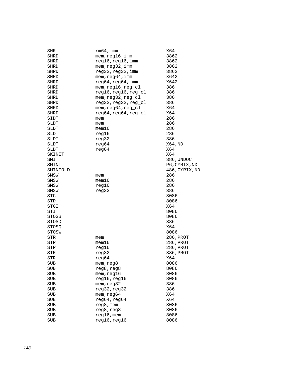| SHR        | $rm64$ ,imm          | X64            |
|------------|----------------------|----------------|
| SHRD       | mem, reg16, imm      | 3862           |
| SHRD       | reg16, reg16, imm    | 3862           |
| SHRD       | mem, reg32, imm      | 3862           |
| SHRD       | reg32,reg32,imm      | 3862           |
| SHRD       | mem, reg64, imm      | X642           |
| SHRD       | reg64, reg64, imm    | X642           |
| SHRD       | mem, reg16, reg_cl   | 386            |
| SHRD       | reg16, reg16, reg_cl | 386            |
| SHRD       | mem, reg32, reg_cl   | 386            |
| SHRD       | reg32, reg32, reg_cl | 386            |
|            | mem, reg64, reg_cl   | X64            |
| SHRD       |                      | X64            |
| SHRD       | reg64, reg64, reg_cl |                |
| SIDT       | mem                  | 286            |
| SLDT       | mem                  | 286            |
| SLDT       | $m$ em $16$          | 286            |
| SLDT       | reg16                | 286            |
| SLDT       | reg32                | 386            |
| SLDT       | reg64                | X64, ND        |
| SLDT       | reg64                | X64            |
| SKINIT     |                      | X64            |
| SMI        |                      | 386, UNDOC     |
| SMINT      |                      | P6, CYRIX, ND  |
| SMINTOLD   |                      | 486, CYRIX, ND |
| SMSW       | mem                  | 286            |
| SMSW       | $m$ em $16$          | 286            |
| SMSW       | reg16                | 286            |
| SMSW       | reg32                | 386            |
| STC        |                      | 8086           |
| STD        |                      | 8086           |
| STGI       |                      | X64            |
| STI        |                      | 8086           |
| STOSB      |                      | 8086           |
|            |                      | 386            |
| STOSD      |                      | X64            |
| STOSQ      |                      |                |
| STOSW      |                      | 8086           |
| STR        | mem                  | 286, PROT      |
| STR        | $m$ em $16$          | 286, PROT      |
| STR        | reg16                | 286, PROT      |
| STR        | reg32                | 386, PROT      |
| STR        | reg64                | X64            |
| SUB        | mem, reg8            | 8086           |
| SUB        | reg8, reg8           | 8086           |
| SUB        | mem, reg16           | 8086           |
| <b>SUB</b> | reg16, reg16         | 8086           |
| SUB        | mem, reg32           | 386            |
| SUB        | reg32, reg32         | 386            |
| <b>SUB</b> | mem, reg64           | X64            |
| SUB        | reg64, reg64         | X64            |
| SUB        | reg8, mem            | 8086           |
| <b>SUB</b> | reg8, reg8           | 8086           |
| SUB        | $reg16$ , mem        | 8086           |
| SUB        | reg16, reg16         | 8086           |
|            |                      |                |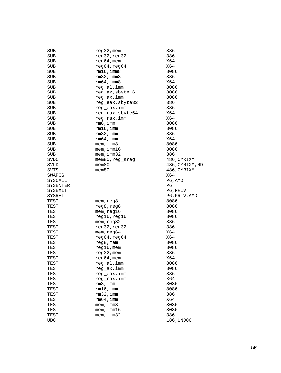| reg32, reg32<br>386<br>SUB<br>X64<br>SUB<br>$req64$ , mem<br>X64<br>SUB<br>reg64, reg64<br>$rm16$ , imm $8$<br>8086<br>SUB<br>$rm32$ , imm $8$<br>386<br>SUB<br>$rm64$ , imm $8$<br>X64<br><b>SUB</b><br>SUB<br>reg_al,imm<br>8086<br>reg_ax, sbyte16<br>SUB<br>8086<br><b>SUB</b><br>reg_ax,imm<br>8086<br>reg_eax, sbyte32<br>386<br>SUB<br>reg_eax, imm<br>386<br>SUB<br>reg_rax, sbyte64<br>X64<br>SUB<br>X64<br>SUB<br>reg_rax,imm<br>rm 8, imm<br>8086<br>SUB<br>SUB<br>rm16,imm<br>8086<br>$rm32$ , imm<br>386<br>SUB<br>$rm64$ , imm<br>X64<br>SUB<br>$m$ em, imm $8$<br>SUB<br>8086<br>$m$ em, imm $16$<br>SUB<br>8086<br>SUB<br>$m$ em, $imm32$<br>386<br><b>SVDC</b><br>mem80, reg_sreg<br>486,CYRIXM<br>$m$ em $80$<br>SVLDT<br>486, CYRIXM, ND<br>$m$ em $80$<br>486, CYRIXM<br>SVTS<br>X64<br>SWAPGS<br>P6, AMD<br>SYSCALL<br>P6<br>SYSENTER<br>SYSEXIT<br>P6, PRIV<br>SYSRET<br>P6, PRIV, AMD<br>8086<br>TEST<br>mem, reg8<br>TEST<br>reg8, reg8<br>8086<br>TEST<br>mem, reg16<br>8086<br>reg16, reg16<br>TEST<br>8086<br>TEST<br>mem, reg32<br>386<br>386<br>reg32, reg32<br>TEST<br>mem, reg64<br>X64<br>TEST<br>reg64, reg64<br>X64<br>TEST<br>$reg8$ , mem<br>8086<br>TEST<br>$reg16$ , mem<br>8086<br>TEST<br>386<br>TEST<br>$reg32$ , mem<br>X64<br>TEST<br>$reg64,$ mem<br>reg_al,imm<br>8086<br>TEST<br>reg_ax, imm<br>TEST<br>8086<br>reg_eax, imm<br>386<br>TEST<br>reg_rax, imm<br>X64<br>TEST<br>TEST<br>rm 8, imm<br>8086<br>$rm16$ , imm<br>8086<br>TEST<br>rm32, imm<br>386<br>TEST<br>rm64, imm<br>X64<br>TEST<br>mem, imm8<br>8086<br>TEST<br>mem, imm16<br>TEST<br>8086<br>mem, imm32<br>386<br>TEST<br>186, UNDOC<br>UD0 | SUB | $reg32$ , mem | 386 |
|------------------------------------------------------------------------------------------------------------------------------------------------------------------------------------------------------------------------------------------------------------------------------------------------------------------------------------------------------------------------------------------------------------------------------------------------------------------------------------------------------------------------------------------------------------------------------------------------------------------------------------------------------------------------------------------------------------------------------------------------------------------------------------------------------------------------------------------------------------------------------------------------------------------------------------------------------------------------------------------------------------------------------------------------------------------------------------------------------------------------------------------------------------------------------------------------------------------------------------------------------------------------------------------------------------------------------------------------------------------------------------------------------------------------------------------------------------------------------------------------------------------------------------------------------------------------------------------------------------------------------------------------------------|-----|---------------|-----|
|                                                                                                                                                                                                                                                                                                                                                                                                                                                                                                                                                                                                                                                                                                                                                                                                                                                                                                                                                                                                                                                                                                                                                                                                                                                                                                                                                                                                                                                                                                                                                                                                                                                            |     |               |     |
|                                                                                                                                                                                                                                                                                                                                                                                                                                                                                                                                                                                                                                                                                                                                                                                                                                                                                                                                                                                                                                                                                                                                                                                                                                                                                                                                                                                                                                                                                                                                                                                                                                                            |     |               |     |
|                                                                                                                                                                                                                                                                                                                                                                                                                                                                                                                                                                                                                                                                                                                                                                                                                                                                                                                                                                                                                                                                                                                                                                                                                                                                                                                                                                                                                                                                                                                                                                                                                                                            |     |               |     |
|                                                                                                                                                                                                                                                                                                                                                                                                                                                                                                                                                                                                                                                                                                                                                                                                                                                                                                                                                                                                                                                                                                                                                                                                                                                                                                                                                                                                                                                                                                                                                                                                                                                            |     |               |     |
|                                                                                                                                                                                                                                                                                                                                                                                                                                                                                                                                                                                                                                                                                                                                                                                                                                                                                                                                                                                                                                                                                                                                                                                                                                                                                                                                                                                                                                                                                                                                                                                                                                                            |     |               |     |
|                                                                                                                                                                                                                                                                                                                                                                                                                                                                                                                                                                                                                                                                                                                                                                                                                                                                                                                                                                                                                                                                                                                                                                                                                                                                                                                                                                                                                                                                                                                                                                                                                                                            |     |               |     |
|                                                                                                                                                                                                                                                                                                                                                                                                                                                                                                                                                                                                                                                                                                                                                                                                                                                                                                                                                                                                                                                                                                                                                                                                                                                                                                                                                                                                                                                                                                                                                                                                                                                            |     |               |     |
|                                                                                                                                                                                                                                                                                                                                                                                                                                                                                                                                                                                                                                                                                                                                                                                                                                                                                                                                                                                                                                                                                                                                                                                                                                                                                                                                                                                                                                                                                                                                                                                                                                                            |     |               |     |
|                                                                                                                                                                                                                                                                                                                                                                                                                                                                                                                                                                                                                                                                                                                                                                                                                                                                                                                                                                                                                                                                                                                                                                                                                                                                                                                                                                                                                                                                                                                                                                                                                                                            |     |               |     |
|                                                                                                                                                                                                                                                                                                                                                                                                                                                                                                                                                                                                                                                                                                                                                                                                                                                                                                                                                                                                                                                                                                                                                                                                                                                                                                                                                                                                                                                                                                                                                                                                                                                            |     |               |     |
|                                                                                                                                                                                                                                                                                                                                                                                                                                                                                                                                                                                                                                                                                                                                                                                                                                                                                                                                                                                                                                                                                                                                                                                                                                                                                                                                                                                                                                                                                                                                                                                                                                                            |     |               |     |
|                                                                                                                                                                                                                                                                                                                                                                                                                                                                                                                                                                                                                                                                                                                                                                                                                                                                                                                                                                                                                                                                                                                                                                                                                                                                                                                                                                                                                                                                                                                                                                                                                                                            |     |               |     |
|                                                                                                                                                                                                                                                                                                                                                                                                                                                                                                                                                                                                                                                                                                                                                                                                                                                                                                                                                                                                                                                                                                                                                                                                                                                                                                                                                                                                                                                                                                                                                                                                                                                            |     |               |     |
|                                                                                                                                                                                                                                                                                                                                                                                                                                                                                                                                                                                                                                                                                                                                                                                                                                                                                                                                                                                                                                                                                                                                                                                                                                                                                                                                                                                                                                                                                                                                                                                                                                                            |     |               |     |
|                                                                                                                                                                                                                                                                                                                                                                                                                                                                                                                                                                                                                                                                                                                                                                                                                                                                                                                                                                                                                                                                                                                                                                                                                                                                                                                                                                                                                                                                                                                                                                                                                                                            |     |               |     |
|                                                                                                                                                                                                                                                                                                                                                                                                                                                                                                                                                                                                                                                                                                                                                                                                                                                                                                                                                                                                                                                                                                                                                                                                                                                                                                                                                                                                                                                                                                                                                                                                                                                            |     |               |     |
|                                                                                                                                                                                                                                                                                                                                                                                                                                                                                                                                                                                                                                                                                                                                                                                                                                                                                                                                                                                                                                                                                                                                                                                                                                                                                                                                                                                                                                                                                                                                                                                                                                                            |     |               |     |
|                                                                                                                                                                                                                                                                                                                                                                                                                                                                                                                                                                                                                                                                                                                                                                                                                                                                                                                                                                                                                                                                                                                                                                                                                                                                                                                                                                                                                                                                                                                                                                                                                                                            |     |               |     |
|                                                                                                                                                                                                                                                                                                                                                                                                                                                                                                                                                                                                                                                                                                                                                                                                                                                                                                                                                                                                                                                                                                                                                                                                                                                                                                                                                                                                                                                                                                                                                                                                                                                            |     |               |     |
|                                                                                                                                                                                                                                                                                                                                                                                                                                                                                                                                                                                                                                                                                                                                                                                                                                                                                                                                                                                                                                                                                                                                                                                                                                                                                                                                                                                                                                                                                                                                                                                                                                                            |     |               |     |
|                                                                                                                                                                                                                                                                                                                                                                                                                                                                                                                                                                                                                                                                                                                                                                                                                                                                                                                                                                                                                                                                                                                                                                                                                                                                                                                                                                                                                                                                                                                                                                                                                                                            |     |               |     |
|                                                                                                                                                                                                                                                                                                                                                                                                                                                                                                                                                                                                                                                                                                                                                                                                                                                                                                                                                                                                                                                                                                                                                                                                                                                                                                                                                                                                                                                                                                                                                                                                                                                            |     |               |     |
|                                                                                                                                                                                                                                                                                                                                                                                                                                                                                                                                                                                                                                                                                                                                                                                                                                                                                                                                                                                                                                                                                                                                                                                                                                                                                                                                                                                                                                                                                                                                                                                                                                                            |     |               |     |
|                                                                                                                                                                                                                                                                                                                                                                                                                                                                                                                                                                                                                                                                                                                                                                                                                                                                                                                                                                                                                                                                                                                                                                                                                                                                                                                                                                                                                                                                                                                                                                                                                                                            |     |               |     |
|                                                                                                                                                                                                                                                                                                                                                                                                                                                                                                                                                                                                                                                                                                                                                                                                                                                                                                                                                                                                                                                                                                                                                                                                                                                                                                                                                                                                                                                                                                                                                                                                                                                            |     |               |     |
|                                                                                                                                                                                                                                                                                                                                                                                                                                                                                                                                                                                                                                                                                                                                                                                                                                                                                                                                                                                                                                                                                                                                                                                                                                                                                                                                                                                                                                                                                                                                                                                                                                                            |     |               |     |
|                                                                                                                                                                                                                                                                                                                                                                                                                                                                                                                                                                                                                                                                                                                                                                                                                                                                                                                                                                                                                                                                                                                                                                                                                                                                                                                                                                                                                                                                                                                                                                                                                                                            |     |               |     |
|                                                                                                                                                                                                                                                                                                                                                                                                                                                                                                                                                                                                                                                                                                                                                                                                                                                                                                                                                                                                                                                                                                                                                                                                                                                                                                                                                                                                                                                                                                                                                                                                                                                            |     |               |     |
|                                                                                                                                                                                                                                                                                                                                                                                                                                                                                                                                                                                                                                                                                                                                                                                                                                                                                                                                                                                                                                                                                                                                                                                                                                                                                                                                                                                                                                                                                                                                                                                                                                                            |     |               |     |
|                                                                                                                                                                                                                                                                                                                                                                                                                                                                                                                                                                                                                                                                                                                                                                                                                                                                                                                                                                                                                                                                                                                                                                                                                                                                                                                                                                                                                                                                                                                                                                                                                                                            |     |               |     |
|                                                                                                                                                                                                                                                                                                                                                                                                                                                                                                                                                                                                                                                                                                                                                                                                                                                                                                                                                                                                                                                                                                                                                                                                                                                                                                                                                                                                                                                                                                                                                                                                                                                            |     |               |     |
|                                                                                                                                                                                                                                                                                                                                                                                                                                                                                                                                                                                                                                                                                                                                                                                                                                                                                                                                                                                                                                                                                                                                                                                                                                                                                                                                                                                                                                                                                                                                                                                                                                                            |     |               |     |
|                                                                                                                                                                                                                                                                                                                                                                                                                                                                                                                                                                                                                                                                                                                                                                                                                                                                                                                                                                                                                                                                                                                                                                                                                                                                                                                                                                                                                                                                                                                                                                                                                                                            |     |               |     |
|                                                                                                                                                                                                                                                                                                                                                                                                                                                                                                                                                                                                                                                                                                                                                                                                                                                                                                                                                                                                                                                                                                                                                                                                                                                                                                                                                                                                                                                                                                                                                                                                                                                            |     |               |     |
|                                                                                                                                                                                                                                                                                                                                                                                                                                                                                                                                                                                                                                                                                                                                                                                                                                                                                                                                                                                                                                                                                                                                                                                                                                                                                                                                                                                                                                                                                                                                                                                                                                                            |     |               |     |
|                                                                                                                                                                                                                                                                                                                                                                                                                                                                                                                                                                                                                                                                                                                                                                                                                                                                                                                                                                                                                                                                                                                                                                                                                                                                                                                                                                                                                                                                                                                                                                                                                                                            |     |               |     |
|                                                                                                                                                                                                                                                                                                                                                                                                                                                                                                                                                                                                                                                                                                                                                                                                                                                                                                                                                                                                                                                                                                                                                                                                                                                                                                                                                                                                                                                                                                                                                                                                                                                            |     |               |     |
|                                                                                                                                                                                                                                                                                                                                                                                                                                                                                                                                                                                                                                                                                                                                                                                                                                                                                                                                                                                                                                                                                                                                                                                                                                                                                                                                                                                                                                                                                                                                                                                                                                                            |     |               |     |
|                                                                                                                                                                                                                                                                                                                                                                                                                                                                                                                                                                                                                                                                                                                                                                                                                                                                                                                                                                                                                                                                                                                                                                                                                                                                                                                                                                                                                                                                                                                                                                                                                                                            |     |               |     |
|                                                                                                                                                                                                                                                                                                                                                                                                                                                                                                                                                                                                                                                                                                                                                                                                                                                                                                                                                                                                                                                                                                                                                                                                                                                                                                                                                                                                                                                                                                                                                                                                                                                            |     |               |     |
|                                                                                                                                                                                                                                                                                                                                                                                                                                                                                                                                                                                                                                                                                                                                                                                                                                                                                                                                                                                                                                                                                                                                                                                                                                                                                                                                                                                                                                                                                                                                                                                                                                                            |     |               |     |
|                                                                                                                                                                                                                                                                                                                                                                                                                                                                                                                                                                                                                                                                                                                                                                                                                                                                                                                                                                                                                                                                                                                                                                                                                                                                                                                                                                                                                                                                                                                                                                                                                                                            |     |               |     |
|                                                                                                                                                                                                                                                                                                                                                                                                                                                                                                                                                                                                                                                                                                                                                                                                                                                                                                                                                                                                                                                                                                                                                                                                                                                                                                                                                                                                                                                                                                                                                                                                                                                            |     |               |     |
|                                                                                                                                                                                                                                                                                                                                                                                                                                                                                                                                                                                                                                                                                                                                                                                                                                                                                                                                                                                                                                                                                                                                                                                                                                                                                                                                                                                                                                                                                                                                                                                                                                                            |     |               |     |
|                                                                                                                                                                                                                                                                                                                                                                                                                                                                                                                                                                                                                                                                                                                                                                                                                                                                                                                                                                                                                                                                                                                                                                                                                                                                                                                                                                                                                                                                                                                                                                                                                                                            |     |               |     |
|                                                                                                                                                                                                                                                                                                                                                                                                                                                                                                                                                                                                                                                                                                                                                                                                                                                                                                                                                                                                                                                                                                                                                                                                                                                                                                                                                                                                                                                                                                                                                                                                                                                            |     |               |     |
|                                                                                                                                                                                                                                                                                                                                                                                                                                                                                                                                                                                                                                                                                                                                                                                                                                                                                                                                                                                                                                                                                                                                                                                                                                                                                                                                                                                                                                                                                                                                                                                                                                                            |     |               |     |
|                                                                                                                                                                                                                                                                                                                                                                                                                                                                                                                                                                                                                                                                                                                                                                                                                                                                                                                                                                                                                                                                                                                                                                                                                                                                                                                                                                                                                                                                                                                                                                                                                                                            |     |               |     |
|                                                                                                                                                                                                                                                                                                                                                                                                                                                                                                                                                                                                                                                                                                                                                                                                                                                                                                                                                                                                                                                                                                                                                                                                                                                                                                                                                                                                                                                                                                                                                                                                                                                            |     |               |     |
|                                                                                                                                                                                                                                                                                                                                                                                                                                                                                                                                                                                                                                                                                                                                                                                                                                                                                                                                                                                                                                                                                                                                                                                                                                                                                                                                                                                                                                                                                                                                                                                                                                                            |     |               |     |
|                                                                                                                                                                                                                                                                                                                                                                                                                                                                                                                                                                                                                                                                                                                                                                                                                                                                                                                                                                                                                                                                                                                                                                                                                                                                                                                                                                                                                                                                                                                                                                                                                                                            |     |               |     |
|                                                                                                                                                                                                                                                                                                                                                                                                                                                                                                                                                                                                                                                                                                                                                                                                                                                                                                                                                                                                                                                                                                                                                                                                                                                                                                                                                                                                                                                                                                                                                                                                                                                            |     |               |     |
|                                                                                                                                                                                                                                                                                                                                                                                                                                                                                                                                                                                                                                                                                                                                                                                                                                                                                                                                                                                                                                                                                                                                                                                                                                                                                                                                                                                                                                                                                                                                                                                                                                                            |     |               |     |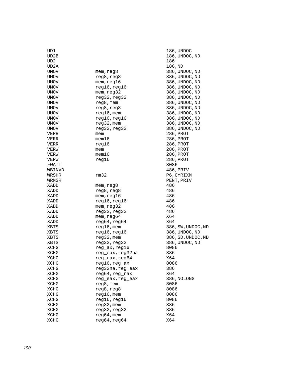| UD1         |                  | 186,U  |
|-------------|------------------|--------|
| UD2B        |                  | 186, U |
| UD2         |                  | 186    |
| UD2A        |                  | 186,N  |
| UMOV        | mem,reg8         | 386,U  |
| UMOV        | reg8, reg8       | 386, U |
| UMOV        | mem, reg16       | 386,U  |
| UMOV        | reg16, reg16     | 386,U  |
| UMOV        | mem, reg32       | 386,U  |
| UMOV        | reg32, reg32     | 386, U |
| UMOV        | $reg8$ , mem     | 386,U  |
| <b>UMOV</b> | reg8, reg8       | 386, U |
| <b>UMOV</b> | $reg16$ , mem    | 386, U |
| UMOV        | reg16, reg16     | 386,U  |
| UMOV        | $reg32$ , mem    | 386,U  |
| UMOV        | reg32, reg32     | 386, U |
| VERR        | mem              | 286,P  |
| VERR        | mem16            | 286, P |
| VERR        | reg16            | 286,P  |
| VERW        | mem              | 286,P  |
| VERW        | mem16            | 286,P  |
| VERW        | reg16            | 286,P  |
| FWAIT       |                  | 8086   |
| WBINVD      |                  | 486, P |
| WRSHR       | rm32             | P6,CY  |
| WRMSR       |                  | PENT,  |
| XADD        | mem,reg8         | 486    |
| XADD        | reg8, reg8       | 486    |
| XADD        | mem, reg16       | 486    |
| XADD        | reg16, reg16     | 486    |
| XADD        | mem, reg32       | 486    |
| XADD        | reg32, reg32     | 486    |
| XADD        | mem, reg64       | X64    |
| XADD        | reg64, reg64     | X64    |
| XBTS        | $reg16$ , mem    | 386,S  |
| XBTS        | reg16, reg16     | 386,U  |
| XBTS        | reg32, mem       | 386,S  |
| XBTS        | reg32, reg32     | 386,U  |
| <b>XCHG</b> | reg_ax, reg16    | 8086   |
| XCHG        | reg_eax,reg32na  | 386    |
| XCHG        | reg_rax,reg64    | X64    |
| XCHG        | reg16,reg_ax     | 8086   |
| XCHG        | reg32na, reg_eax | 386    |
| XCHG        | reg64, reg_rax   | X64    |
| XCHG        | reg eax, reg eax | 386,N  |
| XCHG        | reg8, mem        | 8086   |
| XCHG        | reg8, reg8       | 8086   |
| XCHG        | $reg16$ , mem    | 8086   |
| XCHG        | reg16, reg16     | 8086   |
| XCHG        | reg32, mem       | 386    |
| XCHG        | reg32, reg32     | 386    |
| XCHG        | $req64$ , mem    | X64    |
| XCHG        | reg64, reg64     | X64    |
|             |                  |        |

186, UNDOC 186, UNDOC, ND 186,ND 386, UNDOC, ND 386, UNDOC, ND 386, UNDOC, ND 386, UNDOC, ND 386, UNDOC, ND 386, UNDOC, ND 386, UNDOC, ND 386, UNDOC, ND 386, UNDOC, ND 386, UNDOC, ND 386, UNDOC, ND 386, UNDOC, ND 286, PROT 286, PROT 286, PROT 286, PROT 286, PROT 286, PROT<br>8086 486, PRIV P6, CYRIXM PENT, PRIV 386,SW,UNDOC,ND 386, UNDOC, ND 386,SD,UNDOC,ND 386, UNDOC, ND 386,NOLONG<br>8086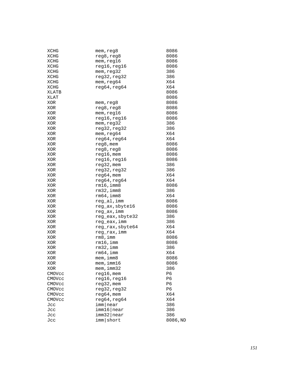| XCHG        | mem, reg8        | 8086       |
|-------------|------------------|------------|
| XCHG        | reg8, reg8       | 8086       |
| XCHG        | mem, reg16       | 8086       |
| <b>XCHG</b> | reg16, reg16     | 8086       |
| XCHG        | mem, reg32       | 386        |
| XCHG        | reg32,reg32      | 386        |
| XCHG        | mem, reg64       | X64        |
| XCHG        | reg64, reg64     | X64        |
| XLATB       |                  | 8086       |
| XLAT        |                  | 8086       |
| XOR         | mem, reg8        | 8086       |
| XOR         | reg8, reg8       | 8086       |
| XOR         | mem, reg16       | 8086       |
| XOR         | reg16, reg16     | 8086       |
| XOR         | mem, reg32       | 386        |
| XOR         | reg32, reg32     | 386        |
| XOR         | mem, reg64       | X64        |
| XOR         | reg64, reg64     | X64        |
| XOR         | reg8, mem        | 8086       |
| <b>XOR</b>  | reg8, reg8       | 8086       |
| XOR         | $reg16$ , mem    | 8086       |
| XOR         | reg16,reg16      | 8086       |
| XOR         |                  | 386        |
|             | reg32, mem       |            |
| XOR         | reg32, reg32     | 386<br>X64 |
| XOR         | $reg64,$ mem     | X64        |
| XOR         | reg64, reg64     |            |
| XOR         | $rm16$ , imm $8$ | 8086       |
| XOR         | $rm32$ , imm $8$ | 386        |
| XOR         | $rm64$ , imm $8$ | X64        |
| XOR         | reg_al, imm      | 8086       |
| XOR         | reg_ax, sbyte16  | 8086       |
| XOR         | reg_ax,imm       | 8086       |
| XOR         | reg_eax, sbyte32 | 386        |
| XOR         | reg_eax,imm      | 386        |
| XOR         | reg_rax, sbyte64 | X64        |
| XOR         | reg_rax, imm     | X64        |
| XOR         | rm8,imm          | 8086       |
| XOR         | $rm16$ , imm     | 8086       |
| XOR         | $rm32$ , imm     | 386        |
| XOR         | $rm64$ , imm     | X64        |
| <b>XOR</b>  | mem, imm8        | 8086       |
| XOR         | $m$ em, i $m$ 16 | 8086       |
| XOR         | $m$ em, imm $32$ | 386        |
| CMOVcc      | $req16$ , mem    | P6         |
| CMOVcc      | reg16, reg16     | P6         |
| CMOVcc      | reg32, mem       | P6         |
| CMOVcc      | reg32, reg32     | P6         |
| CMOVcc      | $reg64,$ mem     | X64        |
| CMOVcc      | reg64, reg64     | X64        |
| Jcc         | imm near         | 386        |
| Jcc         | imm16 near       | 386        |
| Jcc         | imm32   near     | 386        |
| Jcc         | imm short        | 8086, ND   |
|             |                  |            |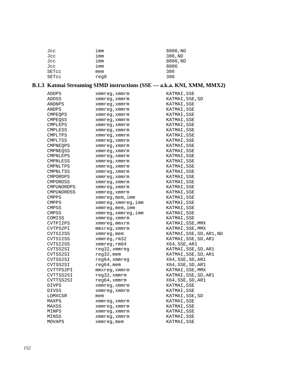| Jcc   | imm  | 8086, ND |
|-------|------|----------|
| Jcc   | imm  | 386, ND  |
| Jcc   | imm  | 8086, ND |
| Jcc   | imm  | 8086     |
| SETcc | mem  | 386      |
| SETcc | reg8 | 386      |

# **B.1.3 Katmai Streaming SIMD instructions (SSE –– a.k.a. KNI, XMM, MMX2)**

| ADDPS             | xmmreg, xmmrm           | KATMAI, SSE              |
|-------------------|-------------------------|--------------------------|
| ADDSS             | xmmreg,xmmrm            | KATMAI, SSE, SD          |
| ANDNPS            | xmmreg, xmmrm           | KATMAI, SSE              |
| ANDPS             | xmmreg, xmmrm           | KATMAI, SSE              |
| CMPEQPS           | xmmreg, xmmrm           | KATMAI, SSE              |
| CMPEOSS           | xmmreg, xmmrm           | KATMAI, SSE              |
| CMPLEPS           | xmmreg, xmmrm           | KATMAI, SSE              |
| CMPLESS           | xmmreg, xmmrm           | KATMAI, SSE              |
| CMPLTPS           | xmmreq, xmmrm           | KATMAI, SSE              |
| CMPLTSS           | xmmreg, xmmrm           | KATMAI, SSE              |
| <b>CMPNEOPS</b>   | xmmreq, xmmrm           | KATMAI, SSE              |
| CMPNEOSS          | xmmreg, xmmrm           | KATMAI, SSE              |
| CMPNLEPS          | xmmreg, xmmrm           | KATMAI, SSE              |
| CMPNLESS          | xmmreq, xmmrm           | KATMAI, SSE              |
| CMPNLTPS          | xmmreg, xmmrm           | KATMAI, SSE              |
| CMPNLTSS          | xmmreg, xmmrm           | KATMAI, SSE              |
| <b>CMPORDPS</b>   | xmmreq, xmmrm           | KATMAI, SSE              |
| CMPORDSS          | xmmreg, xmmrm           | KATMAI, SSE              |
| CMPUNORDPS        | xmmreg, xmmrm           | KATMAI, SSE              |
| <b>CMPUNORDSS</b> | xmmreg, xmmrm           | KATMAI, SSE              |
| <b>CMPPS</b>      | xmmreg, mem, imm        | KATMAI, SSE              |
| <b>CMPPS</b>      | xmmreg, xmmreg, imm     | KATMAI, SSE              |
| CMPSS             | $x$ mm $x$ eq, mem, imm | KATMAI, SSE              |
| CMPSS             | xmmreg, xmmreg, imm     | KATMAI,SSE               |
| COMISS            | xmmreq, xmmrm           | KATMAI, SSE              |
| CVTPI2PS          | xmmreg, mmxrm           | KATMAI, SSE, MMX         |
| CVTPS2PI          | mmxreg, xmmrm           | KATMAI, SSE, MMX         |
| CVTSI2SS          | xmmreg, mem             | KATMAI, SSE, SD, AR1, ND |
| CVTSI2SS          | xmmreg, rm32            | KATMAI, SSE, SD, AR1     |
| CVTSI2SS          | xmmreg, rm64            | X64,SSE,AR1              |
| CVTSS2SI          | reg32, xmmreg           | KATMAI, SSE, SD, AR1     |
| CVTSS2SI          | $req32$ , mem           | KATMAI, SSE, SD, AR1     |
| CVTSS2SI          | $req64$ , xmmreq        | X64, SSE, SD, AR1        |
| CVTSS2SI          | $reg64$ , mem           | X64,SSE,SD,AR1           |
| CVTTPS2PI         | $mmxreg$ , x $mmr$ m    | KATMAI, SSE, MMX         |
| CVTTSS2SI         | reg32, xmmrm            | KATMAI, SSE, SD, AR1     |
| CVTTSS2SI         | reg64, xmmrm            | X64, SSE, SD, AR1        |
| DIVPS             | xmmreg, xmmrm           | KATMAI, SSE              |
| DIVSS             | xmmreg, xmmrm           | KATMAI, SSE              |
| LDMXCSR           | mem                     | KATMAI, SSE, SD          |
| MAXPS             | xmmreg, xmmrm           | KATMAI, SSE              |
| MAXSS             | xmmreg, xmmrm           | KATMAI, SSE              |
| MINPS             | xmmreg, xmmrm           | KATMAI, SSE              |
| MINSS             | xmmreg, xmmrm           | KATMAI, SSE              |
| MOVAPS            | xmmreg, mem             | KATMAI, SSE              |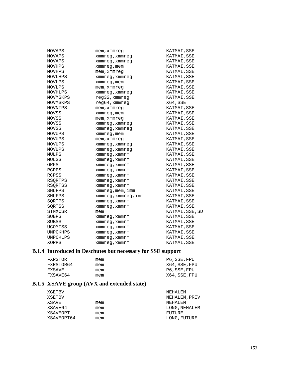| MOVAPS         | mem,xmmreq          | KATMAI, SSE     |
|----------------|---------------------|-----------------|
| MOVAPS         | xmmreg, xmmreg      | KATMAI, SSE     |
| MOVAPS         | xmmreg, xmmreg      | KATMAI, SSE     |
| MOVHPS         | xmmreg,mem          | KATMAI, SSE     |
| MOVHPS         | mem,xmmreq          | KATMAI, SSE     |
| MOVLHPS        | xmmreg, xmmreg      | KATMAI, SSE     |
| MOVLPS         | xmmreg,mem          | KATMAI, SSE     |
| MOVLPS         | mem,xmmreq          | KATMAI, SSE     |
| MOVHLPS        | xmmreg, xmmreg      | KATMAI, SSE     |
| MOVMSKPS       | $reg32$ , xmmreg    | KATMAI, SSE     |
| MOVMSKPS       | reg64, xmmreg       | X64, SSE        |
| MOVNTPS        | mem,xmmreq          | KATMAI, SSE     |
| MOVSS          | xmmreg, mem         | KATMAI, SSE     |
| MOVSS          | mem,xmmreq          | KATMAI, SSE     |
| MOVSS          | xmmreg, xmmreg      | KATMAI, SSE     |
| MOVSS          | xmmreg, xmmreg      | KATMAI, SSE     |
| MOVUPS         | xmmreg,mem          | KATMAI, SSE     |
| MOVUPS         | mem,xmmreq          | KATMAI, SSE     |
| MOVUPS         | xmmreg, xmmreg      | KATMAI, SSE     |
| MOVUPS         | xmmreg, xmmreg      | KATMAI, SSE     |
| MULPS          | xmmreq, xmmrm       | KATMAI, SSE     |
| MULSS          | xmmreg, xmmrm       | KATMAI, SSE     |
| ORPS           | xmmreg,xmmrm        | KATMAI, SSE     |
| RCPPS          | xmmreg, xmmrm       | KATMAI, SSE     |
| RCPSS          | xmmreg, xmmrm       | KATMAI, SSE     |
| RSORTPS        | xmmreg, xmmrm       | KATMAI, SSE     |
| <b>RSORTSS</b> | xmmreq, xmmrm       | KATMAI, SSE     |
| SHUFPS         | xmmreg, mem, imm    | KATMAI, SSE     |
| SHUFPS         | xmmreg, xmmreg, imm | KATMAI, SSE     |
| SORTPS         | xmmreq, xmmrm       | KATMAI, SSE     |
| SORTSS         | xmmreq, xmmrm       | KATMAI, SSE     |
| STMXCSR        | mem                 | KATMAI, SSE, SD |
| SUBPS          | xmmreg,xmmrm        | KATMAI, SSE     |
| <b>SUBSS</b>   | xmmreg,xmmrm        | KATMAI, SSE     |
| UCOMISS        | xmmreg, xmmrm       | KATMAI, SSE     |
| UNPCKHPS       | xmmreq, xmmrm       | KATMAI, SSE     |
| UNPCKLPS       | xmmreq, xmmrm       | KATMAI, SSE     |
| XORPS          | xmmreq, xmmrm       | KATMAI, SSE     |

### **B.1.4 Introduced in Deschutes but necessary for SSE support**

| mem | P6.SSE.FPU    |
|-----|---------------|
| mem | X64, SSE, FPU |
| mem | P6, SSE, FPU  |
| mem | X64,SSE,FPU   |
|     |               |

# **B.1.5 XSAVE group (AVX and extended state)**

| XGETBV     |     | NEHALEM       |
|------------|-----|---------------|
| XSETBV     |     | NEHALEM, PRIV |
| XSAVE      | mem | NEHALEM       |
| XSAVE64    | mem | LONG, NEHALEM |
| XSAVEOPT   | mem | FUTURE        |
| XSAVEOPT64 | mem | LONG, FUTURE  |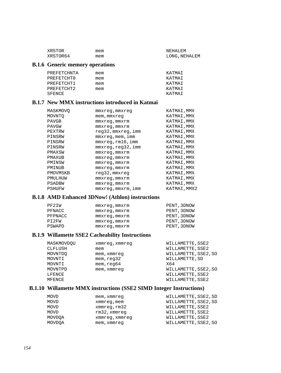| XRSTOR   | mem | NEHALEM       |
|----------|-----|---------------|
| XRSTOR64 | mem | LONG, NEHALEM |

#### **B.1.6 Generic memory operations**

| PREFETCHNTA | mem | KATMAT |
|-------------|-----|--------|
| PREFETCHTO  | mem | KATMAT |
| PREFETCHT1  | mem | KATMAT |
| PREFETCHT2  | mem | KATMAT |
| SFENCE      |     | ΚΆΤΜΑΤ |

### **B.1.7 New MMX instructions introduced in Katmai**

| MASKMOVO | mmxreq,mmxreq       | KATMAI, MMX  |
|----------|---------------------|--------------|
| MOVNTO   | mem, mmxreq         | KATMAI, MMX  |
| PAVGB    | mmxreq,mmxrm        | KATMAI, MMX  |
| PAVGW    | $mmxreq$ , $mmxrm$  | KATMAI, MMX  |
| PEXTRW   | reg32, mmxreg, imm  | KATMAI, MMX  |
| PINSRW   | $mmxreq$ , mem, imm | KATMAI, MMX  |
| PINSRW   | mmxreq,rm16,imm     | KATMAI, MMX  |
| PINSRW   | mmxreq, req32, imm  | KATMAI, MMX  |
| PMAXSW   | mmxreq,mmxrm        | KATMAI, MMX  |
| PMAXUB   | $mmxreq$ , $mmxrm$  | KATMAI, MMX  |
| PMINSW   | mmxreq, mmxrm       | KATMAI, MMX  |
| PMINUB   | mmxreq,mmxrm        | KATMAI, MMX  |
| PMOVMSKB | reg32, mmxreg       | KATMAI, MMX  |
| PMULHUW  | mmxreq, mmxrm       | KATMAI, MMX  |
| PSADBW   | mmxreq, mmxrm       | KATMAI, MMX  |
| PSHUFW   | mmxreq, mmxrm, imm  | KATMAI, MMX2 |
|          |                     |              |

#### **B.1.8 AMD Enhanced 3DNow! (Athlon) instructions**

| PF2IW   | mmxreq, mmxrm | PENT, 3DNOW |
|---------|---------------|-------------|
| PFNACC  | mmxreq, mmxrm | PENT, 3DNOW |
| PFPNACC | mmxreq, mmxrm | PENT, 3DNOW |
| PT2FW   | mmxreq, mmxrm | PENT, 3DNOW |
| PSWAPD  | mmxreq, mmxrm | PENT, 3DNOW |

### **B.1.9 Willamette SSE2 Cacheability Instructions**

| MASKMOVDOU | xmmreg, xmmreg | WILLAMETTE, SSE2     |
|------------|----------------|----------------------|
| CLFLUSH    | mem            | WILLAMETTE, SSE2     |
| MOVNTDO    | mem, xmmreg    | WILLAMETTE, SSE2, SO |
| MOVNTI     | mem, read32    | WILLAMETTE, SD       |
| MOVNTI     | mem, read64    | X64                  |
| MOVNTPD    | mem, xmmreg    | WILLAMETTE, SSE2, SO |
| LFENCE     |                | WILLAMETTE, SSE2     |
| MFENCE     |                | WILLAMETTE, SSE2     |

#### **B.1.10 Willamette MMX instructions (SSE2 SIMD Integer Instructions)**

| MOVD   | mem, xmmreg    | WILLAMETTE, SSE2, SD |
|--------|----------------|----------------------|
| MOVD   | xmmreg, mem    | WILLAMETTE, SSE2, SD |
| MOVD   | xmmreq, rm32   | WILLAMETTE, SSE2     |
| MOVD   | rm32, xmmreq   | WILLAMETTE, SSE2     |
| MOVDOA | xmmreg, xmmreg | WILLAMETTE, SSE2     |
| MOVDOA | mem, xmmreq    | WILLAMETTE, SSE2, SO |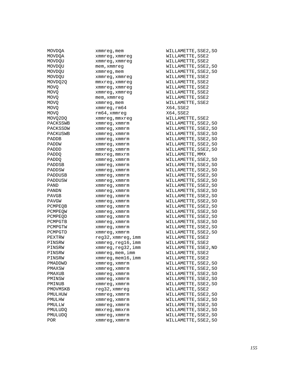| MUVDQA       | xmmreg,mem              |
|--------------|-------------------------|
| MOVDQA       | xmmreg,xmmreg           |
| MOVDQU       | xmmreg, xmmreg          |
| MOVDQU       | mem, xmmreg             |
| MOVDQU       | xmmreg,mem              |
| MOVDOU       | xmmreg, xmmreg          |
| MOVDQ2Q      | mmxreg, xmmreg          |
| MOVQ         | xmmreg,xmmreg           |
| MOVQ         | xmmreg, xmmreg          |
| MOVQ         | mem, xmmreg             |
| MOVO         | xmmreg, mem             |
| MOVQ         | xmmreg,rm64             |
| MOVQ         | rm64,xmmreg             |
| MOVQ2DQ      | xmmreg,mmxreg           |
| PACKSSWB     | xmmreg, xmmrm           |
| PACKSSDW     | xmmreg, xmmrm           |
| PACKUSWB     | xmmreg, xmmrm           |
| PADDB        | xmmreg, xmmrm           |
| PADDW        |                         |
| PADDD        | xmmreg, xmmrm           |
|              | xmmreg, xmmrm           |
| <b>PADDO</b> | mmxreq,mmxrm            |
| PADDO        | xmmreg, xmmrm           |
| PADDSB       | xmmreq, xmmrm           |
| PADDSW       | xmmreg, xmmrm           |
| PADDUSB      | xmmreg, xmmrm           |
| PADDUSW      | xmmreg, xmmrm           |
| PAND         | xmmreg, xmmrm           |
| PANDN        | xmmreg, xmmrm           |
| PAVGB        | xmmreg, xmmrm           |
| PAVGW        | xmmreg, xmmrm           |
| PCMPEQB      | xmmreg, xmmrm           |
| PCMPEOW      | xmmreg, xmmrm           |
| PCMPEQD      | xmmreg, xmmrm           |
| PCMPGTB      | xmmreg, xmmrm           |
| PCMPGTW      | xmmreg, xmmrm           |
| PCMPGTD      | xmmreg, xmmrm           |
| PEXTRW       | reg32, xmmreg, imm      |
| PINSRW       | xmmreg,reg16,imm        |
| PINSRW       | xmmreg, reg32, imm      |
| PINSRW       | $x$ mm $x$ eg, mem, imm |
| PINSRW       | xmmreg,mem16,imm        |
| PMADDWD      | xmmreg, xmmrm           |
| PMAXSW       | xmmreg,xmmrm            |
| PMAXUB       | xmmreg, xmmrm           |
| PMINSW       | xmmreg, xmmrm           |
| PMINUB       | xmmreg, xmmrm           |
| PMOVMSKB     | reg32, xmmreg           |
| PMULHUW      | xmmreq, xmmrm           |
| PMULHW       | xmmreg, xmmrm           |
| PMULLW       | xmmreg, xmmrm           |
| PMULUDO      | mmxreq, mmxrm           |
| PMULUDQ      | xmmreg, xmmrm           |
| POR.         | xmmreg, xmmrm           |
|              |                         |

MOVDQA xmmreg,mem WILLAMETTE, SSE2, SO WILLAMETTE, SSE2 WILLAMETTE, SSE2 WILLAMETTE, SSE2, SO WILLAMETTE, SSE2, SO WILLAMETTE, SSE2 WILLAMETTE, SSE2 WILLAMETTE, SSE2 WILLAMETTE, SSE2 WILLAMETTE, SSE2 WILLAMETTE, SSE2  $X64$ , SSE2  $X64,$ SSE2 WILLAMETTE, SSE2 WILLAMETTE, SSE2, SO WILLAMETTE, SSE2, SO WILLAMETTE, SSE2, SO WILLAMETTE, SSE2, SO WILLAMETTE, SSE2, SO WILLAMETTE, SSE2, SO WILLAMETTE, MMX WILLAMETTE, SSE2, SO WILLAMETTE, SSE2, SO WILLAMETTE, SSE2, SO WILLAMETTE, SSE2, SO WILLAMETTE, SSE2, SO WILLAMETTE, SSE2, SO WILLAMETTE, SSE2, SO WILLAMETTE, SSE2, SO WILLAMETTE, SSE2, SO WILLAMETTE, SSE2, SO WILLAMETTE, SSE2, SO WILLAMETTE, SSE2, SO WILLAMETTE, SSE2, SO WILLAMETTE, SSE2, SO WILLAMETTE, SSE2, SO metry of the MILLAMETTE, SSE2 m $WILLAMETTE,SSE2$ metry and the MILLAMETTE, SSE2, ND WILLAMETTE, SSE2 m $WILLAMETTE, SSE2$ WILLAMETTE, SSE2, SO WILLAMETTE, SSE2, SO WILLAMETTE, SSE2, SO WILLAMETTE, SSE2, SO WILLAMETTE, SSE2, SO WILLAMETTE, SSE2 WILLAMETTE, SSE2, SO WILLAMETTE, SSE2, SO WILLAMETTE, SSE2, SO WILLAMETTE, SSE2, SO WILLAMETTE, SSE2, SO WILLAMETTE, SSE2, SO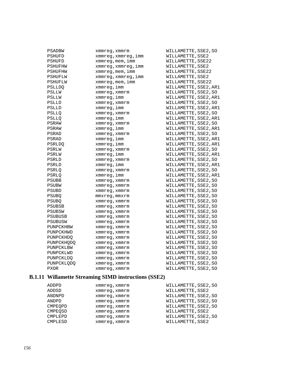| PSADBW       | xmmreq, xmmrm       | WILLAMETTE, SSE2, SO  |
|--------------|---------------------|-----------------------|
| PSHUFD       | xmmreg, xmmreg, imm | WILLAMETTE, SSE2      |
| PSHUFD       | xmmreg, mem, imm    | WILLAMETTE, SSE22     |
| PSHUFHW      | xmmreg, xmmreg, imm | WILLAMETTE, SSE2      |
| PSHUFHW      | xmmreg, mem, imm    | WILLAMETTE, SSE22     |
| PSHUFLW      | xmmreg, xmmreg, imm | WILLAMETTE, SSE2      |
| PSHUFLW      | xmmreg, mem, imm    | WILLAMETTE, SSE22     |
| PSLLDO       | xmmreg, imm         | WILLAMETTE, SSE2, AR1 |
| PSLLW        | xmmreq, xmmrm       | WILLAMETTE, SSE2, SO  |
| PSLLW        | xmmreg, imm         | WILLAMETTE, SSE2, AR1 |
| PSLLD        | xmmreg, xmmrm       | WILLAMETTE, SSE2, SO  |
| PSLLD        | xmmreg, imm         | WILLAMETTE, SSE2, AR1 |
| PSLLO        | xmmreq, xmmrm       | WILLAMETTE, SSE2, SO  |
| PSLLQ        | xmmreg, imm         | WILLAMETTE, SSE2, AR1 |
| PSRAW        | xmmreq, xmmrm       | WILLAMETTE, SSE2, SO  |
| PSRAW        | xmmreg, imm         | WILLAMETTE, SSE2, AR1 |
| PSRAD        | xmmreq, xmmrm       | WILLAMETTE, SSE2, SO  |
| PSRAD        | xmmreq, imm         | WILLAMETTE, SSE2, AR1 |
| PSRLDQ       | xmmreg, imm         | WILLAMETTE, SSE2, AR1 |
| PSRLW        | xmmreg, xmmrm       | WILLAMETTE, SSE2, SO  |
| PSRLW        | xmmreg, imm         | WILLAMETTE, SSE2, AR1 |
| PSRLD        | xmmreg, xmmrm       | WILLAMETTE, SSE2, SO  |
| PSRLD        | xmmreg, imm         | WILLAMETTE, SSE2, AR1 |
| PSRLO        | xmmreq, xmmrm       | WILLAMETTE, SSE2, SO  |
| PSRLO        | xmmreg, imm         | WILLAMETTE, SSE2, AR1 |
| PSUBB        | xmmreg, xmmrm       | WILLAMETTE, SSE2, SO  |
| PSUBW        | xmmreq, xmmrm       | WILLAMETTE, SSE2, SO  |
| PSUBD        | xmmreq, xmmrm       | WILLAMETTE, SSE2, SO  |
| PSUBO        | mmxreg, mmxrm       | WILLAMETTE, SSE2, SO  |
| <b>PSUBO</b> | xmmreq, xmmrm       | WILLAMETTE, SSE2, SO  |
| PSUBSB       | xmmreg, xmmrm       | WILLAMETTE, SSE2, SO  |
| PSUBSW       | xmmreg, xmmrm       | WILLAMETTE, SSE2, SO  |
| PSUBUSB      | xmmreg, xmmrm       | WILLAMETTE, SSE2, SO  |
| PSUBUSW      | xmmreg, xmmrm       | WILLAMETTE, SSE2, SO  |
| PUNPCKHBW    | xmmreg, xmmrm       | WILLAMETTE, SSE2, SO  |
| PUNPCKHWD    | xmmreg, xmmrm       | WILLAMETTE, SSE2, SO  |
| PUNPCKHDQ    | xmmreq, xmmrm       | WILLAMETTE, SSE2, SO  |
| PUNPCKHODO   | xmmreg, xmmrm       | WILLAMETTE, SSE2, SO  |
| PUNPCKLBW    | xmmreg, xmmrm       | WILLAMETTE, SSE2, SO  |
| PUNPCKLWD    | xmmreq, xmmrm       | WILLAMETTE, SSE2, SO  |
| PUNPCKLDQ    | xmmreg, xmmrm       | WILLAMETTE, SSE2, SO  |
| PUNPCKLQDQ   | xmmreq, xmmrm       | WILLAMETTE, SSE2, SO  |
| <b>PXOR</b>  | xmmreg, xmmrm       | WILLAMETTE, SSE2, SO  |

### **B.1.11 Willamette Streaming SIMD instructions (SSE2)**

| ADDPD   | xmmreq, xmmrm | WILLAMETTE, SSE2, SO |
|---------|---------------|----------------------|
| ADDSD   | xmmreq, xmmrm | WILLAMETTE, SSE2     |
| ANDNPD  | xmmreq, xmmrm | WILLAMETTE, SSE2, SO |
| ANDPD   | xmmreq, xmmrm | WILLAMETTE, SSE2, SO |
| CMPEOPD | xmmreq, xmmrm | WILLAMETTE, SSE2, SO |
| CMPEOSD | xmmreq, xmmrm | WILLAMETTE, SSE2     |
| CMPLEPD | xmmreq, xmmrm | WILLAMETTE, SSE2, SO |
| CMPLESD | xmmreq, xmmrm | WILLAMETTE, SSE2     |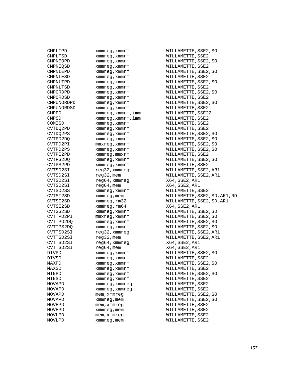| ヒツヒロエヒレ    | ∧ռաս⊥ <del>շ</del> ց , ∧ռաս⊥ ա |
|------------|--------------------------------|
| CMPLTSD    | xmmreg, xmmrm                  |
| CMPNEQPD   | xmmreg, xmmrm                  |
| CMPNEOSD   | xmmreg, xmmrm                  |
| CMPNLEPD   | xmmreg, xmmrm                  |
| CMPNLESD   | xmmreg, xmmrm                  |
| CMPNLTPD   | xmmreg, xmmrm                  |
| CMPNLTSD   | xmmreg, xmmrm                  |
| CMPORDPD   | xmmreg, xmmrm                  |
| CMPORDSD   | xmmreg, xmmrm                  |
| CMPUNORDPD | xmmreg, xmmrm                  |
| CMPUNORDSD | xmmreg, xmmrm                  |
| CMPPD      | xmmreg, xmmrm, imm             |
| CMPSD      | xmmreg, xmmrm, imm             |
| COMISD     | xmmreg, xmmrm                  |
| CVTDQ2PD   | xmmreg, xmmrm                  |
| CVTDQ2PS   | xmmreg, xmmrm                  |
| CVTPD2D0   | xmmreg, xmmrm                  |
| CVTPD2PI   | mmxreq, xmmrm                  |
| CVTPD2PS   | xmmreg, xmmrm                  |
| CVTPI2PD   | xmmreg, mmxrm                  |
| CVTPS2DO   | xmmreq, xmmrm                  |
| CVTPS2PD   | xmmreg, xmmrm                  |
| CVTSD2SI   | reg32,xmmreg                   |
| CVTSD2SI   | reg32, mem                     |
| CVTSD2SI   | reg64, xmmreg                  |
| CVTSD2SI   | reg64, mem                     |
| CVTSD2SS   | xmmreg, xmmrm                  |
| CVTSI2SD   | xmmreg, mem                    |
| CVTSI2SD   | xmmreg, rm32                   |
| CVTSI2SD   | xmmreg, rm64                   |
| CVTSS2SD   | xmmreg, xmmrm                  |
| CVTTPD2PI  | mmxreg, xmmrm                  |
| CVTTPD2DQ  | xmmreg, xmmrm                  |
| CVTTPS2DQ  | xmmreg, xmmrm                  |
| CVTTSD2SI  | reg32, xmmreg                  |
| CVTTSD2SI  | reg32, mem                     |
| CVTTSD2SI  | reg64, xmmreg                  |
| CVTTSD2SI  | $reg64,$ mem                   |
| DIVPD      | xmmreg, xmmrm                  |
| DIVSD      | xmmreg, xmmrm                  |
| MAXPD      |                                |
| MAXSD      | xmmreg,xmmrm                   |
| MINPD      | xmmreg,xmmrm                   |
| MINSD      | xmmreg, xmmrm                  |
| MOVAPD     | xmmreg, xmmrm                  |
|            | xmmreg, xmmreg                 |
| MOVAPD     | xmmreg,xmmreg                  |
| MOVAPD     | mem, xmmreg                    |
| MOVAPD     | xmmreg, mem                    |
| MOVHPD     | mem, xmmreg                    |
| MOVHPD     | xmmreg,mem                     |
| MOVLPD     | mem, xmmreq                    |
| MOVLPD     | xmmreg,mem                     |

CMPLTPD xmmreg,xmmrm WILLAMETTE, SSE2, SO WILLAMETTE, SSE2 WILLAMETTE, SSE2, SO WILLAMETTE, SSE2 WILLAMETTE, SSE2, SO WILLAMETTE, SSE2 WILLAMETTE, SSE2, SO WILLAMETTE, SSE2 WILLAMETTE, SSE2, SO WILLAMETTE, SSE2 WILLAMETTE, SSE2, SO WILLAMETTE, SSE2 WILLAMETTE, SSE22 WILLAMETTE, SSE2 WILLAMETTE, SSE2 WILLAMETTE, SSE2 WILLAMETTE, SSE2, SO WILLAMETTE, SSE2, SO WILLAMETTE, SSE2, SO WILLAMETTE, SSE2, SO WILLAMETTE, SSE2 WILLAMETTE, SSE2, SO WILLAMETTE, SSE2 WILLAMETTE, SSE2, AR1 WILLAMETTE, SSE2, AR1  $X64$ , SSE2, AR1  $X64, SSE2, ARI$ WILLAMETTE, SSE2 WILLAMETTE, SSE2, SD, AR1, ND WILLAMETTE, SSE2, SD, AR1 X64,SSE2,AR1 WILLAMETTE, SSE2, SD WILLAMETTE, SSE2, SO WILLAMETTE, SSE2, SO WILLAMETTE, SSE2, SO WILLAMETTE, SSE2, AR1 WILLAMETTE, SSE2, AR1  $X64$ , SSE2, AR1  $X64,$ SSE2,AR1 WILLAMETTE, SSE2, SO WILLAMETTE, SSE2 WILLAMETTE, SSE2, SO WILLAMETTE, SSE2 WILLAMETTE, SSE2, SO WILLAMETTE, SSE2 WILLAMETTE, SSE2 WILLAMETTE, SSE2 WILLAMETTE, SSE2, SO WILLAMETTE, SSE2, SO WILLAMETTE, SSE2 WILLAMETTE, SSE2 WILLAMETTE, SSE2 WILLAMETTE, SSE2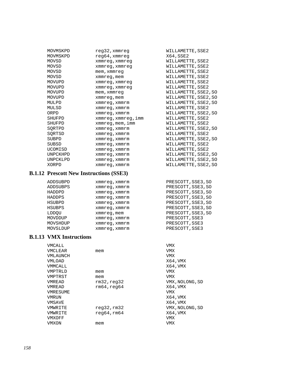| MOVMSKPD | $req32$ , xmmreq        | WILLAMETTE, SSE2     |
|----------|-------------------------|----------------------|
| MOVMSKPD | $req64$ , xmmreq        | X64, SSE2            |
| MOVSD    | xmmreg, xmmreg          | WILLAMETTE, SSE2     |
| MOVSD    | xmmreg, xmmreg          | WILLAMETTE, SSE2     |
| MOVSD    | mem, xmmreq             | WILLAMETTE, SSE2     |
| MOVSD    | xmmreg, mem             | WILLAMETTE, SSE2     |
| MOVUPD   | xmmreg, xmmreg          | WILLAMETTE, SSE2     |
| MOVUPD   | xmmreg, xmmreg          | WILLAMETTE, SSE2     |
| MOVUPD   | mem, xmmreq             | WILLAMETTE, SSE2, SO |
| MOVUPD   | xmmreg, mem             | WILLAMETTE, SSE2, SO |
| MULPD    | xmmreg, xmmrm           | WILLAMETTE, SSE2, SO |
| MULSD    | xmmreq, xmmrm           | WILLAMETTE, SSE2     |
| ORPD     | xmmreg, xmmrm           | WILLAMETTE, SSE2, SO |
| SHUFPD   | xmmreg, xmmreg, imm     | WILLAMETTE, SSE2     |
| SHUFPD   | $x$ mm $x$ eq, mem, imm | WILLAMETTE, SSE2     |
| SORTPD   | xmmreg, xmmrm           | WILLAMETTE, SSE2, SO |
| SQRTSD   | xmmreg, xmmrm           | WILLAMETTE, SSE2     |
| SUBPD    | xmmreq, xmmrm           | WILLAMETTE, SSE2, SO |
| SUBSD    | xmmreg, xmmrm           | WILLAMETTE, SSE2     |
| UCOMISD  | xmmreg, xmmrm           | WILLAMETTE, SSE2     |
| UNPCKHPD | xmmreq, xmmrm           | WILLAMETTE, SSE2, SO |
| UNPCKLPD | xmmreg, xmmrm           | WILLAMETTE, SSE2, SO |
| XORPD    | xmmreg, xmmrm           | WILLAMETTE, SSE2, SO |

#### **B.1.12 Prescott New Instructions (SSE3)**

| ADDSUBPD      | xmmreg, xmmrm | PRESCOTT, SSE3, SO |
|---------------|---------------|--------------------|
| ADDSUBPS      | xmmreq, xmmrm | PRESCOTT, SSE3, SO |
| HADDPD        | xmmreq, xmmrm | PRESCOTT, SSE3, SO |
| HADDPS        | xmmreq, xmmrm | PRESCOTT, SSE3, SO |
| HSUBPD        | xmmreq, xmmrm | PRESCOTT, SSE3, SO |
| <b>HSUBPS</b> | xmmreq, xmmrm | PRESCOTT, SSE3, SO |
| LDDOU         | xmmreg, mem   | PRESCOTT, SSE3, SO |
| MOVDDUP       | xmmreq, xmmrm | PRESCOTT, SSE3     |
| MOVSHDUP      | xmmreq, xmmrm | PRESCOTT, SSE3     |
| MOVSLDUP      | xmmreq, xmmrm | PRESCOTT, SSE3     |

#### **B.1.13 VMX Instructions**

| VMCALL       |              | VMX             |
|--------------|--------------|-----------------|
| VMCLEAR      | mem          | VMX             |
| VMLAUNCH     |              | VMX             |
| VMLOAD       |              | X64, VMX        |
| VMMCALL      |              | X64, VMX        |
| VMPTRLD      | mem          | VMX             |
| VMPTRST      | mem          | VMX             |
| VMREAD       | rm32, read32 | VMX, NOLONG, SD |
| VMREAD       | rm64, read64 | X64, VMX        |
| VMRESUME     |              | VMX             |
| <b>VMRUN</b> |              | X64, VMX        |
| VMSAVE       |              | X64, VMX        |
| VMWRITE      | req32,rm32   | VMX, NOLONG, SD |
| VMWRITE      | req64, rm64  | X64, VMX        |
| VMXOFF       |              | VMX             |
| VMXON        | mem          | VMX             |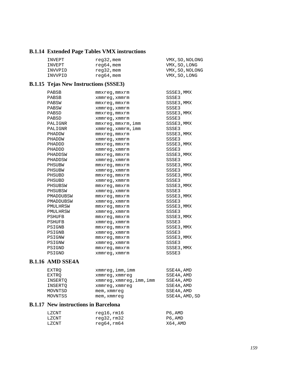### **B.1.14 Extended Page Tables VMX instructions**

| INVEPT  | reg32, mem | VMX, SO, NOLONG |
|---------|------------|-----------------|
| INVEPT  | reg64,mem  | VMX, SO, LONG   |
| INVVPID | reg32, mem | VMX, SO, NOLONG |
| INVVPID | reg64,mem  | VMX, SO, LONG   |

## **B.1.15 Tejas New Instructions (SSSE3)**

| PABSB         | $mmxreq$ , $mmxrm$ | SSSE3,MMX  |
|---------------|--------------------|------------|
| PABSB         | xmmreg, xmmrm      | SSSE3      |
| PABSW         | $mmxreg$ , $mmxrm$ | SSSE3, MMX |
| PABSW         | xmmreq, xmmrm      | SSSE3      |
| PABSD         | mmxreq, mmxrm      | SSSE3, MMX |
| PABSD         | xmmreq, xmmrm      | SSSE3      |
| PALIGNR       | mmxreq, mmxrm, imm | SSSE3, MMX |
| PALIGNR       | xmmreq, xmmrm, imm | SSSE3      |
| PHADDW        | mmxreq, mmxrm      | SSSE3, MMX |
| PHADDW        | xmmreg, xmmrm      | SSSE3      |
| PHADDD        | mmxreq, mmxrm      | SSSE3, MMX |
| PHADDD        | xmmreg, xmmrm      | SSSE3      |
| PHADDSW       | mmxreq, mmxrm      | SSSE3, MMX |
| PHADDSW       | xmmreq, xmmrm      | SSSE3      |
| PHSUBW        | mmxreq, mmxrm      | SSSE3, MMX |
| PHSUBW        | xmmreq, xmmrm      | SSSE3      |
| PHSUBD        | mmxreq, mmxrm      | SSSE3, MMX |
| PHSUBD        | xmmreg, xmmrm      | SSSE3      |
| PHSUBSW       | mmxreq, mmxrm      | SSSE3, MMX |
| PHSUBSW       | xmmreg, xmmrm      | SSSE3      |
| PMADDUBSW     | mmxreq, mmxrm      | SSSE3, MMX |
| PMADDUBSW     | xmmreq, xmmrm      | SSSE3      |
| PMULHRSW      | $mmxreg$ , $mmxrm$ | SSSE3,MMX  |
| PMULHRSW      | xmmreg, xmmrm      | SSSE3      |
| <b>PSHUFB</b> | mmxreq, mmxrm      | SSSE3, MMX |
| PSHUFB        | xmmreg, xmmrm      | SSSE3      |
| PSIGNB        | $mmxreg$ , $mmxrm$ | SSSE3, MMX |
| PSIGNB        | xmmreg, xmmrm      | SSSE3      |
| PSIGNW        | mmxreq, mmxrm      | SSSE3, MMX |
| PSIGNW        | xmmreq, xmmrm      | SSSE3      |
| PSIGND        | $mmxreg$ , $mmxrm$ | SSSE3, MMX |
| PSIGND        | xmmreq, xmmrm      | SSSE3      |

### **B.1.16 AMD SSE4A**

| EXTRO   | xmmreg, imm, imm         | SSE4A, AMD     |
|---------|--------------------------|----------------|
| EXTRO   | xmmreg, xmmreg           | SSE4A, AMD     |
| INSERTO | xmmreg, xmmreg, imm, imm | SSE4A, AMD     |
| INSERTO | xmmreg, xmmreg           | SSE4A, AMD     |
| MOVNTSD | mem, xmmreg              | SSE4A, AMD     |
| MOVNTSS | mem, xmmreg              | SSE4A, AMD, SD |

### **B.1.17 New instructions in Barcelona**

| LZCNT | reg16,rm16 | P6,AMD  |
|-------|------------|---------|
| LZCNT | reg32,rm32 | P6,AMD  |
| LZCNT | reg64,rm64 | X64,AMD |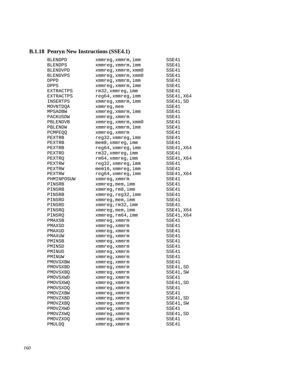## **B.1.18 Penryn New Instructions (SSE4.1)**

| BLENDPD         | xmmreg, xmmrm, imm            | SSE41      |
|-----------------|-------------------------------|------------|
| <b>BLENDPS</b>  | xmmreg, xmmrm, imm            | SSE41      |
| <b>BLENDVPD</b> | xmmreq, xmmrm, xmm0           | SSE41      |
| <b>BLENDVPS</b> | $xmmreg$ , $xmmrm$ , $xmm0$   | SSE41      |
| <b>DPPD</b>     | xmmreg, xmmrm, imm            | SSE41      |
| DPPS            | xmmreg, xmmrm, imm            | SSE41      |
| EXTRACTPS       | rm32, xmmreq, imm             | SSE41      |
| EXTRACTPS       | reg64, xmmreg, imm            | SSE41, X64 |
| INSERTPS        | xmmreg, xmmrm, imm            | SSE41, SD  |
| MOVNTDQA        | xmmreg, mem                   | SSE41      |
| MPSADBW         | xmmreq, xmmrm, imm            | SSE41      |
| PACKUSDW        | xmmreq, xmmrm                 | SSE41      |
| PBLENDVB        | xmmreg, xmmrm, xmm0           | SSE41      |
| PBLENDW         | xmmreg, xmmrm, imm            | SSE41      |
| <b>PCMPEOO</b>  | xmmreg, xmmrm                 | SSE41      |
| PEXTRB          | reg32, xmmreg, imm            | SSE41      |
| PEXTRB          | $mem8$ , $xmmreg$ , $imm$     | SSE41      |
| PEXTRB          | reg64,xmmreg,imm              | SSE41, X64 |
| PEXTRD          | rm32, xmmreg, imm             | SSE41      |
| PEXTRO          | rm64, xmmreg, imm             | SSE41, X64 |
| PEXTRW          | reg32, xmmreg, imm            | SSE41      |
| PEXTRW          | $m$ em $16$ , xmm $r$ eg, imm | SSE41      |
| PEXTRW          | reg64,xmmreg,imm              | SSE41, X64 |
| PHMINPOSUW      | xmmreq, xmmrm                 | SSE41      |
| PINSRB          | xmmreg, mem, imm              | SSE41      |
| PINSRB          | xmmreg, rm8, imm              | SSE41      |
| PINSRB          | xmmreg, reg32, imm            | SSE41      |
| PINSRD          | $x$ mm $x$ eq, mem, imm       | SSE41      |
| PINSRD          | xmmreg, rm32, imm             | SSE41      |
| PINSRO          | xmmreg, mem, imm              | SSE41, X64 |
| PINSRQ          | xmmreg, rm64, imm             | SSE41, X64 |
| PMAXSB          | xmmreg, xmmrm                 | SSE41      |
| PMAXSD          | xmmreg, xmmrm                 | SSE41      |
| PMAXUD          | xmmreg, xmmrm                 | SSE41      |
| PMAXUW          | xmmreg, xmmrm                 | SSE41      |
| PMINSB          | xmmreg, xmmrm                 | SSE41      |
| PMINSD          | xmmreg, xmmrm                 | SSE41      |
| PMINUD          | xmmreg, xmmrm                 | SSE41      |
| PMINUW          | xmmreq, xmmrm                 | SSE41      |
| PMOVSXBW        | xmmreq, xmmrm                 | SSE41      |
| PMOVSXBD        | xmmreg, xmmrm                 | SSE41, SD  |
| PMOVSXBQ        | xmmreg, xmmrm                 | SSE41,SW   |
| PMOVSXWD        | xmmreq, xmmrm                 | SSE41      |
| PMOVSXWQ        | xmmreg, xmmrm                 | SSE41, SD  |
| PMOVSXDQ        | xmmreg, xmmrm                 | SSE41      |
| PMOVZXBW        | xmmreg, xmmrm                 | SSE41      |
| PMOVZXBD        | xmmreg, xmmrm                 | SSE41, SD  |
| PMOVZXBQ        | xmmreq, xmmrm                 | SSE41, SW  |
| PMOVZXWD        | xmmreq, xmmrm                 | SSE41      |
| PMOVZXWO        | xmmreq, xmmrm                 | SSE41, SD  |
| PMOVZXDQ        | xmmreg, xmmrm                 | SSE41      |
| PMULDQ          | xmmreg, xmmrm                 | SSE41      |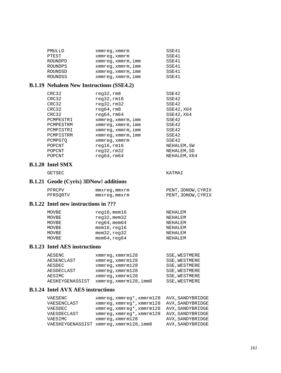| PMULLD         | xmmreq, xmmrm      | SSE41 |
|----------------|--------------------|-------|
| PTEST          | xmmreq, xmmrm      | SSE41 |
| ROUNDPD        | xmmreg, xmmrm, imm | SSE41 |
| <b>ROUNDPS</b> | xmmreq, xmmrm, imm | SSE41 |
| ROUNDSD        | xmmreq, xmmrm, imm | SSE41 |
| <b>ROUNDSS</b> | xmmreq, xmmrm, imm | SSE41 |

#### **B.1.19 Nehalem New Instructions (SSE4.2)**

| SSE42        |
|--------------|
| SSE42        |
| SSE42        |
| SSE42, X64   |
| SSE42, X64   |
| SSE42        |
| SSE42        |
| SSE42        |
| SSE42        |
| SSE42        |
| NEHALEM, SW  |
| NEHALEM, SD  |
| NEHALEM, X64 |
|              |

#### **B.1.20 Intel SMX**

GETSEC KATMAI

### **B.1.21 Geode (Cyrix) 3DNow! additions**

| PFRCPV   | mmxreg,mmxrm | PENT, 3DNOW, CYRIX |
|----------|--------------|--------------------|
| PFRSORTV | mmxreg,mmxrm | PENT, 3DNOW, CYRIX |

#### **B.1.22 Intel new instructions in ???**

| MOVBE | $req16$ , mem $16$        | NEHALEM |
|-------|---------------------------|---------|
| MOVBE | $req32$ , mem $32$        | NEHALEM |
| MOVBE | $r$ eq64, mem64           | NEHALEM |
| MOVBE | $m$ em $16$ , $req16$     | NEHALEM |
| MOVBE | $m$ em $32$ , $r$ eq $32$ | NEHALEM |
| MOVBE | $m$ em $64$ , $r$ eq $64$ | NEHALEM |

#### **B.1.23 Intel AES instructions**

| AESENC          | $xmmreq$ , $xmmrm128$  | SSE, WESTMERE        |
|-----------------|------------------------|----------------------|
| AESENCLAST      | $xmmreq$ , $xmmrm128$  | <b>SSE, WESTMERE</b> |
| AESDEC          | $xmmreq$ , $xmmrm128$  | <b>SSE, WESTMERE</b> |
| AESDECLAST      | $xmmreq$ , $xmmrml28$  | SSE, WESTMERE        |
| AESIMC          | $xmmreq$ , $xmmrm128$  | <b>SSE, WESTMERE</b> |
| AESKEYGENASSIST | xmmreq, xmmrm128, imm8 | SSE, WESTMERE        |

#### **B.1.24 Intel AVX AES instructions**

| VAESENC     | xmmreq, xmmreq*, xmmrm128             | AVX, SANDYBRIDGE |
|-------------|---------------------------------------|------------------|
| VAESENCLAST | xmmreq, xmmreq*, xmmrm128             | AVX, SANDYBRIDGE |
| VAESDEC     | xmmreq, xmmreq*, xmmrm128             | AVX, SANDYBRIDGE |
| VAESDECLAST | xmmreq, xmmreq*, xmmrm128             | AVX, SANDYBRIDGE |
| VAESIMC     | $xmmreq$ , $xmmrm128$                 | AVX, SANDYBRIDGE |
|             | VAESKEYGENASSIST xmmreq,xmmrm128,imm8 | AVX, SANDYBRIDGE |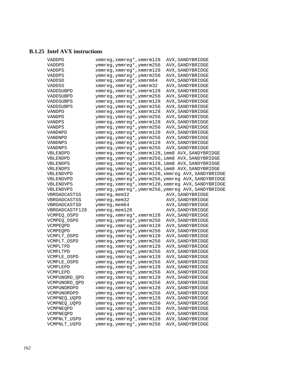### **B.1.25 Intel AVX instructions**

| VADDPD         | xmmreg, xmmreg*, xmmrm128                              | AVX, SANDYBRIDGE                                   |
|----------------|--------------------------------------------------------|----------------------------------------------------|
| VADDPD         | ymmreg, ymmreg*, ymmrm256                              | AVX, SANDYBRIDGE                                   |
| VADDPS         | xmmreg, xmmreg*, xmmrm128                              | AVX, SANDYBRIDGE                                   |
| VADDPS         | ymmreg, ymmreg*, ymmrm256                              | AVX, SANDYBRIDGE                                   |
| VADDSD         | xmmreg, xmmreg*, xmmrm64                               | AVX, SANDYBRIDGE                                   |
| VADDSS         | xmmreg, xmmreg*, xmmrm32                               | AVX, SANDYBRIDGE                                   |
| VADDSUBPD      | xmmreg, xmmreg*, xmmrm128                              | AVX, SANDYBRIDGE                                   |
| VADDSUBPD      | ymmreg, ymmreg*, ymmrm256                              | AVX, SANDYBRIDGE                                   |
| VADDSUBPS      | xmmreg, xmmreg*, xmmrm128                              | AVX, SANDYBRIDGE                                   |
| VADDSUBPS      | ymmreg, ymmreg*, ymmrm256                              | AVX, SANDYBRIDGE                                   |
| VANDPD         | xmmreg, xmmreg*, xmmrm128                              | AVX, SANDYBRIDGE                                   |
| VANDPD         | ymmreg, ymmreg*, ymmrm256                              | AVX, SANDYBRIDGE                                   |
| <b>VANDPS</b>  | xmmreg, xmmreg*, xmmrm128                              | AVX, SANDYBRIDGE                                   |
| VANDPS         | ymmreg, ymmreg*, ymmrm256                              | AVX, SANDYBRIDGE                                   |
| VANDNPD        | xmmreg, xmmreg*, xmmrm128                              | AVX, SANDYBRIDGE                                   |
| VANDNPD        | ymmreg, ymmreg*, ymmrm256                              | AVX, SANDYBRIDGE                                   |
| VANDNPS        | xmmreg, xmmreg*, xmmrm128                              | AVX, SANDYBRIDGE                                   |
| VANDNPS        | ymmreg, ymmreg*, ymmrm256                              | AVX, SANDYBRIDGE                                   |
| VBLENDPD       |                                                        | xmmreg, xmmreg*, xmmrm128, imm8 AVX, SANDYBRIDGE   |
| VBLENDPD       |                                                        | ymmreg, ymmreg*, ymmrm256, imm8 AVX, SANDYBRIDGE   |
| VBLENDPS       |                                                        | xmmreg, xmmreg*, xmmrm128, imm8 AVX, SANDYBRIDGE   |
| VBLENDPS       |                                                        | ymmreg, ymmreg*, ymmrm256, imm8 AVX, SANDYBRIDGE   |
| VBLENDVPD      |                                                        | xmmreg, xmmreg*, xmmrm128, xmmreg AVX, SANDYBRIDGE |
| VBLENDVPD      |                                                        | ymmreg, ymmreg*, ymmrm256, ymmreg AVX, SANDYBRIDGE |
| VBLENDVPS      |                                                        | xmmreg, xmmreg*, xmmrm128, xmmreg AVX, SANDYBRIDGE |
| VBLENDVPS      |                                                        | ymmreg, ymmreg*, ymmrm256, ymmreg AVX, SANDYBRIDGE |
| VBROADCASTSS   | xmmreg, mem32                                          | AVX, SANDYBRIDGE                                   |
| VBROADCASTSS   | ymmreg, mem32                                          | AVX, SANDYBRIDGE                                   |
| VBROADCASTSD   | ymmreg, mem64                                          | AVX, SANDYBRIDGE                                   |
| VBROADCASTF128 | ymmreg, mem128                                         | AVX, SANDYBRIDGE                                   |
| VCMPEQ_OSPD    | xmmreg, xmmreg*, xmmrm128                              | AVX, SANDYBRIDGE                                   |
| VCMPEQ OSPD    | ymmreg, ymmreg*, ymmrm256                              | AVX, SANDYBRIDGE                                   |
| VCMPEQPD       | xmmreg, xmmreg*, xmmrm128                              | AVX, SANDYBRIDGE                                   |
| VCMPEQPD       | ymmreg, ymmreg*, ymmrm256                              | AVX, SANDYBRIDGE                                   |
| VCMPLT_OSPD    | xmmreg, xmmreg*, xmmrm128                              | AVX, SANDYBRIDGE                                   |
| VCMPLT_OSPD    | ymmreg, ymmreg*, ymmrm256                              | AVX, SANDYBRIDGE                                   |
| VCMPLTPD       | xmmreg, xmmreg*, xmmrm128                              | AVX, SANDYBRIDGE                                   |
| VCMPLTPD       | ymmreg, ymmreg*, ymmrm256                              | AVX, SANDYBRIDGE                                   |
| VCMPLE_OSPD    | xmmreg, xmmreg*, xmmrm128                              | AVX, SANDYBRIDGE                                   |
| VCMPLE OSPD    | ymmreg,ymmreg*,ymmrm256                                | AVX, SANDYBRIDGE                                   |
| VCMPLEPD       | xmmreg, xmmreg*, xmmrm128                              | AVX, SANDYBRIDGE                                   |
| VCMPLEPD       | ymmreg, ymmreg*, ymmrm256                              | AVX, SANDYBRIDGE                                   |
| VCMPUNORD_QPD  | xmmreg, xmmreg*, xmmrm128                              | AVX, SANDYBRIDGE                                   |
| VCMPUNORD OPD  | ymmreg, ymmreg*, ymmrm256                              | AVX, SANDYBRIDGE                                   |
| VCMPUNORDPD    | xmmreg, xmmreg*, xmmrm128                              | AVX, SANDYBRIDGE                                   |
| VCMPUNORDPD    | ymmreg, ymmreg*, ymmrm256                              | AVX, SANDYBRIDGE                                   |
| VCMPNEQ_UQPD   | xmmreg, xmmreg*, xmmrm128                              | AVX, SANDYBRIDGE                                   |
| VCMPNEQ_UQPD   | ymmreg, ymmreg*, ymmrm256                              | AVX, SANDYBRIDGE                                   |
| VCMPNEQPD      | xmmreg, xmmreg*, xmmrm128                              | AVX, SANDYBRIDGE                                   |
| VCMPNEOPD      | ymmreg, ymmreg*, ymmrm256                              | AVX, SANDYBRIDGE                                   |
| VCMPNLT_USPD   |                                                        | AVX, SANDYBRIDGE                                   |
|                |                                                        |                                                    |
| VCMPNLT_USPD   | xmmreg, xmmreg*, xmmrm128<br>ymmreg, ymmreg*, ymmrm256 | AVX, SANDYBRIDGE                                   |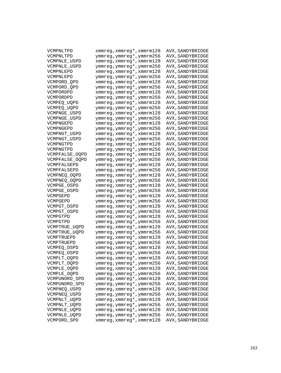| VCMPNLTPD                  | xmmreg, xmmreg*, xmmrm128                            | AVX, SANDYBRIDGE |
|----------------------------|------------------------------------------------------|------------------|
| VCMPNLTPD                  | ymmreg, ymmreg*, ymmrm256                            | AVX, SANDYBRIDGE |
| VCMPNLE_USPD               | xmmreg, xmmreg*, xmmrm128                            | AVX, SANDYBRIDGE |
| VCMPNLE_USPD               | ymmreg, ymmreg*, ymmrm256                            | AVX, SANDYBRIDGE |
| VCMPNLEPD                  | xmmreg, xmmreg*, xmmrm128                            | AVX, SANDYBRIDGE |
| VCMPNLEPD                  | ymmreg, ymmreg*, ymmrm256                            | AVX, SANDYBRIDGE |
| VCMPORD OPD                | xmmreg, xmmreg*, xmmrm128                            | AVX, SANDYBRIDGE |
| VCMPORD_QPD                | ymmreg, ymmreg*, ymmrm256                            | AVX, SANDYBRIDGE |
| VCMPORDPD                  | xmmreg, xmmreg*, xmmrm128                            | AVX, SANDYBRIDGE |
| VCMPORDPD                  | ymmreg, ymmreg*, ymmrm256                            | AVX, SANDYBRIDGE |
| VCMPEQ_UQPD                | xmmreg, xmmreg*, xmmrm128                            | AVX, SANDYBRIDGE |
| VCMPEQ_UQPD                | ymmreg, ymmreg*, ymmrm256                            | AVX, SANDYBRIDGE |
| VCMPNGE_USPD               | xmmreg, xmmreg*, xmmrm128                            | AVX, SANDYBRIDGE |
| VCMPNGE_USPD               | ymmreg, ymmreg*, ymmrm256                            | AVX, SANDYBRIDGE |
| VCMPNGEPD                  | xmmreg, xmmreg*, xmmrm128                            | AVX, SANDYBRIDGE |
| VCMPNGEPD                  | ymmreg,ymmreg*,ymmrm256                              | AVX, SANDYBRIDGE |
| VCMPNGT_USPD               | xmmreg, xmmreg*, xmmrm128                            | AVX, SANDYBRIDGE |
| VCMPNGT_USPD               | ymmreg,ymmreg*,ymmrm256                              | AVX, SANDYBRIDGE |
| VCMPNGTPD                  | xmmreg, xmmreg*, xmmrm128                            | AVX, SANDYBRIDGE |
| VCMPNGTPD                  | ymmreg, ymmreg*, ymmrm256                            | AVX, SANDYBRIDGE |
| VCMPFALSE OQPD             | xmmreg, xmmreg*, xmmrm128                            | AVX, SANDYBRIDGE |
| VCMPFALSE_OQPD             | ymmreg, ymmreg*, ymmrm256                            | AVX, SANDYBRIDGE |
| VCMPFALSEPD                | xmmreg, xmmreg*, xmmrm128                            | AVX, SANDYBRIDGE |
| VCMPFALSEPD                | ymmreg, ymmreg*, ymmrm256                            | AVX, SANDYBRIDGE |
| VCMPNEQ_OQPD               | xmmreg, xmmreg*, xmmrm128                            | AVX, SANDYBRIDGE |
| VCMPNEQ_OQPD               | ymmreg, ymmreg*, ymmrm256                            | AVX, SANDYBRIDGE |
| VCMPGE OSPD                | xmmreg, xmmreg*, xmmrm128                            | AVX, SANDYBRIDGE |
| VCMPGE_OSPD                | ymmreg,ymmreg*,ymmrm256                              | AVX, SANDYBRIDGE |
| VCMPGEPD                   | xmmreg, xmmreg*, xmmrm128                            | AVX, SANDYBRIDGE |
| VCMPGEPD                   | ymmreg,ymmreg*,ymmrm256                              | AVX, SANDYBRIDGE |
| VCMPGT OSPD                | xmmreg, xmmreg*, xmmrm128                            | AVX, SANDYBRIDGE |
| VCMPGT_OSPD                | ymmreg, ymmreg*, ymmrm256                            | AVX, SANDYBRIDGE |
| VCMPGTPD                   | xmmreg, xmmreg*, xmmrm128                            | AVX, SANDYBRIDGE |
| VCMPGTPD                   | ymmreg, ymmreg*, ymmrm256                            | AVX, SANDYBRIDGE |
| VCMPTRUE_UQPD              | xmmreg, xmmreg*, xmmrm128                            | AVX, SANDYBRIDGE |
| VCMPTRUE_UQPD              | ymmreg,ymmreg*,ymmrm256                              | AVX, SANDYBRIDGE |
| VCMPTRUEPD                 | xmmreg, xmmreg*, xmmrm128                            | AVX, SANDYBRIDGE |
| VCMPTRUEPD                 | ymmreg, ymmreg*, ymmrm256                            |                  |
|                            | xmmreg, xmmreg*, xmmrm128                            | AVX, SANDYBRIDGE |
| VCMPEO OSPD                |                                                      | AVX, SANDYBRIDGE |
| VCMPEQ OSPD                | ymmreg,ymmreg*,ymmrm256<br>xmmreg, xmmreg*, xmmrm128 | AVX, SANDYBRIDGE |
| VCMPLT_OQPD                |                                                      | AVX, SANDYBRIDGE |
| VCMPLT_OQPD<br>VCMPLE_OQPD | ymmreg, ymmreg*, ymmrm256                            | AVX, SANDYBRIDGE |
|                            | xmmreg, xmmreg*, xmmrm128                            | AVX, SANDYBRIDGE |
| VCMPLE_OQPD                | ymmreg, ymmreg*, ymmrm256                            | AVX, SANDYBRIDGE |
| VCMPUNORD_SPD              | xmmreg, xmmreg*, xmmrm128                            | AVX, SANDYBRIDGE |
| VCMPUNORD_SPD              | ymmreg, ymmreg*, ymmrm256                            | AVX, SANDYBRIDGE |
| VCMPNEQ_USPD               | xmmreg, xmmreg*, xmmrm128                            | AVX, SANDYBRIDGE |
| VCMPNEQ_USPD               | ymmreg, ymmreg*, ymmrm256                            | AVX, SANDYBRIDGE |
| VCMPNLT_UQPD               | xmmreg, xmmreg*, xmmrm128                            | AVX, SANDYBRIDGE |
| VCMPNLT_UQPD               | ymmreg, ymmreg*, ymmrm256                            | AVX, SANDYBRIDGE |
| VCMPNLE_UQPD               | xmmreg, xmmreg*, xmmrm128                            | AVX, SANDYBRIDGE |
| VCMPNLE_UQPD               | ymmreg, ymmreg*, ymmrm256                            | AVX, SANDYBRIDGE |
| VCMPORD_SPD                | xmmreg, xmmreg*, xmmrm128                            | AVX, SANDYBRIDGE |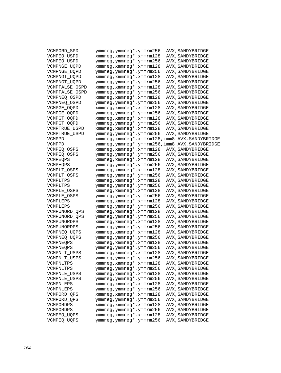| VCMPORD_SPD    | ymmreg, ymmreg*, ymmrm256                        | AVX, SANDYBRIDGE |
|----------------|--------------------------------------------------|------------------|
| VCMPEQ_USPD    | xmmreg, xmmreg*, xmmrm128                        | AVX, SANDYBRIDGE |
| VCMPEQ USPD    | ymmreg, ymmreg*, ymmrm256                        | AVX, SANDYBRIDGE |
| VCMPNGE_UQPD   | xmmreg, xmmreg*, xmmrm128                        | AVX, SANDYBRIDGE |
| VCMPNGE_UQPD   | ymmreg, ymmreg*, ymmrm256                        | AVX, SANDYBRIDGE |
| VCMPNGT_UQPD   | xmmreg, xmmreg*, xmmrm128                        | AVX, SANDYBRIDGE |
| VCMPNGT_UQPD   | ymmreg, ymmreg*, ymmrm256                        | AVX, SANDYBRIDGE |
| VCMPFALSE_OSPD | xmmreg, xmmreg*, xmmrm128                        | AVX, SANDYBRIDGE |
| VCMPFALSE OSPD | ymmreg, ymmreg*, ymmrm256                        | AVX, SANDYBRIDGE |
| VCMPNEQ OSPD   | xmmreg, xmmreg*, xmmrm128                        | AVX, SANDYBRIDGE |
| VCMPNEQ_OSPD   | ymmreg, ymmreg*, ymmrm256                        | AVX, SANDYBRIDGE |
| VCMPGE_OQPD    | xmmreg, xmmreg*, xmmrm128                        | AVX, SANDYBRIDGE |
| VCMPGE_OQPD    | ymmreg, ymmreg*, ymmrm256                        | AVX, SANDYBRIDGE |
| VCMPGT_OQPD    | xmmreg, xmmreg*, xmmrm128                        | AVX, SANDYBRIDGE |
| VCMPGT_OQPD    | ymmreg, ymmreg*, ymmrm256                        | AVX, SANDYBRIDGE |
| VCMPTRUE_USPD  | xmmreg, xmmreg*, xmmrm128                        | AVX, SANDYBRIDGE |
| VCMPTRUE USPD  | ymmreg, ymmreg*, ymmrm256                        | AVX, SANDYBRIDGE |
| VCMPPD         | xmmreg, xmmreg*, xmmrm128, imm8 AVX, SANDYBRIDGE |                  |
| VCMPPD         | ymmreg, ymmreg*, ymmrm256, imm8 AVX, SANDYBRIDGE |                  |
| VCMPEQ_OSPS    | xmmreg, xmmreg*, xmmrm128                        | AVX, SANDYBRIDGE |
| VCMPEO OSPS    | ymmreg, ymmreg*, ymmrm256                        | AVX, SANDYBRIDGE |
| VCMPEQPS       | xmmreg, xmmreg*, xmmrm128                        | AVX, SANDYBRIDGE |
| VCMPEQPS       | ymmreg, ymmreg*, ymmrm256                        | AVX, SANDYBRIDGE |
| VCMPLT_OSPS    | xmmreg, xmmreg*, xmmrm128                        | AVX, SANDYBRIDGE |
| VCMPLT_OSPS    | ymmreg, ymmreg*, ymmrm256                        | AVX, SANDYBRIDGE |
| VCMPLTPS       | xmmreg, xmmreg*, xmmrm128                        | AVX, SANDYBRIDGE |
| VCMPLTPS       | ymmreg, ymmreg*, ymmrm256                        | AVX, SANDYBRIDGE |
| VCMPLE_OSPS    | xmmreg, xmmreg*, xmmrm128                        | AVX, SANDYBRIDGE |
| VCMPLE_OSPS    | ymmreg, ymmreg*, ymmrm256                        | AVX, SANDYBRIDGE |
| VCMPLEPS       | xmmreg, xmmreg*, xmmrm128                        | AVX, SANDYBRIDGE |
| VCMPLEPS       | ymmreg, ymmreg*, ymmrm256                        | AVX, SANDYBRIDGE |
| VCMPUNORD_QPS  | xmmreg, xmmreg*, xmmrm128                        | AVX, SANDYBRIDGE |
| VCMPUNORD_QPS  | ymmreg, ymmreg*, ymmrm256                        | AVX, SANDYBRIDGE |
| VCMPUNORDPS    | xmmreg, xmmreg*, xmmrm128                        | AVX, SANDYBRIDGE |
| VCMPUNORDPS    | ymmreg, ymmreg*, ymmrm256                        | AVX, SANDYBRIDGE |
| VCMPNEQ_UQPS   | xmmreg, xmmreg*, xmmrm128                        | AVX, SANDYBRIDGE |
| VCMPNEQ_UQPS   | ymmreg, ymmreg*, ymmrm256                        | AVX, SANDYBRIDGE |
| VCMPNEQPS      | xmmreg, xmmreg*, xmmrm128                        | AVX, SANDYBRIDGE |
| VCMPNEQPS      | ymmreg, ymmreg*, ymmrm256                        | AVX, SANDYBRIDGE |
| VCMPNLT_USPS   | xmmreg, xmmreg*, xmmrm128                        | AVX, SANDYBRIDGE |
| VCMPNLT_USPS   | ymmreg,ymmreg*,ymmrm256                          | AVX, SANDYBRIDGE |
| VCMPNLTPS      | xmmreg, xmmreg*, xmmrm128                        | AVX, SANDYBRIDGE |
| VCMPNLTPS      | ymmreg, ymmreg*, ymmrm256                        | AVX, SANDYBRIDGE |
| VCMPNLE_USPS   | xmmreg, xmmreg*, xmmrm128                        | AVX, SANDYBRIDGE |
| VCMPNLE USPS   | ymmreg, ymmreg*, ymmrm256                        | AVX, SANDYBRIDGE |
| VCMPNLEPS      | xmmreg, xmmreg*, xmmrm128                        | AVX, SANDYBRIDGE |
| VCMPNLEPS      | ymmreg, ymmreg*, ymmrm256                        | AVX, SANDYBRIDGE |
| VCMPORD_QPS    | xmmreg, xmmreg*, xmmrm128                        | AVX, SANDYBRIDGE |
| VCMPORD_QPS    | ymmreg, ymmreg*, ymmrm256                        | AVX, SANDYBRIDGE |
| VCMPORDPS      | xmmreg, xmmreg*, xmmrm128                        | AVX, SANDYBRIDGE |
| VCMPORDPS      | ymmreg, ymmreg*, ymmrm256                        | AVX, SANDYBRIDGE |
| VCMPEO UOPS    | xmmreg, xmmreg*, xmmrm128                        | AVX, SANDYBRIDGE |
| VCMPEQ_UQPS    | ymmreg, ymmreg*, ymmrm256                        | AVX, SANDYBRIDGE |
|                |                                                  |                  |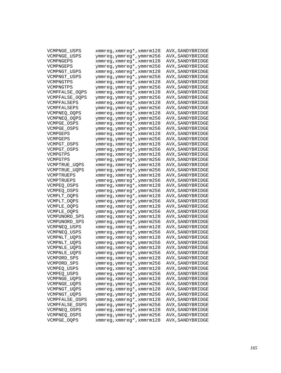| VCMPNGE_USPS   | xmmreg, xmmreg*, xmmrm128                              | AVX, SANDYBRIDGE |
|----------------|--------------------------------------------------------|------------------|
| VCMPNGE USPS   | ymmreg, ymmreg*, ymmrm256                              | AVX, SANDYBRIDGE |
| VCMPNGEPS      | xmmreg, xmmreg*, xmmrm128                              | AVX, SANDYBRIDGE |
| VCMPNGEPS      | ymmreg, ymmreg*, ymmrm256                              | AVX, SANDYBRIDGE |
| VCMPNGT_USPS   | xmmreg, xmmreg*, xmmrm128                              | AVX, SANDYBRIDGE |
| VCMPNGT USPS   | ymmreg, ymmreg*, ymmrm256                              | AVX, SANDYBRIDGE |
| VCMPNGTPS      | xmmreg, xmmreg*, xmmrm128                              | AVX, SANDYBRIDGE |
| VCMPNGTPS      | ymmreg, ymmreg*, ymmrm256                              | AVX, SANDYBRIDGE |
| VCMPFALSE_OQPS | xmmreg, xmmreg*, xmmrm128                              | AVX, SANDYBRIDGE |
| VCMPFALSE_OQPS | ymmreg, ymmreg*, ymmrm256                              | AVX, SANDYBRIDGE |
| VCMPFALSEPS    | xmmreg, xmmreg*, xmmrm128                              | AVX, SANDYBRIDGE |
| VCMPFALSEPS    | ymmreg, ymmreg*, ymmrm256                              | AVX, SANDYBRIDGE |
| VCMPNEO OOPS   | xmmreg, xmmreg*, xmmrm128                              | AVX, SANDYBRIDGE |
| VCMPNEQ_OQPS   | ymmreg, ymmreg*, ymmrm256                              | AVX, SANDYBRIDGE |
| VCMPGE OSPS    | xmmreg, xmmreg*, xmmrm128                              | AVX, SANDYBRIDGE |
| VCMPGE OSPS    | ymmreg, ymmreg*, ymmrm256                              | AVX, SANDYBRIDGE |
| VCMPGEPS       | xmmreg, xmmreg*, xmmrm128                              | AVX, SANDYBRIDGE |
| VCMPGEPS       | ymmreg, ymmreg*, ymmrm256                              | AVX, SANDYBRIDGE |
| VCMPGT OSPS    | xmmreg, xmmreg*, xmmrm128                              | AVX, SANDYBRIDGE |
| VCMPGT_OSPS    | ymmreg, ymmreg*, ymmrm256                              | AVX, SANDYBRIDGE |
| VCMPGTPS       | xmmreg, xmmreg*, xmmrm128                              | AVX, SANDYBRIDGE |
| VCMPGTPS       | ymmreg, ymmreg*, ymmrm256                              | AVX, SANDYBRIDGE |
| VCMPTRUE_UQPS  | xmmreg, xmmreg*, xmmrm128                              | AVX, SANDYBRIDGE |
| VCMPTRUE_UQPS  | ymmreg, ymmreg*, ymmrm256                              | AVX, SANDYBRIDGE |
| VCMPTRUEPS     | xmmreg, xmmreg*, xmmrm128                              | AVX, SANDYBRIDGE |
| VCMPTRUEPS     | ymmreg, ymmreg*, ymmrm256                              | AVX, SANDYBRIDGE |
| VCMPEO OSPS    | xmmreg, xmmreg*, xmmrm128                              | AVX, SANDYBRIDGE |
| VCMPEQ_OSPS    | ymmreg, ymmreg*, ymmrm256                              | AVX, SANDYBRIDGE |
| VCMPLT_OQPS    | xmmreg, xmmreg*, xmmrm128                              | AVX, SANDYBRIDGE |
| VCMPLT_OQPS    | ymmreg, ymmreg*, ymmrm256                              | AVX, SANDYBRIDGE |
| VCMPLE_OQPS    | xmmreg, xmmreg*, xmmrm128                              | AVX, SANDYBRIDGE |
| VCMPLE_OQPS    | ymmreg, ymmreg*, ymmrm256                              | AVX, SANDYBRIDGE |
| VCMPUNORD_SPS  | xmmreg, xmmreg*, xmmrm128                              |                  |
| VCMPUNORD_SPS  | ymmreg, ymmreg*, ymmrm256                              | AVX, SANDYBRIDGE |
|                | xmmreg, xmmreg*, xmmrm128                              | AVX, SANDYBRIDGE |
| VCMPNEQ_USPS   |                                                        | AVX, SANDYBRIDGE |
| VCMPNEO USPS   | ymmreg, ymmreg*, ymmrm256                              | AVX, SANDYBRIDGE |
| VCMPNLT_UQPS   | xmmreg, xmmreg*, xmmrm128<br>ymmreg, ymmreg*, ymmrm256 | AVX, SANDYBRIDGE |
| VCMPNLT_UQPS   | xmmreg, xmmreg*, xmmrm128                              | AVX, SANDYBRIDGE |
| VCMPNLE_UQPS   |                                                        | AVX, SANDYBRIDGE |
| VCMPNLE UQPS   | ymmreg, ymmreg*, ymmrm256                              | AVX, SANDYBRIDGE |
| VCMPORD_SPS    | xmmreg, xmmreg*, xmmrm128                              | AVX, SANDYBRIDGE |
| VCMPORD SPS    | ymmreg, ymmreg*, ymmrm256                              | AVX, SANDYBRIDGE |
| VCMPEQ_USPS    | xmmreg, xmmreg*, xmmrm128<br>ymmreg, ymmreg*, ymmrm256 | AVX, SANDYBRIDGE |
| VCMPEQ_USPS    |                                                        | AVX, SANDYBRIDGE |
| VCMPNGE_UQPS   | xmmreg, xmmreg*, xmmrm128                              | AVX, SANDYBRIDGE |
| VCMPNGE_UQPS   | ymmreg, ymmreg*, ymmrm256                              | AVX, SANDYBRIDGE |
| VCMPNGT_UQPS   | xmmreg, xmmreg*, xmmrm128                              | AVX, SANDYBRIDGE |
| VCMPNGT_UQPS   | ymmreg, ymmreg*, ymmrm256                              | AVX, SANDYBRIDGE |
| VCMPFALSE_OSPS | xmmreg, xmmreg*, xmmrm128                              | AVX, SANDYBRIDGE |
| VCMPFALSE_OSPS | ymmreg, ymmreg*, ymmrm256                              | AVX, SANDYBRIDGE |
| VCMPNEQ_OSPS   | xmmreg, xmmreg*, xmmrm128                              | AVX, SANDYBRIDGE |
| VCMPNEQ_OSPS   | ymmreg, ymmreg*, ymmrm256                              | AVX, SANDYBRIDGE |
| VCMPGE_OQPS    | xmmreg, xmmreg*, xmmrm128                              | AVX, SANDYBRIDGE |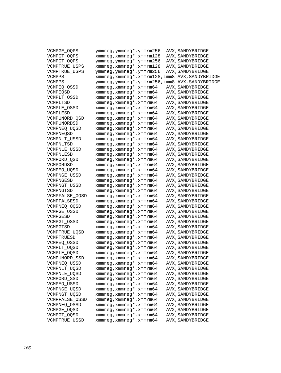| VCMPGE OOPS    | ymmreg, ymmreg*, ymmrm256                            | AVX, SANDYBRIDGE |
|----------------|------------------------------------------------------|------------------|
| VCMPGT_OQPS    | xmmreg, xmmreg*, xmmrm128                            | AVX, SANDYBRIDGE |
| VCMPGT_OQPS    | ymmreg, ymmreg*, ymmrm256                            | AVX, SANDYBRIDGE |
| VCMPTRUE USPS  | xmmreg, xmmreg*, xmmrm128                            | AVX, SANDYBRIDGE |
| VCMPTRUE USPS  | ymmreg, ymmreg*, ymmrm256                            | AVX, SANDYBRIDGE |
| VCMPPS         | xmmreg, xmmreg*, xmmrm128, imm8 AVX, SANDYBRIDGE     |                  |
| VCMPPS         | ymmreg, ymmreg*, ymmrm256, imm8 AVX, SANDYBRIDGE     |                  |
| VCMPEQ_OSSD    | xmmreg, xmmreg*, xmmrm64                             | AVX, SANDYBRIDGE |
| VCMPEOSD       | xmmreg, xmmreg*, xmmrm64                             | AVX, SANDYBRIDGE |
| VCMPLT OSSD    | xmmreg, xmmreg*, xmmrm64                             | AVX, SANDYBRIDGE |
| VCMPLTSD       | xmmreg, xmmreg*, xmmrm64                             | AVX, SANDYBRIDGE |
| VCMPLE_OSSD    | xmmreg, xmmreg*, xmmrm64                             | AVX, SANDYBRIDGE |
| VCMPLESD       | xmmreg, xmmreg*, xmmrm64                             | AVX, SANDYBRIDGE |
| VCMPUNORD_QSD  | xmmreg, xmmreg*, xmmrm64                             | AVX, SANDYBRIDGE |
| VCMPUNORDSD    | xmmreg, xmmreg*, xmmrm64                             | AVX, SANDYBRIDGE |
| VCMPNEO UOSD   | xmmreg, xmmreg*, xmmrm64                             | AVX, SANDYBRIDGE |
| VCMPNEQSD      | xmmreg, xmmreg*, xmmrm64                             | AVX, SANDYBRIDGE |
| VCMPNLT_USSD   | xmmreg, xmmreg*, xmmrm64                             | AVX, SANDYBRIDGE |
| VCMPNLTSD      | xmmreg, xmmreg*, xmmrm64                             | AVX, SANDYBRIDGE |
| VCMPNLE USSD   | xmmreg, xmmreg*, xmmrm64                             | AVX, SANDYBRIDGE |
| VCMPNLESD      | xmmreg, xmmreg*, xmmrm64                             | AVX, SANDYBRIDGE |
| VCMPORD OSD    | xmmreg, xmmreg*, xmmrm64                             | AVX, SANDYBRIDGE |
| VCMPORDSD      | xmmreg, xmmreg*, xmmrm64                             | AVX, SANDYBRIDGE |
| VCMPEO UOSD    | xmmreg, xmmreg*, xmmrm64                             | AVX, SANDYBRIDGE |
| VCMPNGE_USSD   | xmmreg, xmmreg*, xmmrm64                             | AVX, SANDYBRIDGE |
| VCMPNGESD      | xmmreg, xmmreg*, xmmrm64                             | AVX, SANDYBRIDGE |
| VCMPNGT USSD   | xmmreg, xmmreg*, xmmrm64                             | AVX, SANDYBRIDGE |
| VCMPNGTSD      | xmmreg, xmmreg*, xmmrm64                             | AVX, SANDYBRIDGE |
| VCMPFALSE_OQSD | xmmreg, xmmreg*, xmmrm64                             | AVX, SANDYBRIDGE |
| VCMPFALSESD    | xmmreg, xmmreg*, xmmrm64                             | AVX, SANDYBRIDGE |
| VCMPNEQ_OQSD   | $x$ mmreg, $x$ mmreg*, $x$ mmrm64                    | AVX, SANDYBRIDGE |
| VCMPGE_OSSD    | xmmreg, xmmreg*, xmmrm64                             | AVX, SANDYBRIDGE |
| VCMPGESD       | xmmreg, xmmreg*, xmmrm64                             | AVX, SANDYBRIDGE |
| VCMPGT OSSD    | xmmreg, xmmreg*, xmmrm64                             | AVX, SANDYBRIDGE |
| VCMPGTSD       | xmmreg, xmmreg*, xmmrm64                             | AVX, SANDYBRIDGE |
| VCMPTRUE_UQSD  | xmmreg, xmmreg*, xmmrm64                             | AVX, SANDYBRIDGE |
| VCMPTRUESD     | xmmreg, xmmreg*, xmmrm64                             | AVX, SANDYBRIDGE |
| VCMPEQ OSSD    | xmmreg, xmmreg*, xmmrm64                             | AVX, SANDYBRIDGE |
| VCMPLT_OQSD    | xmmreg, xmmreg*, xmmrm64                             | AVX, SANDYBRIDGE |
| VCMPLE_OQSD    | xmmreg, xmmreg*, xmmrm64                             | AVX, SANDYBRIDGE |
| VCMPUNORD_SSD  | xmmreg, xmmreg*, xmmrm64                             | AVX, SANDYBRIDGE |
|                |                                                      |                  |
| VCMPNEQ_USSD   | xmmreg, xmmreg*, xmmrm64<br>xmmreg, xmmreg*, xmmrm64 | AVX, SANDYBRIDGE |
| VCMPNLT_UQSD   | xmmreg, xmmreg*, xmmrm64                             | AVX, SANDYBRIDGE |
| VCMPNLE_UQSD   | xmmreq, xmmreq*, xmmrm64                             | AVX, SANDYBRIDGE |
| VCMPORD_SSD    | xmmreg, xmmreg*, xmmrm64                             | AVX, SANDYBRIDGE |
| VCMPEQ_USSD    | xmmreg, xmmreg*, xmmrm64                             | AVX, SANDYBRIDGE |
| VCMPNGE_UQSD   |                                                      | AVX, SANDYBRIDGE |
| VCMPNGT_UQSD   | xmmreg, xmmreg*, xmmrm64                             | AVX, SANDYBRIDGE |
| VCMPFALSE_OSSD | xmmreg, xmmreg*, xmmrm64                             | AVX, SANDYBRIDGE |
| VCMPNEQ_OSSD   | xmmreg, xmmreg*, xmmrm64                             | AVX, SANDYBRIDGE |
| VCMPGE_OQSD    | xmmreg, xmmreg*, xmmrm64                             | AVX, SANDYBRIDGE |
| VCMPGT_OQSD    | xmmreg, xmmreg*, xmmrm64                             | AVX, SANDYBRIDGE |
| VCMPTRUE_USSD  | xmmreg, xmmreg*, xmmrm64                             | AVX, SANDYBRIDGE |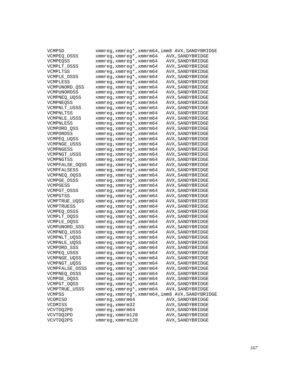| VCMPSD               |                          | xmmreg, xmmreg*, xmmrm64, imm8 AVX, SANDYBRIDGE |
|----------------------|--------------------------|-------------------------------------------------|
| VCMPEO OSSS          | xmmreg, xmmreg*, xmmrm64 | AVX, SANDYBRIDGE                                |
| VCMPEQSS             | xmmreg, xmmreg*, xmmrm64 | AVX, SANDYBRIDGE                                |
| VCMPLT OSSS          | xmmreg, xmmreg*, xmmrm64 | AVX, SANDYBRIDGE                                |
| VCMPLTSS             | xmmreg, xmmreg*, xmmrm64 | AVX, SANDYBRIDGE                                |
| VCMPLE OSSS          | xmmreg, xmmreg*, xmmrm64 | AVX, SANDYBRIDGE                                |
| VCMPLESS             | xmmreg, xmmreg*, xmmrm64 | AVX, SANDYBRIDGE                                |
| VCMPUNORD_QSS        | xmmreg, xmmreg*, xmmrm64 | AVX, SANDYBRIDGE                                |
| VCMPUNORDSS          | xmmreg, xmmreg*, xmmrm64 | AVX, SANDYBRIDGE                                |
| VCMPNEO UOSS         | xmmreg, xmmreg*, xmmrm64 | AVX, SANDYBRIDGE                                |
| VCMPNEQSS            | xmmreg, xmmreg*, xmmrm64 | AVX, SANDYBRIDGE                                |
| VCMPNLT USSS         | xmmreg, xmmreg*, xmmrm64 | AVX, SANDYBRIDGE                                |
| VCMPNLTSS            | xmmreg, xmmreg*, xmmrm64 | AVX, SANDYBRIDGE                                |
| VCMPNLE USSS         | xmmreg, xmmreg*, xmmrm64 | AVX, SANDYBRIDGE                                |
| VCMPNLESS            | xmmreg, xmmreg*, xmmrm64 | AVX, SANDYBRIDGE                                |
| VCMPORD QSS          | xmmreg, xmmreg*, xmmrm64 | AVX, SANDYBRIDGE                                |
| VCMPORDSS            | xmmreg, xmmreg*, xmmrm64 | AVX, SANDYBRIDGE                                |
| VCMPEQ_UQSS          | xmmreg, xmmreg*, xmmrm64 | AVX, SANDYBRIDGE                                |
| VCMPNGE_USSS         | xmmreg, xmmreg*, xmmrm64 | AVX, SANDYBRIDGE                                |
| VCMPNGESS            | xmmreg, xmmreg*, xmmrm64 | AVX, SANDYBRIDGE                                |
| VCMPNGT USSS         | xmmreg, xmmreg*, xmmrm64 |                                                 |
| VCMPNGTSS            | xmmreg, xmmreg*, xmmrm64 | AVX, SANDYBRIDGE<br>AVX, SANDYBRIDGE            |
|                      | xmmreg, xmmreg*, xmmrm64 | AVX, SANDYBRIDGE                                |
| VCMPFALSE_OQSS       |                          |                                                 |
| VCMPFALSESS          | xmmreg, xmmreg*, xmmrm64 | AVX, SANDYBRIDGE                                |
| VCMPNEO OOSS         | xmmreg, xmmreg*, xmmrm64 | AVX, SANDYBRIDGE                                |
| <b>VCMPGE OSSS</b>   | xmmreg, xmmreg*, xmmrm64 | AVX, SANDYBRIDGE                                |
| VCMPGESS             | xmmreg, xmmreg*, xmmrm64 | AVX, SANDYBRIDGE                                |
| VCMPGT OSSS          | xmmreg, xmmreg*, xmmrm64 | AVX, SANDYBRIDGE                                |
| VCMPGTSS             | xmmreg, xmmreg*, xmmrm64 | AVX, SANDYBRIDGE                                |
| VCMPTRUE_UQSS        | xmmreg, xmmreg*, xmmrm64 | AVX, SANDYBRIDGE                                |
| VCMPTRUESS           | xmmreg, xmmreg*, xmmrm64 | AVX, SANDYBRIDGE                                |
| VCMPEQ_OSSS          | xmmreg, xmmreg*, xmmrm64 | AVX, SANDYBRIDGE                                |
| VCMPLT OOSS          | xmmreg, xmmreg*, xmmrm64 | AVX, SANDYBRIDGE                                |
| VCMPLE_OQSS          | xmmreg, xmmreg*, xmmrm64 | AVX, SANDYBRIDGE                                |
| VCMPUNORD_SSS        | xmmreg, xmmreg*, xmmrm64 | AVX, SANDYBRIDGE                                |
| VCMPNEQ_USSS         | xmmreg, xmmreg*, xmmrm64 | AVX, SANDYBRIDGE                                |
| VCMPNLT_UQSS         | xmmreg, xmmreg*, xmmrm64 | AVX, SANDYBRIDGE                                |
| VCMPNLE_UQSS         | xmmreg, xmmreg*, xmmrm64 | AVX, SANDYBRIDGE                                |
| VCMPORD SSS          | xmmreg, xmmreg*, xmmrm64 | AVX, SANDYBRIDGE                                |
| VCMPEO USSS          | xmmreg, xmmreg*, xmmrm64 | AVX, SANDYBRIDGE                                |
| <b>VCMPNGE UOSS</b>  | xmmreg, xmmreg*, xmmrm64 | AVX, SANDYBRIDGE                                |
| VCMPNGT_UQSS         | xmmreg, xmmreg*, xmmrm64 | AVX, SANDYBRIDGE                                |
| VCMPFALSE_OSSS       | xmmreg, xmmreg*, xmmrm64 | AVX, SANDYBRIDGE                                |
| VCMPNEO OSSS         | xmmreg, xmmreg*, xmmrm64 | AVX, SANDYBRIDGE                                |
| VCMPGE_OQSS          | xmmreg, xmmreg*, xmmrm64 | AVX, SANDYBRIDGE                                |
| VCMPGT_OQSS          | xmmreg, xmmreg*, xmmrm64 | AVX, SANDYBRIDGE                                |
| <b>VCMPTRUE USSS</b> | xmmreg, xmmreg*, xmmrm64 | AVX, SANDYBRIDGE                                |
| VCMPSS               |                          | xmmreg, xmmreg*, xmmrm64, imm8 AVX, SANDYBRIDGE |
| VCOMISD              | xmmreg, xmmrm64          | AVX, SANDYBRIDGE                                |
| VCOMISS              | xmmreg, xmmrm32          | AVX, SANDYBRIDGE                                |
| VCVTDQ2PD            | xmmreg, xmmrm64          | AVX, SANDYBRIDGE                                |
| VCVTDQ2PD            | ymmreg, xmmrm128         | AVX, SANDYBRIDGE                                |
| VCVTDQ2PS            | xmmreg, xmmrm128         | AVX, SANDYBRIDGE                                |
|                      |                          |                                                 |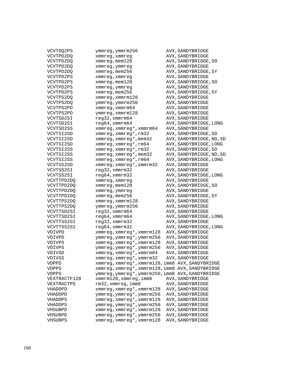| VCVTDQ2PS    | ymmreg, ymmrm256                                 | AVX, SANDYBRIDGE         |
|--------------|--------------------------------------------------|--------------------------|
| VCVTPD2DQ    | xmmreg, xmmreg                                   | AVX, SANDYBRIDGE         |
| VCVTPD2DQ    | xmmreg, mem128                                   | AVX, SANDYBRIDGE, SO     |
| VCVTPD2DQ    | xmmreg, ymmreg                                   | AVX, SANDYBRIDGE         |
| VCVTPD2DQ    | xmmreg, mem256                                   | AVX, SANDYBRIDGE, SY     |
| VCVTPD2PS    | xmmreg, xmmreg                                   | AVX, SANDYBRIDGE         |
| VCVTPD2PS    | xmmreg, mem128                                   | AVX, SANDYBRIDGE, SO     |
| VCVTPD2PS    | xmmreg, ymmreg                                   | AVX, SANDYBRIDGE         |
| VCVTPD2PS    | xmmreg, mem256                                   | AVX, SANDYBRIDGE, SY     |
| VCVTPS2DQ    | xmmreg, xmmrm128                                 | AVX, SANDYBRIDGE         |
| VCVTPS2DO    | ymmreg, ymmrm256                                 | AVX, SANDYBRIDGE         |
| VCVTPS2PD    | xmmreg, xmmrm64                                  | AVX, SANDYBRIDGE         |
| VCVTPS2PD    | ymmreg, xmmrm128                                 | AVX, SANDYBRIDGE         |
| VCVTSD2SI    | reg32, xmmrm64                                   | AVX, SANDYBRIDGE         |
| VCVTSD2SI    | reg64, xmmrm64                                   | AVX, SANDYBRIDGE, LONG   |
| VCVTSD2SS    | xmmreg, xmmreg*, xmmrm64                         | AVX, SANDYBRIDGE         |
| VCVTSI2SD    | xmmreg, xmmreg*, rm32                            | AVX, SANDYBRIDGE, SD     |
| VCVTSI2SD    | xmmreg, xmmreg*, mem32                           | AVX, SANDYBRIDGE, ND, SD |
| VCVTSI2SD    | xmmreg, xmmreg*, rm64                            | AVX, SANDYBRIDGE, LONG   |
| VCVTSI2SS    | xmmreg, xmmreg*, rm32                            | AVX, SANDYBRIDGE, SD     |
| VCVTSI2SS    | xmmreg, xmmreg*, mem32                           | AVX, SANDYBRIDGE, ND, SD |
| VCVTSI2SS    | xmmreg, xmmreg*, rm64                            |                          |
| VCVTSS2SD    | xmmreg, xmmreg*, xmmrm32                         | AVX, SANDYBRIDGE, LONG   |
| VCVTSS2SI    |                                                  | AVX, SANDYBRIDGE         |
|              | reg32, xmmrm32                                   | AVX, SANDYBRIDGE         |
| VCVTSS2SI    | reg64, xmmrm32                                   | AVX, SANDYBRIDGE, LONG   |
| VCVTTPD2DQ   | xmmreg, xmmreg                                   | AVX, SANDYBRIDGE         |
| VCVTTPD2DQ   | xmmreg, mem128                                   | AVX, SANDYBRIDGE, SO     |
| VCVTTPD2DQ   | xmmreg, ymmreg                                   | AVX, SANDYBRIDGE         |
| VCVTTPD2DQ   | xmmreg, mem256                                   | AVX, SANDYBRIDGE, SY     |
| VCVTTPS2DQ   | xmmreg, xmmrm128                                 | AVX, SANDYBRIDGE         |
| VCVTTPS2DQ   | ymmreg, ymmrm256                                 | AVX, SANDYBRIDGE         |
| VCVTTSD2SI   | reg32, xmmrm64                                   | AVX, SANDYBRIDGE         |
| VCVTTSD2SI   | reg64, xmmrm64                                   | AVX, SANDYBRIDGE, LONG   |
| VCVTTSS2SI   | reg32, xmmrm32                                   | AVX, SANDYBRIDGE         |
| VCVTTSS2SI   | reg64, xmmrm32                                   | AVX, SANDYBRIDGE, LONG   |
| VDIVPD       | xmmreg, xmmreg*, xmmrm128                        | AVX, SANDYBRIDGE         |
| VDIVPD       | ymmreg, ymmreg*, ymmrm256                        | AVX, SANDYBRIDGE         |
| VDIVPS       | xmmreg, xmmreg*, xmmrm128                        | AVX, SANDYBRIDGE         |
| VDIVPS       | ymmreg, ymmreg*, ymmrm256                        | AVX, SANDYBRIDGE         |
| VDIVSD       | xmmreg, xmmreg*, xmmrm64                         | AVX, SANDYBRIDGE         |
| VDIVSS       | $x$ mmreg, $x$ mmreg*, $x$ mmrm32                | AVX, SANDYBRIDGE         |
| VDPPD        | xmmreg, xmmreg*, xmmrm128, imm8 AVX, SANDYBRIDGE |                          |
| <b>VDPPS</b> | xmmreg, xmmreg*, xmmrm128, imm8 AVX, SANDYBRIDGE |                          |
| <b>VDPPS</b> | ymmreg, ymmreg*, ymmrm256, imm8 AVX, SANDYBRIDGE |                          |
| VEXTRACTF128 | xmmrm128, xmmreg, imm8                           | AVX, SANDYBRIDGE         |
| VEXTRACTPS   | rm32, xmmreg, imm8                               | AVX, SANDYBRIDGE         |
| VHADDPD      | xmmreg, xmmreg*, xmmrm128                        | AVX, SANDYBRIDGE         |
| VHADDPD      | ymmreg, ymmreg*, ymmrm256                        | AVX, SANDYBRIDGE         |
| VHADDPS      | xmmreg, xmmreg*, xmmrm128                        | AVX, SANDYBRIDGE         |
| VHADDPS      | ymmreg, ymmreg*, ymmrm256                        | AVX, SANDYBRIDGE         |
| VHSUBPD      | xmmreg, xmmreg*, xmmrm128                        | AVX, SANDYBRIDGE         |
| VHSUBPD      | ymmreg, ymmreg*, ymmrm256                        | AVX, SANDYBRIDGE         |
| VHSUBPS      | xmmreg, xmmreg*, xmmrm128                        | AVX, SANDYBRIDGE         |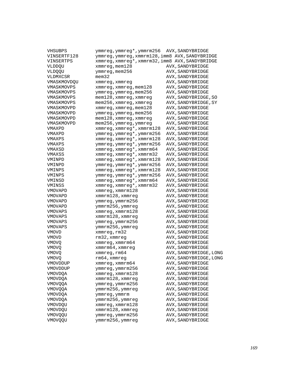| VHSUBPS        | ymmreg, ymmreg*, ymmrm256                       | AVX, SANDYBRIDGE       |
|----------------|-------------------------------------------------|------------------------|
| VINSERTF128    | ymmreg, ymmreg, xmmrm128, imm8 AVX, SANDYBRIDGE |                        |
| VINSERTPS      | xmmreg, xmmreg*, xmmrm32, imm8 AVX, SANDYBRIDGE |                        |
| VLDDQU         | xmmreg, mem128                                  | AVX, SANDYBRIDGE       |
| VLDQQU         | ymmreg, mem256                                  | AVX, SANDYBRIDGE       |
| VLDMXCSR       | mem32                                           | AVX, SANDYBRIDGE       |
| VMASKMOVDQU    | xmmreg, xmmreg                                  | AVX, SANDYBRIDGE       |
| VMASKMOVPS     | xmmreg, xmmreg, mem128                          | AVX, SANDYBRIDGE       |
| VMASKMOVPS     | ymmreg, ymmreg, mem256                          | AVX, SANDYBRIDGE       |
| VMASKMOVPS     | mem128, xmmreg, xmmreg                          | AVX, SANDYBRIDGE, SO   |
| VMASKMOVPS     | mem256, xmmreg, xmmreg                          | AVX, SANDYBRIDGE, SY   |
| VMASKMOVPD     | xmmreg, xmmreg, mem128                          | AVX, SANDYBRIDGE       |
| VMASKMOVPD     | ymmreg, ymmreg, mem256                          | AVX, SANDYBRIDGE       |
| VMASKMOVPD     | mem128, xmmreg, xmmreg                          | AVX, SANDYBRIDGE       |
| VMASKMOVPD     | mem256, ymmreg, ymmreg                          | AVX, SANDYBRIDGE       |
| VMAXPD         | xmmreg, xmmreg*, xmmrm128                       | AVX, SANDYBRIDGE       |
| VMAXPD         | ymmreg, ymmreg*, ymmrm256                       | AVX, SANDYBRIDGE       |
| VMAXPS         | xmmreg, xmmreg*, xmmrm128                       | AVX, SANDYBRIDGE       |
| VMAXPS         | ymmreg, ymmreg*, ymmrm256                       | AVX, SANDYBRIDGE       |
| VMAXSD         | xmmreg, xmmreg*, xmmrm64                        | AVX, SANDYBRIDGE       |
| VMAXSS         | xmmreg, xmmreg*, xmmrm32                        | AVX, SANDYBRIDGE       |
| VMINPD         | xmmreg, xmmreg*, xmmrm128                       | AVX, SANDYBRIDGE       |
| VMINPD         | ymmreg, ymmreg*, ymmrm256                       | AVX, SANDYBRIDGE       |
| VMINPS         | xmmreg, xmmreg*, xmmrm128                       | AVX, SANDYBRIDGE       |
| VMINPS         | ymmreg, ymmreg*, ymmrm256                       | AVX, SANDYBRIDGE       |
| VMINSD         | xmmreg, xmmreg*, xmmrm64                        | AVX, SANDYBRIDGE       |
| VMINSS         | xmmreg, xmmreg*, xmmrm32                        | AVX, SANDYBRIDGE       |
| VMOVAPD        | xmmreg, xmmrm128                                | AVX, SANDYBRIDGE       |
| VMOVAPD        | xmmrm128, xmmreg                                | AVX, SANDYBRIDGE       |
| VMOVAPD        | ymmreg, ymmrm256                                | AVX, SANDYBRIDGE       |
| VMOVAPD        | ymmrm256, ymmreg                                | AVX, SANDYBRIDGE       |
| VMOVAPS        | xmmreg, xmmrm128                                | AVX, SANDYBRIDGE       |
| VMOVAPS        | xmmrm128, xmmreg                                | AVX, SANDYBRIDGE       |
| VMOVAPS        | ymmreg, ymmrm256                                | AVX, SANDYBRIDGE       |
| VMOVAPS        | ymmrm256, ymmreg                                | AVX, SANDYBRIDGE       |
| VMOVD          | xmmreg, rm32                                    | AVX, SANDYBRIDGE       |
| VMOVD          | rm32, xmmreg                                    | AVX, SANDYBRIDGE       |
| <b>VMOVO</b>   | xmmreg, xmmrm64                                 | AVX, SANDYBRIDGE       |
| <b>VMOVO</b>   | xmmrm64, xmmreg                                 | AVX, SANDYBRIDGE       |
| VMOVQ          | xmmreg, rm64                                    | AVX, SANDYBRIDGE, LONG |
| <b>VMOVQ</b>   | rm64, xmmreg                                    | AVX, SANDYBRIDGE, LONG |
| VMOVDDUP       | xmmreg, xmmrm64                                 | AVX, SANDYBRIDGE       |
| VMOVDDUP       | ymmreg, ymmrm256                                | AVX, SANDYBRIDGE       |
| <b>VMOVDQA</b> | xmmreg, xmmrm128                                | AVX, SANDYBRIDGE       |
| VMOVDQA        | xmmrm128, xmmreg                                | AVX, SANDYBRIDGE       |
| VMOVQQA        | ymmreg, ymmrm256                                | AVX, SANDYBRIDGE       |
| VMOVQQA        | ymmrm256, ymmreg                                | AVX, SANDYBRIDGE       |
| VMOVDQA        | ymmreg, ymmrm                                   | AVX, SANDYBRIDGE       |
| VMOVDQA        | ymmrm256, ymmreg                                | AVX, SANDYBRIDGE       |
| VMOVDQU        | xmmreg, xmmrm128                                | AVX, SANDYBRIDGE       |
| VMOVDQU        | xmmrm128, xmmreg                                | AVX, SANDYBRIDGE       |
| VMOVQQU        | ymmreg, ymmrm256                                | AVX, SANDYBRIDGE       |
| <b>VMOVOQU</b> | ymmrm256, ymmreg                                | AVX, SANDYBRIDGE       |
|                |                                                 |                        |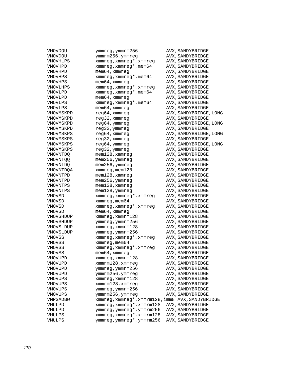| VMOVDQU              | ymmreg,ymmrm256                                  | AVX, SANDYBRIDGE       |
|----------------------|--------------------------------------------------|------------------------|
| VMOVDQU              | ymmrm256, ymmreg                                 | AVX, SANDYBRIDGE       |
| VMOVHLPS             | xmmreg, xmmreg*, xmmreg                          | AVX, SANDYBRIDGE       |
| VMOVHPD              | xmmreg, xmmreg*, mem64                           | AVX, SANDYBRIDGE       |
| VMOVHPD              | mem64, xmmreg                                    | AVX, SANDYBRIDGE       |
| VMOVHPS              | xmmreg, xmmreg*, mem64                           | AVX, SANDYBRIDGE       |
| VMOVHPS              | mem64, xmmreg                                    | AVX, SANDYBRIDGE       |
| VMOVLHPS             | xmmreg, xmmreg*, xmmreg                          | AVX, SANDYBRIDGE       |
| VMOVLPD              | xmmreg, xmmreg*, mem64                           | AVX, SANDYBRIDGE       |
| VMOVLPD              | mem64, xmmreg                                    | AVX, SANDYBRIDGE       |
| VMOVLPS              | xmmreg, xmmreg*, mem64                           | AVX, SANDYBRIDGE       |
| VMOVLPS              | mem64, xmmreg                                    | AVX, SANDYBRIDGE       |
| VMOVMSKPD            | reg64, xmmreg                                    | AVX, SANDYBRIDGE, LONG |
| VMOVMSKPD            | reg32, xmmreg                                    | AVX, SANDYBRIDGE       |
| VMOVMSKPD            | reg64,ymmreg                                     | AVX, SANDYBRIDGE, LONG |
| VMOVMSKPD            | reg32, ymmreg                                    | AVX, SANDYBRIDGE       |
| VMOVMSKPS            | reg64, xmmreg                                    | AVX, SANDYBRIDGE, LONG |
| VMOVMSKPS            | reg32, xmmreg                                    | AVX, SANDYBRIDGE       |
| VMOVMSKPS            | reg64, ymmreg                                    | AVX, SANDYBRIDGE, LONG |
| VMOVMSKPS            | reg32, ymmreg                                    | AVX, SANDYBRIDGE       |
|                      |                                                  | AVX, SANDYBRIDGE       |
| VMOVNTDQ             | $m$ em $128$ , xmm $r$ eg                        | AVX, SANDYBRIDGE       |
| VMOVNTQQ<br>VMOVNTDO | mem256, ymmreg<br>mem256, ymmreg                 |                        |
|                      |                                                  | AVX, SANDYBRIDGE       |
| VMOVNTDQA            | xmmreg, mem128                                   | AVX, SANDYBRIDGE       |
| VMOVNTPD             | $m$ em $128$ , xmm $r$ eg                        | AVX, SANDYBRIDGE       |
| VMOVNTPD             | mem256, ymmreg                                   | AVX, SANDYBRIDGE       |
| VMOVNTPS             | mem128, xmmreg                                   | AVX, SANDYBRIDGE       |
| VMOVNTPS             | mem128, ymmreg                                   | AVX, SANDYBRIDGE       |
| VMOVSD               | xmmreg, xmmreg*, xmmreg                          | AVX, SANDYBRIDGE       |
| VMOVSD               | xmmreg, mem64                                    | AVX, SANDYBRIDGE       |
| VMOVSD               | xmmreg, xmmreg*, xmmreg                          | AVX, SANDYBRIDGE       |
| VMOVSD               | mem64, xmmreg                                    | AVX, SANDYBRIDGE       |
| VMOVSHDUP            | $x$ mm $req$ , $x$ mm $r$ m $128$                | AVX, SANDYBRIDGE       |
| VMOVSHDUP            | ymmreg, ymmrm256                                 | AVX, SANDYBRIDGE       |
| VMOVSLDUP            | xmmreg, xmmrm128                                 | AVX, SANDYBRIDGE       |
| VMOVSLDUP            | ymmreg, ymmrm256                                 | AVX, SANDYBRIDGE       |
| VMOVSS               | xmmreg, xmmreg*, xmmreg                          | AVX, SANDYBRIDGE       |
| VMOVSS               | xmmreg, mem64                                    | AVX, SANDYBRIDGE       |
| VMOVSS               | xmmreg, xmmreg*, xmmreg                          | AVX, SANDYBRIDGE       |
| VMOVSS               | $m$ em $64$ , xmm $r$ eg                         | AVX, SANDYBRIDGE       |
| VMOVUPD              | xmmreg, xmmrm128                                 | AVX, SANDYBRIDGE       |
| VMOVUPD              | xmmrm128, xmmreg                                 | AVX, SANDYBRIDGE       |
| VMOVUPD              | ymmreg, ymmrm256                                 | AVX, SANDYBRIDGE       |
| VMOVUPD              | ymmrm256, ymmreg                                 | AVX, SANDYBRIDGE       |
| VMOVUPS              | xmmreg, xmmrm128                                 | AVX, SANDYBRIDGE       |
| VMOVUPS              | xmmrm128, xmmreg                                 | AVX, SANDYBRIDGE       |
| VMOVUPS              | ymmreg, ymmrm256                                 | AVX, SANDYBRIDGE       |
| <b>VMOVUPS</b>       | ymmrm256, ymmreg                                 | AVX, SANDYBRIDGE       |
| VMPSADBW             | xmmreg, xmmreg*, xmmrm128, imm8 AVX, SANDYBRIDGE |                        |
| VMULPD               | xmmreg, xmmreg*, xmmrm128                        | AVX, SANDYBRIDGE       |
| VMULPD               | ymmreg, ymmreg*, ymmrm256                        | AVX, SANDYBRIDGE       |
| VMULPS               | xmmreg, xmmreg*, xmmrm128                        | AVX, SANDYBRIDGE       |
| VMULPS               | ymmreg, ymmreg*, ymmrm256                        | AVX, SANDYBRIDGE       |
|                      |                                                  |                        |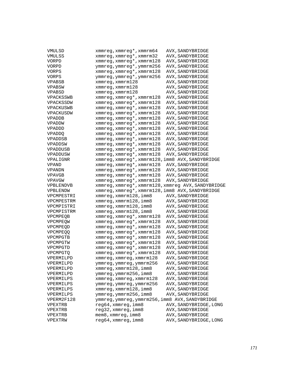| VMULSD          | xmmreg, xmmreg*, xmmrm64                           | AVX, SANDYBRIDGE       |
|-----------------|----------------------------------------------------|------------------------|
| VMULSS          | xmmreg, xmmreg*, xmmrm32                           | AVX, SANDYBRIDGE       |
| VORPD           | xmmreg, xmmreg*, xmmrm128                          | AVX, SANDYBRIDGE       |
| VORPD           | ymmreg, ymmreg*, ymmrm256                          | AVX, SANDYBRIDGE       |
| VORPS           | xmmreg, xmmreg*, xmmrm128                          | AVX, SANDYBRIDGE       |
| VORPS           | ymmreg, ymmreg*, ymmrm256                          | AVX, SANDYBRIDGE       |
| <b>VPABSB</b>   | $xmmreg$ , $xmmrm128$                              | AVX, SANDYBRIDGE       |
| VPABSW          | xmmreg, xmmrm128                                   | AVX, SANDYBRIDGE       |
| VPABSD          | $x$ mm $r$ eq, $x$ mm $r$ m $128$                  | AVX, SANDYBRIDGE       |
| VPACKSSWB       | xmmreg, xmmreg*, xmmrm128                          | AVX, SANDYBRIDGE       |
| VPACKSSDW       | xmmreg, xmmreg*, xmmrm128                          | AVX, SANDYBRIDGE       |
| VPACKUSWB       | xmmreg, xmmreg*, xmmrm128                          | AVX, SANDYBRIDGE       |
| VPACKUSDW       | xmmreg, xmmreg*, xmmrm128                          | AVX, SANDYBRIDGE       |
| VPADDB          | xmmreg, xmmreg*, xmmrm128                          | AVX, SANDYBRIDGE       |
| VPADDW          | xmmreg, xmmreg*, xmmrm128                          | AVX, SANDYBRIDGE       |
| VPADDD          | xmmreg, xmmreg*, xmmrm128                          | AVX, SANDYBRIDGE       |
| <b>VPADDQ</b>   | xmmreg, xmmreg*, xmmrm128                          | AVX, SANDYBRIDGE       |
| VPADDSB         | xmmreg, xmmreg*, xmmrm128                          | AVX, SANDYBRIDGE       |
| VPADDSW         | xmmreg, xmmreg*, xmmrm128                          | AVX, SANDYBRIDGE       |
| VPADDUSB        | xmmreg, xmmreg*, xmmrm128                          | AVX, SANDYBRIDGE       |
| VPADDUSW        | xmmreg, xmmreg*, xmmrm128                          | AVX, SANDYBRIDGE       |
| VPALIGNR        | xmmreg, xmmreg*, xmmrm128, imm8 AVX, SANDYBRIDGE   |                        |
| VPAND           | xmmreg, xmmreg*, xmmrm128                          | AVX, SANDYBRIDGE       |
| VPANDN          | xmmreg, xmmreg*, xmmrm128                          | AVX, SANDYBRIDGE       |
| <b>VPAVGB</b>   | xmmreg, xmmreg*, xmmrm128                          | AVX, SANDYBRIDGE       |
| VPAVGW          | xmmreg, xmmreg*, xmmrm128                          | AVX, SANDYBRIDGE       |
| VPBLENDVB       | xmmreg, xmmreg*, xmmrm128, xmmreg AVX, SANDYBRIDGE |                        |
| VPBLENDW        | xmmreg, xmmreg*, xmmrm128, imm8 AVX, SANDYBRIDGE   |                        |
| VPCMPESTRI      | xmmreg, xmmrm128, imm8                             | AVX, SANDYBRIDGE       |
| VPCMPESTRM      | xmmreg, xmmrm128, imm8                             | AVX, SANDYBRIDGE       |
| VPCMPISTRI      | xmmreg, xmmrm128, imm8                             | AVX, SANDYBRIDGE       |
| VPCMPISTRM      | xmmreg, xmmrm128, imm8                             | AVX, SANDYBRIDGE       |
| VPCMPEQB        | xmmreg, xmmreg*, xmmrm128                          | AVX, SANDYBRIDGE       |
| VPCMPEQW        | xmmreg, xmmreg*, xmmrm128                          | AVX, SANDYBRIDGE       |
| VPCMPEOD        | xmmreg, xmmreg*, xmmrm128                          | AVX, SANDYBRIDGE       |
| <b>VPCMPEOO</b> | xmmreg, xmmreg*, xmmrm128                          | AVX, SANDYBRIDGE       |
| VPCMPGTB        | xmmreg, xmmreg*, xmmrm128                          | AVX, SANDYBRIDGE       |
| VPCMPGTW        | xmmreg, xmmreg*, xmmrm128                          | AVX, SANDYBRIDGE       |
| VPCMPGTD        | xmmreg, xmmreg*, xmmrm128                          | AVX, SANDYBRIDGE       |
| VPCMPGTQ        | xmmreg, xmmreg*, xmmrm128                          | AVX, SANDYBRIDGE       |
| VPERMILPD       | xmmreg, xmmreg, xmmrm128                           | AVX, SANDYBRIDGE       |
| VPERMILPD       | ymmreg, ymmreg, ymmrm256                           | AVX, SANDYBRIDGE       |
| VPERMILPD       | xmmreg, xmmrm128, imm8                             | AVX, SANDYBRIDGE       |
| VPERMILPD       | ymmreg, ymmrm256, imm8                             | AVX, SANDYBRIDGE       |
| VPERMILPS       | xmmreg, xmmreg, xmmrm128                           | AVX, SANDYBRIDGE       |
| VPERMILPS       | ymmreg, ymmreg, ymmrm256                           | AVX, SANDYBRIDGE       |
| VPERMILPS       | xmmreg, xmmrm128, imm8                             | AVX, SANDYBRIDGE       |
| VPERMILPS       | ymmreg, ymmrm256, imm8                             | AVX, SANDYBRIDGE       |
| VPERM2F128      | ymmreg, ymmreg, ymmrm256, imm8 AVX, SANDYBRIDGE    |                        |
| VPEXTRB         | reg64, xmmreg, imm8                                | AVX, SANDYBRIDGE, LONG |
| VPEXTRB         |                                                    |                        |
|                 | reg32, xmmreg, imm8                                | AVX, SANDYBRIDGE       |
| VPEXTRB         | mem8, xmmreg, imm8                                 | AVX, SANDYBRIDGE       |
| VPEXTRW         | reg64, xmmreg, imm8                                | AVX, SANDYBRIDGE, LONG |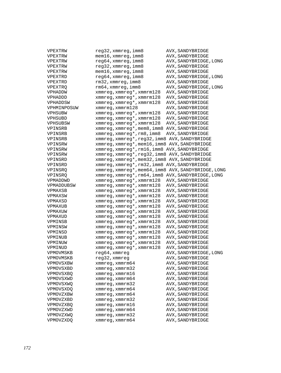| VPEXTRW                | reg32,xmmreg,imm8                                   | AVX, SANDYBRIDGE       |
|------------------------|-----------------------------------------------------|------------------------|
| VPEXTRW                | mem16,xmmreg,imm8                                   | AVX, SANDYBRIDGE       |
| VPEXTRW                | reg64, xmmreg, imm8                                 | AVX, SANDYBRIDGE, LONG |
| VPEXTRW                | reg32, xmmreg, imm8                                 | AVX, SANDYBRIDGE       |
| VPEXTRW                | $m$ em $16$ , xmmreg, imm $8$                       | AVX, SANDYBRIDGE       |
| VPEXTRD                | reg64, xmmreg, imm8                                 | AVX, SANDYBRIDGE, LONG |
| VPEXTRD                | rm32, xmmreg, imm8                                  | AVX, SANDYBRIDGE       |
| VPEXTRQ                | rm64,xmmreg,imm8                                    | AVX, SANDYBRIDGE, LONG |
| VPHADDW                | xmmreg, xmmreg*, xmmrm128                           | AVX, SANDYBRIDGE       |
| VPHADDD                | xmmreg, xmmreg*, xmmrm128                           | AVX, SANDYBRIDGE       |
| VPHADDSW               | xmmreg, xmmreg*, xmmrm128                           | AVX, SANDYBRIDGE       |
| VPHMINPOSUW            | $x$ mm $r$ eq, $x$ mm $r$ m $128$                   | AVX, SANDYBRIDGE       |
| VPHSUBW                | xmmreg, xmmreg*, xmmrm128                           | AVX, SANDYBRIDGE       |
| VPHSUBD                | xmmreg, xmmreg*, xmmrm128                           | AVX, SANDYBRIDGE       |
| VPHSUBSW               | xmmreg, xmmreg*, xmmrm128                           | AVX, SANDYBRIDGE       |
| VPINSRB                | xmmreg, xmmreg*, mem8, imm8 AVX, SANDYBRIDGE        |                        |
| VPINSRB                | xmmreg, xmmreg*, rm8, imm8                          | AVX, SANDYBRIDGE       |
| VPINSRB                | xmmreg, xmmreg*, reg32, imm8 AVX, SANDYBRIDGE       |                        |
| VPINSRW                | xmmreg, xmmreg*, mem16, imm8 AVX, SANDYBRIDGE       |                        |
| VPINSRW                | xmmreg, xmmreg*, rm16, imm8 AVX, SANDYBRIDGE        |                        |
| VPINSRW                | xmmreg, xmmreg*, reg32, imm8 AVX, SANDYBRIDGE       |                        |
| VPINSRD                | xmmreg, xmmreg*, mem32, imm8 AVX, SANDYBRIDGE       |                        |
| VPINSRD                | xmmreg, xmmreg*, rm32, imm8 AVX, SANDYBRIDGE        |                        |
| VPINSRQ                | xmmreg, xmmreg*, mem64, imm8 AVX, SANDYBRIDGE, LONG |                        |
| VPINSRQ                | xmmreg, xmmreg*, rm64, imm8 AVX, SANDYBRIDGE, LONG  |                        |
| VPMADDWD               | xmmreg, xmmreg*, xmmrm128                           | AVX, SANDYBRIDGE       |
| VPMADDUBSW             | xmmreg, xmmreg*, xmmrm128                           | AVX, SANDYBRIDGE       |
| VPMAXSB                | xmmreg, xmmreg*, xmmrm128                           | AVX, SANDYBRIDGE       |
| VPMAXSW                | xmmreg, xmmreg*, xmmrm128                           | AVX, SANDYBRIDGE       |
| VPMAXSD                | xmmreg, xmmreg*, xmmrm128                           | AVX, SANDYBRIDGE       |
| VPMAXUB                | xmmreg, xmmreg*, xmmrm128                           | AVX, SANDYBRIDGE       |
| VPMAXUW                | xmmreg, xmmreg*, xmmrm128                           | AVX, SANDYBRIDGE       |
| VPMAXUD                | xmmreg, xmmreg*, xmmrm128                           | AVX, SANDYBRIDGE       |
| VPMINSB                | xmmreg, xmmreg*, xmmrm128                           | AVX, SANDYBRIDGE       |
| VPMINSW                | xmmreg, xmmreg*, xmmrm128                           | AVX, SANDYBRIDGE       |
| VPMINSD                | xmmreg, xmmreg*, xmmrm128                           | AVX, SANDYBRIDGE       |
| VPMINUB                | xmmreg, xmmreg*, xmmrm128                           | AVX, SANDYBRIDGE       |
| VPMINUW                | xmmreg, xmmreg*, xmmrm128                           | AVX, SANDYBRIDGE       |
| VPMINUD                | xmmreg, xmmreg*, xmmrm128                           | AVX, SANDYBRIDGE       |
|                        | reg64, xmmreg                                       | AVX, SANDYBRIDGE, LONG |
| VPMOVMSKB<br>VPMOVMSKB | reg32, xmmreg                                       | AVX, SANDYBRIDGE       |
|                        |                                                     | AVX, SANDYBRIDGE       |
| VPMOVSXBW<br>VPMOVSXBD | xmmreg, xmmrm64<br>$xmmreg$ , $xmmrm32$             | AVX, SANDYBRIDGE       |
|                        | xmmreq, xmmrm16                                     |                        |
| <b>VPMOVSXBQ</b>       |                                                     | AVX, SANDYBRIDGE       |
| VPMOVSXWD              | xmmreq, xmmrm64                                     | AVX, SANDYBRIDGE       |
| VPMOVSXWO              | xmmreg, xmmrm32                                     | AVX, SANDYBRIDGE       |
| <b>VPMOVSXDQ</b>       | xmmreg, xmmrm64                                     | AVX, SANDYBRIDGE       |
| VPMOVZXBW              | xmmreq, xmmrm64                                     | AVX, SANDYBRIDGE       |
| VPMOVZXBD              | xmmreq, xmmrm32                                     | AVX, SANDYBRIDGE       |
| <b>VPMOVZXBO</b>       | $xmmreg$ , $xmmrm16$                                | AVX, SANDYBRIDGE       |
| VPMOVZXWD              | xmmreq, xmmrm64                                     | AVX, SANDYBRIDGE       |
| VPMOVZXWQ              | xmmreg, xmmrm32                                     | AVX, SANDYBRIDGE       |
| VPMOVZXDO              | xmmreg, xmmrm64                                     | AVX, SANDYBRIDGE       |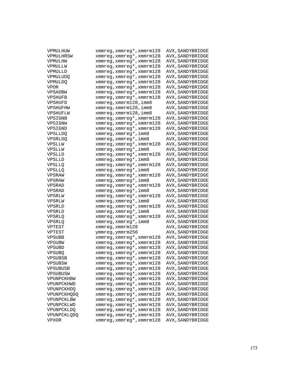| VPMULHUW           | xmmreg,xmmreg*,xmmrm128              | AVX, SANDYBRIDGE |
|--------------------|--------------------------------------|------------------|
| VPMULHRSW          | xmmreg, xmmreg*, xmmrm128            | AVX, SANDYBRIDGE |
| VPMULHW            | xmmreg, xmmreg*, xmmrm128            | AVX, SANDYBRIDGE |
| VPMULLW            | xmmreg, xmmreg*, xmmrm128            | AVX, SANDYBRIDGE |
| VPMULLD            | xmmreg, xmmreg*, xmmrm128            | AVX, SANDYBRIDGE |
| VPMULUDQ           | xmmreg, xmmreg*, xmmrm128            | AVX, SANDYBRIDGE |
| <b>VPMULDO</b>     | xmmreg, xmmreg*, xmmrm128            | AVX, SANDYBRIDGE |
| <b>VPOR</b>        | xmmreg, xmmreg*, xmmrm128            | AVX, SANDYBRIDGE |
| VPSADBW            | xmmreg, xmmreg*, xmmrm128            | AVX, SANDYBRIDGE |
| VPSHUFB            | xmmreg, xmmreg*, xmmrm128            | AVX, SANDYBRIDGE |
| VPSHUFD            | xmmreg, xmmrm128, imm8               | AVX, SANDYBRIDGE |
| VPSHUFHW           | xmmreg, xmmrm128, imm8               | AVX, SANDYBRIDGE |
| VPSHUFLW           | xmmreg, xmmrm128, imm8               | AVX, SANDYBRIDGE |
| VPSIGNB            | xmmreg, xmmreg*, xmmrm128            | AVX, SANDYBRIDGE |
| VPSIGNW            | xmmreg, xmmreg*, xmmrm128            | AVX, SANDYBRIDGE |
| VPSIGND            | xmmreg, xmmreg*, xmmrm128            | AVX, SANDYBRIDGE |
| VPSLLDQ            | xmmreg,xmmreg*,imm8                  | AVX, SANDYBRIDGE |
| <b>VPSRLDQ</b>     | xmmreg, xmmreg*, imm8                | AVX, SANDYBRIDGE |
| VPSLLW             | xmmreg, xmmreg*, xmmrm128            | AVX, SANDYBRIDGE |
| VPSLLW             | xmmreg, xmmreg*, imm8                | AVX, SANDYBRIDGE |
| VPSLLD             | xmmreg, xmmreg*, xmmrm128            | AVX, SANDYBRIDGE |
| VPSLLD             | xmmreg, xmmreg*, imm8                | AVX, SANDYBRIDGE |
| VPSLLQ             | xmmreg, xmmreg*, xmmrm128            | AVX, SANDYBRIDGE |
| VPSLLQ             | xmmreg, xmmreg*, imm8                | AVX, SANDYBRIDGE |
| VPSRAW             | xmmreg, xmmreg*, xmmrm128            | AVX, SANDYBRIDGE |
| VPSRAW             | xmmreg, xmmreg*, imm8                | AVX, SANDYBRIDGE |
| VPSRAD             | xmmreg, xmmreg*, xmmrm128            | AVX, SANDYBRIDGE |
| VPSRAD             | xmmreg,xmmreg*,imm8                  | AVX, SANDYBRIDGE |
| VPSRLW             | xmmreg, xmmreg*, xmmrm128            | AVX, SANDYBRIDGE |
| VPSRLW             | xmmreg, xmmreg*, imm8                | AVX, SANDYBRIDGE |
| VPSRLD             | xmmreg, xmmreg*, xmmrm128            | AVX, SANDYBRIDGE |
| VPSRLD             | xmmreg, xmmreg*, imm8                | AVX, SANDYBRIDGE |
|                    | xmmreg, xmmreg*, xmmrm128            |                  |
| VPSRLQ             |                                      | AVX, SANDYBRIDGE |
| VPSRLQ             | xmmreg,xmmreg*,imm8                  | AVX, SANDYBRIDGE |
| VPTEST             | xmmreg, xmmrm128<br>ymmreg, ymmrm256 | AVX, SANDYBRIDGE |
| VPTEST             |                                      | AVX, SANDYBRIDGE |
| VPSUBB             | xmmreg, xmmreg*, xmmrm128            | AVX, SANDYBRIDGE |
| VPSUBW             | xmmreg, xmmreg*, xmmrm128            | AVX, SANDYBRIDGE |
| VPSUBD             | xmmreg, xmmreg*, xmmrm128            | AVX, SANDYBRIDGE |
| VPSUBQ             | xmmreg, xmmreg*, xmmrm128            | AVX, SANDYBRIDGE |
| VPSUBSB            | xmmreg, xmmreg*, xmmrm128            | AVX, SANDYBRIDGE |
| VPSUBSW            | xmmreg, xmmreg*, xmmrm128            | AVX, SANDYBRIDGE |
| VPSUBUSB           | xmmreg, xmmreg*, xmmrm128            | AVX, SANDYBRIDGE |
| VPSUBUSW           | xmmreg, xmmreg*, xmmrm128            | AVX, SANDYBRIDGE |
| VPUNPCKHBW         | xmmreg, xmmreg*, xmmrm128            | AVX, SANDYBRIDGE |
| VPUNPCKHWD         | xmmreg, xmmreg*, xmmrm128            | AVX, SANDYBRIDGE |
| VPUNPCKHDQ         | xmmreg, xmmreg*, xmmrm128            | AVX, SANDYBRIDGE |
| <b>VPUNPCKHODO</b> | xmmreg, xmmreg*, xmmrm128            | AVX, SANDYBRIDGE |
| VPUNPCKLBW         | xmmreg, xmmreg*, xmmrm128            | AVX, SANDYBRIDGE |
| VPUNPCKLWD         | xmmreg, xmmreg*, xmmrm128            | AVX, SANDYBRIDGE |
| VPUNPCKLDQ         | xmmreg, xmmreg*, xmmrm128            | AVX, SANDYBRIDGE |
| VPUNPCKLQDQ        | xmmreg, xmmreg*, xmmrm128            | AVX, SANDYBRIDGE |
| <b>VPXOR</b>       | xmmreg, xmmreg*, xmmrm128            | AVX, SANDYBRIDGE |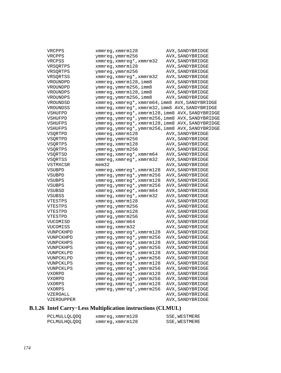| VRCPPS     | xmmreg,xmmrm128                                  | AVX, SANDYBRIDGE |
|------------|--------------------------------------------------|------------------|
| VRCPPS     | ymmreg,ymmrm256                                  | AVX, SANDYBRIDGE |
| VRCPSS     | xmmreg, xmmreg*, xmmrm32                         | AVX, SANDYBRIDGE |
| VRSQRTPS   | xmmreg, xmmrm128                                 | AVX, SANDYBRIDGE |
| VRSQRTPS   | ymmreg, ymmrm256                                 | AVX, SANDYBRIDGE |
| VRSORTSS   | xmmreg, xmmreg*, xmmrm32                         | AVX, SANDYBRIDGE |
| VROUNDPD   | xmmreg, xmmrm128, imm8                           | AVX, SANDYBRIDGE |
| VROUNDPD   | ymmreg, ymmrm256, imm8                           | AVX, SANDYBRIDGE |
| VROUNDPS   | xmmreg, xmmrm128, imm8                           | AVX, SANDYBRIDGE |
| VROUNDPS   | ymmreg, ymmrm256, imm8                           | AVX, SANDYBRIDGE |
| VROUNDSD   | xmmreg, xmmreg*, xmmrm64, imm8 AVX, SANDYBRIDGE  |                  |
| VROUNDSS   | xmmreg, xmmreg*, xmmrm32, imm8 AVX, SANDYBRIDGE  |                  |
| VSHUFPD    | xmmreg, xmmreg*, xmmrm128, imm8 AVX, SANDYBRIDGE |                  |
| VSHUFPD    | ymmreg, ymmreg*, ymmrm256, imm8 AVX, SANDYBRIDGE |                  |
| VSHUFPS    | xmmreg, xmmreg*, xmmrm128, imm8 AVX, SANDYBRIDGE |                  |
| VSHUFPS    | ymmreg, ymmreg*, ymmrm256, imm8 AVX, SANDYBRIDGE |                  |
| VSQRTPD    | xmmreg, xmmrm128                                 | AVX, SANDYBRIDGE |
| VSQRTPD    | ymmreg, ymmrm256                                 | AVX, SANDYBRIDGE |
| VSQRTPS    | xmmreg, xmmrm128                                 | AVX, SANDYBRIDGE |
| VSQRTPS    | ymmreg, ymmrm256                                 | AVX, SANDYBRIDGE |
| VSQRTSD    | xmmreg, xmmreg*, xmmrm64                         | AVX, SANDYBRIDGE |
| VSQRTSS    | xmmreg, xmmreg*, xmmrm32                         | AVX, SANDYBRIDGE |
| VSTMXCSR   | mem32                                            | AVX, SANDYBRIDGE |
| VSUBPD     | xmmreg, xmmreg*, xmmrm128                        | AVX, SANDYBRIDGE |
| VSUBPD     | ymmreg, ymmreg*, ymmrm256                        | AVX, SANDYBRIDGE |
| VSUBPS     | xmmreg, xmmreg*, xmmrm128                        | AVX, SANDYBRIDGE |
| VSUBPS     | ymmreg, ymmreg*, ymmrm256                        | AVX, SANDYBRIDGE |
| VSUBSD     | xmmreg, xmmreg*, xmmrm64                         | AVX, SANDYBRIDGE |
| VSUBSS     | xmmreg, xmmreg*, xmmrm32                         | AVX, SANDYBRIDGE |
| VTESTPS    | xmmreg, xmmrm128                                 | AVX, SANDYBRIDGE |
| VTESTPS    | ymmreg, ymmrm256                                 | AVX, SANDYBRIDGE |
| VTESTPD    | xmmreg, xmmrm128                                 | AVX, SANDYBRIDGE |
| VTESTPD    | ymmreg, ymmrm256                                 | AVX, SANDYBRIDGE |
| VUCOMISD   | xmmreg, xmmrm64                                  | AVX, SANDYBRIDGE |
| VUCOMISS   | xmmreg, xmmrm32                                  | AVX, SANDYBRIDGE |
| VUNPCKHPD  | xmmreg, xmmreg*, xmmrm128                        | AVX, SANDYBRIDGE |
| VUNPCKHPD  | ymmreg, ymmreg*, ymmrm256                        | AVX, SANDYBRIDGE |
| VUNPCKHPS  | xmmreg, xmmreg*, xmmrm128                        | AVX, SANDYBRIDGE |
| VUNPCKHPS  | ymmreg, ymmreg*, ymmrm256                        | AVX, SANDYBRIDGE |
| VUNPCKLPD  | xmmreg, xmmreg*, xmmrm128                        | AVX, SANDYBRIDGE |
| VUNPCKLPD  | ymmreg, ymmreg*, ymmrm256                        | AVX, SANDYBRIDGE |
| VUNPCKLPS  | xmmreg, xmmreg*, xmmrm128                        | AVX, SANDYBRIDGE |
| VUNPCKLPS  | ymmreg, ymmreg*, ymmrm256                        | AVX, SANDYBRIDGE |
| VXORPD     | xmmreg, xmmreg*, xmmrm128                        | AVX, SANDYBRIDGE |
| VXORPD     | ymmreg, ymmreg*, ymmrm256                        | AVX, SANDYBRIDGE |
| VXORPS     | xmmreg, xmmreg*, xmmrm128                        | AVX, SANDYBRIDGE |
| VXORPS     | ymmreg, ymmreg*, ymmrm256                        | AVX, SANDYBRIDGE |
| VZEROALL   |                                                  | AVX, SANDYBRIDGE |
| VZEROUPPER |                                                  | AVX, SANDYBRIDGE |

## **B.1.26 Intel Carry−Less Multiplication instructions (CLMUL)**

| PCLMULLQLQDQ | xmmreq, xmmrm128 | SSE, WESTMERE |
|--------------|------------------|---------------|
| PCLMULHQLQDQ | xmmreq, xmmrm128 | SSE, WESTMERE |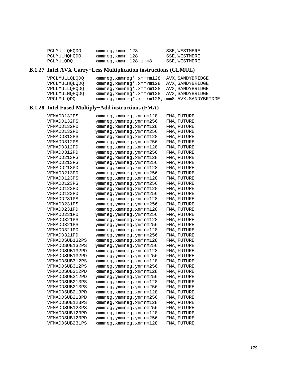| PCLMULLOHODO | xmmreg,xmmrm128      | SSE, WESTMERE |
|--------------|----------------------|---------------|
| PCLMULHOHODO | xmmreg,xmmrm128      | SSE, WESTMERE |
| PCLMULODO    | xmmreg,xmmrm128,imm8 | SSE, WESTMERE |

## **B.1.27 Intel AVX Carry−Less Multiplication instructions (CLMUL)**

| VPCLMULLOLODO | xmmreq,xmmreq*,xmmrm128                          | AVX, SANDYBRIDGE |
|---------------|--------------------------------------------------|------------------|
| VPCLMULHOLODO | xmmreg, xmmreg*, xmmrm128                        | AVX, SANDYBRIDGE |
| VPCLMULLOHODO | xmmreg, xmmreg*, xmmrm128                        | AVX, SANDYBRIDGE |
| VPCLMULHOHODO | xmmreg, xmmreg*, xmmrm128 AVX, SANDYBRIDGE       |                  |
| VPCLMULODO    | xmmreg, xmmreg*, xmmrm128, imm8 AVX, SANDYBRIDGE |                  |

## **B.1.28 Intel Fused Multiply−Add instructions (FMA)**

| VFMADD132PS    | xmmreg,xmmreg,xmmrm128   | FMA,FUTURE  |
|----------------|--------------------------|-------------|
| VFMADD132PS    | ymmreg,ymmreg,ymmrm256   | FMA, FUTURE |
| VFMADD132PD    | xmmreg, xmmreg, xmmrm128 | FMA, FUTURE |
| VFMADD132PD    | ymmreg,ymmreg,ymmrm256   | FMA, FUTURE |
| VFMADD312PS    | xmmreg, xmmreg, xmmrm128 | FMA,FUTURE  |
| VFMADD312PS    | ymmreg,ymmreg,ymmrm256   | FMA, FUTURE |
| VFMADD312PD    | xmmreg,xmmreg,xmmrm128   | FMA,FUTURE  |
| VFMADD312PD    | ymmreg,ymmreg,ymmrm256   | FMA,FUTURE  |
| VFMADD213PS    | xmmreg, xmmreg, xmmrm128 | FMA, FUTURE |
| VFMADD213PS    | ymmreg,ymmreg,ymmrm256   | FMA, FUTURE |
| VFMADD213PD    | xmmreg, xmmreg, xmmrm128 | FMA, FUTURE |
| VFMADD213PD    | ymmreg, ymmreg, ymmrm256 | FMA,FUTURE  |
| VFMADD123PS    | xmmreg,xmmreg,xmmrm128   | FMA, FUTURE |
| VFMADD123PS    | ymmreg,ymmreg,ymmrm256   | FMA,FUTURE  |
| VFMADD123PD    | xmmreg, xmmreg, xmmrm128 | FMA, FUTURE |
| VFMADD123PD    | ymmreg,ymmreg,ymmrm256   | FMA,FUTURE  |
| VFMADD231PS    | xmmreg, xmmreg, xmmrm128 | FMA, FUTURE |
| VFMADD231PS    | ymmreg, ymmreg, ymmrm256 | FMA,FUTURE  |
| VFMADD231PD    | xmmreg,xmmreg,xmmrm128   | FMA,FUTURE  |
| VFMADD231PD    | ymmreg,ymmreg,ymmrm256   | FMA,FUTURE  |
| VFMADD321PS    | xmmreg, xmmreg, xmmrm128 | FMA, FUTURE |
| VFMADD321PS    | ymmreg, ymmreg, ymmrm256 | FMA,FUTURE  |
| VFMADD321PD    | xmmreg,xmmreg,xmmrm128   | FMA, FUTURE |
| VFMADD321PD    | ymmreg, ymmreg, ymmrm256 | FMA, FUTURE |
| VFMADDSUB132PS | xmmreg,xmmreg,xmmrm128   | FMA,FUTURE  |
| VFMADDSUB132PS | ymmreg,ymmreg,ymmrm256   | FMA,FUTURE  |
| VFMADDSUB132PD | xmmreg, xmmreg, xmmrm128 | FMA, FUTURE |
| VFMADDSUB132PD | ymmreg,ymmreg,ymmrm256   | FMA, FUTURE |
| VFMADDSUB312PS | xmmreg, xmmreg, xmmrm128 | FMA, FUTURE |
| VFMADDSUB312PS | ymmreg,ymmreg,ymmrm256   | FMA, FUTURE |
| VFMADDSUB312PD | xmmreg,xmmreg,xmmrm128   | FMA, FUTURE |
| VFMADDSUB312PD | ymmreg,ymmreg,ymmrm256   | FMA, FUTURE |
| VFMADDSUB213PS | xmmreg, xmmreg, xmmrm128 | FMA,FUTURE  |
| VFMADDSUB213PS | ymmreg,ymmreg,ymmrm256   | FMA, FUTURE |
| VFMADDSUB213PD | xmmreg, xmmreg, xmmrm128 | FMA, FUTURE |
| VFMADDSUB213PD | ymmreg,ymmreg,ymmrm256   | FMA, FUTURE |
| VFMADDSUB123PS | xmmreg,xmmreg,xmmrm128   | FMA,FUTURE  |
| VFMADDSUB123PS | ymmreg,ymmreg,ymmrm256   | FMA, FUTURE |
| VFMADDSUB123PD | xmmreg, xmmreg, xmmrm128 | FMA, FUTURE |
| VFMADDSUB123PD | ymmreg, ymmreg, ymmrm256 | FMA, FUTURE |
| VFMADDSUB231PS | xmmreg, xmmreg, xmmrm128 | FMA, FUTURE |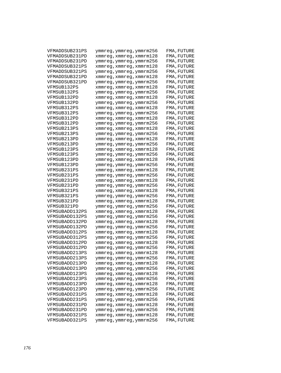| VFMADDSUB231PS | ymmreg,ymmreg,ymmrm256   | FMA,FUTURE  |
|----------------|--------------------------|-------------|
| VFMADDSUB231PD | xmmreg,xmmreg,xmmrm128   | FMA, FUTURE |
| VFMADDSUB231PD | ymmreg,ymmreg,ymmrm256   | FMA, FUTURE |
| VFMADDSUB321PS | xmmreg,xmmreg,xmmrm128   | FMA, FUTURE |
| VFMADDSUB321PS | ymmreg, ymmreg, ymmrm256 | FMA, FUTURE |
| VFMADDSUB321PD | xmmreg,xmmreg,xmmrm128   | FMA, FUTURE |
| VFMADDSUB321PD | ymmreg, ymmreg, ymmrm256 | FMA, FUTURE |
| VFMSUB132PS    | xmmreg,xmmreg,xmmrm128   | FMA, FUTURE |
| VFMSUB132PS    | ymmreg,ymmreg,ymmrm256   | FMA, FUTURE |
| VFMSUB132PD    | xmmreg, xmmreg, xmmrm128 | FMA, FUTURE |
| VFMSUB132PD    | ymmreg,ymmreg,ymmrm256   | FMA, FUTURE |
| VFMSUB312PS    | xmmreg,xmmreg,xmmrm128   | FMA, FUTURE |
| VFMSUB312PS    | ymmreg,ymmreg,ymmrm256   | FMA, FUTURE |
| VFMSUB312PD    | xmmreg,xmmreg,xmmrm128   | FMA,FUTURE  |
| VFMSUB312PD    | ymmreg,ymmreg,ymmrm256   | FMA, FUTURE |
| VFMSUB213PS    | xmmreg,xmmreg,xmmrm128   | FMA, FUTURE |
| VFMSUB213PS    | ymmreg, ymmreg, ymmrm256 | FMA, FUTURE |
| VFMSUB213PD    | xmmreg, xmmreg, xmmrm128 | FMA, FUTURE |
| VFMSUB213PD    | ymmreg,ymmreg,ymmrm256   | FMA, FUTURE |
| VFMSUB123PS    | xmmreg,xmmreg,xmmrm128   | FMA, FUTURE |
| VFMSUB123PS    | ymmreg,ymmreg,ymmrm256   | FMA, FUTURE |
| VFMSUB123PD    | xmmreg, xmmreg, xmmrm128 | FMA, FUTURE |
| VFMSUB123PD    | ymmreg,ymmreg,ymmrm256   | FMA, FUTURE |
| VFMSUB231PS    | xmmreg,xmmreg,xmmrm128   | FMA, FUTURE |
| VFMSUB231PS    | ymmreg, ymmreg, ymmrm256 | FMA, FUTURE |
| VFMSUB231PD    | xmmreg,xmmreg,xmmrm128   | FMA, FUTURE |
| VFMSUB231PD    | ymmreg,ymmreg,ymmrm256   | FMA, FUTURE |
| VFMSUB321PS    | xmmreg,xmmreg,xmmrm128   | FMA, FUTURE |
| VFMSUB321PS    | ymmreg, ymmreg, ymmrm256 | FMA, FUTURE |
| VFMSUB321PD    | xmmreg, xmmreg, xmmrm128 | FMA, FUTURE |
| VFMSUB321PD    | ymmreg, ymmreg, ymmrm256 | FMA, FUTURE |
| VFMSUBADD132PS | xmmreg,xmmreg,xmmrm128   | FMA,FUTURE  |
| VFMSUBADD132PS | ymmreg,ymmreg,ymmrm256   | FMA, FUTURE |
| VFMSUBADD132PD | xmmreg, xmmreg, xmmrm128 | FMA, FUTURE |
| VFMSUBADD132PD |                          |             |
| VFMSUBADD312PS | ymmreg,ymmreg,ymmrm256   | FMA,FUTURE  |
| VFMSUBADD312PS | xmmreg, xmmreg, xmmrm128 | FMA, FUTURE |
| VFMSUBADD312PD | ymmreg, ymmreg, ymmrm256 | FMA, FUTURE |
|                | xmmreg,xmmreg,xmmrm128   | FMA,FUTURE  |
| VFMSUBADD312PD | ymmreg,ymmreg,ymmrm256   | FMA,FUTURE  |
| VFMSUBADD213PS | xmmreg, xmmreg, xmmrm128 | FMA,FUTURE  |
| VFMSUBADD213PS | ymmreg,ymmreg,ymmrm256   | FMA, FUTURE |
| VFMSUBADD213PD | xmmreg, xmmreg, xmmrm128 | FMA, FUTURE |
| VFMSUBADD213PD | ymmreg, ymmreg, ymmrm256 | FMA, FUTURE |
| VFMSUBADD123PS | xmmreq, xmmreq, xmmrm128 | FMA, FUTURE |
| VFMSUBADD123PS | ymmreg, ymmreg, ymmrm256 | FMA, FUTURE |
| VFMSUBADD123PD | xmmreg, xmmreg, xmmrm128 | FMA, FUTURE |
| VFMSUBADD123PD | ymmreg, ymmreg, ymmrm256 | FMA, FUTURE |
| VFMSUBADD231PS | xmmreg, xmmreg, xmmrm128 | FMA, FUTURE |
| VFMSUBADD231PS | ymmreg, ymmreg, ymmrm256 | FMA, FUTURE |
| VFMSUBADD231PD | xmmreg, xmmreg, xmmrm128 | FMA, FUTURE |
| VFMSUBADD231PD | ymmreg, ymmreg, ymmrm256 | FMA, FUTURE |
| VFMSUBADD321PS | xmmreg, xmmreg, xmmrm128 | FMA, FUTURE |
| VFMSUBADD321PS | ymmreg, ymmreg, ymmrm256 | FMA, FUTURE |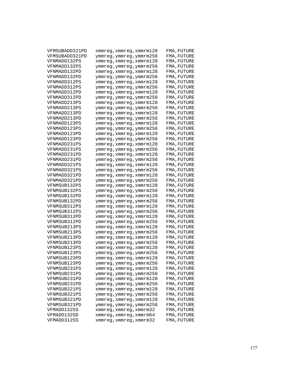| VFMSUBADD321PD | xmmreg, xmmreg, xmmrm128 | FMA,FUTURE  |
|----------------|--------------------------|-------------|
| VFMSUBADD321PD | ymmreg, ymmreg, ymmrm256 | FMA,FUTURE  |
| VFNMADD132PS   | xmmreg,xmmreg,xmmrm128   | FMA, FUTURE |
| VFNMADD132PS   | ymmreg,ymmreg,ymmrm256   | FMA, FUTURE |
| VFNMADD132PD   | xmmreg, xmmreg, xmmrm128 | FMA, FUTURE |
| VFNMADD132PD   | ymmreg,ymmreg,ymmrm256   | FMA, FUTURE |
| VFNMADD312PS   | xmmreg,xmmreg,xmmrm128   | FMA, FUTURE |
| VFNMADD312PS   | ymmreg, ymmreg, ymmrm256 | FMA,FUTURE  |
| VFNMADD312PD   | xmmreg,xmmreg,xmmrm128   | FMA, FUTURE |
| VFNMADD312PD   | ymmreg,ymmreg,ymmrm256   | FMA,FUTURE  |
| VFNMADD213PS   | xmmreg,xmmreg,xmmrm128   | FMA, FUTURE |
| VFNMADD213PS   | ymmreg,ymmreg,ymmrm256   | FMA,FUTURE  |
| VFNMADD213PD   | xmmreg,xmmreg,xmmrm128   | FMA, FUTURE |
| VFNMADD213PD   | ymmreg, ymmreg, ymmrm256 | FMA,FUTURE  |
| VFNMADD123PS   | xmmreg,xmmreg,xmmrm128   | FMA,FUTURE  |
| VFNMADD123PS   | ymmreg, ymmreg, ymmrm256 | FMA, FUTURE |
| VFNMADD123PD   | xmmreg, xmmreg, xmmrm128 | FMA, FUTURE |
| VFNMADD123PD   | ymmreg,ymmreg,ymmrm256   | FMA, FUTURE |
| VFNMADD231PS   | xmmreg,xmmreg,xmmrm128   | FMA, FUTURE |
| VFNMADD231PS   | ymmreg, ymmreg, ymmrm256 | FMA,FUTURE  |
| VFNMADD231PD   | xmmreg,xmmreg,xmmrm128   | FMA, FUTURE |
| VFNMADD231PD   | ymmreg,ymmreg,ymmrm256   | FMA, FUTURE |
| VFNMADD321PS   | xmmreg,xmmreg,xmmrm128   | FMA,FUTURE  |
| VFNMADD321PS   | ymmreg,ymmreg,ymmrm256   | FMA,FUTURE  |
| VFNMADD321PD   | xmmreg,xmmreg,xmmrm128   | FMA, FUTURE |
| VFNMADD321PD   | ymmreg, ymmreg, ymmrm256 | FMA,FUTURE  |
| VFNMSUB132PS   | xmmreg,xmmreg,xmmrm128   | FMA,FUTURE  |
| VFNMSUB132PS   | ymmreg,ymmreg,ymmrm256   | FMA,FUTURE  |
| VFNMSUB132PD   | xmmreg, xmmreg, xmmrm128 | FMA,FUTURE  |
| VFNMSUB132PD   | ymmreg,ymmreg,ymmrm256   | FMA,FUTURE  |
| VFNMSUB312PS   | xmmreg,xmmreg,xmmrm128   | FMA, FUTURE |
| VFNMSUB312PS   | ymmreg, ymmreg, ymmrm256 | FMA,FUTURE  |
| VFNMSUB312PD   | xmmreg,xmmreg,xmmrm128   | FMA, FUTURE |
| VFNMSUB312PD   | ymmreg,ymmreg,ymmrm256   | FMA, FUTURE |
| VFNMSUB213PS   | xmmreg, xmmreg, xmmrm128 | FMA, FUTURE |
| VFNMSUB213PS   | ymmreg,ymmreg,ymmrm256   | FMA, FUTURE |
| VFNMSUB213PD   | xmmreg,xmmreg,xmmrm128   | FMA, FUTURE |
| VFNMSUB213PD   | ymmreg, ymmreg, ymmrm256 | FMA,FUTURE  |
| VFNMSUB123PS   | xmmreg,xmmreg,xmmrm128   | FMA, FUTURE |
| VFNMSUB123PS   | ymmreg, ymmreg, ymmrm256 | FMA, FUTURE |
| VFNMSUB123PD   | xmmreg,xmmreg,xmmrm128   | FMA,FUTURE  |
| VFNMSUB123PD   | ymmreg,ymmreg,ymmrm256   | FMA,FUTURE  |
| VFNMSUB231PS   | xmmreg, xmmreg, xmmrm128 | FMA, FUTURE |
| VFNMSUB231PS   | ymmreg, ymmreg, ymmrm256 | FMA, FUTURE |
| VFNMSUB231PD   | xmmreg, xmmreg, xmmrm128 | FMA, FUTURE |
| VFNMSUB231PD   | ymmreg, ymmreg, ymmrm256 | FMA, FUTURE |
| VFNMSUB321PS   | xmmreg, xmmreg, xmmrm128 | FMA, FUTURE |
| VFNMSUB321PS   | ymmreg, ymmreg, ymmrm256 | FMA, FUTURE |
| VFNMSUB321PD   | xmmreg, xmmreg, xmmrm128 | FMA, FUTURE |
| VFNMSUB321PD   | ymmreg, ymmreg, ymmrm256 | FMA, FUTURE |
| VFMADD132SS    | xmmreg, xmmreg, xmmrm32  | FMA, FUTURE |
| VFMADD132SD    | xmmreq, xmmreq, xmmrm64  | FMA, FUTURE |
| VFMADD312SS    | xmmreg, xmmreg, xmmrm32  | FMA, FUTURE |
|                |                          |             |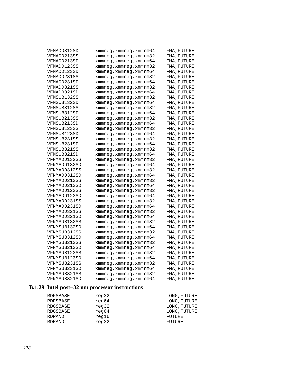| VFMADD312SD  | xmmreg,xmmreg,xmmrm64   | FMA,FUTURE  |
|--------------|-------------------------|-------------|
| VFMADD213SS  | xmmreg,xmmreg,xmmrm32   | FMA,FUTURE  |
| VFMADD213SD  | xmmreg,xmmreg,xmmrm64   | FMA, FUTURE |
| VFMADD123SS  | xmmreg,xmmreg,xmmrm32   | FMA, FUTURE |
| VFMADD123SD  | xmmreg,xmmreg,xmmrm64   | FMA, FUTURE |
| VFMADD231SS  | xmmreg,xmmreg,xmmrm32   | FMA, FUTURE |
| VFMADD231SD  | xmmreg, xmmreg, xmmrm64 | FMA, FUTURE |
| VFMADD321SS  | xmmreg,xmmreg,xmmrm32   | FMA, FUTURE |
| VFMADD321SD  | xmmreg, xmmreg, xmmrm64 | FMA, FUTURE |
| VFMSUB132SS  | xmmreg,xmmreg,xmmrm32   | FMA, FUTURE |
| VFMSUB132SD  | xmmreg,xmmreg,xmmrm64   | FMA, FUTURE |
| VFMSUB312SS  | xmmreg, xmmreg, xmmrm32 | FMA, FUTURE |
| VFMSUB312SD  | xmmreg,xmmreg,xmmrm64   | FMA, FUTURE |
| VFMSUB213SS  | xmmreg,xmmreg,xmmrm32   | FMA, FUTURE |
| VFMSUB213SD  | xmmreg,xmmreg,xmmrm64   | FMA, FUTURE |
| VFMSUB123SS  | xmmreg, xmmreg, xmmrm32 | FMA, FUTURE |
| VFMSUB123SD  | xmmreg,xmmreg,xmmrm64   | FMA, FUTURE |
| VFMSUB231SS  | xmmreg, xmmreg, xmmrm32 | FMA, FUTURE |
| VFMSUB231SD  | xmmreg,xmmreg,xmmrm64   | FMA, FUTURE |
| VFMSUB321SS  | xmmreg,xmmreg,xmmrm32   | FMA, FUTURE |
| VFMSUB321SD  | xmmreg,xmmreg,xmmrm64   | FMA, FUTURE |
| VFNMADD132SS | xmmreg, xmmreg, xmmrm32 | FMA, FUTURE |
| VFNMADD132SD | xmmreg,xmmreg,xmmrm64   | FMA, FUTURE |
| VFNMADD312SS | xmmreg,xmmreg,xmmrm32   | FMA, FUTURE |
| VFNMADD312SD | xmmreg,xmmreg,xmmrm64   | FMA, FUTURE |
| VFNMADD213SS | xmmreg,xmmreg,xmmrm32   | FMA, FUTURE |
| VFNMADD213SD | xmmreg,xmmreg,xmmrm64   | FMA, FUTURE |
| VFNMADD123SS | xmmreg,xmmreg,xmmrm32   | FMA, FUTURE |
| VFNMADD123SD | xmmreg,xmmreg,xmmrm64   | FMA, FUTURE |
| VFNMADD231SS | xmmreg,xmmreg,xmmrm32   | FMA, FUTURE |
| VFNMADD231SD | xmmreg,xmmreg,xmmrm64   | FMA, FUTURE |
| VFNMADD321SS | xmmreg,xmmreg,xmmrm32   | FMA, FUTURE |
| VFNMADD321SD | xmmreg, xmmreg, xmmrm64 | FMA, FUTURE |
| VFNMSUB132SS | xmmreg,xmmreg,xmmrm32   | FMA, FUTURE |
| VFNMSUB132SD | xmmreg,xmmreg,xmmrm64   | FMA, FUTURE |
| VFNMSUB312SS | xmmreg,xmmreg,xmmrm32   | FMA, FUTURE |
| VFNMSUB312SD | xmmreg,xmmreg,xmmrm64   | FMA, FUTURE |
| VFNMSUB213SS | xmmreg, xmmreg, xmmrm32 | FMA, FUTURE |
| VFNMSUB213SD | xmmreg, xmmreg, xmmrm64 | FMA, FUTURE |
| VFNMSUB123SS | xmmreg, xmmreg, xmmrm32 | FMA, FUTURE |
| VFNMSUB123SD | xmmreg,xmmreg,xmmrm64   | FMA, FUTURE |
| VFNMSUB231SS | xmmreg, xmmreg, xmmrm32 | FMA, FUTURE |
| VFNMSUB231SD | xmmreg,xmmreg,xmmrm64   | FMA, FUTURE |
| VFNMSUB321SS | xmmreg, xmmreg, xmmrm32 | FMA, FUTURE |
| VFNMSUB321SD | xmmreg,xmmreg,xmmrm64   | FMA, FUTURE |
|              |                         |             |

## **B.1.29 Intel post−32 nm processor instructions**

| RDFSBASE      | reg32 | LONG, FUTURE |
|---------------|-------|--------------|
| RDFSBASE      | reg64 | LONG, FUTURE |
| RDGSBASE      | reg32 | LONG, FUTURE |
| RDGSBASE      | reg64 | LONG, FUTURE |
| RDRAND        | req16 | FUTURE       |
| <b>RDRAND</b> | reg32 | FUTURE       |
|               |       |              |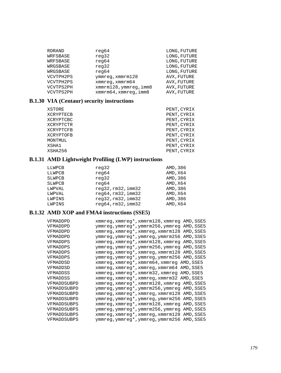| RDRAND    | reg64                  | LONG, FUTURE |
|-----------|------------------------|--------------|
| WRFSBASE  | reg32                  | LONG, FUTURE |
| WRFSBASE  | reg64                  | LONG, FUTURE |
| WRGSBASE  | reg32                  | LONG, FUTURE |
| WRGSBASE  | reg64                  | LONG, FUTURE |
| VCVTPH2PS | $ymm$ req, $xmmrm128$  | AVX, FUTURE  |
| VCVTPH2PS | xmmreq, xmmrm64        | AVX, FUTURE  |
| VCVTPS2PH | xmmrm128, ymmreg, imm8 | AVX, FUTURE  |
| VCVTPS2PH | xmmrm64, xmmreq, imm8  | AVX, FUTURE  |

### **B.1.30 VIA (Centaur) security instructions**

| XSTORE    | PENT, CYRIX |
|-----------|-------------|
| XCRYPTECB | PENT, CYRIX |
| XCRYPTCBC | PENT, CYRIX |
| XCRYPTCTR | PENT, CYRIX |
| XCRYPTCFB | PENT, CYRIX |
| XCRYPTOFB | PENT, CYRIX |
| MONTMUL   | PENT, CYRIX |
| XSHA1     | PENT, CYRIX |
| XSHA256   | PENT, CYRIX |

## **B.1.31 AMD Lightweight Profiling (LWP) instructions**

| LLWPCB        | reg32              | AMD, 386 |
|---------------|--------------------|----------|
| LLWPCB        | reg64              | AMD, X64 |
| <b>SLWPCB</b> | reg32              | AMD, 386 |
| <b>SLWPCB</b> | reg64              | AMD, X64 |
| LWPVAL        | req32, rm32, imm32 | AMD, 386 |
| LWPVAL        | reg64,rm32,imm32   | AMD, X64 |
| LWPINS        | reg32,rm32,imm32   | AMD, 386 |
| LWPINS        | reg64, rm32, imm32 | AMD, X64 |

#### **B.1.32 AMD XOP and FMA4 instructions (SSE5)**

| VFMADDPD    | xmmreg, xmmreg*, xmmrm128, xmmreg AMD, SSE5 |
|-------------|---------------------------------------------|
| VFMADDPD    | ymmreg,ymmreg*,ymmrm256,ymmreg AMD,SSE5     |
| VFMADDPD    | xmmreg, xmmreg*, xmmreg, xmmrm128 AMD, SSE5 |
| VFMADDPD    | ymmreg, ymmreg*, ymmreg, ymmrm256 AMD, SSE5 |
| VFMADDPS    | xmmreg, xmmreg*, xmmrm128, xmmreg AMD, SSE5 |
| VFMADDPS    | ymmreg, ymmreg*, ymmrm256, ymmreg AMD, SSE5 |
| VFMADDPS    | xmmreg, xmmreg*, xmmreg, xmmrm128 AMD, SSE5 |
| VFMADDPS    | ymmreg, ymmreg*, ymmreg, ymmrm256 AMD, SSE5 |
| VFMADDSD    | xmmreg, xmmreg*, xmmrm64, xmmreg AMD, SSE5  |
| VFMADDSD    | xmmreg, xmmreg*, xmmreg, xmmrm64 AMD, SSE5  |
| VFMADDSS    | xmmreg, xmmreg*, xmmrm32, xmmreg AMD, SSE5  |
| VFMADDSS    | xmmreg, xmmreg*, xmmreg, xmmrm32 AMD, SSE5  |
| VFMADDSUBPD | xmmreg, xmmreg*, xmmrm128, xmmreg AMD, SSE5 |
| VFMADDSUBPD | ymmreg, ymmreg*, ymmrm256, ymmreg AMD, SSE5 |
| VFMADDSUBPD | xmmreg, xmmreg*, xmmreg, xmmrm128 AMD, SSE5 |
| VFMADDSUBPD | ymmreg, ymmreg*, ymmreg, ymmrm256 AMD, SSE5 |
| VFMADDSUBPS | xmmreg, xmmreg*, xmmrm128, xmmreg AMD, SSE5 |
| VFMADDSUBPS | ymmreg, ymmreg*, ymmrm256, ymmreg AMD, SSE5 |
| VFMADDSUBPS | xmmreg, xmmreg*, xmmreg, xmmrm128 AMD, SSE5 |
| VFMADDSUBPS | ymmreg, ymmreg*, ymmreg, ymmrm256 AMD, SSE5 |
|             |                                             |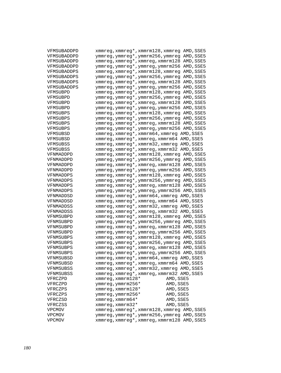| VFMSUBADDPD   | xmmreg, xmmreg*, xmmrm128, xmmreg AMD, SSE5        |
|---------------|----------------------------------------------------|
| VFMSUBADDPD   | ymmreg, ymmreg*, ymmrm256, ymmreg AMD, SSE5        |
| VFMSUBADDPD   | xmmreg, xmmreg*, xmmreg, xmmrm128 AMD, SSE5        |
| VFMSUBADDPD   | ymmreg, ymmreg*, ymmreg, ymmrm256 AMD, SSE5        |
| VFMSUBADDPS   | xmmreg, xmmreg*, xmmrm128, xmmreg AMD, SSE5        |
| VFMSUBADDPS   | ymmreg, ymmreg*, ymmrm256, ymmreg AMD, SSE5        |
| VFMSUBADDPS   | xmmreg, xmmreg*, xmmreg, xmmrm128 AMD, SSE5        |
| VFMSUBADDPS   | ymmreg, ymmreg*, ymmreg, ymmrm256 AMD, SSE5        |
| VFMSUBPD      | xmmreg, xmmreg*, xmmrm128, xmmreg AMD, SSE5        |
| VFMSUBPD      | ymmreg, ymmreg*, ymmrm256, ymmreg AMD, SSE5        |
| VFMSUBPD      | xmmreg, xmmreg*, xmmreg, xmmrm128 AMD, SSE5        |
| VFMSUBPD      | ymmreg, ymmreg*, ymmreg, ymmrm256 AMD, SSE5        |
| VFMSUBPS      | xmmreg, xmmreg*, xmmrm128, xmmreg AMD, SSE5        |
| VFMSUBPS      | ymmreg, ymmreg*, ymmrm256, ymmreg AMD, SSE5        |
| VFMSUBPS      | xmmreg, xmmreg*, xmmreg, xmmrm128 AMD, SSE5        |
| VFMSUBPS      | ymmreg, ymmreg*, ymmreg, ymmrm256 AMD, SSE5        |
| VFMSUBSD      | xmmreg, xmmreg*, xmmrm64, xmmreg AMD, SSE5         |
| VFMSUBSD      | xmmreg, xmmreg*, xmmreg, xmmrm64 AMD, SSE5         |
| VFMSUBSS      | xmmreg, xmmreg*, xmmrm32, xmmreg AMD, SSE5         |
| VFMSUBSS      | xmmreg, xmmreg*, xmmreg, xmmrm32 AMD, SSE5         |
| VFNMADDPD     | xmmreg, xmmreg*, xmmrm128, xmmreg AMD, SSE5        |
| VFNMADDPD     | ymmreg, ymmreg*, ymmrm256, ymmreg AMD, SSE5        |
| VFNMADDPD     | xmmreg, xmmreg*, xmmreg, xmmrm128 AMD, SSE5        |
| VFNMADDPD     | ymmreg, ymmreg*, ymmreg, ymmrm256 AMD, SSE5        |
| VFNMADDPS     | xmmreg, xmmreg*, xmmrm128, xmmreg AMD, SSE5        |
| VFNMADDPS     | ymmreg, ymmreg*, ymmrm256, ymmreg AMD, SSE5        |
| VFNMADDPS     | xmmreg, xmmreg*, xmmreg, xmmrm128 AMD, SSE5        |
| VFNMADDPS     | ymmreg, ymmreg*, ymmreg, ymmrm256 AMD, SSE5        |
| VFNMADDSD     | xmmreg, xmmreg*, xmmrm64, xmmreg AMD, SSE5         |
| VFNMADDSD     | xmmreg, xmmreg*, xmmreg, xmmrm64 AMD, SSE5         |
| VFNMADDSS     | xmmreg, xmmreg*, xmmrm32, xmmreg AMD, SSE5         |
| VFNMADDSS     | xmmreg, xmmreg*, xmmreg, xmmrm32 AMD, SSE5         |
| VFNMSUBPD     | xmmreg, xmmreg*, xmmrm128, xmmreg AMD, SSE5        |
| VFNMSUBPD     | ymmreg, ymmreg*, ymmrm256, ymmreg AMD, SSE5        |
| VFNMSUBPD     | xmmreg, xmmreg*, xmmreg, xmmrm128 AMD, SSE5        |
| VFNMSUBPD     | ymmreg, ymmreg*, ymmreg, ymmrm256 AMD, SSE5        |
| VFNMSUBPS     | xmmreg, xmmreg*, xmmrm128, xmmreg AMD, SSE5        |
| VFNMSUBPS     | ymmreg, ymmreg*, ymmrm256, ymmreg AMD, SSE5        |
| VFNMSUBPS     | xmmreg, xmmreg*, xmmreg, xmmrm128 AMD, SSE5        |
| VFNMSUBPS     | ymmreg, ymmreg*, ymmreg, ymmrm256 AMD, SSE5        |
| VFNMSUBSD     | xmmreg, xmmreg*, xmmrm64, xmmreg AMD, SSE5         |
| VFNMSUBSD     | xmmreg, xmmreg*, xmmreg, xmmrm64 AMD, SSE5         |
| VFNMSUBSS     | xmmreg, xmmreg*, xmmrm32, xmmreg AMD, SSE5         |
| VFNMSUBSS     | xmmreg, xmmreg*, xmmreg, xmmrm32 AMD, SSE5         |
| VFRCZPD       | AMD, SSE5<br>$xmmreg$ , $xmmrm128*$                |
| VFRCZPD       | ymmreg, ymmrm256*<br>AMD, SSE5                     |
| VFRCZPS       | $x$ mmreg, $x$ mmrm $128*$<br>AMD, SSE5            |
| VFRCZPS       | AMD, SSE5                                          |
| VFRCZSD       | ymmreg, ymmrm256*<br>xmmreg, xmmrm64*<br>AMD, SSE5 |
| VFRCZSS       | AMD, SSE5<br>$x$ mmreg, $x$ mmrm $32*$             |
| <b>VPCMOV</b> | xmmreg, xmmreg*, xmmrm128, xmmreg AMD, SSE5        |
| <b>VPCMOV</b> | ymmreg, ymmreg*, ymmrm256, ymmreg AMD, SSE5        |
| <b>VPCMOV</b> | xmmreg, xmmreg*, xmmreg, xmmrm128 AMD, SSE5        |
|               |                                                    |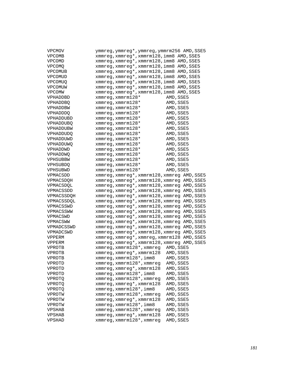| VPCMOV          | ymmreg, ymmreg*, ymmreg, ymmrm256 AMD, SSE5          |
|-----------------|------------------------------------------------------|
| <b>VPCOMB</b>   | xmmreg, xmmreg*, xmmrm128, imm8 AMD, SSE5            |
| <b>VPCOMD</b>   | xmmreg, xmmreg*, xmmrm128, imm8<br>AMD, SSE5         |
| <b>VPCOMQ</b>   | xmmreg, xmmreg*, xmmrm128, imm8<br>AMD, SSE5         |
| VPCOMUB         | xmmreg, xmmreg*, xmmrm128, imm8<br>AMD, SSE5         |
| VPCOMUD         | xmmreg, xmmreg*, xmmrm128, imm8<br>AMD, SSE5         |
| <b>VPCOMUO</b>  | xmmreg, xmmreg*, xmmrm128, imm8<br>AMD, SSE5         |
| VPCOMUW         | xmmreg, xmmreg*, xmmrm128, imm8<br>AMD, SSE5         |
| VPCOMW          | xmmreg, xmmreg*, xmmrm128, imm8<br>AMD, SSE5         |
| VPHADDBD        | $xmmreg$ , $xmmrm128*$<br>AMD, SSE5                  |
| <b>VPHADDBO</b> | AMD, SSE5<br>$x$ mmreg, $x$ mmrm $128*$              |
| VPHADDBW        | $x$ mmreg, $x$ mmrm $128*$<br>AMD, SSE5              |
| <b>VPHADDDQ</b> | AMD, SSE5<br>$x$ mmreg, $x$ mmrm $128*$              |
| VPHADDUBD       | AMD, SSE5<br>$x$ mmreg, $x$ mmrm $128*$              |
| VPHADDUBQ       | $x$ mmreq, $x$ mmrm $128*$<br>AMD, SSE5              |
| VPHADDUBW       | $x$ mmreq, $x$ mmrm $128*$<br>AMD, SSE5              |
| VPHADDUDQ       | $x$ mmreg, $x$ mmrm $128*$<br>AMD, SSE5              |
| VPHADDUWD       | $x$ mmreg, $x$ mmrm $128*$<br>AMD, SSE5              |
| VPHADDUWQ       | xmmreg, xmmrm128*<br>AMD, SSE5                       |
|                 | AMD, SSE5                                            |
| VPHADDWD        | $x$ mmreg, $x$ mmrm $128*$                           |
| VPHADDWQ        | $x$ mmreq, $x$ mmrm $128*$<br>AMD, SSE5<br>AMD, SSE5 |
| VPHSUBBW        | $x$ mmreq, $x$ mmrm $128*$                           |
| <b>VPHSUBDO</b> | $x$ mmreg, $x$ mmrm $128*$<br>AMD, SSE5              |
| VPHSUBWD        | $xmmreg$ , $xmmrm128*$<br>AMD, SSE5                  |
| VPMACSDD        | xmmreg, xmmreg*, xmmrm128, xmmreg AMD, SSE5          |
| VPMACSDOH       | xmmreg, xmmreg*, xmmrm128, xmmreg AMD, SSE5          |
| VPMACSDOL       | xmmreg, xmmreg*, xmmrm128, xmmreg AMD, SSE5          |
| VPMACSSDD       | xmmreg, xmmreg*, xmmrm128, xmmreg AMD, SSE5          |
| VPMACSSDOH      | xmmreg, xmmreg*, xmmrm128, xmmreg AMD, SSE5          |
| VPMACSSDQL      | xmmreg, xmmreg*, xmmrm128, xmmreg AMD, SSE5          |
| VPMACSSWD       | xmmreg, xmmreg*, xmmrm128, xmmreg AMD, SSE5          |
| VPMACSSWW       | xmmreg, xmmreg*, xmmrm128, xmmreg AMD, SSE5          |
| VPMACSWD        | xmmreg, xmmreg*, xmmrm128, xmmreg AMD, SSE5          |
| VPMACSWW        | xmmreg, xmmreg*, xmmrm128, xmmreg AMD, SSE5          |
| VPMADCSSWD      | xmmreg, xmmreg*, xmmrm128, xmmreg AMD, SSE5          |
| VPMADCSWD       | xmmreg, xmmreg*, xmmrm128, xmmreg AMD, SSE5          |
| VPPERM          | xmmreg, xmmreg*, xmmreg, xmmrm128 AMD, SSE5          |
| VPPERM          | xmmreg, xmmreg*, xmmrm128, xmmreg AMD, SSE5          |
| VPROTB          | xmmreg,xmmrm128*,xmmreg<br>AMD, SSE5                 |
| <b>VPROTB</b>   | xmmreg, xmmreg*, xmmrm128<br>AMD, SSE5               |
| VPROTB          | xmmreg, xmmrm128*, imm8<br>AMD, SSE5                 |
| VPROTD          | xmmreg, xmmrm128*, xmmreg<br>AMD, SSE5               |
| VPROTD          | xmmreg, xmmreg*, xmmrm128<br>AMD, SSE5               |
| VPROTD          | xmmreg, xmmrm128*, imm8<br>AMD, SSE5                 |
| VPROTO          | xmmreg, xmmrm128*, xmmreg<br>AMD, SSE5               |
| VPROTO          | xmmreq, xmmreq*, xmmrm128<br>AMD, SSE5               |
| VPROTQ          | xmmreg, xmmrm128*, imm8<br>AMD, SSE5                 |
| VPROTW          | xmmreq, xmmrm128*, xmmreq<br>AMD, SSE5               |
| VPROTW          | xmmreg, xmmreg*, xmmrm128<br>AMD, SSE5               |
| VPROTW          | xmmreg, xmmrm128*, imm8<br>AMD, SSE5                 |
| VPSHAB          | xmmreg, xmmrm128*, xmmreg<br>AMD, SSE5               |
| VPSHAB          | xmmreg, xmmreg*, xmmrm128<br>AMD, SSE5               |
| VPSHAD          | xmmreg, xmmrm128*, xmmreg<br>AMD, SSE5               |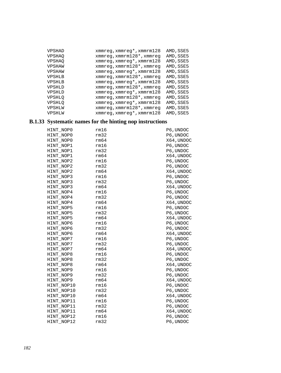| VPSHAD        | xmmreg, xmmreg*, xmmrm128         | AMD, SSE5 |
|---------------|-----------------------------------|-----------|
| <b>VPSHAO</b> | $xmmreg$ , $xmmrm128*$ , $xmmreg$ | AMD, SSE5 |
| <b>VPSHAO</b> | $xmmreg$ , $xmmreg*$ , $xmmrm128$ | AMD, SSE5 |
| VPSHAW        | $xmmreg$ , $xmmrm128*$ , $xmmreg$ | AMD, SSE5 |
| VPSHAW        | $xmmreg$ , $xmmreg*$ , $xmmrm128$ | AMD, SSE5 |
| <b>VPSHLB</b> | $xmmreg$ , $xmmrm128*$ , $xmmreg$ | AMD, SSE5 |
| <b>VPSHLB</b> | $xmmreg$ , $xmmreg*$ , $xmmrm128$ | AMD, SSE5 |
| <b>VPSHLD</b> | $xmmreq$ , $xmmrm128*$ , $xmmreq$ | AMD, SSE5 |
| <b>VPSHLD</b> | $xmmreg$ , $xmmreg*$ , $xmmrm128$ | AMD, SSE5 |
| <b>VPSHLO</b> | $xmmreg$ , $xmmrm128*$ , $xmmreg$ | AMD, SSE5 |
| <b>VPSHLQ</b> | xmmreg, xmmreg*, xmmrm128         | AMD, SSE5 |
| VPSHLW        | xmmreg, xmmrm128*, xmmreg         | AMD, SSE5 |
| VPSHLW        | xmmreg, xmmreg*, xmmrm128         | AMD, SSE5 |

# **B.1.33 Systematic names for the hinting nop instructions**

| HINT NOPO  | rm16 | P6, UNDOC  |
|------------|------|------------|
| HINT NOPO  | rm32 | P6, UNDOC  |
| HINT NOPO  | rm64 | X64, UNDOC |
| HINT NOP1  | rm16 | P6, UNDOC  |
| HINT NOP1  | rm32 | P6, UNDOC  |
| HINT NOP1  | rm64 | X64,UNDOC  |
| HINT NOP2  | rm16 | P6, UNDOC  |
| HINT_NOP2  | rm32 | P6, UNDOC  |
| HINT_NOP2  | rm64 | X64, UNDOC |
| HINT_NOP3  | rm16 | P6, UNDOC  |
| HINT NOP3  | rm32 | P6, UNDOC  |
| HINT NOP3  | rm64 | X64, UNDOC |
| HINT_NOP4  | rm16 | P6, UNDOC  |
| HINT_NOP4  | rm32 | P6, UNDOC  |
| HINT_NOP4  | rm64 | X64, UNDOC |
| HINT NOP5  | rm16 | P6, UNDOC  |
| HINT NOP5  | rm32 | P6, UNDOC  |
| HINT NOP5  | rm64 | X64, UNDOC |
| HINT_NOP6  | rm16 | P6, UNDOC  |
| HINT NOP6  | rm32 | P6, UNDOC  |
| HINT NOP6  | rm64 | X64,UNDOC  |
| HINT NOP7  | rm16 | P6, UNDOC  |
| HINT NOP7  | rm32 | P6, UNDOC  |
| HINT NOP7  | rm64 | X64,UNDOC  |
| HINT NOP8  | rm16 | P6, UNDOC  |
| HINT NOP8  | rm32 | P6, UNDOC  |
| HINT NOP8  | rm64 | X64,UNDOC  |
| HINT NOP9  | rm16 | P6, UNDOC  |
| HINT_NOP9  | rm32 | P6, UNDOC  |
| HINT NOP9  | rm64 | X64, UNDOC |
| HINT NOP10 | rm16 | P6, UNDOC  |
| HINT_NOP10 | rm32 | P6, UNDOC  |
| HINT_NOP10 | rm64 | X64,UNDOC  |
| HINT_NOP11 | rm16 | P6, UNDOC  |
| HINT NOP11 | rm32 | P6, UNDOC  |
| HINT NOP11 | rm64 | X64,UNDOC  |
| HINT NOP12 | rm16 | P6, UNDOC  |
| HINT NOP12 | rm32 | P6, UNDOC  |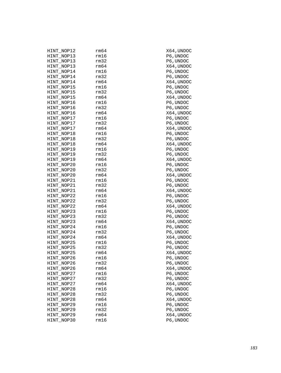| HINT_NOP12 | rm64 | X64, UNDOC            |
|------------|------|-----------------------|
| HINT NOP13 | rm16 | P6, UNDOC             |
| HINT NOP13 | rm32 | P6, UNDOC             |
| HINT NOP13 | rm64 | X64,UNDOC             |
| HINT_NOP14 | rm16 | P6, UNDOC             |
| HINT_NOP14 | rm32 | P6, UNDOC             |
| HINT_NOP14 | rm64 | X64, UNDOC            |
| HINT_NOP15 | rm16 | $\mathtt{P6}$ , UNDOC |
| HINT_NOP15 | rm32 | P6, UNDOC             |
| HINT_NOP15 | rm64 | X64,UNDOC             |
| HINT_NOP16 | rm16 | P6, UNDOC             |
| HINT_NOP16 | rm32 | P6, UNDOC             |
| HINT_NOP16 | rm64 | X64, UNDOC            |
| HINT NOP17 | rm16 | $\mathtt{P6}$ , UNDOC |
| HINT_NOP17 | rm32 | P6, UNDOC             |
| HINT NOP17 | rm64 | X64,UNDOC             |
| HINT_NOP18 | rm16 | P6, UNDOC             |
| HINT_NOP18 | rm32 | P6, UNDOC             |
| HINT_NOP18 | rm64 | X64,UNDOC             |
| HINT_NOP19 | rm16 | P6, UNDOC             |
| HINT_NOP19 | rm32 | P6, UNDOC             |
| HINT_NOP19 | rm64 | X64,UNDOC             |
| HINT_NOP20 | rm16 | P6, UNDOC             |
| HINT_NOP20 | rm32 | P6, UNDOC             |
| HINT_NOP20 | rm64 | X64,UNDOC             |
| HINT NOP21 | rm16 | $\mathtt{P6}$ , UNDOC |
| HINT_NOP21 | rm32 | P6, UNDOC             |
| HINT NOP21 | rm64 | X64,UNDOC             |
| HINT_NOP22 | rm16 | P6, UNDOC             |
| HINT_NOP22 | rm32 | P6, UNDOC             |
| HINT_NOP22 | rm64 | X64,UNDOC             |
| HINT_NOP23 | rm16 | $\mathtt{P6}$ , UNDOC |
| HINT NOP23 | rm32 | P6, UNDOC             |
| HINT_NOP23 | rm64 | X64,UNDOC             |
| HINT_NOP24 | rm16 | P6, UNDOC             |
| HINT_NOP24 | rm32 | P6, UNDOC             |
| HINT_NOP24 | rm64 | X64,UNDOC             |
| HINT_NOP25 | rm16 | P6, UNDOC             |
| HINT_NOP25 | rm32 | P6, UNDOC             |
| HINT NOP25 | rm64 | X64, UNDOC            |
| HINT NOP26 | rm16 | P6,UNDOC              |
| HINT_NOP26 | rm32 | P6, UNDOC             |
| HINT_NOP26 | rm64 | X64,UNDOC             |
| HINT NOP27 | rm16 | P6, UNDOC             |
| HINT_NOP27 | rm32 | P6, UNDOC             |
| HINT NOP27 | rm64 | X64,UNDOC             |
| HINT_NOP28 | rm16 | P6, UNDOC             |
| HINT NOP28 | rm32 | P6, UNDOC             |
| HINT_NOP28 | rm64 | X64,UNDOC             |
| HINT_NOP29 | rm16 | P6, UNDOC             |
| HINT_NOP29 | rm32 | P6, UNDOC             |
| HINT NOP29 | rm64 | X64, UNDOC            |
| HINT_NOP30 | rm16 | P6, UNDOC             |
|            |      |                       |

4, UNDOC 4, UNDOC , UNDOC 4, UNDOC 4, UNDOC , UNDOC 4, UNDOC 4, UNDOC , UNDOC 4, UNDOC 4, UNDOC , UNDOC<br>, UNDOC 4, UNDOC 4, UNDOC , UNDOC 4, UNDOC 4, UNDOC , UNDOC<br>, UNDOC 4, UNDOC 4, UNDOC , UNDOC 4, UNDOC 4, UNDOC , UNDOC<br>, UNDOC 4, UNDOC 4, UNDOC , UNDOC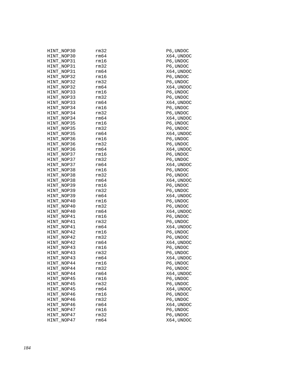| HINT_NOP30 | rm32 | P6,UNDOC         |
|------------|------|------------------|
| HINT NOP30 | rm64 | X64, UNDOC       |
| HINT_NOP31 | rm16 | P6, UNDOC        |
| HINT_NOP31 | rm32 | P6, UNDOC        |
| HINT_NOP31 | rm64 | X64, UNDOC       |
| HINT NOP32 | rm16 | P6,UNDOC         |
| HINT_NOP32 | rm32 | P6, UNDOC        |
| HINT_NOP32 | rm64 | X64, UNDOC       |
| HINT_NOP33 | rm16 | P6, UNDOC        |
| HINT_NOP33 | rm32 | P6, UNDOC        |
| HINT_NOP33 | rm64 | X64, UNDOC       |
| HINT NOP34 | rm16 | P6,UNDOC         |
|            | rm32 | P6,UNDOC         |
| HINT_NOP34 | rm64 |                  |
| HINT_NOP34 | rm16 | X64, UNDOC       |
| HINT_NOP35 |      | P6, UNDOC        |
| HINT_NOP35 | rm32 | P6, UNDOC        |
| HINT_NOP35 | rm64 | X64, UNDOC       |
| HINT NOP36 | rm16 | P6,UNDOC         |
| HINT_NOP36 | rm32 | P6,UNDOC         |
| HINT_NOP36 | rm64 | X64, UNDOC       |
| HINT_NOP37 | rm16 | P6, UNDOC        |
| HINT_NOP37 | rm32 | P6, UNDOC        |
| HINT_NOP37 | rm64 | X64, UNDOC       |
| HINT NOP38 | rm16 | P6, UNDOC        |
| HINT_NOP38 | rm32 | P6,UNDOC         |
| HINT_NOP38 | rm64 | X64, UNDOC       |
| HINT_NOP39 | rm16 | P6, UNDOC        |
| HINT_NOP39 | rm32 | P6, UNDOC        |
| HINT_NOP39 | rm64 | X64, UNDOC       |
| HINT NOP40 | rm16 | P6,UNDOC         |
| HINT_NOP40 | rm32 | P6,UNDOC         |
| HINT_NOP40 | rm64 | X64, UNDOC       |
| HINT_NOP41 | rm16 | P6, UNDOC        |
| HINT_NOP41 | rm32 | P6, UNDOC        |
| HINT_NOP41 | rm64 | X64, UNDOC       |
| HINT NOP42 | rm16 | P6,UNDOC         |
|            |      |                  |
| HINT_NOP42 | rm32 | P6,UNDOC         |
| HINT_NOP42 | rm64 | X64,UNDOC        |
| HINT_NOP43 | rm16 | P6, UNDOC        |
| HINT_NOP43 | rm32 | P6, UNDOC        |
| HINT_NOP43 | rm64 | X64,UNDOC        |
| HINT_NOP44 | rm16 | P6,UNDOC         |
| HINT_NOP44 | rm32 | P6, UNDOC        |
| HINT_NOP44 | rm64 | X64, UNDOC       |
| HINT_NOP45 | rm16 | P6, UNDOC        |
| HINT_NOP45 | rm32 | P6, UNDOC        |
| HINT_NOP45 | rm64 | X64, UNDOC       |
| HINT NOP46 | rm16 | P6,UNDOC         |
| HINT_NOP46 | rm32 | P6, UNDOC        |
| HINT_NOP46 | rm64 | X64, UNDOC       |
| HINT NOP47 | rm16 | P6, UNDOC        |
| HINT_NOP47 | rm32 | $\rm P6$ , UNDOC |
| HINT NOP47 | rm64 | X64, UNDOC       |
|            |      |                  |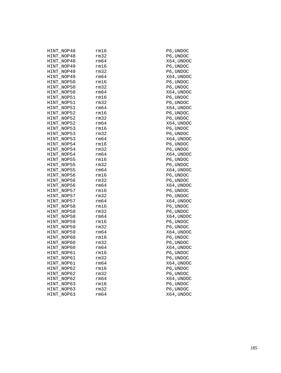| HINT_NOP48 | rm16 | P6,UNDOC   |
|------------|------|------------|
| HINT_NOP48 | rm32 | P6, UNDOC  |
| HINT NOP48 | rm64 | X64, UNDOC |
| HINT_NOP49 | rm16 | P6, UNDOC  |
| HINT NOP49 | rm32 | P6, UNDOC  |
| HINT NOP49 | rm64 | X64, UNDOC |
| HINT_NOP50 | rm16 | P6,UNDOC   |
| HINT_NOP50 | rm32 | P6, UNDOC  |
| HINT NOP50 | rm64 | X64, UNDOC |
| HINT_NOP51 | rm16 | P6, UNDOC  |
| HINT NOP51 | rm32 | P6, UNDOC  |
| HINT NOP51 | rm64 | X64, UNDOC |
| HINT_NOP52 | rm16 | P6,UNDOC   |
| HINT_NOP52 | rm32 | P6, UNDOC  |
| HINT NOP52 | rm64 | X64, UNDOC |
| HINT_NOP53 | rm16 | P6, UNDOC  |
| HINT NOP53 | rm32 | P6, UNDOC  |
| HINT NOP53 | rm64 | X64,UNDOC  |
| HINT_NOP54 | rm16 | P6,UNDOC   |
| HINT_NOP54 | rm32 | P6, UNDOC  |
| HINT NOP54 | rm64 | X64, UNDOC |
| HINT_NOP55 | rm16 | P6, UNDOC  |
| HINT_NOP55 | rm32 | P6, UNDOC  |
| HINT NOP55 | rm64 | X64, UNDOC |
| HINT_NOP56 | rm16 | P6,UNDOC   |
| HINT_NOP56 | rm32 | P6, UNDOC  |
| HINT NOP56 | rm64 | X64, UNDOC |
| HINT_NOP57 | rm16 | P6, UNDOC  |
| HINT NOP57 | rm32 | P6,UNDOC   |
| HINT NOP57 | rm64 | X64,UNDOC  |
| HINT_NOP58 | rm16 | P6, UNDOC  |
| HINT_NOP58 | rm32 | P6, UNDOC  |
| HINT NOP58 | rm64 | X64, UNDOC |
| HINT_NOP59 | rm16 | P6, UNDOC  |
| HINT_NOP59 | rm32 | P6, UNDOC  |
| HINT NOP59 | rm64 | X64,UNDOC  |
| HINT_NOP60 | rm16 | P6,UNDOC   |
| HINT_NOP60 | rm32 | P6, UNDOC  |
| HINT NOP60 | rm64 | X64, UNDOC |
| HINT_NOP61 | rm16 | P6, UNDOC  |
| HINT_NOP61 | rm32 | P6, UNDOC  |
| HINT_NOP61 | rm64 | X64,UNDOC  |
| HINT_NOP62 | rm16 | P6, UNDOC  |
| HINT_NOP62 | rm32 | P6, UNDOC  |
| HINT_NOP62 | rm64 | X64, UNDOC |
| HINT_NOP63 | rm16 | P6, UNDOC  |
| HINT_NOP63 | rm32 | P6, UNDOC  |
| HINT_NOP63 | rm64 | X64,UNDOC  |
|            |      |            |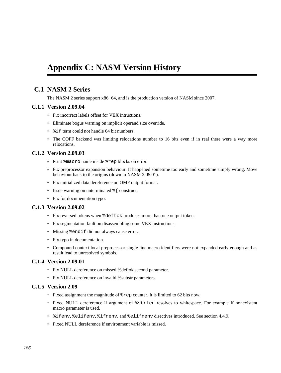# **Appendix C: NASM Version History**

# **C.1 NASM 2 Series**

The NASM 2 series support x86−64, and is the production version of NASM since 2007.

# **C.1.1 Version 2.09.04**

- Fix incorrect labels offset for VEX intructions.
- Eliminate bogus warning on implicit operand size override.
- $\text{\textdegree}$  if term could not handle 64 bit numbers.
- The COFF backend was limiting relocations number to 16 bits even if in real there were a way more relocations.

# **C.1.2 Version 2.09.03**

- Print  $s$ macro name inside  $s$ rep blocks on error.
- Fix preprocessor expansion behaviour. It happened sometime too early and sometime simply wrong. Move behaviour back to the origins (down to NASM 2.05.01).
- Fix unitialized data dereference on OMF output format.
- Issue warning on unterminated  $\frac{1}{6}$  construct.
- Fix for documentation typo.

# **C.1.3 Version 2.09.02**

- Fix reversed tokens when %deftok produces more than one output token.
- Fix segmentation fault on disassembling some VEX instructions.
- Missing %endif did not always cause error.
- Fix typo in documentation.
- Compound context local preprocessor single line macro identifiers were not expanded early enough and as result lead to unresolved symbols.

# **C.1.4 Version 2.09.01**

- Fix NULL dereference on missed %deftok second parameter.
- Fix NULL dereference on invalid %substr parameters.

# **C.1.5 Version 2.09**

- Fixed assignment the magnitude of %rep counter. It is limited to 62 bits now.
- Fixed NULL dereference if argument of %strlen resolves to whitespace. For example if nonexistent macro parameter is used.
- %ifenv, %elifenv, %ifnenv, and %elifnenv directives introduced. See [section 4.4.9.](#page-52-0)
- Fixed NULL dereference if environment variable is missed.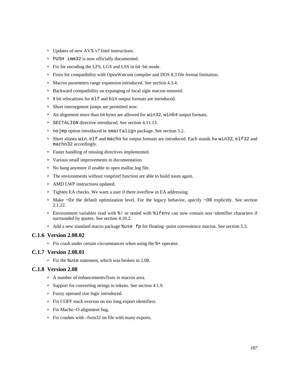- Updates of new AVX v7 Intel instructions.
- PUSH imm32 is now officially documented.
- Fix for encoding the LFS, LGS and LSS in 64−bit mode.
- Fixes for compatibility with OpenWatcom compiler and DOS 8.3 file format limitation.
- Macros parameters range expansion introduced. See [section 4.3.4.](#page-44-0)
- Backward compatibility on expanging of local sigle macros restored.
- 8 bit relocations for elf and bin output formats are introduced.
- Short intersegment jumps are permitted now.
- An alignment more than 64 bytes are allowed for win32, win64 output formats.
- SECTALIGN directive introduced. See [section 4.11.13.](#page-66-0)
- nojmp option introduced in smartalign package. See [section 5.2.](#page-68-0)
- Short aliases win, elf and macho for output formats are introduced. Each stands for win32, elf32 and macho32 accordingly.
- Faster handling of missing directives implemented.
- Various small improvements in documentation.
- No hang anymore if unable to open malloc.log file.
- The environments without vsnprintf function are able to build nasm again.
- AMD LWP instructions updated.
- Tighten EA checks. We warn a user if there overflow in EA addressing.
- Make −Ox the default optimization level. For the legacy behavior, specify −O0 explicitly. See [section](#page-21-0) [2.1.22.](#page-21-0)
- Environment variables read with %! or tested with %ifenv can now contain non−identifier characters if surrounded by quotes. See [section 4.10.2.](#page-61-0)
- Add a new standard macro package %use fp for floating−point convenience macros. See [section 5.3](#page-69-0).

#### **C.1.6 Version 2.08.02**

• Fix crash under certain circumstances when using the %+ operator.

#### **C.1.7 Version 2.08.01**

• Fix the %use statement, which was broken in 2.08.

#### **C.1.8 Version 2.08**

- A number of enhancements/fixes in macros area.
- Support for converting strings to tokens. See [section 4.1.9.](#page-41-0)
- Fuzzy operand size logic introduced.
- Fix COFF stack overrun on too long export identifiers.
- Fix Macho−O alignment bug.
- Fix crashes with –fwin32 on file with many exports.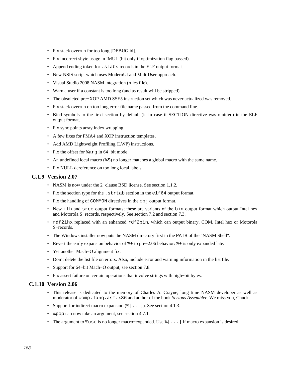- Fix stack overrun for too long [DEBUG id].
- Fix incorrect sbyte usage in IMUL (hit only if optimization flag passed).
- Append ending token for .stabs records in the ELF output format.
- New NSIS script which uses ModernUI and MultiUser approach.
- Visual Studio 2008 NASM integration (rules file).
- Warn a user if a constant is too long (and as result will be stripped).
- The obsoleted pre−XOP AMD SSE5 instruction set which was never actualized was removed.
- Fix stack overrun on too long error file name passed from the command line.
- Bind symbols to the .text section by default (ie in case if SECTION directive was omitted) in the ELF output format.
- Fix sync points array index wrapping.
- A few fixes for FMA4 and XOP instruction templates.
- Add AMD Lightweight Profiling (LWP) instructions.
- Fix the offset for %arg in 64−bit mode.
- An undefined local macro  $(*)$ ; no longer matches a global macro with the same name.
- Fix NULL dereference on too long local labels.

#### **C.1.9 Version 2.07**

- NASM is now under the 2−clause BSD license. See [section 1.1.2.](#page-14-0)
- Fix the section type for the .strtab section in the elf64 output format.
- Fix the handling of COMMON directives in the obj output format.
- New ith and srec output formats; these are variants of the bin output format which output Intel hex and Motorola S−records, respectively. See [section 7.2](#page-77-0) and [section 7.3.](#page-77-1)
- rdf2ihx replaced with an enhanced rdf2bin, which can output binary, COM, Intel hex or Motorola S−records.
- The Windows installer now puts the NASM directory first in the PATH of the "NASM Shell".
- Revert the early expansion behavior of %+ to pre−2.06 behavior: %+ is only expanded late.
- Yet another Mach−O alignment fix.
- Don't delete the list file on errors. Also, include error and warning information in the list file.
- Support for 64−bit Mach−O output, see [section 7.8.](#page-88-0)
- Fix assert failure on certain operations that involve strings with high−bit bytes.

#### **C.1.10 Version 2.06**

- This release is dedicated to the memory of Charles A. Crayne, long time NASM developer as well as moderator of comp.lang.asm.x86 and author of the book *Serious Assembler*. We miss you, Chuck.
- Support for indirect macro expansion  $(\xi$  [ . . . ]). See [section 4.1.3.](#page-39-0)
- & pop can now take an argument, see [section 4.7.1.](#page-55-0)
- The argument to %use is no longer macro–expanded. Use %[...] if macro expansion is desired.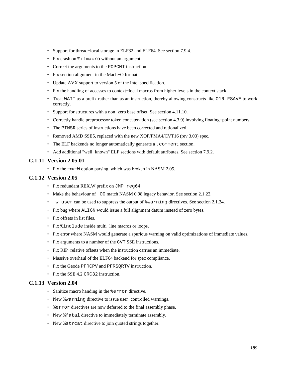- Support for thread−local storage in ELF32 and ELF64. See [section 7.9.4.](#page-90-0)
- Fix crash on %ifmacro without an argument.
- Correct the arguments to the POPCNT instruction.
- Fix section alignment in the Mach−O format.
- Update AVX support to version 5 of the Intel specification.
- Fix the handling of accesses to context−local macros from higher levels in the context stack.
- Treat WAIT as a prefix rather than as an instruction, thereby allowing constructs like O16 FSAVE to work correctly.
- Support for structures with a non−zero base offset. See [section 4.11.10.](#page-64-0)
- Correctly handle preprocessor token concatenation (see [section 4.3.9\)](#page-47-0) involving floating−point numbers.
- The PINSR series of instructions have been corrected and rationalized.
- Removed AMD SSE5, replaced with the new XOP/FMA4/CVT16 (rev 3.03) spec.
- The ELF backends no longer automatically generate a . comment section.
- Add additional "well−known" ELF sections with default attributes. See [section 7.9.2.](#page-88-1)

# **C.1.11 Version 2.05.01**

• Fix the −w/−W option parsing, which was broken in NASM 2.05.

# **C.1.12 Version 2.05**

- Fix redundant REX.W prefix on JMP reg64.
- Make the behaviour of −O0 match NASM 0.98 legacy behavior. See [section 2.1.22.](#page-21-0)
- −w−user can be used to suppress the output of %warning directives. See [section 2.1.24.](#page-22-0)
- Fix bug where ALIGN would issue a full alignment datum instead of zero bytes.
- Fix offsets in list files.
- Fix %include inside multi−line macros or loops.
- Fix error where NASM would generate a spurious warning on valid optimizations of immediate values.
- Fix arguments to a number of the CVT SSE instructions.
- Fix RIP−relative offsets when the instruction carries an immediate.
- Massive overhaul of the ELF64 backend for spec compliance.
- Fix the Geode PFRCPV and PFRSQRTV instruction.
- Fix the SSE 4.2 CRC32 instruction.

# **C.1.13 Version 2.04**

- Sanitize macro handing in the %error directive.
- New %warning directive to issue user−controlled warnings.
- % terror directives are now deferred to the final assembly phase.
- New  $\text{\$fatal}$  directive to immediately terminate assembly.
- New  $s$  strcat directive to join quoted strings together.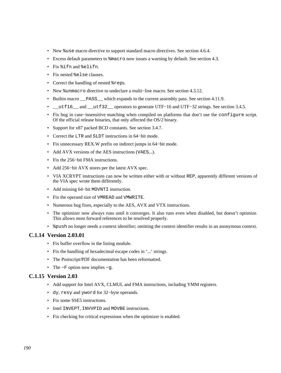- New  $s$ use macro directive to support standard macro directives. See [section 4.6.4.](#page-54-0)
- Excess default parameters to %macro now issues a warning by default. See [section 4.3.](#page-42-0)
- Fix %ifn and %elifn.
- Fix nested %else clauses.
- Correct the handling of nested %reps.
- New %unmacro directive to undeclare a multi−line macro. See [section 4.3.12.](#page-49-0)
- Builtin macro **PASS** which expands to the current assembly pass. See [section 4.11.9.](#page-64-1)
- \_\_utf16\_\_ and \_\_utf32\_\_ operators to generate UTF−16 and UTF−32 strings. See [section 3.4.5.](#page-31-0)
- Fix bug in case−insensitive matching when compiled on platforms that don't use the configure script. Of the official release binaries, that only affected the OS/2 binary.
- Support for x87 packed BCD constants. See [section 3.4.7.](#page-33-0)
- Correct the LTR and SLDT instructions in 64−bit mode.
- Fix unnecessary REX.W prefix on indirect jumps in 64−bit mode.
- Add AVX versions of the AES instructions (VAES...).
- Fix the 256−bit FMA instructions.
- Add 256−bit AVX stores per the latest AVX spec.
- VIA XCRYPT instructions can now be written either with or without REP, apparently different versions of the VIA spec wrote them differently.
- Add missing 64−bit MOVNTI instruction.
- Fix the operand size of VMREAD and VMWRITE.
- Numerous bug fixes, especially to the AES, AVX and VTX instructions.
- The optimizer now always runs until it converges. It also runs even when disabled, but doesn't optimize. This allows most forward references to be resolved properly.
- $\gamma$  &  $\gamma$  and no longer needs a context identifier; omitting the context identifier results in an anonymous context.

### **C.1.14 Version 2.03.01**

- Fix buffer overflow in the listing module.
- Fix the handling of hexadecimal escape codes in '...' strings.
- The Postscript/PDF documentation has been reformatted.
- The −F option now implies −g.

# **C.1.15 Version 2.03**

- Add support for Intel AVX, CLMUL and FMA instructions, including YMM registers.
- dy, resy and yword for 32−byte operands.
- Fix some SSE5 instructions.
- Intel INVEPT, INVVPID and MOVBE instructions.
- Fix checking for critical expressions when the optimizer is enabled.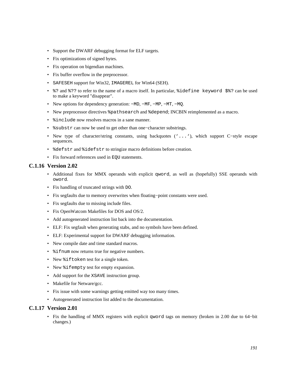- Support the DWARF debugging format for ELF targets.
- Fix optimizations of signed bytes.
- Fix operation on bigendian machines.
- Fix buffer overflow in the preprocessor.
- SAFESEH support for Win32, IMAGEREL for Win64 (SEH).
- %? and %?? to refer to the name of a macro itself. In particular, %idefine keyword \$%? can be used to make a keyword "disappear".
- New options for dependency generation: −MD, −MF, −MP, −MT, −MQ.
- New preprocessor directives %pathsearch and %depend; INCBIN reimplemented as a macro.
- $\frac{1}{2}$  include now resolves macros in a sane manner.
- %substr can now be used to get other than one−character substrings.
- New type of character/string constants, using backquotes ('...'), which support C−style escape sequences.
- %defstr and %idefstr to stringize macro definitions before creation.
- Fix forward references used in EQU statements.

# **C.1.16 Version 2.02**

- Additional fixes for MMX operands with explicit qword, as well as (hopefully) SSE operands with oword.
- Fix handling of truncated strings with DO.
- Fix segfaults due to memory overwrites when floating−point constants were used.
- Fix segfaults due to missing include files.
- Fix OpenWatcom Makefiles for DOS and OS/2.
- Add autogenerated instruction list back into the documentation.
- ELF: Fix segfault when generating stabs, and no symbols have been defined.
- ELF: Experimental support for DWARF debugging information.
- New compile date and time standard macros.
- %ifnum now returns true for negative numbers.
- New %iftoken test for a single token.
- New %ifempty test for empty expansion.
- Add support for the XSAVE instruction group.
- Makefile for Netware/gcc.
- Fix issue with some warnings getting emitted way too many times.
- Autogenerated instruction list added to the documentation.

# **C.1.17 Version 2.01**

• Fix the handling of MMX registers with explicit qword tags on memory (broken in 2.00 due to 64−bit changes.)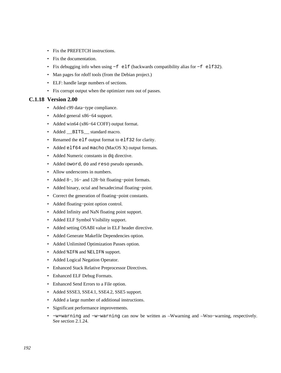- Fix the PREFETCH instructions.
- Fix the documentation.
- Fix debugging info when using −f elf (backwards compatibility alias for −f elf32).
- Man pages for rdoff tools (from the Debian project.)
- ELF: handle large numbers of sections.
- Fix corrupt output when the optimizer runs out of passes.

## **C.1.18 Version 2.00**

- Added c99 data−type compliance.
- Added general x86−64 support.
- Added win64 (x86−64 COFF) output format.
- Added \_\_BITS\_\_ standard macro.
- Renamed the elf output format to elf32 for clarity.
- Added elf64 and macho (MacOS X) output formats.
- Added Numeric constants in dq directive.
- Added oword, do and reso pseudo operands.
- Allow underscores in numbers.
- Added 8−, 16− and 128−bit floating−point formats.
- Added binary, octal and hexadecimal floating−point.
- Correct the generation of floating−point constants.
- Added floating−point option control.
- Added Infinity and NaN floating point support.
- Added ELF Symbol Visibility support.
- Added setting OSABI value in ELF header directive.
- Added Generate Makefile Dependencies option.
- Added Unlimited Optimization Passes option.
- Added %IFN and %ELIFN support.
- Added Logical Negation Operator.
- Enhanced Stack Relative Preprocessor Directives.
- Enhanced ELF Debug Formats.
- Enhanced Send Errors to a File option.
- Added SSSE3, SSE4.1, SSE4.2, SSE5 support.
- Added a large number of additional instructions.
- Significant performance improvements.
- −w+warning and −w−warning can now be written as –Wwarning and –Wno−warning, respectively. See [section 2.1.24.](#page-22-0)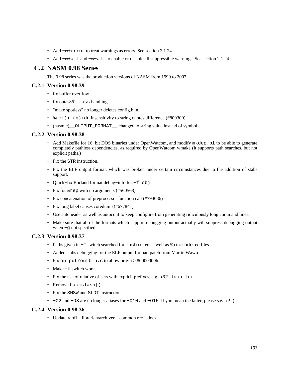- Add −w+error to treat warnings as errors. See [section 2.1.24.](#page-22-0)
- Add −w+all and −w−all to enable or disable all suppressible warnings. See [section 2.1.24.](#page-22-0)

# **C.2 NASM 0.98 Series**

The 0.98 series was the production versions of NASM from 1999 to 2007.

# **C.2.1 Version 0.98.39**

- fix buffer overflow
- fix outas 86's . bss handling
- "make spotless" no longer deletes config.h.in.
- $\epsilon$  (el)if(n)idn insensitivity to string quotes difference (#809300).
- (nasm.c) \_\_ OUTPUT\_FORMAT\_\_ changed to string value instead of symbol.

# **C.2.2 Version 0.98.38**

- Add Makefile for 16–bit DOS binaries under OpenWatcom, and modify mkdep.pl to be able to generate completely pathless dependencies, as required by OpenWatcom wmake (it supports path searches, but not explicit paths.)
- Fix the STR instruction.
- Fix the ELF output format, which was broken under certain circumstances due to the addition of stabs support.
- Quick−fix Borland format debug−info for −f obj
- Fix for  $*$  rep with no arguments (#560568)
- Fix concatenation of preprocessor function call (#794686)
- Fix long label causes coredump (#677841)
- Use autoheader as well as autoconf to keep configure from generating ridiculously long command lines.
- Make sure that all of the formats which support debugging output actually will suppress debugging output when −g not specified.

# **C.2.3 Version 0.98.37**

- Paths given in −I switch searched for incbin–ed as well as %include–ed files.
- Added stabs debugging for the ELF output format, patch from Martin Wawro.
- Fix output/outbin.c to allow origin > 80000000h.
- Make −U switch work.
- Fix the use of relative offsets with explicit prefixes, e.g. a32 loop foo.
- Remove backslash().
- Fix the SMSW and SLDT instructions.
- −O2 and −O3 are no longer aliases for −O10 and −O15. If you mean the latter, please say so! :)

# **C.2.4 Version 0.98.36**

• Update rdoff – librarian/archiver – common rec – docs!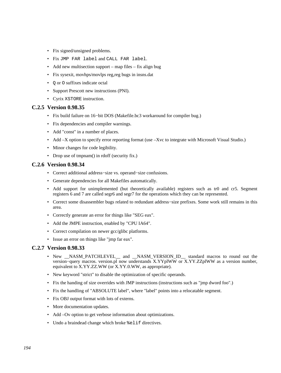- Fix signed/unsigned problems.
- Fix JMP FAR label and CALL FAR label.
- Add new multisection support map files fix align bug
- Fix sysexit, movhps/movlps reg,reg bugs in insns.dat
- Q or O suffixes indicate octal
- Support Prescott new instructions (PNI).
- Cyrix XSTORE instruction.

### **C.2.5 Version 0.98.35**

- Fix build failure on 16−bit DOS (Makefile.bc3 workaround for compiler bug.)
- Fix dependencies and compiler warnings.
- Add "const" in a number of places.
- Add –X option to specify error reporting format (use –Xvc to integrate with Microsoft Visual Studio.)
- Minor changes for code legibility.
- Drop use of tmpnam() in rdoff (security fix.)

# **C.2.6 Version 0.98.34**

- Correct additional address−size vs. operand−size confusions.
- Generate dependencies for all Makefiles automatically.
- Add support for unimplemented (but theoretically available) registers such as tr0 and cr5. Segment registers 6 and 7 are called segr6 and segr7 for the operations which they can be represented.
- Correct some disassembler bugs related to redundant address−size prefixes. Some work still remains in this area.
- Correctly generate an error for things like "SEG eax".
- Add the JMPE instruction, enabled by "CPU IA64".
- Correct compilation on newer gcc/glibc platforms.
- Issue an error on things like "jmp far eax".

#### **C.2.7 Version 0.98.33**

- New \_\_NASM\_PATCHLEVEL\_\_ and \_\_NASM\_VERSION\_ID\_\_ standard macros to round out the version−query macros. version.pl now understands X.YYplWW or X.YY.ZZplWW as a version number, equivalent to X.YY.ZZ.WW (or X.YY.0.WW, as appropriate).
- New keyword "strict" to disable the optimization of specific operands.
- Fix the handing of size overrides with JMP instructions (instructions such as "jmp dword foo".)
- Fix the handling of "ABSOLUTE label", where "label" points into a relocatable segment.
- Fix OBJ output format with lots of externs.
- More documentation updates.
- Add –Ov option to get verbose information about optimizations.
- Undo a braindead change which broke %elif directives.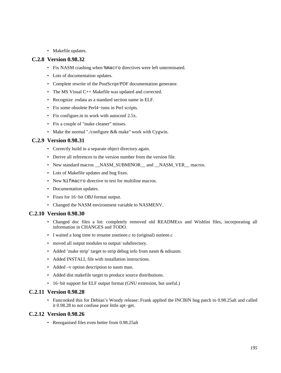• Makefile updates.

#### **C.2.8 Version 0.98.32**

- Fix NASM crashing when %macro directives were left unterminated.
- Lots of documentation updates.
- Complete rewrite of the PostScript/PDF documentation generator.
- The MS Visual C++ Makefile was updated and corrected.
- Recognize .rodata as a standard section name in ELF.
- Fix some obsolete Perl4−isms in Perl scripts.
- Fix configure.in to work with autoconf 2.5x.
- Fix a couple of "make cleaner" misses.
- Make the normal "./configure && make" work with Cygwin.

### **C.2.9 Version 0.98.31**

- Correctly build in a separate object directory again.
- Derive all references to the version number from the version file.
- New standard macros \_\_NASM\_SUBMINOR\_\_ and \_\_NASM\_VER\_\_ macros.
- Lots of Makefile updates and bug fixes.
- New  $\frac{1}{2}$  fmacro directive to test for multiline macros.
- Documentation updates.
- Fixes for 16−bit OBJ format output.
- Changed the NASM environment variable to NASMENV.

### **C.2.10 Version 0.98.30**

- Changed doc files a lot: completely removed old READMExx and Wishlist files, incorporating all information in CHANGES and TODO.
- I waited a long time to rename zoutieee.c to (original) outieee.c
- moved all output modules to output/ subdirectory.
- Added 'make strip' target to strip debug info from nasm & ndisasm.
- Added INSTALL file with installation instructions.
- Added –v option description to nasm man.
- Added dist makefile target to produce source distributions.
- 16−bit support for ELF output format (GNU extension, but useful.)

#### **C.2.11 Version 0.98.28**

• Fastcooked this for Debian's Woody release: Frank applied the INCBIN bug patch to 0.98.25alt and called it 0.98.28 to not confuse poor little apt−get.

#### **C.2.12 Version 0.98.26**

• Reorganised files even better from 0.98.25alt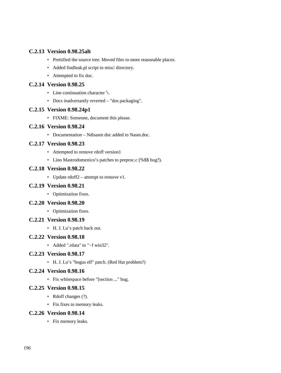# **C.2.13 Version 0.98.25alt**

- Prettified the source tree. Moved files to more reasonable places.
- Added findleak.pl script to misc/ directory.
- Attempted to fix doc.

## **C.2.14 Version 0.98.25**

- Line continuation character \.
- Docs inadvertantly reverted "dos packaging".

### **C.2.15 Version 0.98.24p1**

• FIXME: Someone, document this please.

### **C.2.16 Version 0.98.24**

• Documentation – Ndisasm doc added to Nasm.doc.

# **C.2.17 Version 0.98.23**

- Attempted to remove rdoff version1
- Lino Mastrodomenico's patches to preproc.c (%\$\$ bug?).

#### **C.2.18 Version 0.98.22**

• Update rdoff2 – attempt to remove v1.

#### **C.2.19 Version 0.98.21**

• Optimization fixes.

#### **C.2.20 Version 0.98.20**

• Optimization fixes.

#### **C.2.21 Version 0.98.19**

• H. J. Lu's patch back out.

#### **C.2.22 Version 0.98.18**

• Added ".rdata" to "−f win32".

# **C.2.23 Version 0.98.17**

• H. J. Lu's "bogus elf" patch. (Red Hat problem?)

### **C.2.24 Version 0.98.16**

• Fix whitespace before "[section ..." bug.

#### **C.2.25 Version 0.98.15**

- Rdoff changes (?).
- Fix fixes to memory leaks.

#### **C.2.26 Version 0.98.14**

• Fix memory leaks.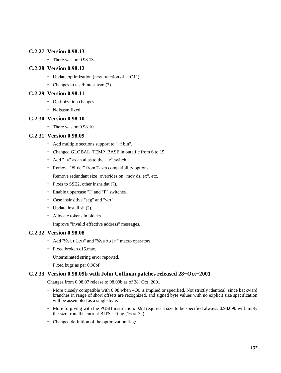# **C.2.27 Version 0.98.13**

• There was no 0.98.13

# **C.2.28 Version 0.98.12**

- Update optimization (new function of "−O1")
- Changes to test/bintest.asm (?).

# **C.2.29 Version 0.98.11**

- Optimization changes.
- Ndisasm fixed.

# **C.2.30 Version 0.98.10**

• There was no 0.98.10

# **C.2.31 Version 0.98.09**

- Add multiple sections support to "−f bin".
- Changed GLOBAL\_TEMP\_BASE in outelf.c from 6 to 15.
- Add "−v" as an alias to the "−r" switch.
- Remove "#ifdef" from Tasm compatibility options.
- Remove redundant size−overrides on "mov ds, ex", etc.
- Fixes to SSE2, other insns.dat (?).
- Enable uppercase "I" and "P" switches.
- Case insinsitive "seg" and "wrt".
- Update install.sh (?).
- Allocate tokens in blocks.
- Improve "invalid effective address" messages.

# **C.2.32 Version 0.98.08**

- Add "%strlen" and "%substr" macro operators
- Fixed broken c16.mac.
- Unterminated string error reported.
- Fixed bugs as per 0.98bf

# **C.2.33 Version 0.98.09b with John Coffman patches released 28−Oct−2001**

Changes from 0.98.07 release to 98.09b as of 28−Oct−2001

- More closely compatible with 0.98 when –O0 is implied or specified. Not strictly identical, since backward branches in range of short offsets are recognized, and signed byte values with no explicit size specification will be assembled as a single byte.
- More forgiving with the PUSH instruction. 0.98 requires a size to be specified always. 0.98.09b will imply the size from the current BITS setting (16 or 32).
- Changed definition of the optimization flag: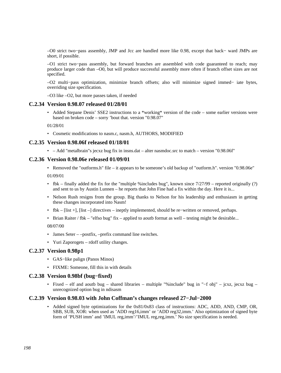–O0 strict two−pass assembly, JMP and Jcc are handled more like 0.98, except that back− ward JMPs are short, if possible.

–O1 strict two−pass assembly, but forward branches are assembled with code guaranteed to reach; may produce larger code than –O0, but will produce successful assembly more often if branch offset sizes are not specified.

–O2 multi−pass optimization, minimize branch offsets; also will minimize signed immed− iate bytes, overriding size specification.

–O3 like –O2, but more passes taken, if needed

#### **C.2.34 Version 0.98.07 released 01/28/01**

• Added Stepane Denis' SSE2 instructions to a \*working\* version of the code – some earlier versions were based on broken code – sorry 'bout that. version "0.98.07"

01/28/01

• Cosmetic modifications to nasm.c, nasm.h, AUTHORS, MODIFIED

#### **C.2.35 Version 0.98.06f released 01/18/01**

• – Add "metalbrain"s jecxz bug fix in insns.dat – alter nasmdoc.src to match – version "0.98.06f"

#### **C.2.36 Version 0.98.06e released 01/09/01**

• Removed the "outforms.h" file – it appears to be someone's old backup of "outform.h". version "0.98.06e"

01/09/01

- fbk finally added the fix for the "multiple %includes bug", known since 7/27/99 reported originally (?) and sent to us by Austin Lunnen – he reports that John Fine had a fix within the day. Here it is...
- Nelson Rush resigns from the group. Big thanks to Nelson for his leadership and enthusiasm in getting these changes incorporated into Nasm!
- fbk [list +], [list –] directives ineptly implemented, should be re−written or removed, perhaps.
- Brian Raiter / fbk "elfso bug" fix applied to aouth format as well testing might be desirable...

08/07/00

- James Seter –postfix, –prefix command line switches.
- Yuri Zaporogets rdoff utility changes.

#### **C.2.37 Version 0.98p1**

- GAS−like palign (Panos Minos)
- FIXME: Someone, fill this in with details

#### **C.2.38 Version 0.98bf (bug−fixed)**

• Fixed – elf and aoutb bug – shared libraries – multiple "%include" bug in "−f obj" – jcxz, jecxz bug – unrecognized option bug in ndisasm

#### **C.2.39 Version 0.98.03 with John Coffman's changes released 27−Jul−2000**

• Added signed byte optimizations for the 0x81/0x83 class of instructions: ADC, ADD, AND, CMP, OR, SBB, SUB, XOR: when used as 'ADD reg16,imm' or 'ADD reg32,imm.' Also optimization of signed byte form of 'PUSH imm' and 'IMUL reg,imm'/'IMUL reg,reg,imm.' No size specification is needed.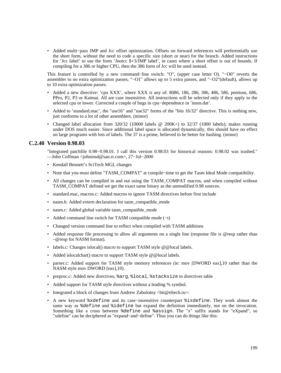• Added multi−pass JMP and Jcc offset optimization. Offsets on forward references will preferentially use the short form, without the need to code a specific size (short or near) for the branch. Added instructions for 'Jcc label' to use the form 'Jnotcc \$+3/JMP label', in cases where a short offset is out of bounds. If compiling for a 386 or higher CPU, then the 386 form of Jcc will be used instead.

This feature is controlled by a new command−line switch: "O", (upper case letter O). "−O0" reverts the assembler to no extra optimization passes, "−O1" allows up to 5 extra passes, and "−O2"(default), allows up to 10 extra optimization passes.

- Added a new directive: 'cpu XXX', where XXX is any of: 8086, 186, 286, 386, 486, 586, pentium, 686, PPro, P2, P3 or Katmai. All are case insensitive. All instructions will be selected only if they apply to the selected cpu or lower. Corrected a couple of bugs in cpu−dependence in 'insns.dat'.
- Added to 'standard.mac', the "use16" and "use32" forms of the "bits 16/32" directive. This is nothing new, just conforms to a lot of other assemblers. (minor)
- Changed label allocation from 320/32 (10000 labels @ 200K+) to 32/37 (1000 labels); makes running under DOS much easier. Since additional label space is allocated dynamically, this should have no effect on large programs with lots of labels. The 37 is a prime, believed to be better for hashing. (minor)

### **C.2.40 Version 0.98.03**

"Integrated patchfile 0.98−0.98.01. I call this version 0.98.03 for historical reasons: 0.98.02 was trashed." ––John Coffman <johninsd@san.rr.com>, 27−Jul−2000

- Kendall Bennett's SciTech MGL changes
- Note that you must define "TASM\_COMPAT" at compile−time to get the Tasm Ideal Mode compatibility.
- All changes can be compiled in and out using the TASM\_COMPAT macros, and when compiled without TASM\_COMPAT defined we get the exact same binary as the unmodified 0.98 sources.
- standard.mac, macros.c: Added macros to ignore TASM directives before first include
- nasm.h: Added extern declaration for tasm\_compatible\_mode
- nasm.c: Added global variable tasm\_compatible\_mode
- Added command line switch for TASM compatible mode (−t)
- Changed version command line to reflect when compiled with TASM additions
- Added response file processing to allow all arguments on a single line (response file is @resp rather than –@resp for NASM format).
- labels.c: Changes islocal() macro to support TASM style @@local labels.
- Added islocalchar() macro to support TASM style @@local labels.
- parser.c: Added support for TASM style memory references (ie: mov [DWORD eax],10 rather than the NASM style mov DWORD [eax],10).
- preproc.c: Added new directives, %arg, %local, %stacksize to directives table
- Added support for TASM style directives without a leading % symbol.
- Integrated a block of changes from Andrew Zabolotny  $\langle \text{bit@elec} \rangle$ .
- A new keyword %xdefine and its case−insensitive counterpart %ixdefine. They work almost the same way as %define and %idefine but expand the definition immediately, not on the invocation. Something like a cross between %define and %assign. The "x" suffix stands for "eXpand", so "xdefine" can be deciphered as "expand−and−define". Thus you can do things like this: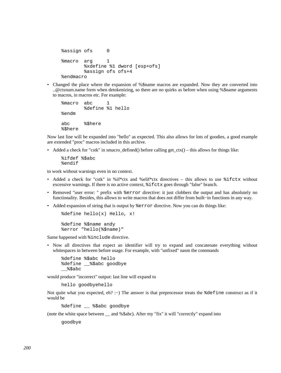```
 %assign ofs 0 
 %macro arg 1 
         %xdefine %1 dword [esp+ofs] 
         %assign ofs ofs+4 
 %endmacro
```
• Changed the place where the expansion of %\$name macros are expanded. Now they are converted into ..@ctxnum.name form when detokenizing, so there are no quirks as before when using %\$name arguments to macros, in macros etc. For example:

```
 %macro abc 1 
         %define %1 hello 
 %endm 
 abc %$here 
 %$here
```
Now last line will be expanded into "hello" as expected. This also allows for lots of goodies, a good example are extended "proc" macros included in this archive.

• Added a check for "cstk" in smacro\_defined() before calling get\_ctx() – this allows for things like:

```
 %ifdef %$abc 
 %endif
```
to work without warnings even in no context.

- Added a check for "cstk" in %if\*ctx and %elif\*ctx directives this allows to use %ifctx without excessive warnings. If there is no active context, %ifctx goes through "false" branch.
- Removed "user error: " prefix with  $\epsilon$  error directive: it just clobbers the output and has absolutely no functionality. Besides, this allows to write macros that does not differ from built−in functions in any way.
- Added expansion of string that is output by  $*$  error directive. Now you can do things like:

```
 %define hello(x) Hello, x!
```
 %define %\$name andy %error "hello(%\$name)"

Same happened with %include directive.

• Now all directives that expect an identifier will try to expand and concatenate everything without whitespaces in between before usage. For example, with "unfixed" nasm the commands

```
 %define %$abc hello 
 %define __%$abc goodbye 
\$$abc
```
would produce "incorrect" output: last line will expand to

hello goodbyehello

Not quite what you expected, eh? :–) The answer is that preprocessor treats the %define construct as if it would be

%define \_\_ %\$abc goodbye

(note the white space between \_\_ and %\$abc). After my "fix" it will "correctly" expand into

goodbye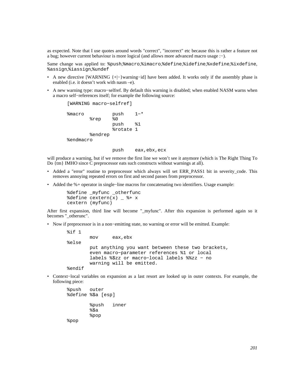as expected. Note that I use quotes around words "correct", "incorrect" etc because this is rather a feature not a bug; however current behaviour is more logical (and allows more advanced macro usage :−).

Same change was applied to: %push,%macro,%imacro,%define,%idefine,%xdefine,%ixdefine, %assign,%iassign,%undef

- A new directive [WARNING {+|−}warning−id] have been added. It works only if the assembly phase is enabled (i.e. it doesn't work with nasm –e).
- A new warning type: macro−selfref. By default this warning is disabled; when enabled NASM warns when a macro self−references itself; for example the following source:

```
 [WARNING macro−selfref] 
 %macro push 1−* 
         %rep %0 
                push %1 
                 %rotate 1 
         %endrep 
 %endmacro
```
push eax,ebx,ecx

will produce a warning, but if we remove the first line we won't see it anymore (which is The Right Thing To Do {tm} IMHO since C preprocessor eats such constructs without warnings at all).

- Added a "error" routine to preprocessor which always will set ERR\_PASS1 bit in severity\_code. This removes annoying repeated errors on first and second passes from preprocessor.
- Added the %+ operator in single−line macros for concatenating two identifiers. Usage example:

```
%define myfunc otherfunc
%define cextern(x) _ * * x cextern (myfunc)
```
After first expansion, third line will become "\_myfunc". After this expansion is performed again so it becomes " otherunc".

• Now if preprocessor is in a non−emitting state, no warning or error will be emitted. Example:

```
 %if 1 
         mov eax,ebx 
 %else 
         put anything you want between these two brackets, 
         even macro−parameter references %1 or local 
         labels %$zz or macro−local labels %%zz − no 
         warning will be emitted. 
 %endif
```
• Context−local variables on expansion as a last resort are looked up in outer contexts. For example, the following piece:

 %push outer %define %\$a [esp] %push inner %\$a %pop %pop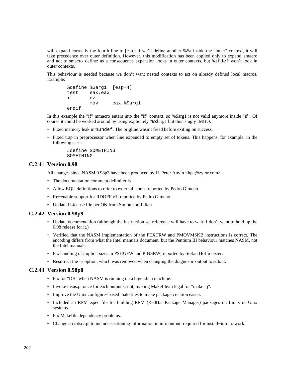will expand correctly the fourth line to [esp]; if we'll define another %\$a inside the "inner" context, it will take precedence over outer definition. However, this modification has been applied only to expand\_smacro and not to smacro define: as a consequence expansion looks in outer contexts, but  $\hat{\tau}$  if def won't look in outer contexts.

This behaviour is needed because we don't want nested contexts to act on already defined local macros. Example:

```
 %define %$arg1 [esp+4] 
 test eax,eax 
 if nz 
        mov eax,%$arg1 
 endif
```
In this example the "if" mmacro enters into the "if" context, so %\$arg1 is not valid anymore inside "if". Of course it could be worked around by using explicitely %\$\$arg1 but this is ugly IMHO.

- Fixed memory leak in %undef. The origline wasn't freed before exiting on success.
- Fixed trap in preprocessor when line expanded to empty set of tokens. This happens, for example, in the following case:

```
 #define SOMETHING 
 SOMETHING
```
#### **C.2.41 Version 0.98**

All changes since NASM 0.98p3 have been produced by H. Peter Anvin <hpa@zytor.com>.

- The documentation comment delimiter is
- Allow EQU definitions to refer to external labels; reported by Pedro Gimeno.
- Re−enable support for RDOFF v1; reported by Pedro Gimeno.
- Updated License file per OK from Simon and Julian.

#### **C.2.42 Version 0.98p9**

- Update documentation (although the instruction set reference will have to wait; I don't want to hold up the 0.98 release for it.)
- Verified that the NASM implementation of the PEXTRW and PMOVMSKB instructions is correct. The encoding differs from what the Intel manuals document, but the Pentium III behaviour matches NASM, not the Intel manuals.
- Fix handling of implicit sizes in PSHUFW and PINSRW, reported by Stefan Hoffmeister.
- Resurrect the –s option, which was removed when changing the diagnostic output to stdout.

### **C.2.43 Version 0.98p8**

- Fix for "DB" when NASM is running on a bigendian machine.
- Invoke insns. pl once for each output script, making Makefile. in legal for "make  $-i$ ".
- Improve the Unix configure−based makefiles to make package creation easier.
- Included an RPM .spec file for building RPM (RedHat Package Manager) packages on Linux or Unix systems.
- Fix Makefile dependency problems.
- Change src/rdsrc.pl to include sectioning information in info output; required for install−info to work.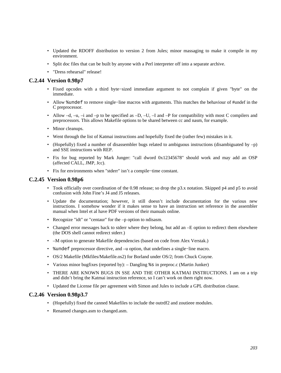- Updated the RDOFF distribution to version 2 from Jules; minor massaging to make it compile in my environment.
- Split doc files that can be built by anyone with a Perl interpreter off into a separate archive.
- "Dress rehearsal" release!

## **C.2.44 Version 0.98p7**

- Fixed opcodes with a third byte−sized immediate argument to not complain if given "byte" on the immediate.
- Allow %undef to remove single–line macros with arguments. This matches the behaviour of #undef in the C preprocessor.
- Allow  $-d$ ,  $-u$ ,  $-i$  and  $-p$  to be specified as  $-D$ ,  $-U$ ,  $-i$  and  $-P$  for compatibility with most C compilers and preprocessors. This allows Makefile options to be shared between cc and nasm, for example.
- Minor cleanups.
- Went through the list of Katmai instructions and hopefully fixed the (rather few) mistakes in it.
- (Hopefully) fixed a number of disassembler bugs related to ambiguous instructions (disambiguated by –p) and SSE instructions with REP.
- Fix for bug reported by Mark Junger: "call dword 0x12345678" should work and may add an OSP (affected CALL, JMP, Jcc).
- Fix for environments when "stderr" isn't a compile−time constant.

#### **C.2.45 Version 0.98p6**

- Took officially over coordination of the 0.98 release; so drop the p3.x notation. Skipped p4 and p5 to avoid confusion with John Fine's J4 and J5 releases.
- Update the documentation; however, it still doesn't include documentation for the various new instructions. I somehow wonder if it makes sense to have an instruction set reference in the assembler manual when Intel et al have PDF versions of their manuals online.
- Recognize "idt" or "centaur" for the –p option to ndisasm.
- Changed error messages back to stderr where they belong, but add an –E option to redirect them elsewhere (the DOS shell cannot redirect stderr.)
- –M option to generate Makefile dependencies (based on code from Alex Verstak.)
- %undef preprocessor directive, and –u option, that undefines a single−line macro.
- OS/2 Makefile (Mkfiles/Makefile.os2) for Borland under OS/2; from Chuck Crayne.
- Various minor bugfixes (reported by): Dangling %s in preproc.c (Martin Junker)
- THERE ARE KNOWN BUGS IN SSE AND THE OTHER KATMAI INSTRUCTIONS. I am on a trip and didn't bring the Katmai instruction reference, so I can't work on them right now.
- Updated the License file per agreement with Simon and Jules to include a GPL distribution clause.

#### **C.2.46 Version 0.98p3.7**

- (Hopefully) fixed the canned Makefiles to include the outrdf2 and zoutieee modules.
- Renamed changes.asm to changed.asm.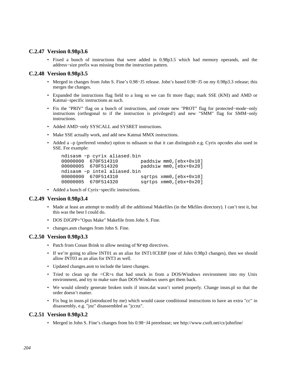# **C.2.47 Version 0.98p3.6**

• Fixed a bunch of instructions that were added in 0.98p3.5 which had memory operands, and the address−size prefix was missing from the instruction pattern.

# **C.2.48 Version 0.98p3.5**

- Merged in changes from John S. Fine's 0.98−J5 release. John's based 0.98−J5 on my 0.98p3.3 release; this merges the changes.
- Expanded the instructions flag field to a long so we can fit more flags; mark SSE (KNI) and AMD or Katmai−specific instructions as such.
- Fix the "PRIV" flag on a bunch of instructions, and create new "PROT" flag for protected−mode−only instructions (orthogonal to if the instruction is privileged!) and new "SMM" flag for SMM−only instructions.
- Added AMD−only SYSCALL and SYSRET instructions.
- Make SSE actually work, and add new Katmai MMX instructions.
- Added a -p (preferred vendor) option to ndisasm so that it can distinguish e.g. Cyrix opcodes also used in SSE. For example:

```
 ndisasm −p cyrix aliased.bin 
00000000 670F514310 paddsiw mm0, [ebx+0x10]<br>00000005 670F514320 paddsiw mm0, [ebx+0x20]
                                paddsiw mm0, [ebx+0x20]
 ndisasm −p intel aliased.bin 
 00000000 670F514310 sqrtps xmm0,[ebx+0x10] 
 00000005 670F514320 sqrtps xmm0,[ebx+0x20]
```
• Added a bunch of Cyrix−specific instructions.

#### **C.2.49 Version 0.98p3.4**

- Made at least an attempt to modify all the additional Makefiles (in the Mkfiles directory). I can't test it, but this was the best I could do.
- DOS DJGPP+"Opus Make" Makefile from John S. Fine.
- changes.asm changes from John S. Fine.

#### **C.2.50 Version 0.98p3.3**

- Patch from Conan Brink to allow nesting of  $*$ rep directives.
- If we're going to allow INT01 as an alias for INT1/ICEBP (one of Jules 0.98p3 changes), then we should allow INT03 as an alias for INT3 as well.
- Updated changes.asm to include the latest changes.
- Tried to clean up the <CR>s that had snuck in from a DOS/Windows environment into my Unix environment, and try to make sure than DOS/Windows users get them back.
- We would silently generate broken tools if insns.dat wasn't sorted properly. Change insns.pl so that the order doesn't matter.
- Fix bug in insns.pl (introduced by me) which would cause conditional instructions to have an extra "cc" in disassembly, e.g. "jnz" disassembled as "jccnz".

#### **C.2.51 Version 0.98p3.2**

• Merged in John S. Fine's changes from his 0.98−J4 prerelease; see http://www.csoft.net/cz/johnfine/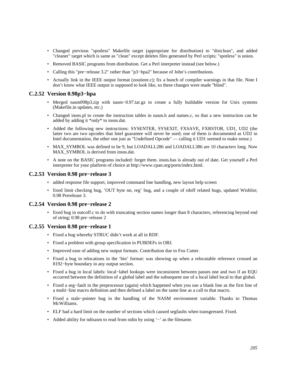- Changed previous "spotless" Makefile target (appropriate for distribution) to "distclean", and added "cleaner" target which is same as "clean" except deletes files generated by Perl scripts; "spotless" is union.
- Removed BASIC programs from distribution. Get a Perl interpreter instead (see below.)
- Calling this "pre−release 3.2" rather than "p3−hpa2" because of John's contributions.
- Actually link in the IEEE output format (zoutieee.c); fix a bunch of compiler warnings in that file. Note I don't know what IEEE output is supposed to look like, so these changes were made "blind".

#### **C.2.52 Version 0.98p3−hpa**

- Merged nasm098p3.zip with nasm−0.97.tar.gz to create a fully buildable version for Unix systems (Makefile.in updates, etc.)
- Changed insns.pl to create the instruction tables in nasm.h and names.c, so that a new instruction can be added by adding it \*only\* to insns.dat.
- Added the following new instructions: SYSENTER, SYSEXIT, FXSAVE, FXRSTOR, UD1, UD2 (the latter two are two opcodes that Intel guarantee will never be used; one of them is documented as UD2 in Intel documentation, the other one just as "Undefined Opcode" –– calling it UD1 seemed to make sense.)
- MAX SYMBOL was defined to be 9, but LOADALL286 and LOADALL386 are 10 characters long. Now MAX SYMBOL is derived from insns.dat.
- A note on the BASIC programs included: forget them. insns.bas is already out of date. Get yourself a Perl interpreter for your platform of choice at [http://www.cpan.org/ports/index.html.](http://www.cpan.org/ports/index.html)

#### **C.2.53 Version 0.98 pre−release 3**

- added response file support, improved command line handling, new layout help screen
- fixed limit checking bug, 'OUT byte nn, reg' bug, and a couple of rdoff related bugs, updated Wishlist; 0.98 Prerelease 3.

#### **C.2.54 Version 0.98 pre−release 2**

• fixed bug in outcoff.c to do with truncating section names longer than 8 characters, referencing beyond end of string; 0.98 pre−release 2

#### **C.2.55 Version 0.98 pre−release 1**

- Fixed a bug whereby STRUC didn't work at all in RDF.
- Fixed a problem with group specification in PUBDEFs in OBJ.
- Improved ease of adding new output formats. Contribution due to Fox Cutter.
- Fixed a bug in relocations in the 'bin' format: was showing up when a relocatable reference crossed an 8192−byte boundary in any output section.
- Fixed a bug in local labels: local−label lookups were inconsistent between passes one and two if an EQU occurred between the definition of a global label and the subsequent use of a local label local to that global.
- Fixed a seg−fault in the preprocessor (again) which happened when you use a blank line as the first line of a multi−line macro definition and then defined a label on the same line as a call to that macro.
- Fixed a stale−pointer bug in the handling of the NASM environment variable. Thanks to Thomas McWilliams.
- ELF had a hard limit on the number of sections which caused segfaults when transgressed. Fixed.
- Added ability for ndisasm to read from stdin by using '−' as the filename.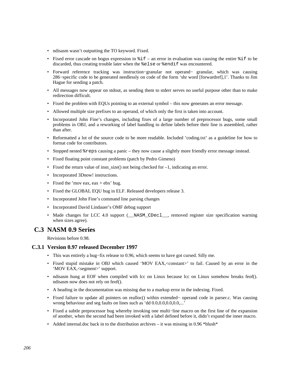- ndisasm wasn't outputting the TO keyword. Fixed.
- Fixed error cascade on bogus expression in  $\hat{\tau}$  = an error in evaluation was causing the entire  $\hat{\tau}$  if to be discarded, thus creating trouble later when the %else or %endif was encountered.
- Forward reference tracking was instruction−granular not operand− granular, which was causing 286−specific code to be generated needlessly on code of the form 'shr word [forwardref],1'. Thanks to Jim Hague for sending a patch.
- All messages now appear on stdout, as sending them to stderr serves no useful purpose other than to make redirection difficult.
- Fixed the problem with EQUs pointing to an external symbol this now generates an error message.
- Allowed multiple size prefixes to an operand, of which only the first is taken into account.
- Incorporated John Fine's changes, including fixes of a large number of preprocessor bugs, some small problems in OBJ, and a reworking of label handling to define labels before their line is assembled, rather than after.
- Reformatted a lot of the source code to be more readable. Included 'coding.txt' as a guideline for how to format code for contributors.
- Stopped nested  $r = s$  causing a panic they now cause a slightly more friendly error message instead.
- Fixed floating point constant problems (patch by Pedro Gimeno)
- Fixed the return value of insn\_size() not being checked for  $-1$ , indicating an error.
- Incorporated 3Dnow! instructions.
- Fixed the 'mov eax,  $eax + ebx$ ' bug.
- Fixed the GLOBAL EQU bug in ELF. Released developers release 3.
- Incorporated John Fine's command line parsing changes
- Incorporated David Lindauer's OMF debug support
- Made changes for LCC 4.0 support (\_\_NASM\_CDecl\_\_, removed register size specification warning when sizes agree).

# **C.3 NASM 0.9 Series**

Revisions before 0.98.

#### **C.3.1 Version 0.97 released December 1997**

- This was entirely a bug−fix release to 0.96, which seems to have got cursed. Silly me.
- Fixed stupid mistake in OBJ which caused 'MOV EAX,<constant>' to fail. Caused by an error in the 'MOV EAX,<segment>' support.
- ndisasm hung at EOF when compiled with lcc on Linux because lcc on Linux somehow breaks feof(). ndisasm now does not rely on feof().
- A heading in the documentation was missing due to a markup error in the indexing. Fixed.
- Fixed failure to update all pointers on realloc() within extended− operand code in parser.c. Was causing wrong behaviour and seg faults on lines such as 'dd 0.0,0.0,0.0,0.0,...'
- Fixed a subtle preprocessor bug whereby invoking one multi−line macro on the first line of the expansion of another, when the second had been invoked with a label defined before it, didn't expand the inner macro.
- Added internal.doc back in to the distribution archives it was missing in 0.96 \*blush\*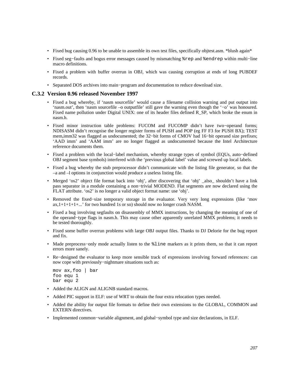- Fixed bug causing 0.96 to be unable to assemble its own test files, specifically objtest.asm. \*blush again\*
- Fixed seg−faults and bogus error messages caused by mismatching %rep and %endrep within multi−line macro definitions.
- Fixed a problem with buffer overrun in OBJ, which was causing corruption at ends of long PUBDEF records.
- Separated DOS archives into main−program and documentation to reduce download size.

### **C.3.2 Version 0.96 released November 1997**

- Fixed a bug whereby, if 'nasm sourcefile' would cause a filename collision warning and put output into 'nasm.out', then 'nasm sourcefile –o outputfile' still gave the warning even though the '−o' was honoured. Fixed name pollution under Digital UNIX: one of its header files defined R\_SP, which broke the enum in nasm.h.
- Fixed minor instruction table problems: FUCOM and FUCOMP didn't have two−operand forms; NDISASM didn't recognise the longer register forms of PUSH and POP (eg FF F3 for PUSH BX); TEST mem,imm32 was flagged as undocumented; the 32–bit forms of CMOV had 16–bit operand size prefixes; 'AAD imm' and 'AAM imm' are no longer flagged as undocumented because the Intel Architecture reference documents them.
- Fixed a problem with the local−label mechanism, whereby strange types of symbol (EQUs, auto−defined OBJ segment base symbols) interfered with the 'previous global label' value and screwed up local labels.
- Fixed a bug whereby the stub preprocessor didn't communicate with the listing file generator, so that the –a and –l options in conjunction would produce a useless listing file.
- Merged 'os2' object file format back into 'obj', after discovering that 'obj' \_also\_ shouldn't have a link pass separator in a module containing a non−trivial MODEND. Flat segments are now declared using the FLAT attribute. 'os2' is no longer a valid object format name: use 'obj'.
- Removed the fixed−size temporary storage in the evaluator. Very very long expressions (like 'mov  $ax,1+1+1+1+...$ ' for two hundred 1s or so) should now no longer crash NASM.
- Fixed a bug involving segfaults on disassembly of MMX instructions, by changing the meaning of one of the operand−type flags in nasm.h. This may cause other apparently unrelated MMX problems; it needs to be tested thoroughly.
- Fixed some buffer overrun problems with large OBJ output files. Thanks to DJ Delorie for the bug report and fix.
- Made preprocess–only mode actually listen to the  $\frac{1}{2}$  line markers as it prints them, so that it can report errors more sanely.
- Re−designed the evaluator to keep more sensible track of expressions involving forward references: can now cope with previously−nightmare situations such as:

```
 mov ax,foo | bar 
 foo equ 1 
 bar equ 2
```
- Added the ALIGN and ALIGNB standard macros.
- Added PIC support in ELF: use of WRT to obtain the four extra relocation types needed.
- Added the ability for output file formats to define their own extensions to the GLOBAL, COMMON and EXTERN directives.
- Implemented common−variable alignment, and global−symbol type and size declarations, in ELF.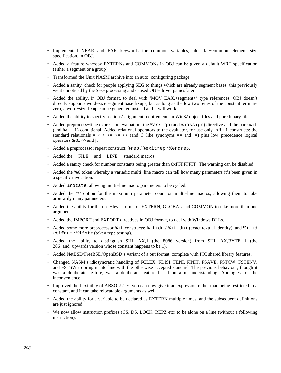- Implemented NEAR and FAR keywords for common variables, plus far−common element size specification, in OBJ.
- Added a feature whereby EXTERNs and COMMONs in OBJ can be given a default WRT specification (either a segment or a group).
- Transformed the Unix NASM archive into an auto−configuring package.
- Added a sanity−check for people applying SEG to things which are already segment bases: this previously went unnoticed by the SEG processing and caused OBJ−driver panics later.
- Added the ability, in OBJ format, to deal with 'MOV EAX,<segment>' type references: OBJ doesn't directly support dword−size segment base fixups, but as long as the low two bytes of the constant term are zero, a word−size fixup can be generated instead and it will work.
- Added the ability to specify sections' alignment requirements in Win32 object files and pure binary files.
- Added preprocess−time expression evaluation: the %assign (and %iassign) directive and the bare %if (and %elif) conditional. Added relational operators to the evaluator, for use only in %if constructs: the standard relationals =  $\langle \rangle \langle \rangle \langle \rangle = \rangle$  (and C−like synonyms == and !=) plus low-precedence logical operators & &,  $\wedge$  and ||.
- Added a preprocessor repeat construct: %rep / %exitrep / %endrep.
- Added the FILE and LINE standard macros.
- Added a sanity check for number constants being greater than 0xFFFFFFFF. The warning can be disabled.
- Added the %0 token whereby a variadic multi−line macro can tell how many parameters it's been given in a specific invocation.
- Added %rotate, allowing multi–line macro parameters to be cycled.
- Added the '\*' option for the maximum parameter count on multi−line macros, allowing them to take arbitrarily many parameters.
- Added the ability for the user−level forms of EXTERN, GLOBAL and COMMON to take more than one argument.
- Added the IMPORT and EXPORT directives in OBJ format, to deal with Windows DLLs.
- Added some more preprocessor  $i$ f constructs:  $i$  fidn /  $i$  fidni (exact textual identity), and  $i$  fid / %ifnum / %ifstr (token type testing).
- Added the ability to distinguish SHL AX,1 (the 8086 version) from SHL AX,BYTE 1 (the 286−and−upwards version whose constant happens to be 1).
- Added NetBSD/FreeBSD/OpenBSD's variant of a.out format, complete with PIC shared library features.
- Changed NASM's idiosyncratic handling of FCLEX, FDISI, FENI, FINIT, FSAVE, FSTCW, FSTENV, and FSTSW to bring it into line with the otherwise accepted standard. The previous behaviour, though it was a deliberate feature, was a deliberate feature based on a misunderstanding. Apologies for the inconvenience.
- Improved the flexibility of ABSOLUTE: you can now give it an expression rather than being restricted to a constant, and it can take relocatable arguments as well.
- Added the ability for a variable to be declared as EXTERN multiple times, and the subsequent definitions are just ignored.
- We now allow instruction prefixes (CS, DS, LOCK, REPZ etc) to be alone on a line (without a following instruction).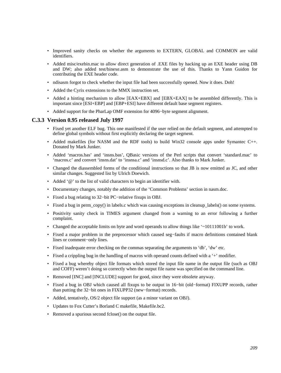- Improved sanity checks on whether the arguments to EXTERN, GLOBAL and COMMON are valid identifiers.
- Added misc/exebin.mac to allow direct generation of .EXE files by hacking up an EXE header using DB and DW; also added test/binexe.asm to demonstrate the use of this. Thanks to Yann Guidon for contributing the EXE header code.
- ndisasm forgot to check whether the input file had been successfully opened. Now it does. Doh!
- Added the Cyrix extensions to the MMX instruction set.
- Added a hinting mechanism to allow [EAX+EBX] and [EBX+EAX] to be assembled differently. This is important since [ESI+EBP] and [EBP+ESI] have different default base segment registers.
- Added support for the PharLap OMF extension for 4096−byte segment alignment.

### **C.3.3 Version 0.95 released July 1997**

- Fixed yet another ELF bug. This one manifested if the user relied on the default segment, and attempted to define global symbols without first explicitly declaring the target segment.
- Added makefiles (for NASM and the RDF tools) to build Win32 console apps under Symantec  $C_{++}$ . Donated by Mark Junker.
- Added 'macros.bas' and 'insns.bas', QBasic versions of the Perl scripts that convert 'standard.mac' to 'macros.c' and convert 'insns.dat' to 'insnsa.c' and 'insnsd.c'. Also thanks to Mark Junker.
- Changed the diassembled forms of the conditional instructions so that JB is now emitted as JC, and other similar changes. Suggested list by Ulrich Doewich.
- Added '@' to the list of valid characters to begin an identifier with.
- Documentary changes, notably the addition of the 'Common Problems' section in nasm.doc.
- Fixed a bug relating to 32−bit PC−relative fixups in OBJ.
- Fixed a bug in perm\_copy() in labels.c which was causing exceptions in cleanup\_labels() on some systems.
- Positivity sanity check in TIMES argument changed from a warning to an error following a further complaint.
- Changed the acceptable limits on byte and word operands to allow things like '~10111001b' to work.
- Fixed a major problem in the preprocessor which caused seg−faults if macro definitions contained blank lines or comment−only lines.
- Fixed inadequate error checking on the commas separating the arguments to 'db', 'dw' etc.
- Fixed a crippling bug in the handling of macros with operand counts defined with a '+' modifier.
- Fixed a bug whereby object file formats which stored the input file name in the output file (such as OBJ and COFF) weren't doing so correctly when the output file name was specified on the command line.
- Removed [INC] and [INCLUDE] support for good, since they were obsolete anyway.
- Fixed a bug in OBJ which caused all fixups to be output in 16−bit (old−format) FIXUPP records, rather than putting the 32−bit ones in FIXUPP32 (new−format) records.
- Added, tentatively, OS/2 object file support (as a minor variant on OBJ).
- Updates to Fox Cutter's Borland C makefile, Makefile.bc2.
- Removed a spurious second fclose() on the output file.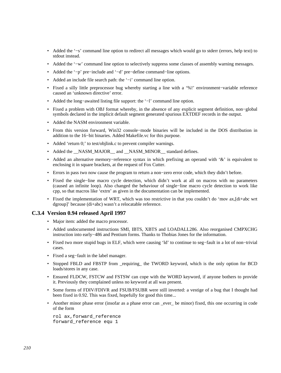- Added the '−s' command line option to redirect all messages which would go to stderr (errors, help text) to stdout instead.
- Added the '−w' command line option to selectively suppress some classes of assembly warning messages.
- Added the '−p' pre−include and '−d' pre−define command−line options.
- Added an include file search path: the '−i' command line option.
- Fixed a silly little preprocessor bug whereby starting a line with a '%!' environment−variable reference caused an 'unknown directive' error.
- Added the long−awaited listing file support: the '−l' command line option.
- Fixed a problem with OBJ format whereby, in the absence of any explicit segment definition, non−global symbols declared in the implicit default segment generated spurious EXTDEF records in the output.
- Added the NASM environment variable.
- From this version forward, Win32 console−mode binaries will be included in the DOS distribution in addition to the 16−bit binaries. Added Makefile.vc for this purpose.
- Added 'return 0;' to test/objlink.c to prevent compiler warnings.
- Added the \_NASM\_MAJOR\_ and \_NASM\_MINOR \_\_ standard defines.
- Added an alternative memory−reference syntax in which prefixing an operand with '&' is equivalent to enclosing it in square brackets, at the request of Fox Cutter.
- Errors in pass two now cause the program to return a non−zero error code, which they didn't before.
- Fixed the single−line macro cycle detection, which didn't work at all on macros with no parameters (caused an infinite loop). Also changed the behaviour of single−line macro cycle detection to work like cpp, so that macros like 'extrn' as given in the documentation can be implemented.
- Fixed the implementation of WRT, which was too restrictive in that you couldn't do 'mov ax,[di+abc wrt dgroup]' because (di+abc) wasn't a relocatable reference.

# **C.3.4 Version 0.94 released April 1997**

- Major item: added the macro processor.
- Added undocumented instructions SMI, IBTS, XBTS and LOADALL286. Also reorganised CMPXCHG instruction into early−486 and Pentium forms. Thanks to Thobias Jones for the information.
- Fixed two more stupid bugs in ELF, which were causing 'ld' to continue to seg−fault in a lot of non−trivial cases.
- Fixed a seg−fault in the label manager.
- Stopped FBLD and FBSTP from \_requiring\_ the TWORD keyword, which is the only option for BCD loads/stores in any case.
- Ensured FLDCW, FSTCW and FSTSW can cope with the WORD keyword, if anyone bothers to provide it. Previously they complained unless no keyword at all was present.
- Some forms of FDIV/FDIVR and FSUB/FSUBR were still inverted: a vestige of a bug that I thought had been fixed in 0.92. This was fixed, hopefully for good this time...
- Another minor phase error (insofar as a phase error can \_ever\_ be minor) fixed, this one occurring in code of the form

 rol ax,forward\_reference forward\_reference equ 1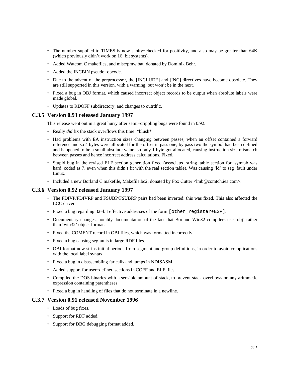- The number supplied to TIMES is now sanity−checked for positivity, and also may be greater than 64K (which previously didn't work on 16−bit systems).
- Added Watcom C makefiles, and misc/pmw.bat, donated by Dominik Behr.
- Added the INCBIN pseudo−opcode.
- Due to the advent of the preprocessor, the [INCLUDE] and [INC] directives have become obsolete. They are still supported in this version, with a warning, but won't be in the next.
- Fixed a bug in OBJ format, which caused incorrect object records to be output when absolute labels were made global.
- Updates to RDOFF subdirectory, and changes to outrdf.c.

### **C.3.5 Version 0.93 released January 1997**

This release went out in a great hurry after semi−crippling bugs were found in 0.92.

- Really *did* fix the stack overflows this time. \*blush\*
- Had problems with EA instruction sizes changing between passes, when an offset contained a forward reference and so 4 bytes were allocated for the offset in pass one; by pass two the symbol had been defined and happened to be a small absolute value, so only 1 byte got allocated, causing instruction size mismatch between passes and hence incorrect address calculations. Fixed.
- Stupid bug in the revised ELF section generation fixed (associated string−table section for .symtab was hard−coded as 7, even when this didn't fit with the real section table). Was causing 'ld' to seg−fault under Linux.
- Included a new Borland C makefile, Makefile.bc2, donated by Fox Cutter <lmb@comtch.iea.com>.

# **C.3.6 Version 0.92 released January 1997**

- The FDIVP/FDIVRP and FSUBP/FSUBRP pairs had been inverted: this was fixed. This also affected the LCC driver.
- Fixed a bug regarding 32-bit effective addresses of the form [other register+ESP].
- Documentary changes, notably documentation of the fact that Borland Win32 compilers use 'obj' rather than 'win32' object format.
- Fixed the COMENT record in OBJ files, which was formatted incorrectly.
- Fixed a bug causing segfaults in large RDF files.
- OBJ format now strips initial periods from segment and group definitions, in order to avoid complications with the local label syntax.
- Fixed a bug in disassembling far calls and jumps in NDISASM.
- Added support for user−defined sections in COFF and ELF files.
- Compiled the DOS binaries with a sensible amount of stack, to prevent stack overflows on any arithmetic expression containing parentheses.
- Fixed a bug in handling of files that do not terminate in a newline.

#### **C.3.7 Version 0.91 released November 1996**

- Loads of bug fixes.
- Support for RDF added.
- Support for DBG debugging format added.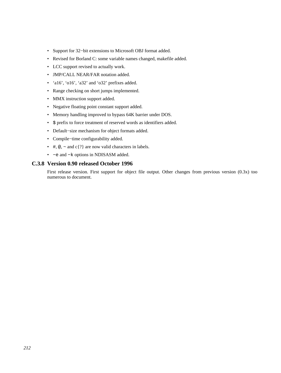- Support for 32−bit extensions to Microsoft OBJ format added.
- Revised for Borland C: some variable names changed, makefile added.
- LCC support revised to actually work.
- JMP/CALL NEAR/FAR notation added.
- 'a16', 'o16', 'a32' and 'o32' prefixes added.
- Range checking on short jumps implemented.
- MMX instruction support added.
- Negative floating point constant support added.
- Memory handling improved to bypass 64K barrier under DOS.
- \$ prefix to force treatment of reserved words as identifiers added.
- Default−size mechanism for object formats added.
- Compile−time configurability added.
- #,  $\textcircled{e}$ ,  $\sim$  and c{?} are now valid characters in labels.
- −e and −k options in NDISASM added.

## **C.3.8 Version 0.90 released October 1996**

First release version. First support for object file output. Other changes from previous version (0.3x) too numerous to document.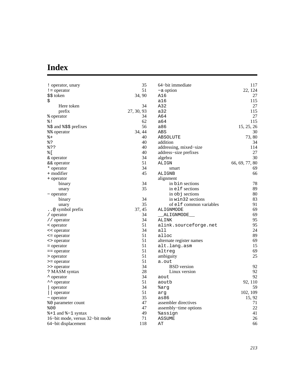# **Index**

| ! operator, unary               | 35         | 64–bit immediate         | 117            |
|---------------------------------|------------|--------------------------|----------------|
| $!=$ operator                   | 51         | -a option                | 22, 124        |
| \$\$ token                      | 34, 90     | A16                      | 27             |
| \$                              |            | a16                      | 115            |
| Here token                      | 34         | A32                      | 27             |
| prefix                          | 27, 30, 93 | a32                      | 115            |
| % operator                      | 34         | A64                      | 27             |
| $\frac{8}{6}$ !                 | 62         | a64                      | 115            |
| %\$ and %\$\$ prefixes          | 56         | a86                      | 15, 25, 26     |
| %% operator                     | 34, 44     | ABS                      | 30             |
| $\frac{8}{6}+$                  | 40         | ABSOLUTE                 | 73, 80         |
| 응?                              | 40         | addition                 | 34             |
| 응??                             | 40         | addressing, mixed-size   | 114            |
| % [                             | 40         | address-size prefixes    | 27             |
| & operator                      | 34         | algebra                  | 30             |
| && operator                     | 51         | ALIGN                    | 66, 69, 77, 80 |
| * operator                      | 34         | smart                    | 69             |
| + modifier                      | 45         | ALIGNB                   | 66             |
| + operator                      |            | alignment                |                |
| binary                          | 34         | in bin sections          | 78             |
| unary                           | 35         | in elf sections          | 89             |
| - operator                      |            | in obj sections          | 80             |
| binary                          | 34         | in win32 sections        | 83             |
| unary                           | 35         | of elf common variables  | 91             |
| $\ldots$ symbol prefix          | 37, 45     | ALIGNMODE                | 69             |
| / operator                      | 34         | ALIGNMODE                | 69             |
| // operator                     | 34         | ALINK                    | 95             |
| < operator                      | 51         | alink.sourceforge.net    | 95             |
| << operator                     | 34         | all                      | 24             |
| $\leq$ = operator               | 51         | alloc                    | 89             |
| <> operator                     | 51         | alternate register names | 69             |
| $=$ operator                    | 51         | alt.lang.asm             | 15             |
| $=$ = $\alpha$ operator         | 51         | altreg                   | 69             |
| > operator                      | 51         | ambiguity                | 25             |
| > = operator                    | 51         | a.out                    |                |
| >> operator                     | 34         | <b>BSD</b> version       | 92             |
| ? MASM syntax                   | 28         | Linux version            | 92             |
| * operator                      | 34         | aout                     | 92             |
| ** operator                     | 51         | aoutb                    | 92, 110        |
| operator                        | 34         | %arg                     | 59             |
| operator                        | 51         | arg                      | 102, 109       |
| $\sim$ operator                 | 35         | as86                     | 15, 92         |
| %0 parameter count              | 47         | assembler directives     | 71             |
| 800                             | 47         | assembly-time options    | 22             |
| $*1$ and $*-1$ syntax           | 49         | %assign                  | 41             |
| 16–bit mode, versus 32–bit mode | 71         | <b>ASSUME</b>            | 26             |
| 64–bit displacement             | 118        | AΤ                       | 66             |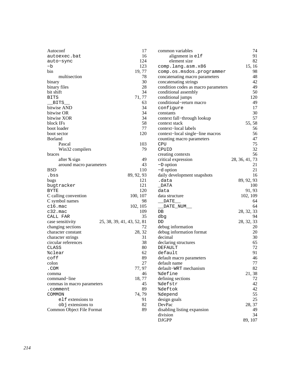| Autoconf                                 | 17                         | common variables                    | 74             |
|------------------------------------------|----------------------------|-------------------------------------|----------------|
| autoexec.bat                             | 16                         | alignment in elf                    | 91             |
| auto-sync                                | 124                        | element size                        | 82             |
| -b                                       | 123                        | comp.lang.asm.x86                   | 15, 16         |
| bin                                      | 19, 77                     | comp.os.msdos.programmer            | 98             |
| multisection                             | 78                         | concatenating macro parameters      | 48             |
| binary                                   | 30                         | concatenating strings               | 42             |
| binary files                             | 28                         | condition codes as macro parameters | 49             |
| bit shift                                | 34                         | conditional assembly                | 50             |
| <b>BITS</b>                              | 71, 77                     | conditional jumps                   | 120            |
| <b>BITS</b>                              | 63                         | conditional-return macro            | 49             |
| bitwise AND                              | 34                         | configure                           | 17             |
| bitwise OR                               | 34                         | constants                           | 30             |
| bitwise XOR                              | 34                         | context fall-through lookup         | 57             |
| block IFs                                | 58                         | context stack                       | 55, 58         |
| boot loader                              | 77                         | context-local labels                | 56             |
| boot sector                              | 120                        | context-local single-line macros    | 56             |
| <b>Borland</b>                           |                            | counting macro parameters           | 47             |
| Pascal                                   | 103                        | CPU                                 | 75             |
| Win32 compilers                          | 79                         | CPUID                               | 32             |
| braces                                   |                            | creating contexts                   | 56             |
| after % sign                             | 49                         | critical expression                 | 28, 36, 41, 73 |
| around macro parameters                  | 43                         | $-D$ option                         | 21             |
| <b>BSD</b>                               | 110                        | -d option                           | 21             |
| .bss                                     | 89, 92, 93                 | daily development snapshots         | 16             |
| bugs                                     | 121                        | .data                               | 89, 92, 93     |
| bugtracker                               | 121                        | $\_$ DATA                           | 100            |
| BYTE                                     | 120                        | data                                | 91, 93         |
| C calling convention                     | 100, 107                   | data structure                      | 102, 109       |
| C symbol names                           | 98                         | DATE__                              | 64             |
| $c16.\text{mac}$                         | 102, 105                   | _DATE_NUM__                         | 64             |
| $c32.\text{mac}$                         | 109                        | DB                                  | 28, 32, 33     |
| CALL FAR                                 | 35                         | dbg                                 | 94             |
| case sensitivity                         | 25, 38, 39, 41, 43, 52, 81 | DD                                  | 28, 32, 33     |
| changing sections                        | 72                         | debug information                   | 20             |
| character constant                       | 28, 32                     | debug information format            | 20             |
|                                          | 31                         | decimal                             | 30             |
| character strings<br>circular references | 38                         | declaring structures                | 65             |
|                                          |                            |                                     | 72             |
| CLASS                                    | 80                         | DEFAULT                             | 91             |
| %clear                                   | 62                         | default                             |                |
| coff                                     | 89                         | default macro parameters            | 46             |
| colon                                    | 27                         | default name                        | 77             |
| .COM                                     | 77, 97                     | default-WRT mechanism               | 82             |
| comma                                    | 46                         | <i><b>%define</b></i>               | 21, 38         |
| command-line                             | 18, 77                     | defining sections                   | 72             |
| commas in macro parameters               | 45                         | <i><b>%defstr</b></i>               | 42             |
| .comment                                 | 89                         | %deftok                             | 42             |
| COMMON                                   | 74, 79                     | <i><b>%depend</b></i>               | 55             |
| elf extensions to                        | 91                         | design goals                        | 25             |
| objextensions to                         | 82                         | DevPac                              | 28, 37         |
| Common Object File Format                | 89                         | disabling listing expansion         | 49             |
|                                          |                            | division                            | 34             |
|                                          |                            | <b>DJGPP</b>                        | 89, 107        |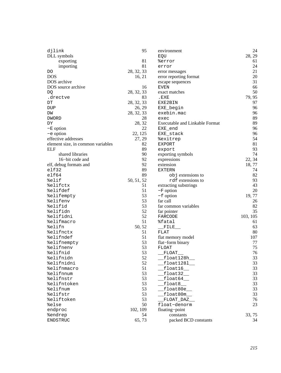| djlink                            | 95         | environment                                                                                                                                                                                                                                                                                                                                                                                                                         | 24       |
|-----------------------------------|------------|-------------------------------------------------------------------------------------------------------------------------------------------------------------------------------------------------------------------------------------------------------------------------------------------------------------------------------------------------------------------------------------------------------------------------------------|----------|
| DLL symbols                       |            | EQU                                                                                                                                                                                                                                                                                                                                                                                                                                 | 28, 29   |
| exporting                         | 81         | %error                                                                                                                                                                                                                                                                                                                                                                                                                              | 61       |
| importing                         | 81         | error                                                                                                                                                                                                                                                                                                                                                                                                                               | 24       |
| DO                                | 28, 32, 33 | error messages                                                                                                                                                                                                                                                                                                                                                                                                                      | 21       |
| <b>DOS</b>                        | 16, 21     | error reporting format                                                                                                                                                                                                                                                                                                                                                                                                              | 20       |
| DOS archive                       |            | escape sequences                                                                                                                                                                                                                                                                                                                                                                                                                    | 31       |
| DOS source archive                | 16         | EVEN                                                                                                                                                                                                                                                                                                                                                                                                                                | 66       |
| DQ                                | 28, 32, 33 | exact matches                                                                                                                                                                                                                                                                                                                                                                                                                       | 50       |
| .drectve                          | 83         | .EXE                                                                                                                                                                                                                                                                                                                                                                                                                                | 79, 95   |
| $\mathop{\rm DT}\nolimits$        | 28, 32, 33 | EXE2BIN                                                                                                                                                                                                                                                                                                                                                                                                                             | 97       |
| DUP                               | 26, 29     | EXE_begin                                                                                                                                                                                                                                                                                                                                                                                                                           | 96       |
| DW                                | 28, 32, 33 | exebin.mac                                                                                                                                                                                                                                                                                                                                                                                                                          | 96       |
| <b>DWORD</b>                      | 28         | exec                                                                                                                                                                                                                                                                                                                                                                                                                                | 89       |
| DΥ                                | 28, 32     | Executable and Linkable Format                                                                                                                                                                                                                                                                                                                                                                                                      | 89       |
| $-E$ option                       | 22         | EXE_end                                                                                                                                                                                                                                                                                                                                                                                                                             | 96       |
| $-e$ option                       | 22, 125    | EXE_stack                                                                                                                                                                                                                                                                                                                                                                                                                           | 96       |
| effective addresses               | 27, 29     | %exitrep                                                                                                                                                                                                                                                                                                                                                                                                                            | 54       |
| element size, in common variables | 82         | EXPORT                                                                                                                                                                                                                                                                                                                                                                                                                              | 81       |
| <b>ELF</b>                        | 89         | export                                                                                                                                                                                                                                                                                                                                                                                                                              | 93       |
| shared libraries                  | 90         | exporting symbols                                                                                                                                                                                                                                                                                                                                                                                                                   | 74       |
| 16-bit code and                   | 92         | expressions                                                                                                                                                                                                                                                                                                                                                                                                                         | 22, 34   |
| elf, debug formats and            | 92         | extension                                                                                                                                                                                                                                                                                                                                                                                                                           | 18,77    |
| elf32                             | 89         | <b>EXTERN</b>                                                                                                                                                                                                                                                                                                                                                                                                                       | 74       |
| $e$ 1f64                          | 89         | objextensions to                                                                                                                                                                                                                                                                                                                                                                                                                    | 82       |
| %elif                             | 50, 51, 52 | rdf extensions to                                                                                                                                                                                                                                                                                                                                                                                                                   | 93       |
| %elifctx                          | 51         | extracting substrings                                                                                                                                                                                                                                                                                                                                                                                                               | 43       |
| %elifdef                          | 51         | $-F$ option                                                                                                                                                                                                                                                                                                                                                                                                                         | 20       |
| %elifempty                        | 53         | $-f$ option                                                                                                                                                                                                                                                                                                                                                                                                                         | 19,77    |
| %elifenv                          | 53         | far call                                                                                                                                                                                                                                                                                                                                                                                                                            | 26       |
| %elifid                           | 53         | far common variables                                                                                                                                                                                                                                                                                                                                                                                                                | 82       |
| %elifidn                          | 52         | far pointer                                                                                                                                                                                                                                                                                                                                                                                                                         | 35       |
| %elifidni                         | 52         | FARCODE                                                                                                                                                                                                                                                                                                                                                                                                                             | 103, 105 |
| %elifmacro                        | 51         | %fatal                                                                                                                                                                                                                                                                                                                                                                                                                              | 61       |
| %elifn                            | 50, 52     |                                                                                                                                                                                                                                                                                                                                                                                                                                     | 63       |
| %elifnctx                         | 51         | $\rule{1em}{0.15mm} \begin{picture}(20,20) \put(0,0){\dashbox{0.5}(5,0){ }} \thicklines \put(0,0){\dashbox{0.5}(5,0){ }} \thicklines \put(0,0){\dashbox{0.5}(5,0){ }} \thicklines \put(0,0){\dashbox{0.5}(5,0){ }} \thicklines \put(0,0){\dashbox{0.5}(5,0){ }} \thicklines \put(0,0){\dashbox{0.5}(5,0){ }} \thicklines \put(0,0){\dashbox{0.5}(5,0){ }} \thicklines \put(0,0){\dashbox{0.5}(5,0){ }} \thicklines \put(0,$<br>FLAT | 80       |
|                                   | 51         |                                                                                                                                                                                                                                                                                                                                                                                                                                     | 107      |
| %elifndef                         | 53         | flat memory model                                                                                                                                                                                                                                                                                                                                                                                                                   | 77       |
| %elifnempty                       |            | flat-form binary                                                                                                                                                                                                                                                                                                                                                                                                                    | 75       |
| %elifnenv<br>%elifnid             | 53         | FLOAT                                                                                                                                                                                                                                                                                                                                                                                                                               |          |
|                                   | 53         | FLOAT                                                                                                                                                                                                                                                                                                                                                                                                                               | 76<br>33 |
| %elifnidn                         | 52         | float128h                                                                                                                                                                                                                                                                                                                                                                                                                           |          |
| %elifnidni                        | 52         | $f$ loat $1281$                                                                                                                                                                                                                                                                                                                                                                                                                     | 33       |
| %elifnmacro                       | 51         | float16                                                                                                                                                                                                                                                                                                                                                                                                                             | 33       |
| %elifnnum                         | 53         | float32_                                                                                                                                                                                                                                                                                                                                                                                                                            | 33       |
| %elifnstr                         | 53         | float64                                                                                                                                                                                                                                                                                                                                                                                                                             | 33       |
| %elifntoken                       | 53         | float8                                                                                                                                                                                                                                                                                                                                                                                                                              | 33       |
| %elifnum                          | 53         | float80e__                                                                                                                                                                                                                                                                                                                                                                                                                          | 33       |
| %elifstr                          | 53         | float80m__                                                                                                                                                                                                                                                                                                                                                                                                                          | 33       |
| %eliftoken                        | 53         | FLOAT_DAZ_                                                                                                                                                                                                                                                                                                                                                                                                                          | 76       |
| %else                             | 50         | float-denorm                                                                                                                                                                                                                                                                                                                                                                                                                        | 23       |
| endproc                           | 102, 109   | floating-point                                                                                                                                                                                                                                                                                                                                                                                                                      |          |
| <b>%endrep</b>                    | 54         | constants                                                                                                                                                                                                                                                                                                                                                                                                                           | 33, 75   |
| ENDSTRUC                          | 65, 73     | packed BCD constants                                                                                                                                                                                                                                                                                                                                                                                                                | 34       |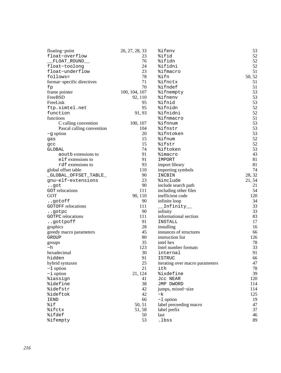| floating-point             | 26, 27, 28, 33 | %ifenv                          | 53     |
|----------------------------|----------------|---------------------------------|--------|
| float-overflow             | 23.            | %ifid                           | 52     |
| _FLOAT_ROUND__             | 76             | %ifidn                          | 52     |
| float-toolong              | 24             | %ifidni                         | 52     |
| float-underflow            | 23             | %ifmacro                        | 51     |
| follows=                   | 78             | %ifn                            | 50, 52 |
| format-specific directives | 71             | <i><b>%ifnctx</b></i>           | 51     |
| fp                         | 70             | %ifndef                         | 51     |
| frame pointer              | 100, 104, 107  | <i><b>%ifnempty</b></i>         | 53     |
| FreeBSD                    | 92, 110        | %ifnenv                         | 53     |
| FreeLink                   | 95             | %ifnid                          | 53     |
| ftp.simtel.net             | 95             | %ifnidn                         | 52     |
| function                   | 91, 93         | %ifnidni                        | 52     |
| functions                  |                | %ifnmacro                       | 51     |
| C calling convention       | 100, 107       | %ifnnum                         | 53     |
| Pascal calling convention  | 104            | %ifnstr                         | 53     |
| $-g$ option                | 20             | %ifntoken                       | 53     |
|                            | 15             | %ifnum                          | 52     |
| gas                        | 15             | %ifstr                          | 52     |
| gcc                        | 74             | %iftoken                        | 53     |
| GLOBAL                     | 91             |                                 |        |
| aoutb extensions to        | 91             | %imacro                         | 43     |
| elf extensions to          |                | IMPORT                          | 81     |
| rdf extensions to          | 93             | import library                  | 81     |
| global offset table        | 110            | importing symbols               | 74     |
| _GLOBAL_OFFSET_TABLE_      | 90             | INCBIN                          | 28, 32 |
| gnu-elf-extensions         | 23             | <i><b>%include</b></i>          | 21, 54 |
| got                        | 90             | include search path             | 21     |
| <b>GOT</b> relocations     | 111            | including other files           | 54     |
| <b>GOT</b>                 | 90, 110        | inefficient code                | 120    |
| gotoff                     | 90             | infinite loop                   | 34     |
| <b>GOTOFF</b> relocations  | 111            | Infinity__                      | 33     |
| gotpc                      | 90             | infinity                        | 33     |
| <b>GOTPC</b> relocations   | 111            | informational section           | 83     |
| gottpoff                   | 91             | INSTALL                         | 17     |
| graphics                   | 28             | installing                      | 16     |
| greedy macro parameters    | 45             | instances of structures         | 66     |
| GROUP                      | 80             | instruction list                | 126    |
| groups                     | 35             | intel hex                       | 78     |
| -h                         | 123            | Intel number formats            | 33     |
| hexadecimal                | 30             | internal                        | 91     |
| hidden                     | 91             | <b>ISTRUC</b>                   | 66     |
| hybrid syntaxes            | 25             | iterating over macro parameters | 47     |
| $-L$ option                | 21             | ith                             | 78     |
| $-i$ option                | 21, 124        | <i><b>%ixdefine</b></i>         | 39     |
| <i><b>%iassign</b></i>     | 41             | Jcc NEAR                        | 120    |
| <i><b>%idefine</b></i>     | 38             | JMP DWORD                       | 114    |
| %idefstr                   | 42             | jumps, mixed-size               | 114    |
| <i><b>%ideftok</b></i>     | 42             | $-k$                            | 125    |
| <b>IEND</b>                | 66             | $-1$ option                     | 19     |
| %if                        | 50, 51         | label preceeding macro          | 47     |
| %ifctx                     | 51, 58         | label prefix                    | 37     |
| %ifdef                     | 50             | last                            | 46     |
| <i><b>%ifempty</b></i>     | 53             | .lbss                           | 89     |
|                            |                |                                 |        |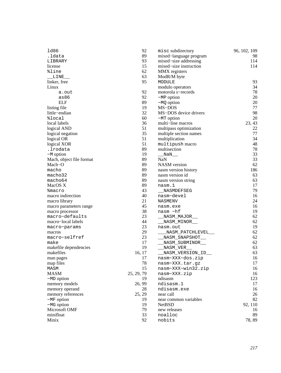| 1d86                     | 92         | misc subdirectory      | 96, 102, 109 |
|--------------------------|------------|------------------------|--------------|
| .ldata                   | 89         | mixed-language program | 98           |
| LIBRARY                  | 93         | mixed-size addressing  | 114          |
| license                  | 15         | mixed-size instruction | 114          |
| %line                    | 62         | MMX registers          |              |
| LINE                     | 63         | ModR/M byte            |              |
| linker, free             | 95         | MODULE                 | 93           |
| Linux                    |            | modulo operators       | 34           |
| a.out                    | 92         | motorola s-records     | 78           |
| as86                     | 92         | $-MP$ option           | 20           |
| ELF                      | 89         | $-MQ$ option           | 20           |
| listing file             | 19         | MS-DOS                 | 77           |
| little-endian            | 32         | MS-DOS device drivers  | 98           |
| %local                   | 60         | $-MT$ option           | 20           |
| local labels             | 36         | multi-line macros      | 23, 43       |
| logical AND              | 51         | multipass optimization | 22           |
| logical negation         | 35         | multiple section names | 77           |
| logical OR               | 51         | multiplication         | 34           |
| logical XOR              | 51         | multipush macro        | 48           |
| .lrodata                 | 89         | multisection           | 78           |
| $-M$ option              | 19         | NaN                    | 33           |
| Mach, object file format | 89         | <b>NaN</b>             | 33           |
| Mach-O                   | 89         | <b>NASM</b> version    | 62           |
| macho                    | 89         | nasm version history   | 186          |
| macho32                  | 89         | nasm version id        | 63           |
| macho64                  | 89         | nasm version string    | 63           |
| MacOS X                  | 89         | nasm.1                 | 17           |
| &macro                   | 43         | NASMDEFSEG             | 79           |
| macro indirection        | 40         | nasm-devel             | 16           |
| macro library            | 21         | <b>NASMENV</b>         | 24           |
| macro parameters range   | 45         | nasm.exe               | 16           |
| macro processor          | 38         | nasm -hf               | 19           |
| macro-defaults           | 23         | _NASM__MAJOR_          | 62           |
| macro-local labels       | 44         | NASM_MINOR___          | 62           |
| macro-params             | 23         | nasm.out               | 19           |
| macros                   | 29         | _NASM_PATCHLEVEL__     | 62           |
| macro-selfref            | 23         | _NASM_SNAPSHOT___      | 62           |
| make                     | 17         | __NASM_SUBMINOR__      | 62           |
| makefile dependencies    | 19         | _NASM_VER_             | 63           |
| makefiles                | 16, 17     | _NASM_VERSION_ID__     | 63           |
| man pages                | 17         | nasm-XXX-dos.zip       | 16           |
| map files                | 78         | nasm-XXX.tar.gz        | 17           |
| MASM                     | 15         | nasm-XXX-win32.zip     | 16           |
| <b>MASM</b>              | 25, 29, 79 | nasm-XXX.zip           | 16           |
| $-MD$ option             | 19         | ndisasm                | 123          |
| memory models            | 26, 99     | ndisasm.1              | 17           |
| memory operand           | 28         | ndisasm.exe            | 16           |
| memory references        | 25, 29     | near call              | 26           |
| $-MF$ option             | 19         | near common variables  | 82           |
| $-MG$ option             | 19         | <b>NetBSD</b>          | 92, 110      |
| Microsoft OMF            | 79         | new releases           | 16           |
| minifloat                | 33         | noalloc                | 89           |
| Minix                    | 92         | nobits                 | 78,89        |
|                          |            |                        |              |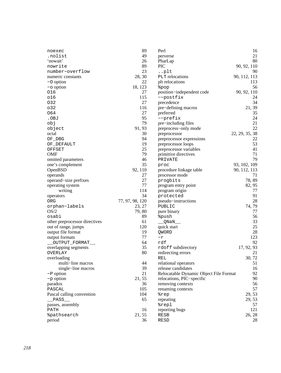| noexec                        | 89              | Perl                                   | 16             |
|-------------------------------|-----------------|----------------------------------------|----------------|
| .nolist                       | 49              | perverse                               | 21             |
| 'nowait'                      | 26              | PharLap                                | 80             |
| nowrite                       | 89              | <b>PIC</b>                             | 90, 92, 110    |
| number-overflow               | 23              | $\ldots$ plt                           | 90             |
| numeric constants             | 28, 30          | PLT relocations                        | 90, 112, 113   |
| $-$ O option                  | 22              | plt relocations                        | 113            |
| $-\circ$ option               | 18, 123         | &pop                                   | 56             |
| 016                           | 27              | position-independent code              | 90, 92, 110    |
| 016                           | 115             | --postfix                              | 24             |
| 032                           | 27              | precedence                             | 34             |
| 032                           | 116             | pre-defining macros                    | 21, 39         |
| 064                           | 27              | preferred                              | 35             |
| .OBJ                          | 95              | --prefix                               | 24             |
| obj                           | 79              | pre-including files                    | 21             |
| object                        | 91, 93          | preprocess-only mode                   | 22             |
| octal                         | 30              | preprocessor                           | 22, 29, 35, 38 |
| OF DBG                        | 94              | preprocessor expressions               | 22             |
| OF_DEFAULT                    | 19              | preprocessor loops                     | 53             |
| OFFSET                        | 25              | preprocessor variables                 | 41             |
| <b>OMF</b>                    | 79              | primitive directives                   | 71             |
| omitted parameters            | 46              | PRIVATE                                | 79             |
| one's complement              | 35              | proc                                   | 93, 102, 109   |
| OpenBSD                       | 92, 110         | procedure linkage table                | 90, 112, 113   |
| operands                      | 27              | processor mode                         | 71             |
| operand-size prefixes         | 27              | progbits                               | 78,89          |
| operating system              | 77              | program entry point                    | 82, 95         |
| writing                       | 114             | program origin                         | 77             |
| operators                     | 34              | protected                              | 91             |
| ORG                           | 77, 97, 98, 120 | pseudo-instructions                    | 28             |
| orphan-labels                 | 23, 27          | PUBLIC                                 | 74, 79         |
| OS/2                          | 79,80           | pure binary                            | 77             |
| osabi                         | 89              | <i><b>&amp;push</b></i>                | 56             |
| other preprocessor directives | 61              | _QNaN_                                 | 33             |
| out of range, jumps           | 120             | quick start                            | 25             |
| output file format            | 19              | <b>OWORD</b>                           | 28             |
| output formats                | 77              | $-\mathtt{r}$                          | 123            |
| __OUTPUT_FORMAT__             | 64              | $\operatorname{rdf}$                   | 92             |
| overlapping segments          | 35              | rdoff subdirectory                     | 17, 92, 93     |
| OVERLAY                       | 80              | redirecting errors                     | 21             |
| overloading                   |                 |                                        | 30, 72         |
| multi-line macros             | 44              | REL<br>relational operators            | 51             |
| single-line macros            | 39              | release candidates                     | 16             |
| $-P$ option                   | 21              | Relocatable Dynamic Object File Format | 92             |
| $-p$ option                   |                 |                                        | 90             |
|                               | 21, 55          | relocations, PIC-specific              |                |
| paradox                       | 36<br>105       | removing contexts                      | 56<br>57       |
| PASCAL                        |                 | renaming contexts                      |                |
| Pascal calling convention     | 104             | %rep                                   | 29, 53         |
| PASS                          | 65              | repeating                              | 29, 53         |
| passes, assembly              |                 | %repl                                  | 57             |
| PATH                          | 16              | reporting bugs                         | 121            |
| <i><b>&amp;pathsearch</b></i> | 21, 55          | RESB                                   | 26, 28         |
| period                        | 36              | RESD                                   | 28             |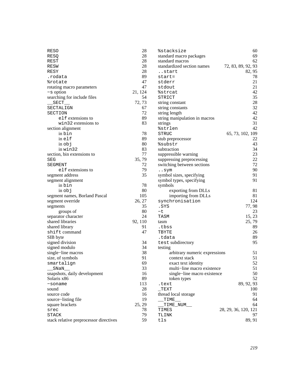| <b>RESO</b>                            | 28      | <i><b>&amp;stacksize</b></i>     | 60                   |
|----------------------------------------|---------|----------------------------------|----------------------|
| RESQ                                   | 28      | standard macro packages          | 69                   |
| REST                                   | 28      | standard macros                  | 62                   |
| RESW                                   | 28      | standardized section names       | 72, 83, 89, 92, 93   |
| <b>RESY</b>                            | 28      | start                            | 82, 95               |
| .rodata                                | 89      | start=                           | 78                   |
| <i><b>&amp;rotate</b></i>              | 47      | stderr                           | 21                   |
| rotating macro parameters              | 47      | stdout                           | 21                   |
| $-s$ option                            | 21, 124 | %strcat                          | 42                   |
| searching for include files            | 54      | STRICT                           | 35                   |
| $\_SECT$ __                            | 72, 73  | string constant                  | 28                   |
| SECTALIGN                              | 67      | string constants                 | 32                   |
| SECTION                                | 72      | string length                    | 42                   |
| elf extensions to                      | 89      | string manipulation in macros    | 42                   |
| win32 extensions to                    | 83      |                                  | 31                   |
|                                        |         | strings<br><i><b>%strlen</b></i> | 42                   |
| section alignment<br>in bin            | 78      | <b>STRUC</b>                     |                      |
|                                        |         |                                  | 65, 73, 102, 109     |
| inelf                                  | 89      | stub preprocessor                | 22                   |
| $in$ $obj$                             | 80      | %substr                          | 43                   |
| in win32                               | 83      | subtraction                      | 34                   |
| section, bin extensions to             | 77      | suppressible warning             | 23                   |
| SEG                                    | 35,79   | suppressing preprocessing        | 22                   |
| SEGMENT                                | 72      | switching between sections       | 72                   |
| elf extensions to                      | 79      | sym                              | 90                   |
| segment address                        | 35      | symbol sizes, specifying         | 91                   |
| segment alignment                      |         | symbol types, specifying         | 91                   |
| in bin                                 | 78      | symbols                          |                      |
| $in$ $obj$                             | 80      | exporting from DLLs              | 81                   |
| segment names, Borland Pascal          | 105     | importing from DLLs              | 81                   |
| segment override                       | 26, 27  | synchronisation                  | 124                  |
| segments                               | 35      | .SYS                             | 77,98                |
| groups of                              | 80      | $-t$                             | 23                   |
| separator character                    | 24      | TASM                             | 15, 23               |
| shared libraries                       | 92, 110 | tasm                             | 25, 79               |
| shared library                         | 91      | .tbss                            | 89                   |
| shift command                          | 47      | TBYTE                            | 26                   |
| SIB byte                               |         | .tdata                           | 89                   |
| signed division                        | 34      | test subdirectory                | 95                   |
| signed modulo                          | 34      | testing                          |                      |
| single-line macros                     | 38      | arbitrary numeric expressions    | 51                   |
| size, of symbols                       | 91      | context stack                    | 51                   |
| smartalign                             | 69      | exact text identity              | 52                   |
| SNaN                                   | 33      | multi-line macro existence       | 51                   |
| snapshots, daily development           | 16      | single-line macro existence      | 50                   |
| Solaris x86                            | 89      | token types                      | 52                   |
| $-soname$                              | 113     | .text                            | 89, 92, 93           |
| sound                                  | 28      | $\_$ TEXT                        | 100                  |
| source code                            | 16      | thread local storage             | 91                   |
| source-listing file                    | 19      | TIME                             | 64                   |
| square brackets                        | 25, 29  | TIME_NUM__                       | 64                   |
| srec                                   | 78      | TIMES                            | 28, 29, 36, 120, 121 |
| <b>STACK</b>                           | 79      | TLINK                            | 97                   |
| stack relative preprocessor directives | 59      | tls                              | 89, 91               |
|                                        |         |                                  |                      |